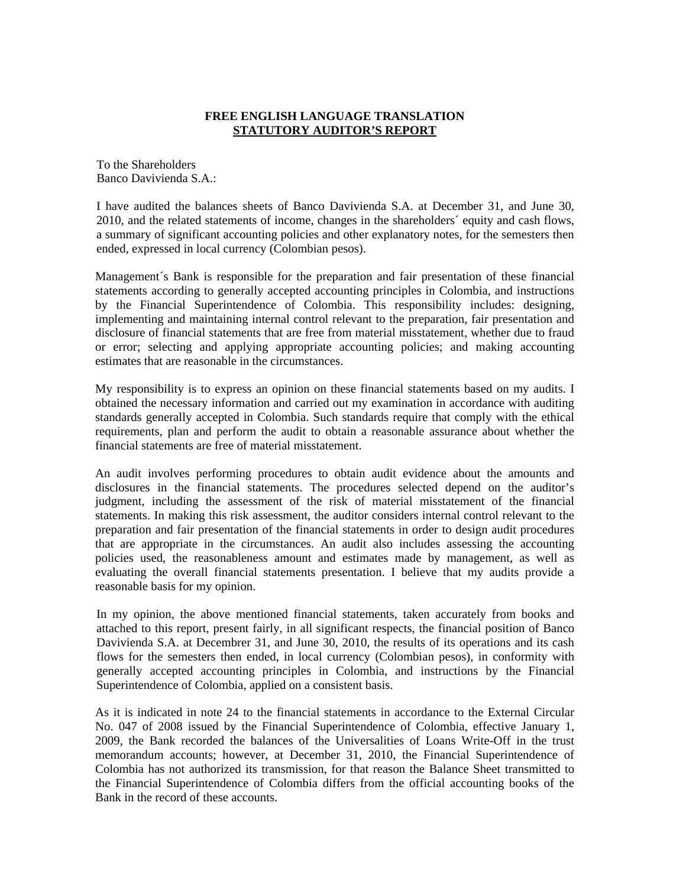## **FREE ENGLISH LANGUAGE TRANSLATION STATUTORY AUDITOR'S REPORT**

To the Shareholders Banco Davivienda S.A.:

I have audited the balances sheets of Banco Davivienda S.A. at December 31, and June 30, 2010, and the related statements of income, changes in the shareholders´ equity and cash flows, a summary of significant accounting policies and other explanatory notes, for the semesters then ended, expressed in local currency (Colombian pesos).

Management´s Bank is responsible for the preparation and fair presentation of these financial statements according to generally accepted accounting principles in Colombia, and instructions by the Financial Superintendence of Colombia. This responsibility includes: designing, implementing and maintaining internal control relevant to the preparation, fair presentation and disclosure of financial statements that are free from material misstatement, whether due to fraud or error; selecting and applying appropriate accounting policies; and making accounting estimates that are reasonable in the circumstances.

My responsibility is to express an opinion on these financial statements based on my audits. I obtained the necessary information and carried out my examination in accordance with auditing standards generally accepted in Colombia. Such standards require that comply with the ethical requirements, plan and perform the audit to obtain a reasonable assurance about whether the financial statements are free of material misstatement.

An audit involves performing procedures to obtain audit evidence about the amounts and disclosures in the financial statements. The procedures selected depend on the auditor's judgment, including the assessment of the risk of material misstatement of the financial statements. In making this risk assessment, the auditor considers internal control relevant to the preparation and fair presentation of the financial statements in order to design audit procedures that are appropriate in the circumstances. An audit also includes assessing the accounting policies used, the reasonableness amount and estimates made by management, as well as evaluating the overall financial statements presentation. I believe that my audits provide a reasonable basis for my opinion.

In my opinion, the above mentioned financial statements, taken accurately from books and attached to this report, present fairly, in all significant respects, the financial position of Banco Davivienda S.A. at Decembrer 31, and June 30, 2010, the results of its operations and its cash flows for the semesters then ended, in local currency (Colombian pesos), in conformity with generally accepted accounting principles in Colombia, and instructions by the Financial Superintendence of Colombia, applied on a consistent basis.

As it is indicated in note 24 to the financial statements in accordance to the External Circular No. 047 of 2008 issued by the Financial Superintendence of Colombia, effective January 1, 2009, the Bank recorded the balances of the Universalities of Loans Write-Off in the trust memorandum accounts; however, at December 31, 2010, the Financial Superintendence of Colombia has not authorized its transmission, for that reason the Balance Sheet transmitted to the Financial Superintendence of Colombia differs from the official accounting books of the Bank in the record of these accounts.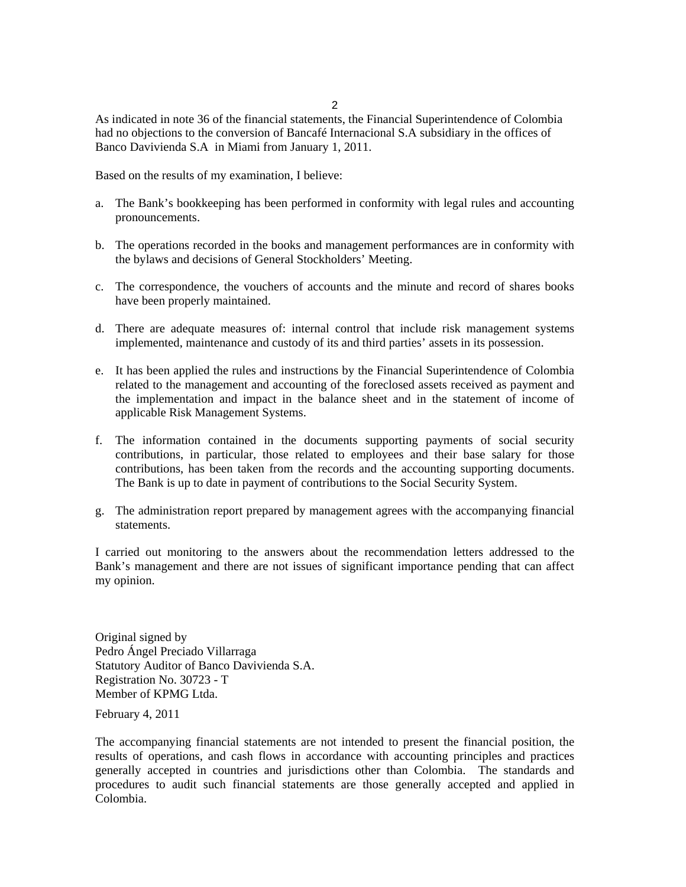2

As indicated in note 36 of the financial statements, the Financial Superintendence of Colombia had no objections to the conversion of Bancafé Internacional S.A subsidiary in the offices of Banco Davivienda S.A in Miami from January 1, 2011.

Based on the results of my examination, I believe:

- a. The Bank's bookkeeping has been performed in conformity with legal rules and accounting pronouncements.
- b. The operations recorded in the books and management performances are in conformity with the bylaws and decisions of General Stockholders' Meeting.
- c. The correspondence, the vouchers of accounts and the minute and record of shares books have been properly maintained.
- d. There are adequate measures of: internal control that include risk management systems implemented, maintenance and custody of its and third parties' assets in its possession.
- e. It has been applied the rules and instructions by the Financial Superintendence of Colombia related to the management and accounting of the foreclosed assets received as payment and the implementation and impact in the balance sheet and in the statement of income of applicable Risk Management Systems.
- f. The information contained in the documents supporting payments of social security contributions, in particular, those related to employees and their base salary for those contributions, has been taken from the records and the accounting supporting documents. The Bank is up to date in payment of contributions to the Social Security System.
- g. The administration report prepared by management agrees with the accompanying financial statements.

I carried out monitoring to the answers about the recommendation letters addressed to the Bank's management and there are not issues of significant importance pending that can affect my opinion.

Original signed by Pedro Ángel Preciado Villarraga Statutory Auditor of Banco Davivienda S.A. Registration No. 30723 - T Member of KPMG Ltda.

February 4, 2011

The accompanying financial statements are not intended to present the financial position, the results of operations, and cash flows in accordance with accounting principles and practices generally accepted in countries and jurisdictions other than Colombia. The standards and procedures to audit such financial statements are those generally accepted and applied in Colombia.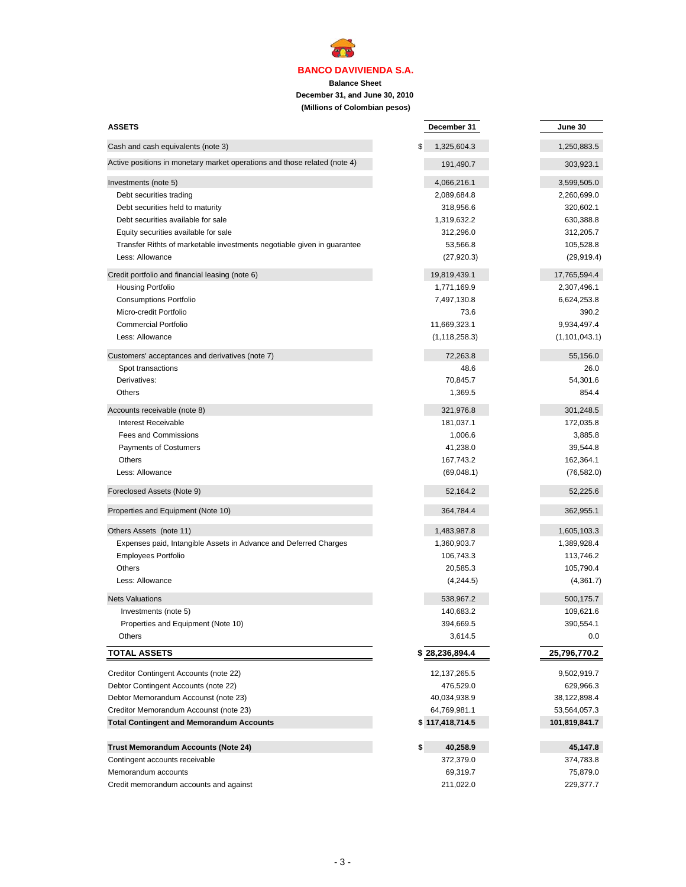**Balance Sheet**

**ATTA** 

**December 31, and June 30, 2010**

 **(Millions of Colombian pesos)**

| <b>ASSETS</b>                                                             | December 31       | June 30         |
|---------------------------------------------------------------------------|-------------------|-----------------|
| Cash and cash equivalents (note 3)                                        | \$<br>1,325,604.3 | 1,250,883.5     |
| Active positions in monetary market operations and those related (note 4) | 191,490.7         | 303,923.1       |
| Investments (note 5)                                                      | 4,066,216.1       | 3,599,505.0     |
| Debt securities trading                                                   | 2,089,684.8       | 2,260,699.0     |
| Debt securities held to maturity                                          | 318,956.6         | 320,602.1       |
| Debt securities available for sale                                        | 1,319,632.2       | 630,388.8       |
| Equity securities available for sale                                      | 312,296.0         | 312,205.7       |
| Transfer Rithts of marketable investments negotiable given in guarantee   | 53,566.8          | 105,528.8       |
| Less: Allowance                                                           | (27, 920.3)       | (29, 919.4)     |
| Credit portfolio and financial leasing (note 6)                           | 19,819,439.1      | 17,765,594.4    |
| Housing Portfolio                                                         | 1,771,169.9       | 2,307,496.1     |
| <b>Consumptions Portfolio</b>                                             | 7,497,130.8       | 6,624,253.8     |
| Micro-credit Portfolio                                                    | 73.6              | 390.2           |
| <b>Commercial Portfolio</b>                                               | 11,669,323.1      | 9,934,497.4     |
| Less: Allowance                                                           | (1, 118, 258.3)   | (1, 101, 043.1) |
| Customers' acceptances and derivatives (note 7)                           | 72,263.8          | 55,156.0        |
| Spot transactions                                                         | 48.6              | 26.0            |
| Derivatives:                                                              | 70,845.7          | 54,301.6        |
| <b>Others</b>                                                             | 1,369.5           | 854.4           |
| Accounts receivable (note 8)                                              | 321,976.8         | 301,248.5       |
| <b>Interest Receivable</b>                                                | 181,037.1         | 172,035.8       |
| <b>Fees and Commissions</b>                                               | 1,006.6           | 3,885.8         |
| <b>Payments of Costumers</b>                                              | 41,238.0          | 39,544.8        |
| Others                                                                    | 167,743.2         | 162,364.1       |
| Less: Allowance                                                           | (69,048.1)        | (76, 582.0)     |
| Foreclosed Assets (Note 9)                                                | 52,164.2          | 52,225.6        |
| Properties and Equipment (Note 10)                                        | 364,784.4         | 362,955.1       |
| Others Assets (note 11)                                                   | 1,483,987.8       | 1,605,103.3     |
| Expenses paid, Intangible Assets in Advance and Deferred Charges          | 1,360,903.7       | 1,389,928.4     |
| <b>Employees Portfolio</b>                                                | 106,743.3         | 113,746.2       |
| <b>Others</b>                                                             | 20,585.3          | 105,790.4       |
| Less: Allowance                                                           | (4,244.5)         | (4,361.7)       |
| <b>Nets Valuations</b>                                                    | 538,967.2         | 500,175.7       |
| Investments (note 5)                                                      | 140,683.2         | 109,621.6       |
| Properties and Equipment (Note 10)                                        | 394,669.5         | 390,554.1       |
| <b>Others</b>                                                             | 3,614.5           | 0.0             |
| <b>TOTAL ASSETS</b>                                                       | 28,236,894.4      | 25,796,770.2    |
| Creditor Contingent Accounts (note 22)                                    | 12, 137, 265.5    | 9,502,919.7     |
| Debtor Contingent Accounts (note 22)                                      | 476,529.0         | 629,966.3       |
| Debtor Memorandum Accounst (note 23)                                      | 40,034,938.9      | 38,122,898.4    |
| Creditor Memorandum Accounst (note 23)                                    | 64,769,981.1      | 53,564,057.3    |
| <b>Total Contingent and Memorandum Accounts</b>                           | \$117,418,714.5   | 101,819,841.7   |
| <b>Trust Memorandum Accounts (Note 24)</b>                                | \$<br>40,258.9    | 45,147.8        |
| Contingent accounts receivable                                            | 372,379.0         | 374,783.8       |
| Memorandum accounts                                                       | 69,319.7          | 75,879.0        |
| Credit memorandum accounts and against                                    | 211,022.0         | 229,377.7       |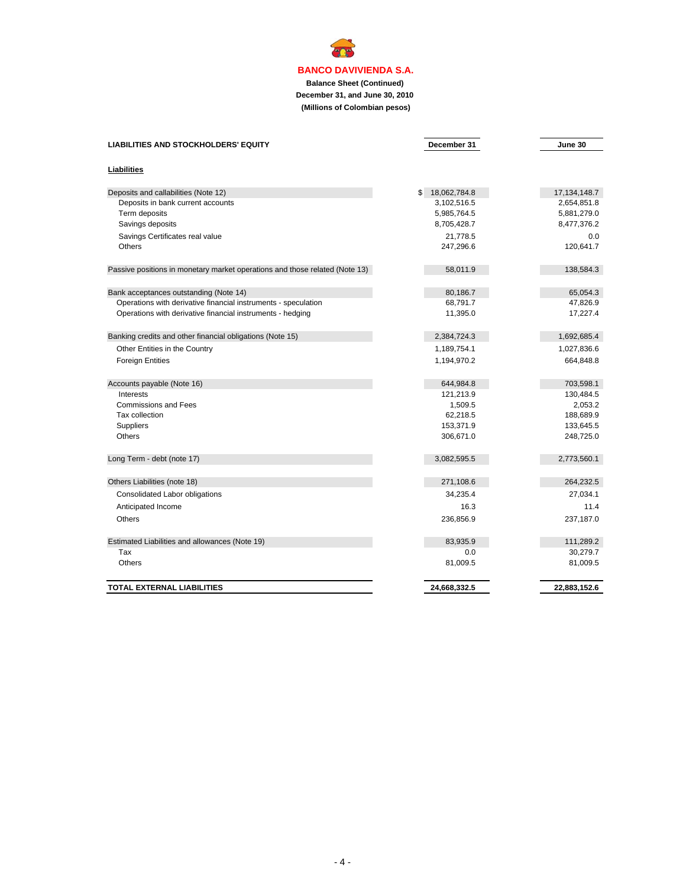**ACA** 

**Balance Sheet (Continued) December 31, and June 30, 2010 (Millions of Colombian pesos)**

| <b>LIABILITIES AND STOCKHOLDERS' EQUITY</b>                                 | December 31        | June 30         |
|-----------------------------------------------------------------------------|--------------------|-----------------|
| Liabilities                                                                 |                    |                 |
| Deposits and callabilities (Note 12)                                        | 18,062,784.8<br>\$ | 17, 134, 148. 7 |
| Deposits in bank current accounts                                           | 3,102,516.5        | 2,654,851.8     |
| Term deposits                                                               | 5,985,764.5        | 5,881,279.0     |
| Savings deposits                                                            | 8,705,428.7        | 8,477,376.2     |
| Savings Certificates real value                                             | 21,778.5           | 0.0             |
| Others                                                                      | 247,296.6          | 120,641.7       |
| Passive positions in monetary market operations and those related (Note 13) | 58,011.9           | 138,584.3       |
|                                                                             |                    |                 |
| Bank acceptances outstanding (Note 14)                                      | 80,186.7           | 65,054.3        |
| Operations with derivative financial instruments - speculation              | 68,791.7           | 47,826.9        |
| Operations with derivative financial instruments - hedging                  | 11,395.0           | 17,227.4        |
| Banking credits and other financial obligations (Note 15)                   | 2,384,724.3        | 1,692,685.4     |
| Other Entities in the Country                                               | 1,189,754.1        | 1,027,836.6     |
| <b>Foreign Entities</b>                                                     | 1,194,970.2        | 664,848.8       |
| Accounts payable (Note 16)                                                  | 644,984.8          | 703,598.1       |
| Interests                                                                   | 121,213.9          | 130,484.5       |
| <b>Commissions and Fees</b>                                                 | 1,509.5            | 2,053.2         |
| Tax collection                                                              | 62,218.5           | 188,689.9       |
| Suppliers                                                                   | 153,371.9          | 133,645.5       |
| Others                                                                      | 306,671.0          | 248,725.0       |
| Long Term - debt (note 17)                                                  | 3,082,595.5        | 2,773,560.1     |
| Others Liabilities (note 18)                                                | 271,108.6          | 264,232.5       |
| Consolidated Labor obligations                                              | 34,235.4           | 27,034.1        |
| Anticipated Income                                                          | 16.3               | 11.4            |
| Others                                                                      | 236,856.9          | 237,187.0       |
| Estimated Liabilities and allowances (Note 19)                              | 83,935.9           | 111,289.2       |
| Tax                                                                         | 0.0                | 30,279.7        |
| Others                                                                      | 81,009.5           | 81,009.5        |
| TOTAL EXTERNAL LIABILITIES                                                  | 24,668,332.5       | 22,883,152.6    |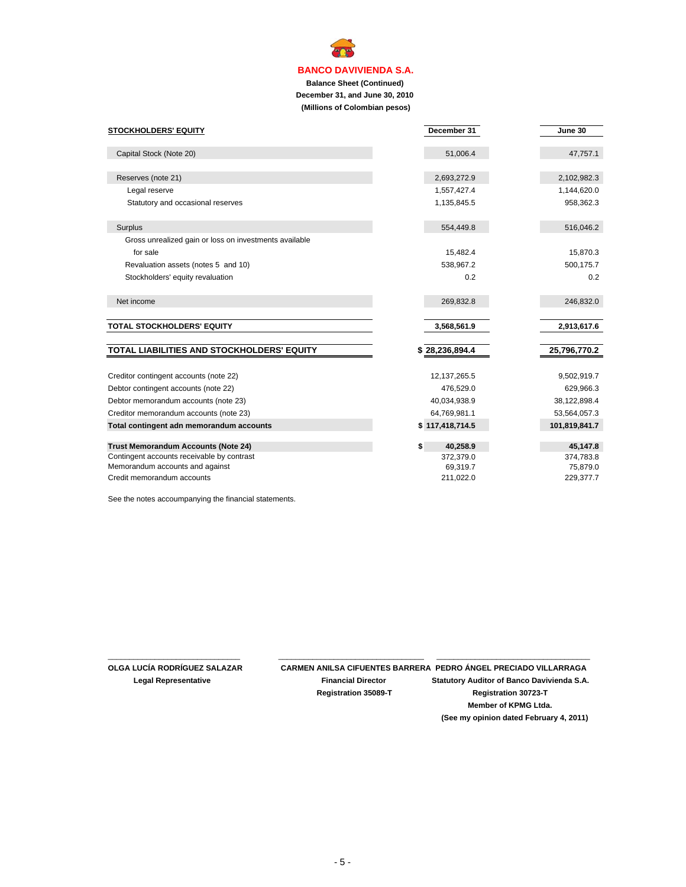**Balance Sheet (Continued) December 31, and June 30, 2010 (Millions of Colombian pesos)**

| <b>STOCKHOLDERS' EQUITY</b>                            | December 31     | June 30       |
|--------------------------------------------------------|-----------------|---------------|
|                                                        |                 |               |
| Capital Stock (Note 20)                                | 51,006.4        | 47,757.1      |
|                                                        |                 |               |
| Reserves (note 21)                                     | 2,693,272.9     | 2,102,982.3   |
| Legal reserve                                          | 1,557,427.4     | 1,144,620.0   |
| Statutory and occasional reserves                      | 1,135,845.5     | 958,362.3     |
|                                                        |                 |               |
| Surplus                                                | 554,449.8       | 516,046.2     |
| Gross unrealized gain or loss on investments available |                 |               |
| for sale                                               | 15,482.4        | 15,870.3      |
| Revaluation assets (notes 5 and 10)                    | 538,967.2       | 500,175.7     |
| Stockholders' equity revaluation                       | 0.2             | 0.2           |
|                                                        |                 |               |
| Net income                                             | 269,832.8       | 246,832.0     |
|                                                        |                 |               |
| TOTAL STOCKHOLDERS' EQUITY                             | 3,568,561.9     | 2,913,617.6   |
|                                                        |                 |               |
| TOTAL LIABILITIES AND STOCKHOLDERS' EQUITY             | \$28,236,894.4  | 25,796,770.2  |
|                                                        |                 |               |
| Creditor contingent accounts (note 22)                 | 12, 137, 265.5  | 9,502,919.7   |
| Debtor contingent accounts (note 22)                   | 476,529.0       | 629,966.3     |
| Debtor memorandum accounts (note 23)                   | 40,034,938.9    | 38,122,898.4  |
| Creditor memorandum accounts (note 23)                 | 64,769,981.1    | 53,564,057.3  |
| Total contingent adn memorandum accounts               | \$117,418,714.5 | 101,819,841.7 |
|                                                        |                 |               |
| <b>Trust Memorandum Accounts (Note 24)</b>             | \$<br>40,258.9  | 45,147.8      |
| Contingent accounts receivable by contrast             | 372,379.0       | 374,783.8     |
| Memorandum accounts and against                        | 69,319.7        | 75,879.0      |
| Credit memorandum accounts                             | 211,022.0       | 229,377.7     |

See the notes accoumpanying the financial statements.

\_\_\_\_\_\_\_\_\_\_\_\_\_\_\_\_\_\_\_\_\_\_\_\_\_\_\_\_\_\_\_ \_\_\_\_\_\_\_\_\_\_\_\_\_\_\_\_\_\_\_\_\_\_\_\_\_\_\_\_\_\_\_\_\_\_\_

**OLGA LUCÍA RODRÍGUEZ SALAZAR CARMEN ANILSA CIFUENTES BARRERA PEDRO ÁNGEL PRECIADO VILLARRAGA Legal Representative Financial Director Statutory Auditor of Banco Davivienda S.A. Registration 35089-T Registration 30723-T**

**Member of KPMG Ltda. (See my opinion dated February 4, 2011)**

 $\overline{\phantom{a}}$  , and the set of the set of the set of the set of the set of the set of the set of the set of the set of the set of the set of the set of the set of the set of the set of the set of the set of the set of the s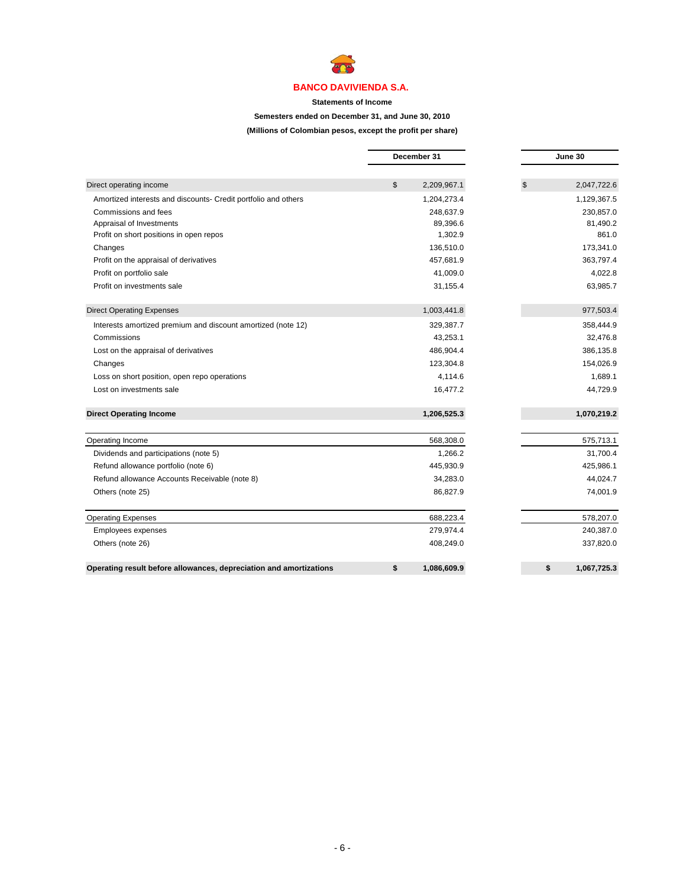

**Statements of Income**

**Semesters ended on December 31, and June 30, 2010**

**(Millions of Colombian pesos, except the profit per share)**

|                                                                    |               | December 31 |    | June 30     |
|--------------------------------------------------------------------|---------------|-------------|----|-------------|
|                                                                    |               |             |    |             |
| Direct operating income                                            | $\mathsf{\$}$ | 2,209,967.1 | \$ | 2,047,722.6 |
| Amortized interests and discounts- Credit portfolio and others     |               | 1,204,273.4 |    | 1,129,367.5 |
| Commissions and fees                                               |               | 248.637.9   |    | 230.857.0   |
| Appraisal of Investments                                           |               | 89,396.6    |    | 81,490.2    |
| Profit on short positions in open repos                            |               | 1,302.9     |    | 861.0       |
| Changes                                                            |               | 136,510.0   |    | 173,341.0   |
| Profit on the appraisal of derivatives                             |               | 457,681.9   |    | 363,797.4   |
| Profit on portfolio sale                                           |               | 41,009.0    |    | 4,022.8     |
| Profit on investments sale                                         |               | 31,155.4    |    | 63,985.7    |
| <b>Direct Operating Expenses</b>                                   |               | 1,003,441.8 |    | 977,503.4   |
| Interests amortized premium and discount amortized (note 12)       |               | 329,387.7   |    | 358,444.9   |
| Commissions                                                        |               | 43,253.1    |    | 32,476.8    |
| Lost on the appraisal of derivatives                               |               | 486,904.4   |    | 386,135.8   |
| Changes                                                            |               | 123,304.8   |    | 154,026.9   |
| Loss on short position, open repo operations                       |               | 4,114.6     |    | 1,689.1     |
| Lost on investments sale                                           |               | 16,477.2    |    | 44,729.9    |
| <b>Direct Operating Income</b>                                     |               | 1,206,525.3 |    | 1,070,219.2 |
| Operating Income                                                   |               | 568,308.0   |    | 575,713.1   |
| Dividends and participations (note 5)                              |               | 1,266.2     |    | 31,700.4    |
| Refund allowance portfolio (note 6)                                |               | 445,930.9   |    | 425,986.1   |
| Refund allowance Accounts Receivable (note 8)                      |               | 34,283.0    |    | 44,024.7    |
| Others (note 25)                                                   |               | 86,827.9    |    | 74,001.9    |
| <b>Operating Expenses</b>                                          |               | 688,223.4   |    | 578,207.0   |
| Employees expenses                                                 |               | 279,974.4   |    | 240,387.0   |
| Others (note 26)                                                   |               | 408,249.0   |    | 337,820.0   |
| Operating result before allowances, depreciation and amortizations | \$            | 1,086,609.9 | \$ | 1,067,725.3 |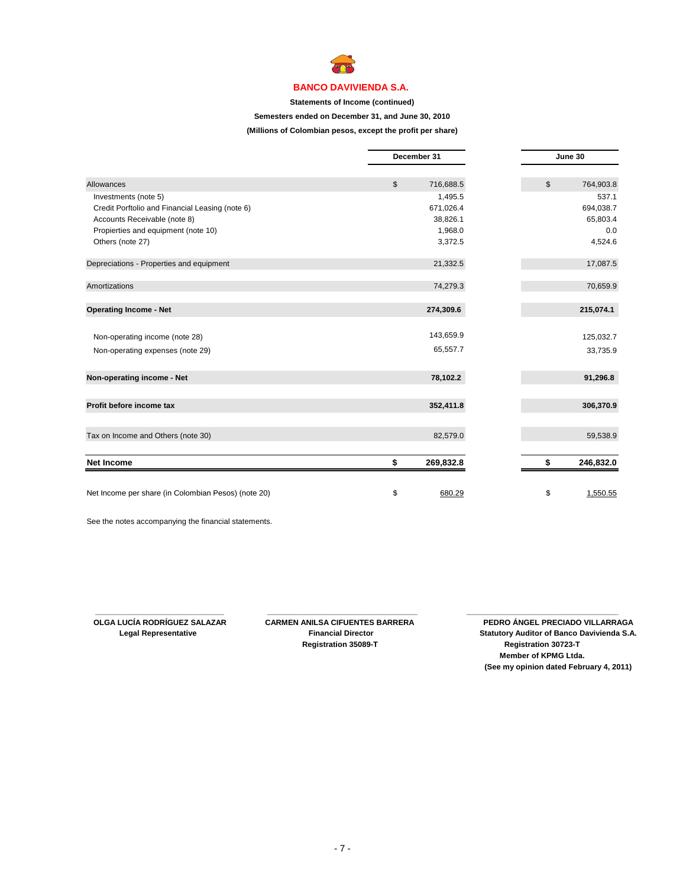

#### **Statements of Income (continued)**

#### **Semesters ended on December 31, and June 30, 2010**

**(Millions of Colombian pesos, except the profit per share)**

|                                                     | December 31     |  | June 30 |           |
|-----------------------------------------------------|-----------------|--|---------|-----------|
| Allowances                                          | \$<br>716,688.5 |  | \$      | 764,903.8 |
| Investments (note 5)                                | 1,495.5         |  |         | 537.1     |
| Credit Porftolio and Financial Leasing (note 6)     | 671,026.4       |  |         | 694,038.7 |
| Accounts Receivable (note 8)                        | 38,826.1        |  |         | 65,803.4  |
| Propierties and equipment (note 10)                 | 1,968.0         |  |         | 0.0       |
| Others (note 27)                                    | 3,372.5         |  |         | 4,524.6   |
| Depreciations - Properties and equipment            | 21,332.5        |  |         | 17,087.5  |
| Amortizations                                       | 74,279.3        |  |         | 70,659.9  |
| <b>Operating Income - Net</b>                       | 274,309.6       |  |         | 215,074.1 |
| Non-operating income (note 28)                      | 143,659.9       |  |         | 125,032.7 |
| Non-operating expenses (note 29)                    | 65,557.7        |  |         | 33,735.9  |
| Non-operating income - Net                          | 78,102.2        |  |         | 91,296.8  |
| Profit before income tax                            | 352,411.8       |  |         | 306,370.9 |
| Tax on Income and Others (note 30)                  | 82,579.0        |  |         | 59,538.9  |
| <b>Net Income</b>                                   | \$<br>269,832.8 |  | \$      | 246,832.0 |
|                                                     |                 |  |         |           |
| Net Income per share (in Colombian Pesos) (note 20) | \$<br>680.29    |  | \$      | 1,550.55  |

See the notes accompanying the financial statements.

 **Registration 35089-T Registration 30723-T**

 **\_\_\_\_\_\_\_\_\_\_\_\_\_\_\_\_\_\_\_\_\_\_\_\_\_\_\_\_\_\_ \_\_\_\_\_\_\_\_\_\_\_\_\_\_\_\_\_\_\_\_\_\_\_\_\_\_\_\_\_\_\_\_\_\_\_ \_\_\_\_\_\_\_\_\_\_\_\_\_\_\_\_\_\_\_\_\_\_\_\_\_\_\_\_\_\_\_\_\_\_\_\_**

**OLGA LUCÍA RODRÍGUEZ SALAZAR CARMEN ANILSA CIFUENTES BARRERA PEDRO ÁNGEL PRECIADO VILLARRAGA Legal Representative Financial Director Statutory Auditor of Banco Davivienda S.A. Member of KPMG Ltda. (See my opinion dated February 4, 2011)**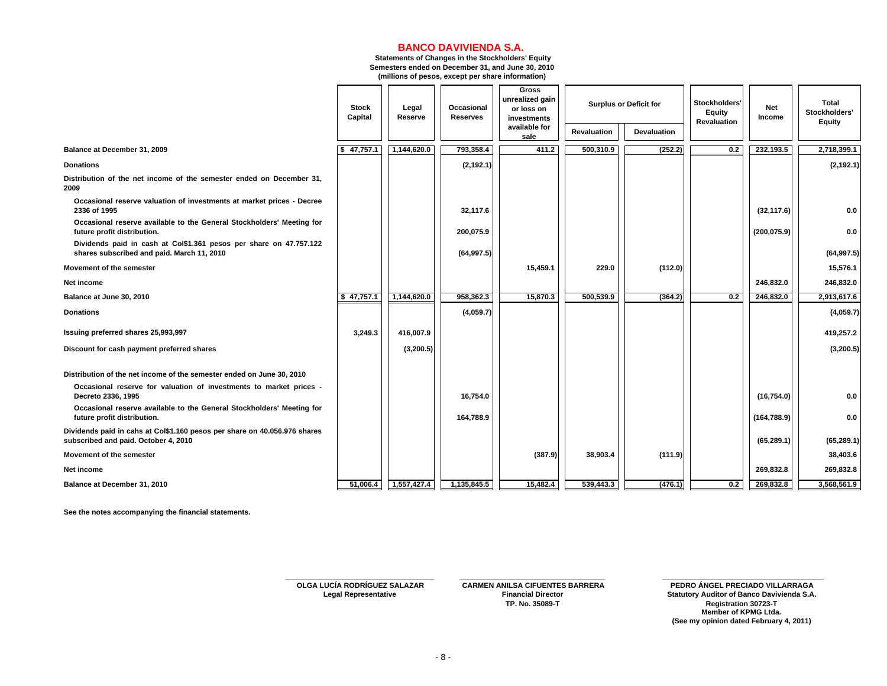**Statements of Changes in the Stockholders' Equity Semesters ended on December 31, and June 30, 2010 (millions of pesos, except per share information)**

|                                                                                                                   | <b>Stock</b><br>Capital | Legal<br>Reserve | Occasional<br><b>Reserves</b> | Gross<br>unrealized gain<br>or loss on<br>investments |             | <b>Surplus or Deficit for</b> | Stockholders'<br><b>Equity</b><br>Revaluation | <b>Net</b><br>Income | <b>Total</b><br>Stockholders'<br><b>Equity</b> |
|-------------------------------------------------------------------------------------------------------------------|-------------------------|------------------|-------------------------------|-------------------------------------------------------|-------------|-------------------------------|-----------------------------------------------|----------------------|------------------------------------------------|
|                                                                                                                   |                         |                  |                               | available for<br>sale                                 | Revaluation | <b>Devaluation</b>            |                                               |                      |                                                |
| Balance at December 31, 2009                                                                                      | 47,757.1                | 1,144,620.0      | 793,358.4                     | 411.2                                                 | 500,310.9   | (252.2)                       | 0.2                                           | 232,193.5            | 2,718,399.1                                    |
| <b>Donations</b>                                                                                                  |                         |                  | (2, 192.1)                    |                                                       |             |                               |                                               |                      | (2, 192.1)                                     |
| Distribution of the net income of the semester ended on December 31,<br>2009                                      |                         |                  |                               |                                                       |             |                               |                                               |                      |                                                |
| Occasional reserve valuation of investments at market prices - Decree<br>2336 of 1995                             |                         |                  | 32,117.6                      |                                                       |             |                               |                                               | (32, 117.6)          | 0.0                                            |
| Occasional reserve available to the General Stockholders' Meeting for<br>future profit distribution.              |                         |                  | 200,075.9                     |                                                       |             |                               |                                               | (200, 075.9)         | 0.0                                            |
| Dividends paid in cash at Col\$1.361 pesos per share on 47.757.122<br>shares subscribed and paid. March 11, 2010  |                         |                  | (64, 997.5)                   |                                                       |             |                               |                                               |                      | (64, 997.5)                                    |
| Movement of the semester                                                                                          |                         |                  |                               | 15,459.1                                              | 229.0       | (112.0)                       |                                               |                      | 15,576.1                                       |
| Net income                                                                                                        |                         |                  |                               |                                                       |             |                               |                                               | 246,832.0            | 246,832.0                                      |
| Balance at June 30, 2010                                                                                          | \$47,757.1              | 1,144,620.0      | 958,362.3                     | 15,870.3                                              | 500,539.9   | (364.2)                       | 0.2                                           | 246,832.0            | 2,913,617.6                                    |
| <b>Donations</b>                                                                                                  |                         |                  | (4,059.7)                     |                                                       |             |                               |                                               |                      | (4,059.7)                                      |
| Issuing preferred shares 25,993,997                                                                               | 3,249.3                 | 416,007.9        |                               |                                                       |             |                               |                                               |                      | 419,257.2                                      |
| Discount for cash payment preferred shares                                                                        |                         | (3, 200.5)       |                               |                                                       |             |                               |                                               |                      | (3, 200.5)                                     |
| Distribution of the net income of the semester ended on June 30, 2010                                             |                         |                  |                               |                                                       |             |                               |                                               |                      |                                                |
| Occasional reserve for valuation of investments to market prices -<br>Decreto 2336, 1995                          |                         |                  | 16,754.0                      |                                                       |             |                               |                                               | (16, 754.0)          | 0.0                                            |
| Occasional reserve available to the General Stockholders' Meeting for<br>future profit distribution.              |                         |                  | 164,788.9                     |                                                       |             |                               |                                               | (164, 788.9)         | 0.0                                            |
| Dividends paid in cahs at Col\$1.160 pesos per share on 40.056.976 shares<br>subscribed and paid. October 4, 2010 |                         |                  |                               |                                                       |             |                               |                                               | (65, 289.1)          | (65, 289.1)                                    |
| Movement of the semester                                                                                          |                         |                  |                               | (387.9)                                               | 38,903.4    | (111.9)                       |                                               |                      | 38,403.6                                       |
| Net income                                                                                                        |                         |                  |                               |                                                       |             |                               |                                               | 269,832.8            | 269,832.8                                      |
| Balance at December 31, 2010                                                                                      | 51,006.4                | 1,557,427.4      | 1,135,845.5                   | 15,482.4                                              | 539,443.3   | (476.1)                       | 0.2                                           | 269,832.8            | 3,568,561.9                                    |

**See the notes accompanying the financial statements.** 

**\_\_\_\_\_\_\_\_\_\_\_\_\_\_\_\_\_\_\_\_\_\_\_\_\_\_\_\_\_\_\_\_\_\_\_\_\_ \_\_\_\_\_\_\_\_\_\_\_\_\_\_\_\_\_\_\_\_\_\_\_\_\_\_\_\_\_\_\_\_\_\_\_\_ OLGA LUCÍA RODRÍGUEZ SALAZAR CARMEN ANILSA CIFUENTES BARRERA PEDRO ÁNGEL PRECIADO VILLARRAGA**

 **Legal Representative Financial Director Statutory Auditor of Banco Davivienda S.A. TP. No. 35089-T Registration 30723-T Member of KPMG Ltda. (See my opinion dated February 4, 2011)** PEDRO ÁNGEL PRECIADO VILLARRAGA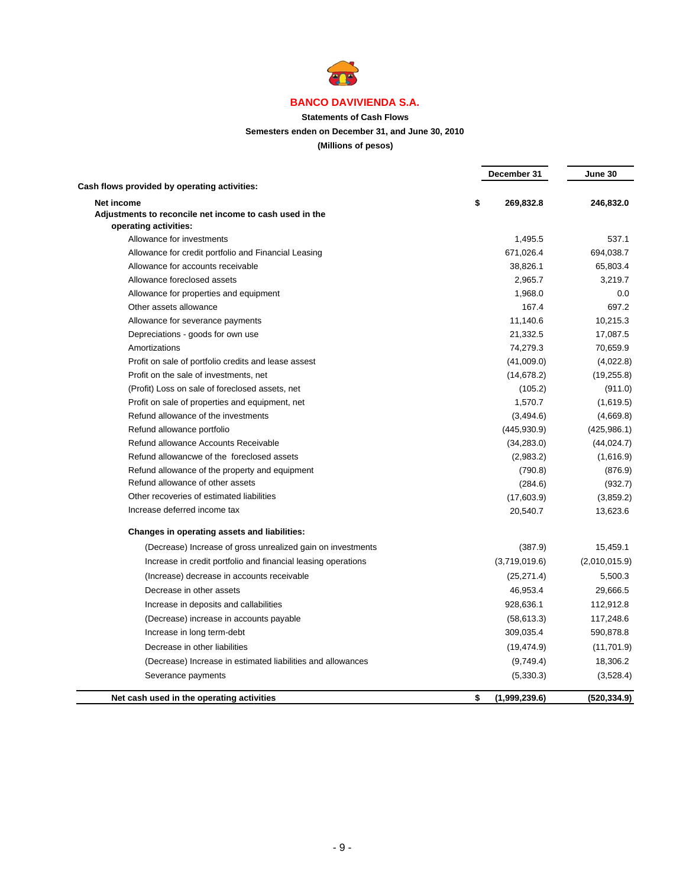

## **Statements of Cash Flows**

### **Semesters enden on December 31, and June 30, 2010**

## **(Millions of pesos)**

|                                                                       | December 31         | June 30       |
|-----------------------------------------------------------------------|---------------------|---------------|
| Cash flows provided by operating activities:                          |                     |               |
| Net income<br>Adjustments to reconcile net income to cash used in the | \$<br>269,832.8     | 246,832.0     |
| operating activities:                                                 |                     |               |
| Allowance for investments                                             | 1,495.5             | 537.1         |
| Allowance for credit portfolio and Financial Leasing                  | 671,026.4           | 694,038.7     |
| Allowance for accounts receivable                                     | 38,826.1            | 65,803.4      |
| Allowance foreclosed assets                                           | 2,965.7             | 3,219.7       |
| Allowance for properties and equipment                                | 1,968.0             | 0.0           |
| Other assets allowance                                                | 167.4               | 697.2         |
| Allowance for severance payments                                      | 11,140.6            | 10,215.3      |
| Depreciations - goods for own use                                     | 21,332.5            | 17,087.5      |
| Amortizations                                                         | 74,279.3            | 70,659.9      |
| Profit on sale of portfolio credits and lease assest                  | (41,009.0)          | (4,022.8)     |
| Profit on the sale of investments, net                                | (14, 678.2)         | (19, 255.8)   |
| (Profit) Loss on sale of foreclosed assets, net                       | (105.2)             | (911.0)       |
| Profit on sale of properties and equipment, net                       | 1,570.7             | (1,619.5)     |
| Refund allowance of the investments                                   | (3,494.6)           | (4,669.8)     |
| Refund allowance portfolio                                            | (445, 930.9)        | (425, 986.1)  |
| Refund allowance Accounts Receivable                                  | (34, 283.0)         | (44, 024.7)   |
| Refund allowancwe of the foreclosed assets                            | (2,983.2)           | (1,616.9)     |
| Refund allowance of the property and equipment                        | (790.8)             | (876.9)       |
| Refund allowance of other assets                                      | (284.6)             | (932.7)       |
| Other recoveries of estimated liabilities                             | (17,603.9)          | (3,859.2)     |
| Increase deferred income tax                                          | 20,540.7            | 13,623.6      |
| <b>Changes in operating assets and liabilities:</b>                   |                     |               |
| (Decrease) Increase of gross unrealized gain on investments           | (387.9)             | 15,459.1      |
| Increase in credit portfolio and financial leasing operations         | (3,719,019.6)       | (2,010,015.9) |
| (Increase) decrease in accounts receivable                            | (25, 271.4)         | 5,500.3       |
| Decrease in other assets                                              | 46,953.4            | 29,666.5      |
| Increase in deposits and callabilities                                | 928,636.1           | 112,912.8     |
| (Decrease) increase in accounts payable                               | (58, 613.3)         | 117,248.6     |
| Increase in long term-debt                                            | 309,035.4           | 590,878.8     |
| Decrease in other liabilities                                         | (19, 474.9)         | (11,701.9)    |
| (Decrease) Increase in estimated liabilities and allowances           | (9,749.4)           | 18,306.2      |
| Severance payments                                                    | (5,330.3)           | (3,528.4)     |
| Net cash used in the operating activities                             | \$<br>(1,999,239.6) | (520, 334.9)  |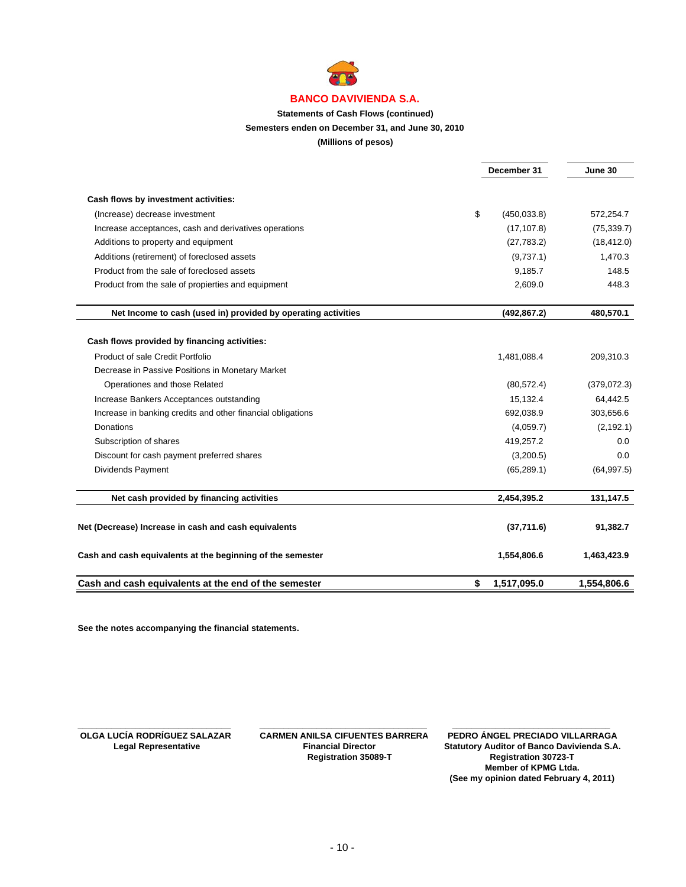

### **Statements of Cash Flows (continued)**

**Semesters enden on December 31, and June 30, 2010**

**(Millions of pesos)**

|                                                               |    | December 31  |              |
|---------------------------------------------------------------|----|--------------|--------------|
| Cash flows by investment activities:                          |    |              |              |
| (Increase) decrease investment                                | \$ | (450,033.8)  | 572,254.7    |
| Increase acceptances, cash and derivatives operations         |    | (17, 107.8)  | (75, 339.7)  |
| Additions to property and equipment                           |    | (27, 783.2)  | (18, 412.0)  |
| Additions (retirement) of foreclosed assets                   |    | (9,737.1)    | 1,470.3      |
| Product from the sale of foreclosed assets                    |    | 9,185.7      | 148.5        |
| Product from the sale of propierties and equipment            |    | 2,609.0      | 448.3        |
| Net Income to cash (used in) provided by operating activities |    | (492, 867.2) | 480,570.1    |
| Cash flows provided by financing activities:                  |    |              |              |
| Product of sale Credit Portfolio                              |    | 1,481,088.4  | 209,310.3    |
| Decrease in Passive Positions in Monetary Market              |    |              |              |
| Operationes and those Related                                 |    | (80, 572.4)  | (379, 072.3) |
| Increase Bankers Acceptances outstanding                      |    | 15,132.4     | 64,442.5     |
| Increase in banking credits and other financial obligations   |    | 692,038.9    | 303,656.6    |
| Donations                                                     |    | (4,059.7)    | (2, 192.1)   |
| Subscription of shares                                        |    | 419,257.2    | 0.0          |
| Discount for cash payment preferred shares                    |    | (3,200.5)    | 0.0          |
| Dividends Payment                                             |    | (65, 289.1)  | (64, 997.5)  |
| Net cash provided by financing activities                     |    | 2,454,395.2  | 131,147.5    |
| Net (Decrease) Increase in cash and cash equivalents          |    | (37,711.6)   | 91,382.7     |
| Cash and cash equivalents at the beginning of the semester    |    | 1,554,806.6  | 1,463,423.9  |
| Cash and cash equivalents at the end of the semester          | \$ | 1,517,095.0  | 1,554,806.6  |

**See the notes accompanying the financial statements.**

 **Registration 35089-T Registration 30723-T**

**\_\_\_\_\_\_\_\_\_\_\_\_\_\_\_\_\_\_\_\_\_\_\_\_\_\_\_\_\_\_\_\_ \_\_\_\_\_\_\_\_\_\_\_\_\_\_\_\_\_\_\_\_\_\_\_\_\_\_\_\_\_\_\_\_\_\_\_ \_\_\_\_\_\_\_\_\_\_\_\_\_\_\_\_\_\_\_\_\_\_\_\_\_\_\_\_\_\_\_\_\_ OLGA LUCÍA RODRÍGUEZ SALAZAR CARMEN ANILSA CIFUENTES BARRERA PEDRO ÁNGEL PRECIADO VILLARRAGA Statutory Auditor of Banco Davivienda S.A.**<br>Registration 30723-T **Member of KPMG Ltda. (See my opinion dated February 4, 2011)**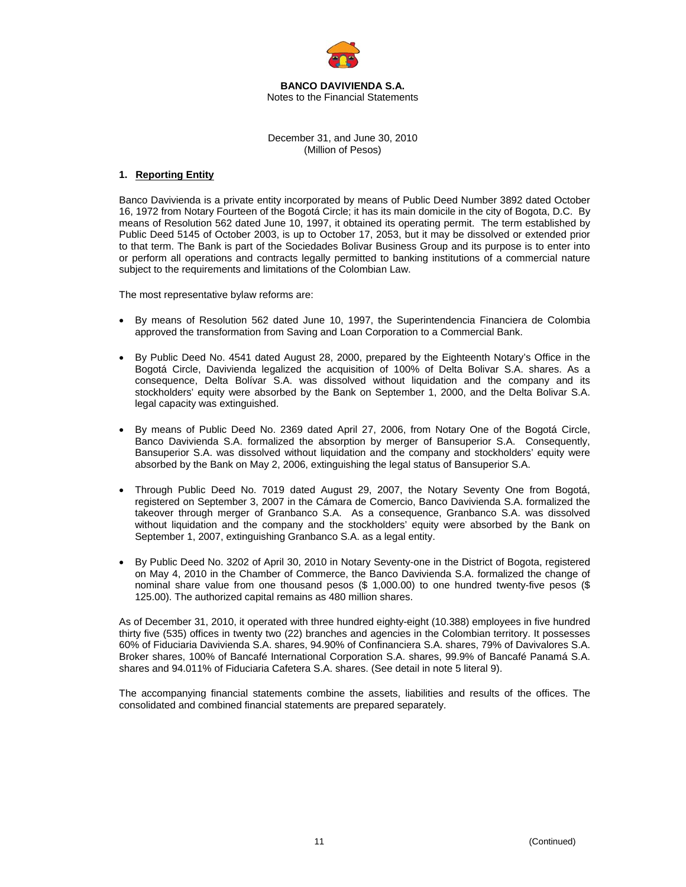

**BANCO DAVIVIENDA S.A.**  Notes to the Financial Statements

December 31, and June 30, 2010 (Million of Pesos)

### **1. Reporting Entity**

Banco Davivienda is a private entity incorporated by means of Public Deed Number 3892 dated October 16, 1972 from Notary Fourteen of the Bogotá Circle; it has its main domicile in the city of Bogota, D.C. By means of Resolution 562 dated June 10, 1997, it obtained its operating permit. The term established by Public Deed 5145 of October 2003, is up to October 17, 2053, but it may be dissolved or extended prior to that term. The Bank is part of the Sociedades Bolivar Business Group and its purpose is to enter into or perform all operations and contracts legally permitted to banking institutions of a commercial nature subject to the requirements and limitations of the Colombian Law.

The most representative bylaw reforms are:

- By means of Resolution 562 dated June 10, 1997, the Superintendencia Financiera de Colombia approved the transformation from Saving and Loan Corporation to a Commercial Bank.
- By Public Deed No. 4541 dated August 28, 2000, prepared by the Eighteenth Notary's Office in the Bogotá Circle, Davivienda legalized the acquisition of 100% of Delta Bolivar S.A. shares. As a consequence, Delta Bolívar S.A. was dissolved without liquidation and the company and its stockholders' equity were absorbed by the Bank on September 1, 2000, and the Delta Bolivar S.A. legal capacity was extinguished.
- By means of Public Deed No. 2369 dated April 27, 2006, from Notary One of the Bogotá Circle, Banco Davivienda S.A. formalized the absorption by merger of Bansuperior S.A. Consequently, Bansuperior S.A. was dissolved without liquidation and the company and stockholders' equity were absorbed by the Bank on May 2, 2006, extinguishing the legal status of Bansuperior S.A.
- Through Public Deed No. 7019 dated August 29, 2007, the Notary Seventy One from Bogotá, registered on September 3, 2007 in the Cámara de Comercio, Banco Davivienda S.A. formalized the takeover through merger of Granbanco S.A. As a consequence, Granbanco S.A. was dissolved without liquidation and the company and the stockholders' equity were absorbed by the Bank on September 1, 2007, extinguishing Granbanco S.A. as a legal entity.
- By Public Deed No. 3202 of April 30, 2010 in Notary Seventy-one in the District of Bogota, registered on May 4, 2010 in the Chamber of Commerce, the Banco Davivienda S.A. formalized the change of nominal share value from one thousand pesos (\$ 1,000.00) to one hundred twenty-five pesos (\$ 125.00). The authorized capital remains as 480 million shares.

As of December 31, 2010, it operated with three hundred eighty-eight (10.388) employees in five hundred thirty five (535) offices in twenty two (22) branches and agencies in the Colombian territory. It possesses 60% of Fiduciaria Davivienda S.A. shares, 94.90% of Confinanciera S.A. shares, 79% of Davivalores S.A. Broker shares, 100% of Bancafé International Corporation S.A. shares, 99.9% of Bancafé Panamá S.A. shares and 94.011% of Fiduciaria Cafetera S.A. shares. (See detail in note 5 literal 9).

The accompanying financial statements combine the assets, liabilities and results of the offices. The consolidated and combined financial statements are prepared separately.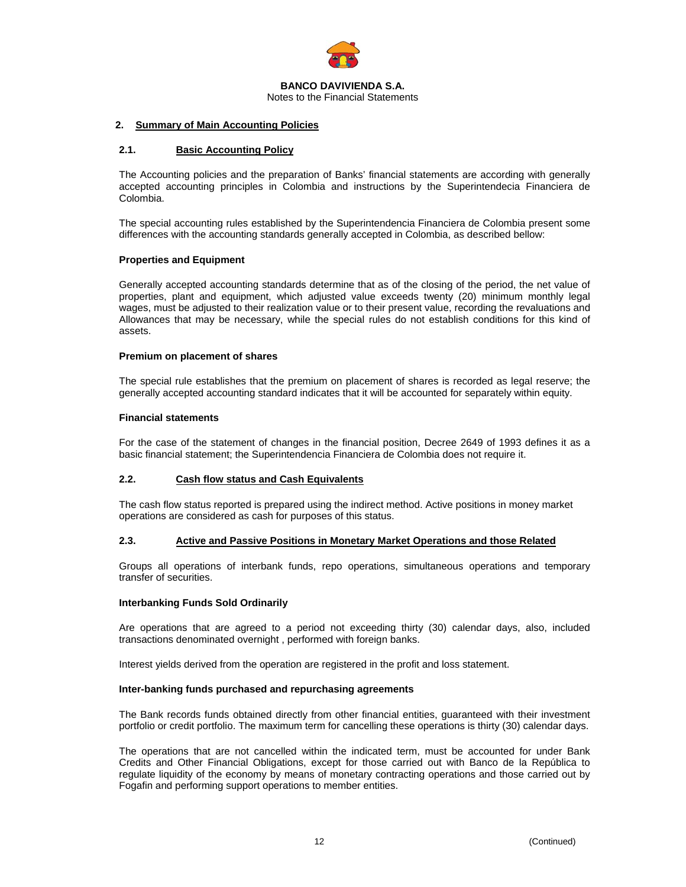

Notes to the Financial Statements

### **2. Summary of Main Accounting Policies**

### **2.1. Basic Accounting Policy**

The Accounting policies and the preparation of Banks' financial statements are according with generally accepted accounting principles in Colombia and instructions by the Superintendecia Financiera de Colombia.

The special accounting rules established by the Superintendencia Financiera de Colombia present some differences with the accounting standards generally accepted in Colombia, as described bellow:

### **Properties and Equipment**

Generally accepted accounting standards determine that as of the closing of the period, the net value of properties, plant and equipment, which adjusted value exceeds twenty (20) minimum monthly legal wages, must be adjusted to their realization value or to their present value, recording the revaluations and Allowances that may be necessary, while the special rules do not establish conditions for this kind of assets.

### **Premium on placement of shares**

The special rule establishes that the premium on placement of shares is recorded as legal reserve; the generally accepted accounting standard indicates that it will be accounted for separately within equity.

### **Financial statements**

For the case of the statement of changes in the financial position, Decree 2649 of 1993 defines it as a basic financial statement; the Superintendencia Financiera de Colombia does not require it.

### **2.2. Cash flow status and Cash Equivalents**

The cash flow status reported is prepared using the indirect method. Active positions in money market operations are considered as cash for purposes of this status.

### **2.3. Active and Passive Positions in Monetary Market Operations and those Related**

Groups all operations of interbank funds, repo operations, simultaneous operations and temporary transfer of securities.

### **Interbanking Funds Sold Ordinarily**

Are operations that are agreed to a period not exceeding thirty (30) calendar days, also, included transactions denominated overnight , performed with foreign banks.

Interest yields derived from the operation are registered in the profit and loss statement.

### **Inter-banking funds purchased and repurchasing agreements**

The Bank records funds obtained directly from other financial entities, guaranteed with their investment portfolio or credit portfolio. The maximum term for cancelling these operations is thirty (30) calendar days.

The operations that are not cancelled within the indicated term, must be accounted for under Bank Credits and Other Financial Obligations, except for those carried out with Banco de la República to regulate liquidity of the economy by means of monetary contracting operations and those carried out by Fogafin and performing support operations to member entities.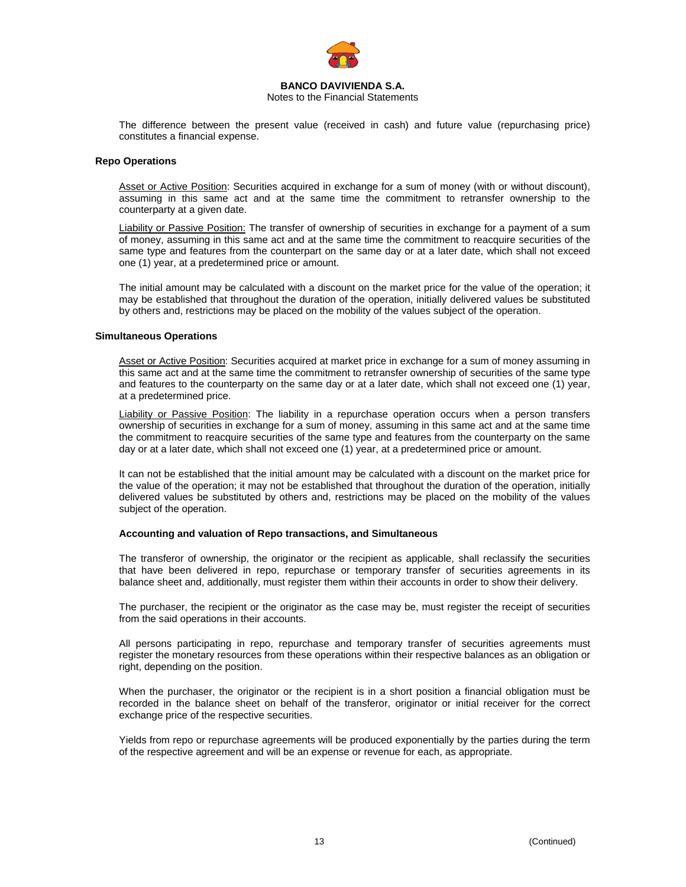

Notes to the Financial Statements

The difference between the present value (received in cash) and future value (repurchasing price) constitutes a financial expense.

#### **Repo Operations**

Asset or Active Position: Securities acquired in exchange for a sum of money (with or without discount), assuming in this same act and at the same time the commitment to retransfer ownership to the counterparty at a given date.

Liability or Passive Position: The transfer of ownership of securities in exchange for a payment of a sum of money, assuming in this same act and at the same time the commitment to reacquire securities of the same type and features from the counterpart on the same day or at a later date, which shall not exceed one (1) year, at a predetermined price or amount.

The initial amount may be calculated with a discount on the market price for the value of the operation; it may be established that throughout the duration of the operation, initially delivered values be substituted by others and, restrictions may be placed on the mobility of the values subject of the operation.

#### **Simultaneous Operations**

Asset or Active Position: Securities acquired at market price in exchange for a sum of money assuming in this same act and at the same time the commitment to retransfer ownership of securities of the same type and features to the counterparty on the same day or at a later date, which shall not exceed one (1) year, at a predetermined price.

Liability or Passive Position: The liability in a repurchase operation occurs when a person transfers ownership of securities in exchange for a sum of money, assuming in this same act and at the same time the commitment to reacquire securities of the same type and features from the counterparty on the same day or at a later date, which shall not exceed one (1) year, at a predetermined price or amount.

It can not be established that the initial amount may be calculated with a discount on the market price for the value of the operation; it may not be established that throughout the duration of the operation, initially delivered values be substituted by others and, restrictions may be placed on the mobility of the values subject of the operation.

### **Accounting and valuation of Repo transactions, and Simultaneous**

The transferor of ownership, the originator or the recipient as applicable, shall reclassify the securities that have been delivered in repo, repurchase or temporary transfer of securities agreements in its balance sheet and, additionally, must register them within their accounts in order to show their delivery.

The purchaser, the recipient or the originator as the case may be, must register the receipt of securities from the said operations in their accounts.

All persons participating in repo, repurchase and temporary transfer of securities agreements must register the monetary resources from these operations within their respective balances as an obligation or right, depending on the position.

When the purchaser, the originator or the recipient is in a short position a financial obligation must be recorded in the balance sheet on behalf of the transferor, originator or initial receiver for the correct exchange price of the respective securities.

Yields from repo or repurchase agreements will be produced exponentially by the parties during the term of the respective agreement and will be an expense or revenue for each, as appropriate.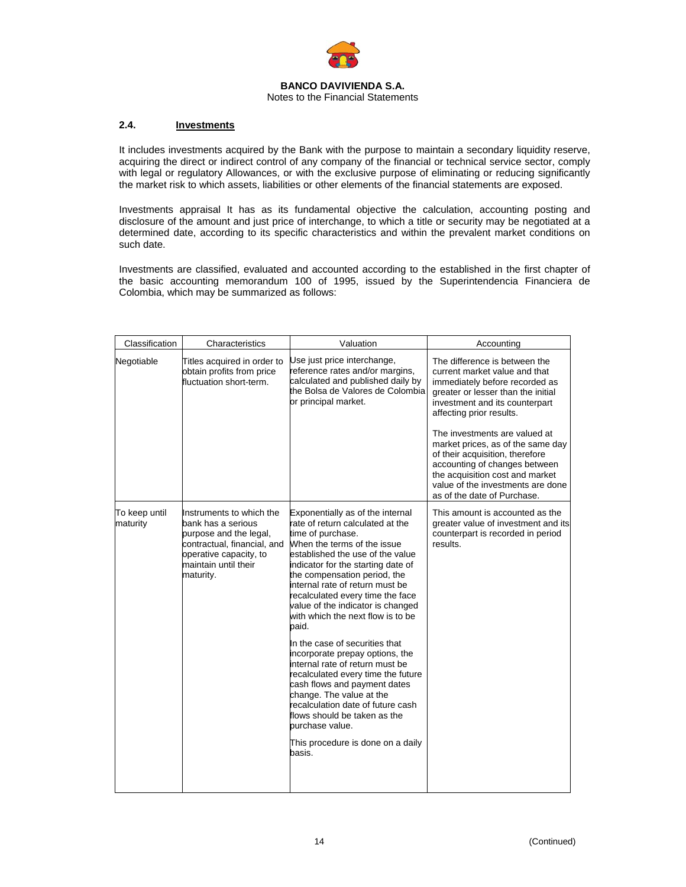

### **2.4. Investments**

It includes investments acquired by the Bank with the purpose to maintain a secondary liquidity reserve, acquiring the direct or indirect control of any company of the financial or technical service sector, comply with legal or regulatory Allowances, or with the exclusive purpose of eliminating or reducing significantly the market risk to which assets, liabilities or other elements of the financial statements are exposed.

Investments appraisal It has as its fundamental objective the calculation, accounting posting and disclosure of the amount and just price of interchange, to which a title or security may be negotiated at a determined date, according to its specific characteristics and within the prevalent market conditions on such date.

Investments are classified, evaluated and accounted according to the established in the first chapter of the basic accounting memorandum 100 of 1995, issued by the Superintendencia Financiera de Colombia, which may be summarized as follows:

| Classification            | Characteristics                                                                                                                                                        | Valuation                                                                                                                                                                                                                                                                                                                                                                                    | Accounting                                                                                                                                                                                                                                                                                                                                                                                                                                            |
|---------------------------|------------------------------------------------------------------------------------------------------------------------------------------------------------------------|----------------------------------------------------------------------------------------------------------------------------------------------------------------------------------------------------------------------------------------------------------------------------------------------------------------------------------------------------------------------------------------------|-------------------------------------------------------------------------------------------------------------------------------------------------------------------------------------------------------------------------------------------------------------------------------------------------------------------------------------------------------------------------------------------------------------------------------------------------------|
| Negotiable                | Titles acquired in order to<br>obtain profits from price<br>fluctuation short-term.                                                                                    | Use just price interchange,<br>reference rates and/or margins,<br>calculated and published daily by<br>the Bolsa de Valores de Colombia<br>or principal market.                                                                                                                                                                                                                              | The difference is between the<br>current market value and that<br>immediately before recorded as<br>greater or lesser than the initial<br>investment and its counterpart<br>affecting prior results.<br>The investments are valued at<br>market prices, as of the same day<br>of their acquisition, therefore<br>accounting of changes between<br>the acquisition cost and market<br>value of the investments are done<br>as of the date of Purchase. |
| To keep until<br>maturity | Instruments to which the<br>bank has a serious<br>purpose and the legal,<br>contractual, financial, and<br>operative capacity, to<br>maintain until their<br>maturity. | Exponentially as of the internal<br>rate of return calculated at the<br>time of purchase.<br>When the terms of the issue<br>established the use of the value<br>indicator for the starting date of<br>the compensation period, the<br>internal rate of return must be<br>recalculated every time the face<br>value of the indicator is changed<br>with which the next flow is to be<br>paid. | This amount is accounted as the<br>greater value of investment and its<br>counterpart is recorded in period<br>results.                                                                                                                                                                                                                                                                                                                               |
|                           |                                                                                                                                                                        | In the case of securities that<br>incorporate prepay options, the<br>internal rate of return must be<br>recalculated every time the future<br>cash flows and payment dates<br>change. The value at the<br>recalculation date of future cash<br>flows should be taken as the<br>purchase value.                                                                                               |                                                                                                                                                                                                                                                                                                                                                                                                                                                       |
|                           |                                                                                                                                                                        | This procedure is done on a daily<br>basis.                                                                                                                                                                                                                                                                                                                                                  |                                                                                                                                                                                                                                                                                                                                                                                                                                                       |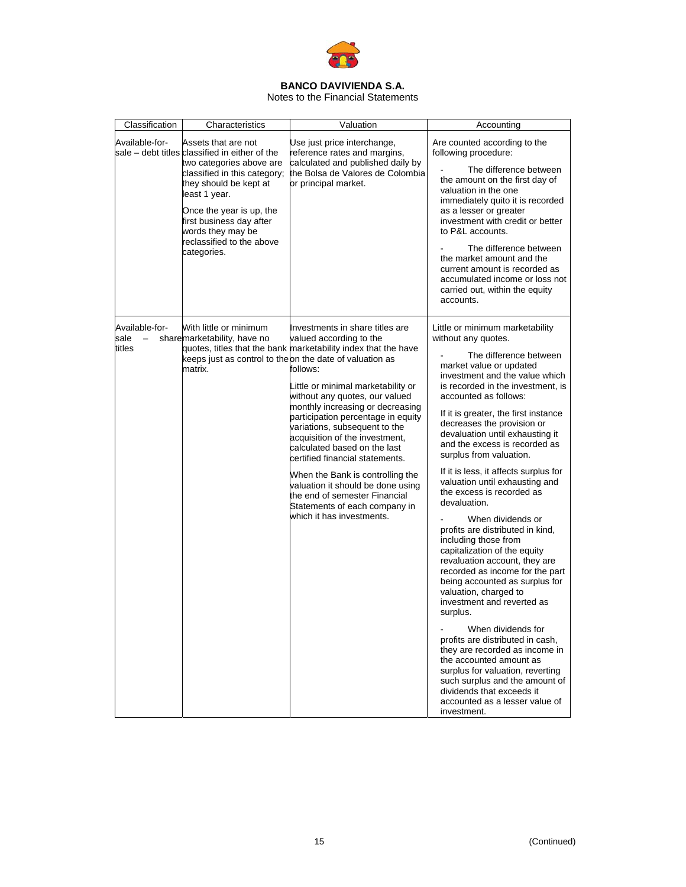

Notes to the Financial Statements

| Classification                                               | Characteristics                                                                                                                                                                                                                                                                                       | Valuation                                                                                                                                                                                                                                                                                                                                                                                                                                                                                                                                                                                                | Accounting                                                                                                                                                                                                                                                                                                                                                                                                                                                                                                                                                                                                                                                                                                                                                                                                                                                                                                                                                                                                                                                                    |
|--------------------------------------------------------------|-------------------------------------------------------------------------------------------------------------------------------------------------------------------------------------------------------------------------------------------------------------------------------------------------------|----------------------------------------------------------------------------------------------------------------------------------------------------------------------------------------------------------------------------------------------------------------------------------------------------------------------------------------------------------------------------------------------------------------------------------------------------------------------------------------------------------------------------------------------------------------------------------------------------------|-------------------------------------------------------------------------------------------------------------------------------------------------------------------------------------------------------------------------------------------------------------------------------------------------------------------------------------------------------------------------------------------------------------------------------------------------------------------------------------------------------------------------------------------------------------------------------------------------------------------------------------------------------------------------------------------------------------------------------------------------------------------------------------------------------------------------------------------------------------------------------------------------------------------------------------------------------------------------------------------------------------------------------------------------------------------------------|
| Available-for-                                               | Assets that are not<br>sale – debt titles classified in either of the<br>two categories above are<br>classified in this category;<br>they should be kept at<br>least 1 year.<br>Once the year is up, the<br>first business day after<br>words they may be<br>reclassified to the above<br>categories. | Use just price interchange,<br>reference rates and margins,<br>calculated and published daily by<br>the Bolsa de Valores de Colombia<br>or principal market.                                                                                                                                                                                                                                                                                                                                                                                                                                             | Are counted according to the<br>following procedure:<br>The difference between<br>the amount on the first day of<br>valuation in the one<br>immediately quito it is recorded<br>as a lesser or greater<br>investment with credit or better<br>to P&L accounts.<br>The difference between<br>the market amount and the<br>current amount is recorded as<br>accumulated income or loss not<br>carried out, within the equity<br>accounts.                                                                                                                                                                                                                                                                                                                                                                                                                                                                                                                                                                                                                                       |
| Available-for-<br>sale<br>$\overline{\phantom{m}}$<br>titles | With little or minimum<br>sharemarketability, have no<br>keeps just as control to theon the date of valuation as<br>matrix.                                                                                                                                                                           | Investments in share titles are<br>valued according to the<br>quotes, titles that the bank marketability index that the have<br>follows:<br>Little or minimal marketability or<br>without any quotes, our valued<br>monthly increasing or decreasing<br>participation percentage in equity<br>variations, subsequent to the<br>acquisition of the investment,<br>calculated based on the last<br>certified financial statements.<br>When the Bank is controlling the<br>valuation it should be done using<br>the end of semester Financial<br>Statements of each company in<br>which it has investments. | Little or minimum marketability<br>without any quotes.<br>The difference between<br>market value or updated<br>investment and the value which<br>is recorded in the investment, is<br>accounted as follows:<br>If it is greater, the first instance<br>decreases the provision or<br>devaluation until exhausting it<br>and the excess is recorded as<br>surplus from valuation.<br>If it is less, it affects surplus for<br>valuation until exhausting and<br>the excess is recorded as<br>devaluation.<br>When dividends or<br>profits are distributed in kind,<br>including those from<br>capitalization of the equity<br>revaluation account, they are<br>recorded as income for the part<br>being accounted as surplus for<br>valuation, charged to<br>investment and reverted as<br>surplus.<br>When dividends for<br>profits are distributed in cash,<br>they are recorded as income in<br>the accounted amount as<br>surplus for valuation, reverting<br>such surplus and the amount of<br>dividends that exceeds it<br>accounted as a lesser value of<br>investment. |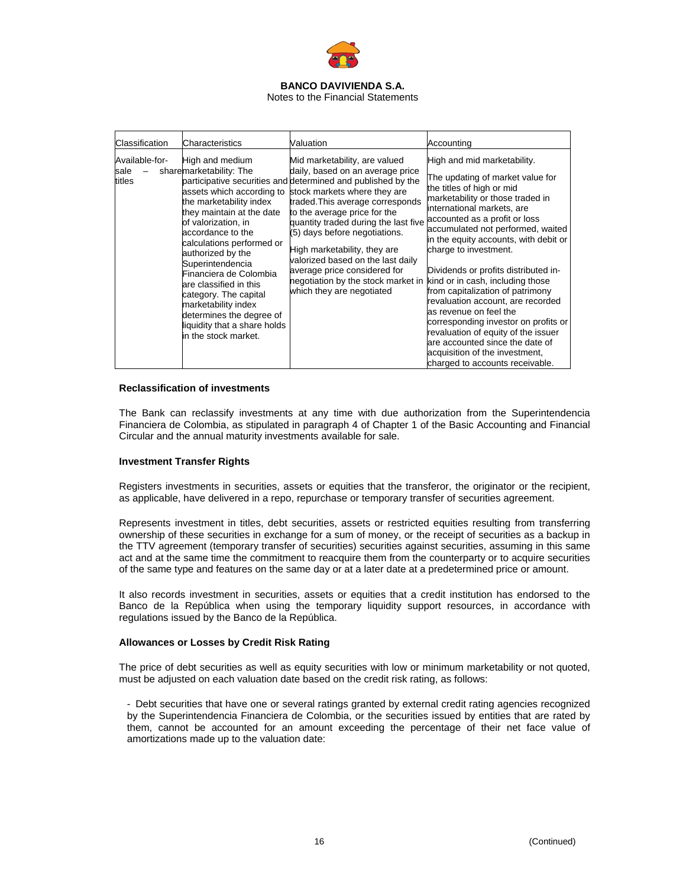

| Classification                   | <b>Characteristics</b>                                                                                                                                                                                                                                                                                                                                                                                                                    | Valuation                                                                                                                                                                                                                                                                                                                                                                                                                                                                              | Accounting                                                                                                                                                                                                                                                                                                                                                                                                                                                                                                                                                                                                                                                                   |
|----------------------------------|-------------------------------------------------------------------------------------------------------------------------------------------------------------------------------------------------------------------------------------------------------------------------------------------------------------------------------------------------------------------------------------------------------------------------------------------|----------------------------------------------------------------------------------------------------------------------------------------------------------------------------------------------------------------------------------------------------------------------------------------------------------------------------------------------------------------------------------------------------------------------------------------------------------------------------------------|------------------------------------------------------------------------------------------------------------------------------------------------------------------------------------------------------------------------------------------------------------------------------------------------------------------------------------------------------------------------------------------------------------------------------------------------------------------------------------------------------------------------------------------------------------------------------------------------------------------------------------------------------------------------------|
| Available-for-<br>sale<br>titles | High and medium<br>sharemarketability: The<br>assets which according to<br>the marketability index<br>they maintain at the date<br>of valorization, in<br>accordance to the<br>calculations performed or<br>authorized by the<br>Superintendencia<br>Financiera de Colombia<br>are classified in this<br>category. The capital<br>marketability index<br>determines the degree of<br>liquidity that a share holds<br>in the stock market. | Mid marketability, are valued<br>daily, based on an average price<br>participative securities and determined and published by the<br>stock markets where they are<br>traded. This average corresponds<br>to the average price for the<br>quantity traded during the last five<br>(5) days before negotiations.<br>High marketability, they are<br>valorized based on the last daily<br>average price considered for<br>negotiation by the stock market in<br>which they are negotiated | High and mid marketability.<br>The updating of market value for<br>the titles of high or mid<br>marketability or those traded in<br>international markets, are<br>accounted as a profit or loss<br>accumulated not performed, waited<br>in the equity accounts, with debit or<br>charge to investment.<br>Dividends or profits distributed in-<br>kind or in cash, including those<br>from capitalization of patrimony<br>revaluation account, are recorded<br>as revenue on feel the<br>corresponding investor on profits or<br>revaluation of equity of the issuer<br>are accounted since the date of<br>acquisition of the investment,<br>charged to accounts receivable. |

#### **Reclassification of investments**

The Bank can reclassify investments at any time with due authorization from the Superintendencia Financiera de Colombia, as stipulated in paragraph 4 of Chapter 1 of the Basic Accounting and Financial Circular and the annual maturity investments available for sale.

#### **Investment Transfer Rights**

Registers investments in securities, assets or equities that the transferor, the originator or the recipient, as applicable, have delivered in a repo, repurchase or temporary transfer of securities agreement.

Represents investment in titles, debt securities, assets or restricted equities resulting from transferring ownership of these securities in exchange for a sum of money, or the receipt of securities as a backup in the TTV agreement (temporary transfer of securities) securities against securities, assuming in this same act and at the same time the commitment to reacquire them from the counterparty or to acquire securities of the same type and features on the same day or at a later date at a predetermined price or amount.

It also records investment in securities, assets or equities that a credit institution has endorsed to the Banco de la República when using the temporary liquidity support resources, in accordance with regulations issued by the Banco de la República.

#### **Allowances or Losses by Credit Risk Rating**

The price of debt securities as well as equity securities with low or minimum marketability or not quoted, must be adjusted on each valuation date based on the credit risk rating, as follows:

- Debt securities that have one or several ratings granted by external credit rating agencies recognized by the Superintendencia Financiera de Colombia, or the securities issued by entities that are rated by them, cannot be accounted for an amount exceeding the percentage of their net face value of amortizations made up to the valuation date: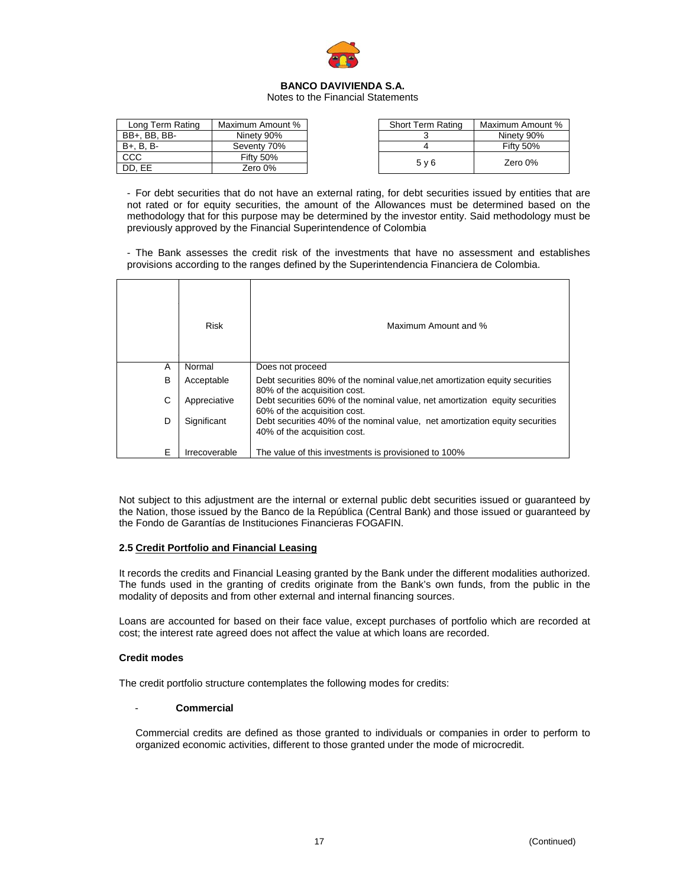

Notes to the Financial Statements

| Long Term Rating | Maximum Amount % | <b>Short Term Rating</b> | Maximum Amount % |
|------------------|------------------|--------------------------|------------------|
| BB+. BB. BB-     | Ninety 90%       |                          | Ninety 90%       |
| $B + B$ . B. B-  | Seventy 70%      |                          | Fifty 50%        |
| <b>CCC</b>       | Fifty 50%        | 5 <sub>v</sub> 6         | Zero 0%          |
| DD. EE           | Zero 0%          |                          |                  |

- For debt securities that do not have an external rating, for debt securities issued by entities that are not rated or for equity securities, the amount of the Allowances must be determined based on the methodology that for this purpose may be determined by the investor entity. Said methodology must be previously approved by the Financial Superintendence of Colombia

- The Bank assesses the credit risk of the investments that have no assessment and establishes provisions according to the ranges defined by the Superintendencia Financiera de Colombia.

|   | <b>Risk</b>   | Maximum Amount and %                                                                                         |
|---|---------------|--------------------------------------------------------------------------------------------------------------|
| A | Normal        | Does not proceed                                                                                             |
| в | Acceptable    | Debt securities 80% of the nominal value, net amortization equity securities<br>80% of the acquisition cost. |
| С | Appreciative  | Debt securities 60% of the nominal value, net amortization equity securities<br>60% of the acquisition cost. |
| D | Significant   | Debt securities 40% of the nominal value, net amortization equity securities<br>40% of the acquisition cost. |
| E | Irrecoverable | The value of this investments is provisioned to 100%                                                         |

Not subject to this adjustment are the internal or external public debt securities issued or guaranteed by the Nation, those issued by the Banco de la República (Central Bank) and those issued or guaranteed by the Fondo de Garantías de Instituciones Financieras FOGAFIN.

### **2.5 Credit Portfolio and Financial Leasing**

It records the credits and Financial Leasing granted by the Bank under the different modalities authorized. The funds used in the granting of credits originate from the Bank's own funds, from the public in the modality of deposits and from other external and internal financing sources.

Loans are accounted for based on their face value, except purchases of portfolio which are recorded at cost; the interest rate agreed does not affect the value at which loans are recorded.

### **Credit modes**

The credit portfolio structure contemplates the following modes for credits:

### - **Commercial**

Commercial credits are defined as those granted to individuals or companies in order to perform to organized economic activities, different to those granted under the mode of microcredit.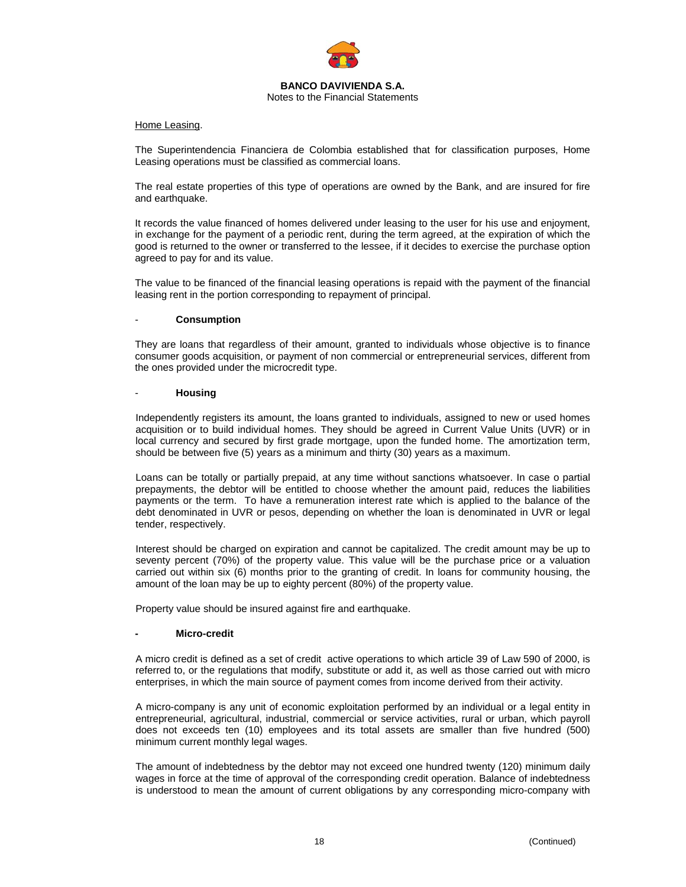

Notes to the Financial Statements

#### Home Leasing.

The Superintendencia Financiera de Colombia established that for classification purposes, Home Leasing operations must be classified as commercial loans.

The real estate properties of this type of operations are owned by the Bank, and are insured for fire and earthquake.

It records the value financed of homes delivered under leasing to the user for his use and enjoyment, in exchange for the payment of a periodic rent, during the term agreed, at the expiration of which the good is returned to the owner or transferred to the lessee, if it decides to exercise the purchase option agreed to pay for and its value.

The value to be financed of the financial leasing operations is repaid with the payment of the financial leasing rent in the portion corresponding to repayment of principal.

### - **Consumption**

They are loans that regardless of their amount, granted to individuals whose objective is to finance consumer goods acquisition, or payment of non commercial or entrepreneurial services, different from the ones provided under the microcredit type.

#### - **Housing**

Independently registers its amount, the loans granted to individuals, assigned to new or used homes acquisition or to build individual homes. They should be agreed in Current Value Units (UVR) or in local currency and secured by first grade mortgage, upon the funded home. The amortization term, should be between five (5) years as a minimum and thirty (30) years as a maximum.

Loans can be totally or partially prepaid, at any time without sanctions whatsoever. In case o partial prepayments, the debtor will be entitled to choose whether the amount paid, reduces the liabilities payments or the term. To have a remuneration interest rate which is applied to the balance of the debt denominated in UVR or pesos, depending on whether the loan is denominated in UVR or legal tender, respectively.

Interest should be charged on expiration and cannot be capitalized. The credit amount may be up to seventy percent (70%) of the property value. This value will be the purchase price or a valuation carried out within six (6) months prior to the granting of credit. In loans for community housing, the amount of the loan may be up to eighty percent (80%) of the property value.

Property value should be insured against fire and earthquake.

### **Micro-credit**

A micro credit is defined as a set of credit active operations to which article 39 of Law 590 of 2000, is referred to, or the regulations that modify, substitute or add it, as well as those carried out with micro enterprises, in which the main source of payment comes from income derived from their activity.

A micro-company is any unit of economic exploitation performed by an individual or a legal entity in entrepreneurial, agricultural, industrial, commercial or service activities, rural or urban, which payroll does not exceeds ten (10) employees and its total assets are smaller than five hundred (500) minimum current monthly legal wages.

The amount of indebtedness by the debtor may not exceed one hundred twenty (120) minimum daily wages in force at the time of approval of the corresponding credit operation. Balance of indebtedness is understood to mean the amount of current obligations by any corresponding micro-company with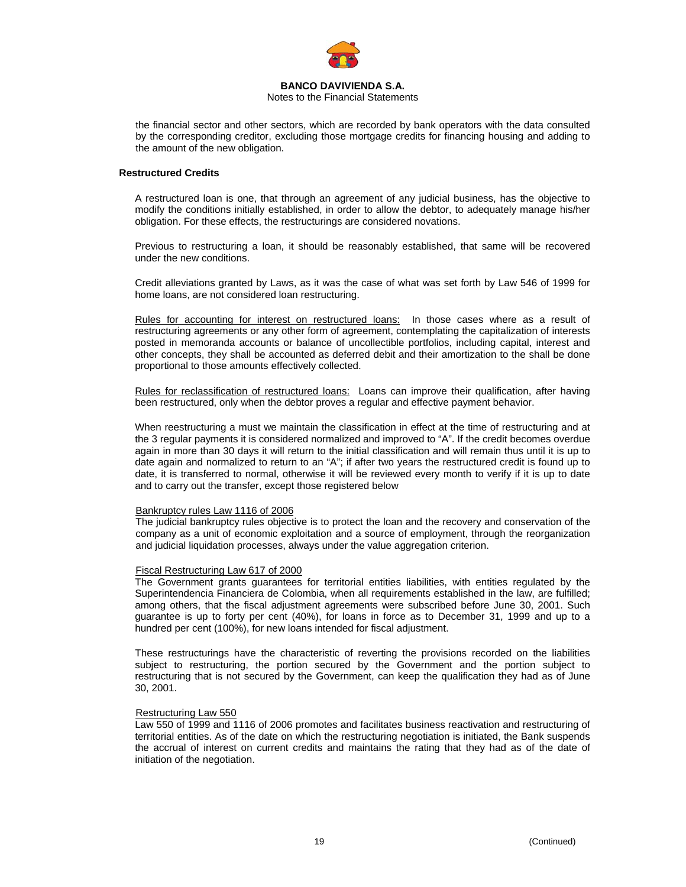

Notes to the Financial Statements

the financial sector and other sectors, which are recorded by bank operators with the data consulted by the corresponding creditor, excluding those mortgage credits for financing housing and adding to the amount of the new obligation.

### **Restructured Credits**

A restructured loan is one, that through an agreement of any judicial business, has the objective to modify the conditions initially established, in order to allow the debtor, to adequately manage his/her obligation. For these effects, the restructurings are considered novations.

Previous to restructuring a loan, it should be reasonably established, that same will be recovered under the new conditions.

Credit alleviations granted by Laws, as it was the case of what was set forth by Law 546 of 1999 for home loans, are not considered loan restructuring.

Rules for accounting for interest on restructured loans: In those cases where as a result of restructuring agreements or any other form of agreement, contemplating the capitalization of interests posted in memoranda accounts or balance of uncollectible portfolios, including capital, interest and other concepts, they shall be accounted as deferred debit and their amortization to the shall be done proportional to those amounts effectively collected.

Rules for reclassification of restructured loans:Loans can improve their qualification, after having been restructured, only when the debtor proves a regular and effective payment behavior.

When reestructuring a must we maintain the classification in effect at the time of restructuring and at the 3 regular payments it is considered normalized and improved to "A". If the credit becomes overdue again in more than 30 days it will return to the initial classification and will remain thus until it is up to date again and normalized to return to an "A"; if after two years the restructured credit is found up to date, it is transferred to normal, otherwise it will be reviewed every month to verify if it is up to date and to carry out the transfer, except those registered below

#### Bankruptcy rules Law 1116 of 2006

The judicial bankruptcy rules objective is to protect the loan and the recovery and conservation of the company as a unit of economic exploitation and a source of employment, through the reorganization and judicial liquidation processes, always under the value aggregation criterion.

### Fiscal Restructuring Law 617 of 2000

The Government grants guarantees for territorial entities liabilities, with entities regulated by the Superintendencia Financiera de Colombia, when all requirements established in the law, are fulfilled; among others, that the fiscal adjustment agreements were subscribed before June 30, 2001. Such guarantee is up to forty per cent (40%), for loans in force as to December 31, 1999 and up to a hundred per cent (100%), for new loans intended for fiscal adjustment.

These restructurings have the characteristic of reverting the provisions recorded on the liabilities subject to restructuring, the portion secured by the Government and the portion subject to restructuring that is not secured by the Government, can keep the qualification they had as of June 30, 2001.

#### Restructuring Law 550

Law 550 of 1999 and 1116 of 2006 promotes and facilitates business reactivation and restructuring of territorial entities. As of the date on which the restructuring negotiation is initiated, the Bank suspends the accrual of interest on current credits and maintains the rating that they had as of the date of initiation of the negotiation.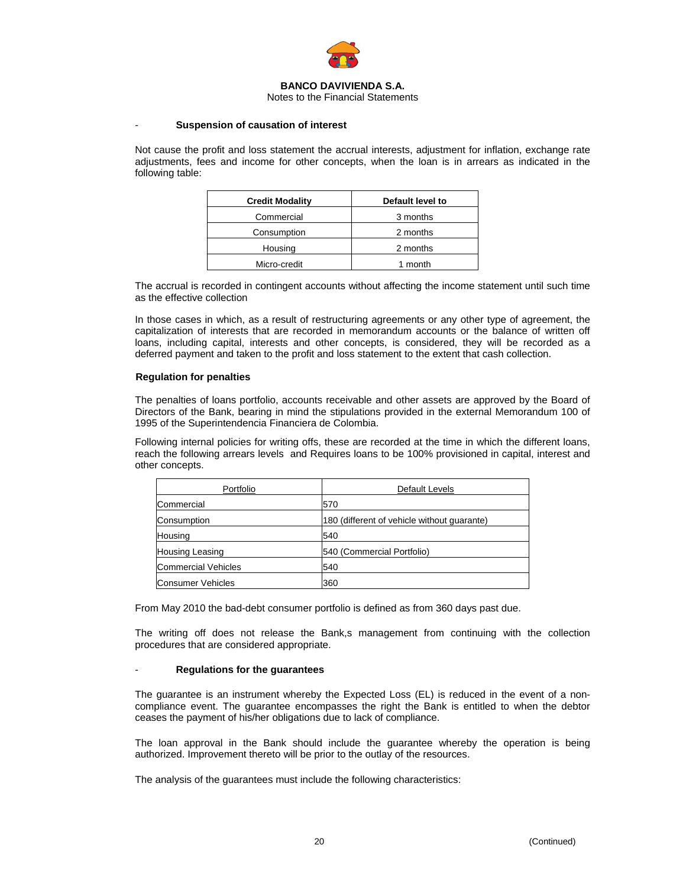

Notes to the Financial Statements

#### - **Suspension of causation of interest**

Not cause the profit and loss statement the accrual interests, adjustment for inflation, exchange rate adjustments, fees and income for other concepts, when the loan is in arrears as indicated in the following table:

| <b>Credit Modality</b> | Default level to |
|------------------------|------------------|
| Commercial             | 3 months         |
| Consumption            | 2 months         |
| Housing                | 2 months         |
| Micro-credit           | 1 month          |

The accrual is recorded in contingent accounts without affecting the income statement until such time as the effective collection

In those cases in which, as a result of restructuring agreements or any other type of agreement, the capitalization of interests that are recorded in memorandum accounts or the balance of written off loans, including capital, interests and other concepts, is considered, they will be recorded as a deferred payment and taken to the profit and loss statement to the extent that cash collection.

#### **Regulation for penalties**

The penalties of loans portfolio, accounts receivable and other assets are approved by the Board of Directors of the Bank, bearing in mind the stipulations provided in the external Memorandum 100 of 1995 of the Superintendencia Financiera de Colombia.

Following internal policies for writing offs, these are recorded at the time in which the different loans, reach the following arrears levels and Requires loans to be 100% provisioned in capital, interest and other concepts.

| Portfolio                  | Default Levels                              |
|----------------------------|---------------------------------------------|
| Commercial                 | 570                                         |
| Consumption                | 180 (different of vehicle without quarante) |
| Housing                    | 540                                         |
| <b>Housing Leasing</b>     | 540 (Commercial Portfolio)                  |
| <b>Commercial Vehicles</b> | 540                                         |
| Consumer Vehicles          | 360                                         |

From May 2010 the bad-debt consumer portfolio is defined as from 360 days past due.

The writing off does not release the Bank,s management from continuing with the collection procedures that are considered appropriate.

#### - **Regulations for the guarantees**

The guarantee is an instrument whereby the Expected Loss (EL) is reduced in the event of a noncompliance event. The guarantee encompasses the right the Bank is entitled to when the debtor ceases the payment of his/her obligations due to lack of compliance.

The loan approval in the Bank should include the guarantee whereby the operation is being authorized. Improvement thereto will be prior to the outlay of the resources.

The analysis of the guarantees must include the following characteristics: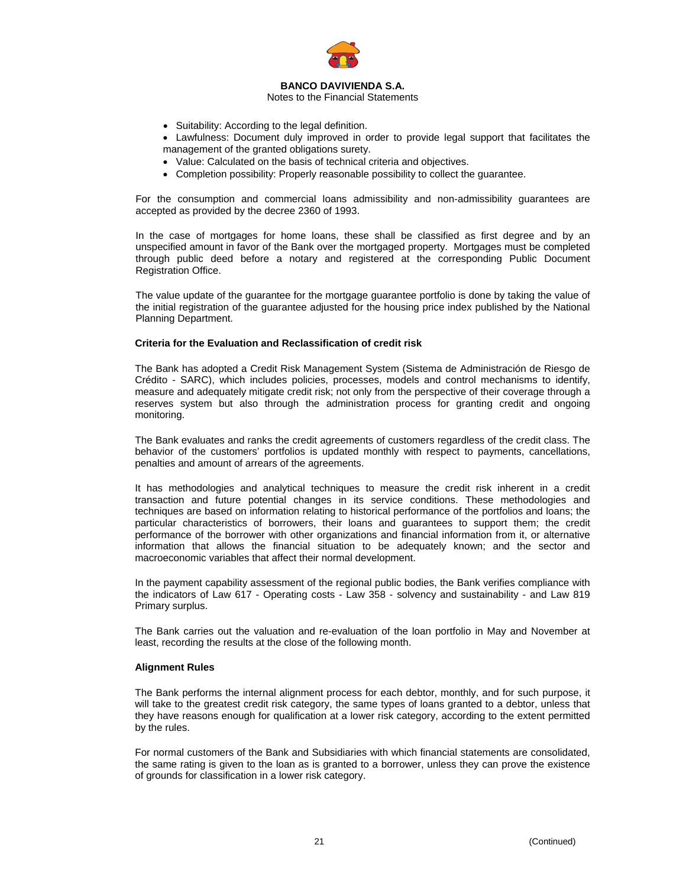

Notes to the Financial Statements

- Suitability: According to the legal definition.
- Lawfulness: Document duly improved in order to provide legal support that facilitates the management of the granted obligations surety.
- Value: Calculated on the basis of technical criteria and objectives.
- Completion possibility: Properly reasonable possibility to collect the guarantee.

For the consumption and commercial loans admissibility and non-admissibility guarantees are accepted as provided by the decree 2360 of 1993.

In the case of mortgages for home loans, these shall be classified as first degree and by an unspecified amount in favor of the Bank over the mortgaged property. Mortgages must be completed through public deed before a notary and registered at the corresponding Public Document Registration Office.

The value update of the guarantee for the mortgage guarantee portfolio is done by taking the value of the initial registration of the guarantee adjusted for the housing price index published by the National Planning Department.

#### **Criteria for the Evaluation and Reclassification of credit risk**

The Bank has adopted a Credit Risk Management System (Sistema de Administración de Riesgo de Crédito - SARC), which includes policies, processes, models and control mechanisms to identify, measure and adequately mitigate credit risk; not only from the perspective of their coverage through a reserves system but also through the administration process for granting credit and ongoing monitoring.

The Bank evaluates and ranks the credit agreements of customers regardless of the credit class. The behavior of the customers' portfolios is updated monthly with respect to payments, cancellations, penalties and amount of arrears of the agreements.

It has methodologies and analytical techniques to measure the credit risk inherent in a credit transaction and future potential changes in its service conditions. These methodologies and techniques are based on information relating to historical performance of the portfolios and loans; the particular characteristics of borrowers, their loans and guarantees to support them; the credit performance of the borrower with other organizations and financial information from it, or alternative information that allows the financial situation to be adequately known; and the sector and macroeconomic variables that affect their normal development.

In the payment capability assessment of the regional public bodies, the Bank verifies compliance with the indicators of Law 617 - Operating costs - Law 358 - solvency and sustainability - and Law 819 Primary surplus.

The Bank carries out the valuation and re-evaluation of the loan portfolio in May and November at least, recording the results at the close of the following month.

#### **Alignment Rules**

The Bank performs the internal alignment process for each debtor, monthly, and for such purpose, it will take to the greatest credit risk category, the same types of loans granted to a debtor, unless that they have reasons enough for qualification at a lower risk category, according to the extent permitted by the rules.

For normal customers of the Bank and Subsidiaries with which financial statements are consolidated, the same rating is given to the loan as is granted to a borrower, unless they can prove the existence of grounds for classification in a lower risk category.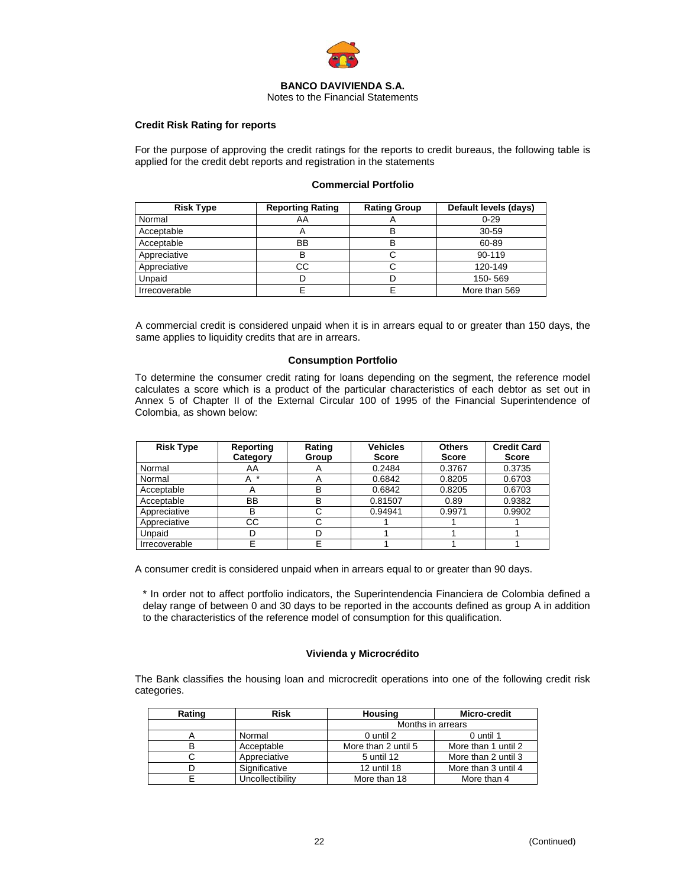

Notes to the Financial Statements

## **Credit Risk Rating for reports**

For the purpose of approving the credit ratings for the reports to credit bureaus, the following table is applied for the credit debt reports and registration in the statements

## **Commercial Portfolio**

| <b>Risk Type</b> | <b>Reporting Rating</b>   | <b>Rating Group</b> | Default levels (days) |
|------------------|---------------------------|---------------------|-----------------------|
| Normal           | AA                        |                     | $0 - 29$              |
| Acceptable       | $\boldsymbol{\mathsf{A}}$ |                     | 30-59                 |
| Acceptable       | BB                        | В                   | 60-89                 |
| Appreciative     | B                         |                     | 90-119                |
| Appreciative     | CС                        |                     | 120-149               |
| Unpaid           | D                         |                     | 150-569               |
| Irrecoverable    |                           |                     | More than 569         |

A commercial credit is considered unpaid when it is in arrears equal to or greater than 150 days, the same applies to liquidity credits that are in arrears.

#### **Consumption Portfolio**

To determine the consumer credit rating for loans depending on the segment, the reference model calculates a score which is a product of the particular characteristics of each debtor as set out in Annex 5 of Chapter II of the External Circular 100 of 1995 of the Financial Superintendence of Colombia, as shown below:

| <b>Risk Type</b> | Reporting<br>Category | Rating<br>Group | <b>Vehicles</b><br><b>Score</b> | <b>Others</b><br><b>Score</b> | <b>Credit Card</b><br><b>Score</b> |
|------------------|-----------------------|-----------------|---------------------------------|-------------------------------|------------------------------------|
| Normal           | AA                    |                 | 0.2484                          | 0.3767                        | 0.3735                             |
| Normal           | *<br>A                |                 | 0.6842                          | 0.8205                        | 0.6703                             |
| Acceptable       |                       | в               | 0.6842                          | 0.8205                        | 0.6703                             |
| Acceptable       | BB                    | в               | 0.81507                         | 0.89                          | 0.9382                             |
| Appreciative     | в                     |                 | 0.94941                         | 0.9971                        | 0.9902                             |
| Appreciative     | CС                    |                 |                                 |                               |                                    |
| Unpaid           |                       |                 |                                 |                               |                                    |
| Irrecoverable    |                       |                 |                                 |                               |                                    |

A consumer credit is considered unpaid when in arrears equal to or greater than 90 days.

\* In order not to affect portfolio indicators, the Superintendencia Financiera de Colombia defined a delay range of between 0 and 30 days to be reported in the accounts defined as group A in addition to the characteristics of the reference model of consumption for this qualification.

### **Vivienda y Microcrédito**

The Bank classifies the housing loan and microcredit operations into one of the following credit risk categories.

| Rating | <b>Risk</b>      | <b>Housing</b>      | Micro-credit        |  |
|--------|------------------|---------------------|---------------------|--|
|        |                  | Months in arrears   |                     |  |
|        | Normal           | 0 until 2           | 0 until 1           |  |
| B      | Acceptable       | More than 2 until 5 | More than 1 until 2 |  |
|        | Appreciative     | 5 until 12          | More than 2 until 3 |  |
|        | Significative    | 12 until 18         | More than 3 until 4 |  |
|        | Uncollectibility | More than 18        | More than 4         |  |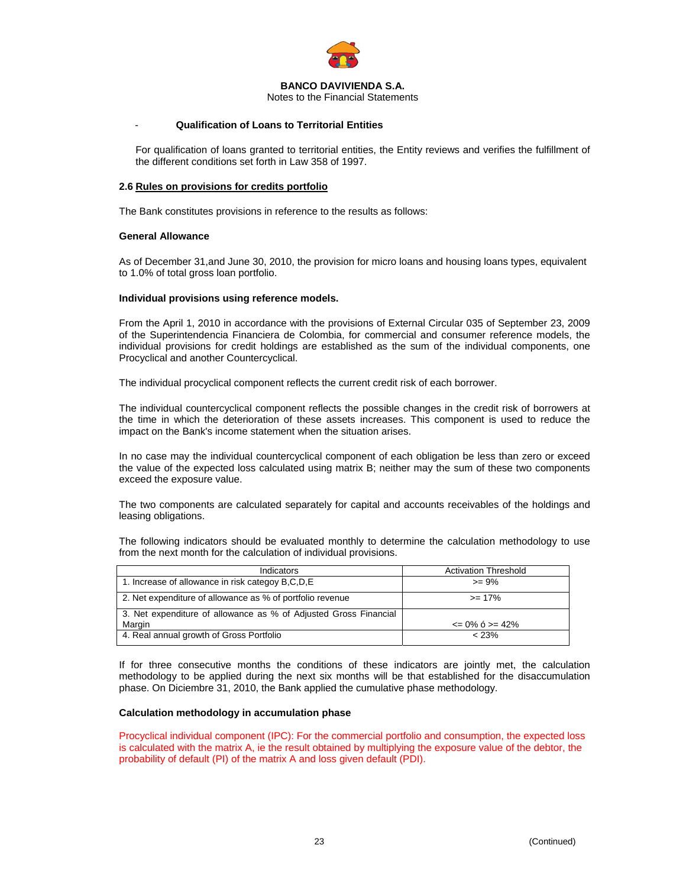

Notes to the Financial Statements

### - **Qualification of Loans to Territorial Entities**

For qualification of loans granted to territorial entities, the Entity reviews and verifies the fulfillment of the different conditions set forth in Law 358 of 1997.

#### **2.6 Rules on provisions for credits portfolio**

The Bank constitutes provisions in reference to the results as follows:

#### **General Allowance**

As of December 31,and June 30, 2010, the provision for micro loans and housing loans types, equivalent to 1.0% of total gross loan portfolio.

#### **Individual provisions using reference models.**

From the April 1, 2010 in accordance with the provisions of External Circular 035 of September 23, 2009 of the Superintendencia Financiera de Colombia, for commercial and consumer reference models, the individual provisions for credit holdings are established as the sum of the individual components, one Procyclical and another Countercyclical.

The individual procyclical component reflects the current credit risk of each borrower.

The individual countercyclical component reflects the possible changes in the credit risk of borrowers at the time in which the deterioration of these assets increases. This component is used to reduce the impact on the Bank's income statement when the situation arises.

In no case may the individual countercyclical component of each obligation be less than zero or exceed the value of the expected loss calculated using matrix B; neither may the sum of these two components exceed the exposure value.

The two components are calculated separately for capital and accounts receivables of the holdings and leasing obligations.

The following indicators should be evaluated monthly to determine the calculation methodology to use from the next month for the calculation of individual provisions.

| Indicators                                                       | <b>Activation Threshold</b> |
|------------------------------------------------------------------|-----------------------------|
| 1. Increase of allowance in risk categoy B,C,D,E                 | $>= 9\%$                    |
| 2. Net expenditure of allowance as % of portfolio revenue        | $>= 17\%$                   |
| 3. Net expenditure of allowance as % of Adjusted Gross Financial |                             |
| Margin                                                           | $\leq$ 0% 6 > = 42%         |
| 4. Real annual growth of Gross Portfolio                         | $< 23\%$                    |

If for three consecutive months the conditions of these indicators are jointly met, the calculation methodology to be applied during the next six months will be that established for the disaccumulation phase. On Diciembre 31, 2010, the Bank applied the cumulative phase methodology.

#### **Calculation methodology in accumulation phase**

Procyclical individual component (IPC): For the commercial portfolio and consumption, the expected loss is calculated with the matrix A, ie the result obtained by multiplying the exposure value of the debtor, the probability of default (PI) of the matrix A and loss given default (PDI).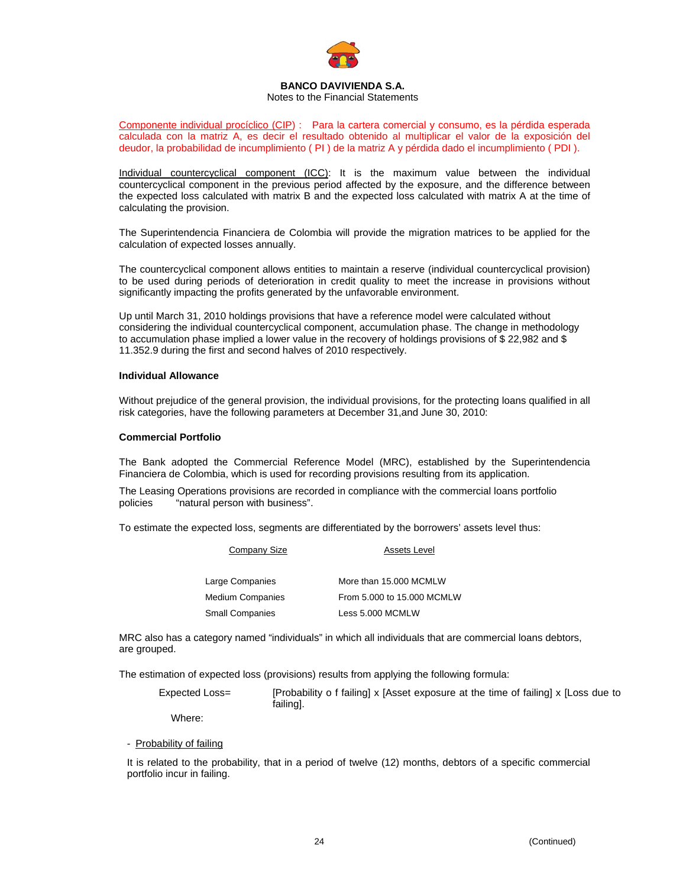

### Notes to the Financial Statements

Componente individual procíclico (CIP) : Para la cartera comercial y consumo, es la pérdida esperada calculada con la matriz A, es decir el resultado obtenido al multiplicar el valor de la exposición del deudor, la probabilidad de incumplimiento ( PI ) de la matriz A y pérdida dado el incumplimiento ( PDI ).

Individual countercyclical component (ICC): It is the maximum value between the individual countercyclical component in the previous period affected by the exposure, and the difference between the expected loss calculated with matrix B and the expected loss calculated with matrix A at the time of calculating the provision.

The Superintendencia Financiera de Colombia will provide the migration matrices to be applied for the calculation of expected losses annually.

The countercyclical component allows entities to maintain a reserve (individual countercyclical provision) to be used during periods of deterioration in credit quality to meet the increase in provisions without significantly impacting the profits generated by the unfavorable environment.

Up until March 31, 2010 holdings provisions that have a reference model were calculated without considering the individual countercyclical component, accumulation phase. The change in methodology to accumulation phase implied a lower value in the recovery of holdings provisions of \$ 22,982 and \$ 11.352.9 during the first and second halves of 2010 respectively.

#### **Individual Allowance**

Without prejudice of the general provision, the individual provisions, for the protecting loans qualified in all risk categories, have the following parameters at December 31,and June 30, 2010:

#### **Commercial Portfolio**

The Bank adopted the Commercial Reference Model (MRC), established by the Superintendencia Financiera de Colombia, which is used for recording provisions resulting from its application.

The Leasing Operations provisions are recorded in compliance with the commercial loans portfolio policies "natural person with business".

To estimate the expected loss, segments are differentiated by the borrowers' assets level thus:

| Company Size           | <b>Assets Level</b>        |
|------------------------|----------------------------|
| Large Companies        | More than 15,000 MCMLW     |
| Medium Companies       | From 5.000 to 15.000 MCMLW |
| <b>Small Companies</b> | Less 5.000 MCMLW           |

MRC also has a category named "individuals" in which all individuals that are commercial loans debtors, are grouped.

The estimation of expected loss (provisions) results from applying the following formula:

Expected Loss= [Probability o f failing] x [Asset exposure at the time of failing] x [Loss due to failing].

Where:

- Probability of failing

It is related to the probability, that in a period of twelve (12) months, debtors of a specific commercial portfolio incur in failing.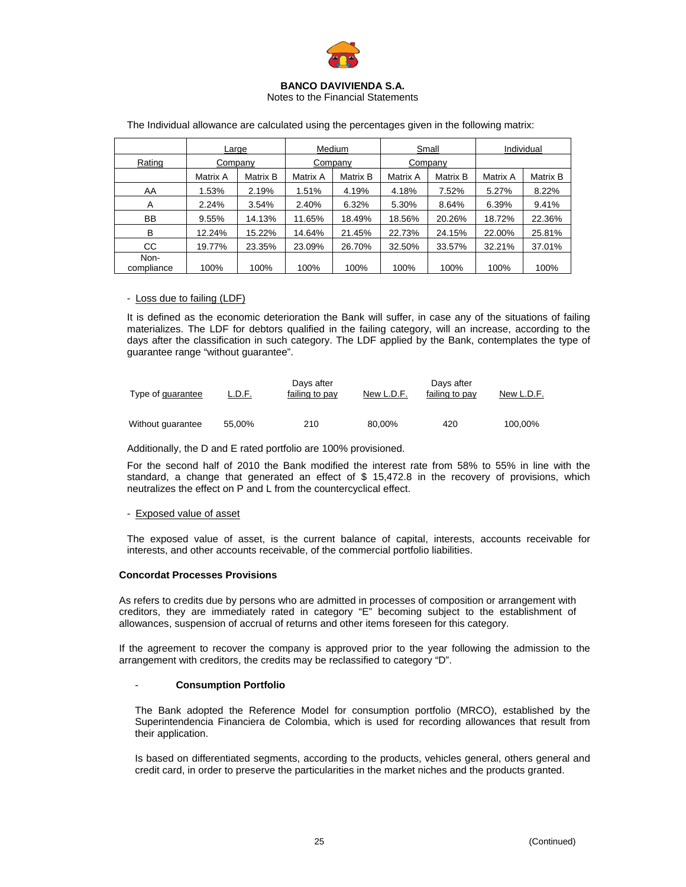

Notes to the Financial Statements

|                    | Large    |          | Medium   |          | Small    |          | Individual |          |
|--------------------|----------|----------|----------|----------|----------|----------|------------|----------|
| Rating             | Company  |          | Company  |          | Company  |          |            |          |
|                    | Matrix A | Matrix B | Matrix A | Matrix B | Matrix A | Matrix B | Matrix A   | Matrix B |
| AA                 | 1.53%    | 2.19%    | 1.51%    | 4.19%    | 4.18%    | 7.52%    | 5.27%      | 8.22%    |
| A                  | 2.24%    | 3.54%    | 2.40%    | 6.32%    | 5.30%    | 8.64%    | 6.39%      | 9.41%    |
| BB                 | 9.55%    | 14.13%   | 11.65%   | 18.49%   | 18.56%   | 20.26%   | 18.72%     | 22.36%   |
| B                  | 12.24%   | 15.22%   | 14.64%   | 21.45%   | 22.73%   | 24.15%   | 22.00%     | 25.81%   |
| CC.                | 19.77%   | 23.35%   | 23.09%   | 26.70%   | 32.50%   | 33.57%   | 32.21%     | 37.01%   |
| Non-<br>compliance | 100%     | 100%     | 100%     | 100%     | 100%     | 100%     | 100%       | 100%     |

The Individual allowance are calculated using the percentages given in the following matrix:

### - Loss due to failing (LDF)

It is defined as the economic deterioration the Bank will suffer, in case any of the situations of failing materializes. The LDF for debtors qualified in the failing category, will an increase, according to the days after the classification in such category. The LDF applied by the Bank, contemplates the type of guarantee range "without guarantee".

| Type of guarantee | L.D.F. | Days after<br>failing to pay | New L.D.F. | Days after<br>failing to pay | New L.D.F. |
|-------------------|--------|------------------------------|------------|------------------------------|------------|
| Without guarantee | 55.00% | 210                          | 80.00%     | 420                          | 100,00%    |

### Additionally, the D and E rated portfolio are 100% provisioned.

For the second half of 2010 the Bank modified the interest rate from 58% to 55% in line with the standard, a change that generated an effect of \$ 15,472.8 in the recovery of provisions, which neutralizes the effect on P and L from the countercyclical effect.

### - Exposed value of asset

The exposed value of asset, is the current balance of capital, interests, accounts receivable for interests, and other accounts receivable, of the commercial portfolio liabilities.

### **Concordat Processes Provisions**

As refers to credits due by persons who are admitted in processes of composition or arrangement with creditors, they are immediately rated in category "E" becoming subject to the establishment of allowances, suspension of accrual of returns and other items foreseen for this category.

If the agreement to recover the company is approved prior to the year following the admission to the arrangement with creditors, the credits may be reclassified to category "D".

### - **Consumption Portfolio**

The Bank adopted the Reference Model for consumption portfolio (MRCO), established by the Superintendencia Financiera de Colombia, which is used for recording allowances that result from their application.

Is based on differentiated segments, according to the products, vehicles general, others general and credit card, in order to preserve the particularities in the market niches and the products granted.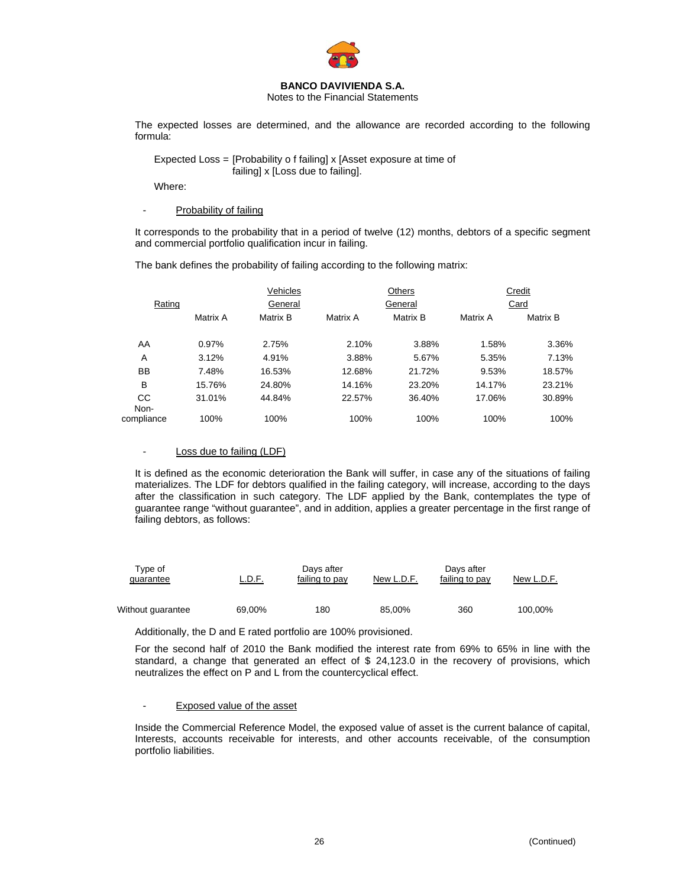

Notes to the Financial Statements

The expected losses are determined, and the allowance are recorded according to the following formula:

 Expected Loss = [Probability o f failing] x [Asset exposure at time of failing] x [Loss due to failing].

Where:

### Probability of failing

It corresponds to the probability that in a period of twelve (12) months, debtors of a specific segment and commercial portfolio qualification incur in failing.

The bank defines the probability of failing according to the following matrix:

|                   |          | Vehicles |          | Others   |          | Credit   |
|-------------------|----------|----------|----------|----------|----------|----------|
| Rating            |          | General  |          | General  | Card     |          |
|                   | Matrix A | Matrix B | Matrix A | Matrix B | Matrix A | Matrix B |
| AA                | 0.97%    | 2.75%    | 2.10%    | 3.88%    | 1.58%    | 3.36%    |
| A                 | 3.12%    | 4.91%    | 3.88%    | 5.67%    | 5.35%    | 7.13%    |
| <b>BB</b>         | 7.48%    | 16.53%   | 12.68%   | 21.72%   | 9.53%    | 18.57%   |
| B                 | 15.76%   | 24.80%   | 14.16%   | 23.20%   | 14.17%   | 23.21%   |
| <b>CC</b><br>Non- | 31.01%   | 44.84%   | 22.57%   | 36.40%   | 17.06%   | 30.89%   |
| compliance        | 100%     | 100%     | 100%     | 100%     | 100%     | 100%     |

#### - Loss due to failing (LDF)

It is defined as the economic deterioration the Bank will suffer, in case any of the situations of failing materializes. The LDF for debtors qualified in the failing category, will increase, according to the days after the classification in such category. The LDF applied by the Bank, contemplates the type of guarantee range "without guarantee", and in addition, applies a greater percentage in the first range of failing debtors, as follows:

| Tvpe of<br>quarantee | <u>L.D.F.</u> | Davs after<br>failing to pay | New L.D.F. | Davs after<br>failing to pay | New L.D.F. |
|----------------------|---------------|------------------------------|------------|------------------------------|------------|
| Without guarantee    | 69,00%        | 180                          | 85.00%     | 360                          | 100,00%    |

Additionally, the D and E rated portfolio are 100% provisioned.

For the second half of 2010 the Bank modified the interest rate from 69% to 65% in line with the standard, a change that generated an effect of \$ 24,123.0 in the recovery of provisions, which neutralizes the effect on P and L from the countercyclical effect.

#### - Exposed value of the asset

Inside the Commercial Reference Model, the exposed value of asset is the current balance of capital, Interests, accounts receivable for interests, and other accounts receivable, of the consumption portfolio liabilities.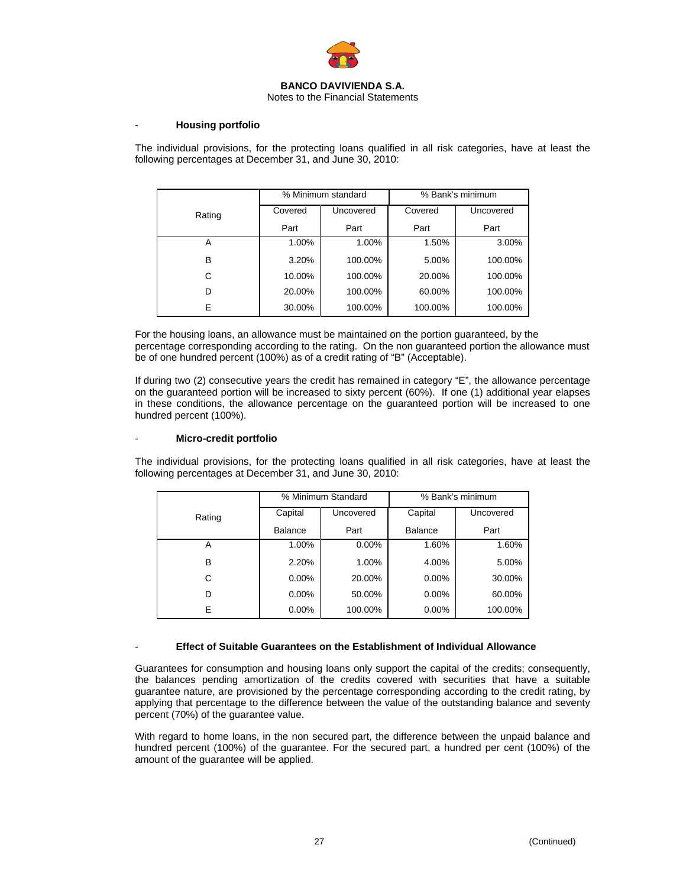

### Notes to the Financial Statements

### - **Housing portfolio**

The individual provisions, for the protecting loans qualified in all risk categories, have at least the following percentages at December 31, and June 30, 2010:

|        | % Minimum standard |           | % Bank's minimum |           |
|--------|--------------------|-----------|------------------|-----------|
| Rating | Covered            | Uncovered | Covered          | Uncovered |
|        | Part               | Part      | Part             | Part      |
| A      | 1.00%              | 1.00%     | 1.50%            | 3.00%     |
| в      | 3.20%              | 100.00%   | 5.00%            | 100.00%   |
| C      | 10.00%             | 100.00%   | 20.00%           | 100.00%   |
| D      | 20.00%             | 100.00%   | 60.00%           | 100.00%   |
| E      | 30.00%             | 100.00%   | 100.00%          | 100.00%   |

For the housing loans, an allowance must be maintained on the portion guaranteed, by the percentage corresponding according to the rating. On the non guaranteed portion the allowance must be of one hundred percent (100%) as of a credit rating of "B" (Acceptable).

If during two (2) consecutive years the credit has remained in category "E", the allowance percentage on the guaranteed portion will be increased to sixty percent (60%). If one (1) additional year elapses in these conditions, the allowance percentage on the guaranteed portion will be increased to one hundred percent (100%).

### - **Micro-credit portfolio**

The individual provisions, for the protecting loans qualified in all risk categories, have at least the following percentages at December 31, and June 30, 2010:

|        | % Minimum Standard |           | % Bank's minimum |           |
|--------|--------------------|-----------|------------------|-----------|
| Rating | Capital            | Uncovered | Capital          | Uncovered |
|        | <b>Balance</b>     | Part      | <b>Balance</b>   | Part      |
| Α      | 1.00%              | $0.00\%$  | 1.60%            | 1.60%     |
| в      | 2.20%              | 1.00%     | 4.00%            | 5.00%     |
| С      | $0.00\%$           | 20.00%    | $0.00\%$         | 30.00%    |
| D      | $0.00\%$           | 50.00%    | $0.00\%$         | 60.00%    |
| E      | $0.00\%$           | 100.00%   | $0.00\%$         | 100.00%   |

#### - **Effect of Suitable Guarantees on the Establishment of Individual Allowance**

Guarantees for consumption and housing loans only support the capital of the credits; consequently, the balances pending amortization of the credits covered with securities that have a suitable guarantee nature, are provisioned by the percentage corresponding according to the credit rating, by applying that percentage to the difference between the value of the outstanding balance and seventy percent (70%) of the guarantee value.

With regard to home loans, in the non secured part, the difference between the unpaid balance and hundred percent (100%) of the guarantee. For the secured part, a hundred per cent (100%) of the amount of the guarantee will be applied.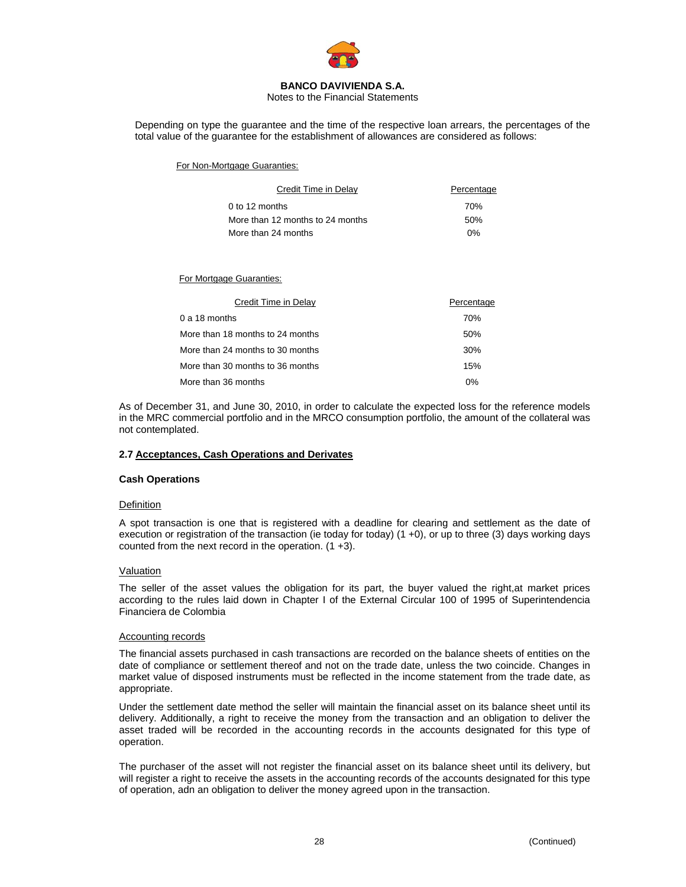

Notes to the Financial Statements

Depending on type the guarantee and the time of the respective loan arrears, the percentages of the total value of the guarantee for the establishment of allowances are considered as follows:

For Non-Mortgage Guaranties:

| Credit Time in Delay             | Percentage |
|----------------------------------|------------|
| $0$ to 12 months                 | 70%        |
| More than 12 months to 24 months | 50%        |
| More than 24 months              | $0\%$      |

For Mortgage Guaranties:

| Credit Time in Delay             | Percentage |
|----------------------------------|------------|
| $0a18$ months                    | 70%        |
| More than 18 months to 24 months | 50%        |
| More than 24 months to 30 months | 30%        |
| More than 30 months to 36 months | 15%        |
| More than 36 months              | 0%         |

As of December 31, and June 30, 2010, in order to calculate the expected loss for the reference models in the MRC commercial portfolio and in the MRCO consumption portfolio, the amount of the collateral was not contemplated.

#### **2.7 Acceptances, Cash Operations and Derivates**

#### **Cash Operations**

#### **Definition**

A spot transaction is one that is registered with a deadline for clearing and settlement as the date of execution or registration of the transaction (ie today for today) (1 +0), or up to three (3) days working days counted from the next record in the operation.  $(1 + 3)$ .

#### Valuation

The seller of the asset values the obligation for its part, the buyer valued the right,at market prices according to the rules laid down in Chapter I of the External Circular 100 of 1995 of Superintendencia Financiera de Colombia

#### Accounting records

The financial assets purchased in cash transactions are recorded on the balance sheets of entities on the date of compliance or settlement thereof and not on the trade date, unless the two coincide. Changes in market value of disposed instruments must be reflected in the income statement from the trade date, as appropriate.

Under the settlement date method the seller will maintain the financial asset on its balance sheet until its delivery. Additionally, a right to receive the money from the transaction and an obligation to deliver the asset traded will be recorded in the accounting records in the accounts designated for this type of operation.

The purchaser of the asset will not register the financial asset on its balance sheet until its delivery, but will register a right to receive the assets in the accounting records of the accounts designated for this type of operation, adn an obligation to deliver the money agreed upon in the transaction.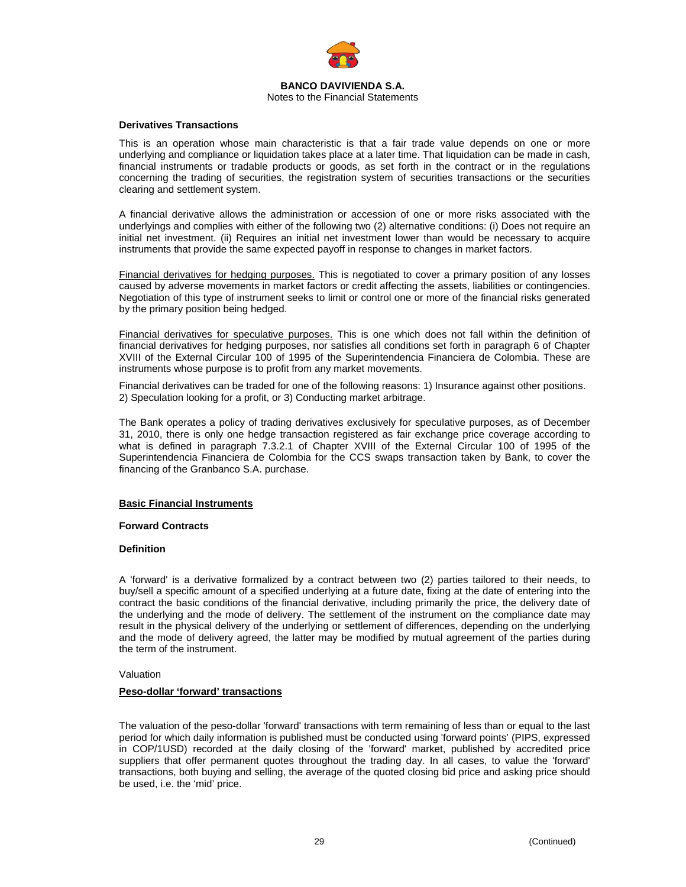

### Notes to the Financial Statements

### **Derivatives Transactions**

This is an operation whose main characteristic is that a fair trade value depends on one or more underlying and compliance or liquidation takes place at a later time. That liquidation can be made in cash, financial instruments or tradable products or goods, as set forth in the contract or in the regulations concerning the trading of securities, the registration system of securities transactions or the securities clearing and settlement system.

A financial derivative allows the administration or accession of one or more risks associated with the underlyings and complies with either of the following two (2) alternative conditions: (i) Does not require an initial net investment. (ii) Requires an initial net investment lower than would be necessary to acquire instruments that provide the same expected payoff in response to changes in market factors.

Financial derivatives for hedging purposes. This is negotiated to cover a primary position of any losses caused by adverse movements in market factors or credit affecting the assets, liabilities or contingencies. Negotiation of this type of instrument seeks to limit or control one or more of the financial risks generated by the primary position being hedged.

Financial derivatives for speculative purposes. This is one which does not fall within the definition of financial derivatives for hedging purposes, nor satisfies all conditions set forth in paragraph 6 of Chapter XVIII of the External Circular 100 of 1995 of the Superintendencia Financiera de Colombia. These are instruments whose purpose is to profit from any market movements.

Financial derivatives can be traded for one of the following reasons: 1) Insurance against other positions. 2) Speculation looking for a profit, or 3) Conducting market arbitrage.

The Bank operates a policy of trading derivatives exclusively for speculative purposes, as of December 31, 2010, there is only one hedge transaction registered as fair exchange price coverage according to what is defined in paragraph 7.3.2.1 of Chapter XVIII of the External Circular 100 of 1995 of the Superintendencia Financiera de Colombia for the CCS swaps transaction taken by Bank, to cover the financing of the Granbanco S.A. purchase.

### **Basic Financial Instruments**

#### **Forward Contracts**

### **Definition**

A 'forward' is a derivative formalized by a contract between two (2) parties tailored to their needs, to buy/sell a specific amount of a specified underlying at a future date, fixing at the date of entering into the contract the basic conditions of the financial derivative, including primarily the price, the delivery date of the underlying and the mode of delivery. The settlement of the instrument on the compliance date may result in the physical delivery of the underlying or settlement of differences, depending on the underlying and the mode of delivery agreed, the latter may be modified by mutual agreement of the parties during the term of the instrument.

#### Valuation

### **Peso-dollar 'forward' transactions**

The valuation of the peso-dollar 'forward' transactions with term remaining of less than or equal to the last period for which daily information is published must be conducted using 'forward points' (PIPS, expressed in COP/1USD) recorded at the daily closing of the 'forward' market, published by accredited price suppliers that offer permanent quotes throughout the trading day. In all cases, to value the 'forward' transactions, both buying and selling, the average of the quoted closing bid price and asking price should be used, i.e. the 'mid' price.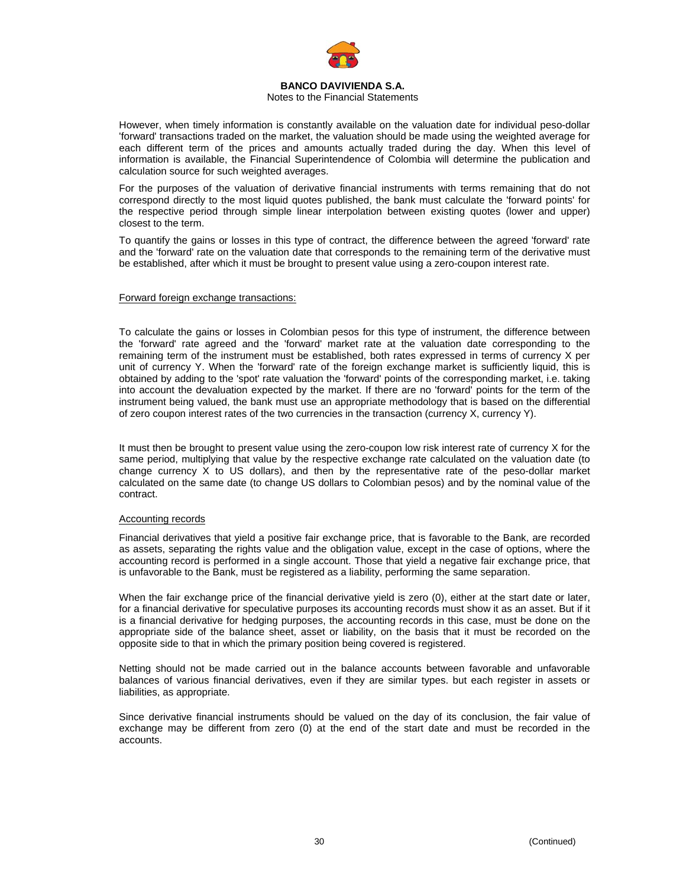

### Notes to the Financial Statements

However, when timely information is constantly available on the valuation date for individual peso-dollar 'forward' transactions traded on the market, the valuation should be made using the weighted average for each different term of the prices and amounts actually traded during the day. When this level of information is available, the Financial Superintendence of Colombia will determine the publication and calculation source for such weighted averages.

For the purposes of the valuation of derivative financial instruments with terms remaining that do not correspond directly to the most liquid quotes published, the bank must calculate the 'forward points' for the respective period through simple linear interpolation between existing quotes (lower and upper) closest to the term.

To quantify the gains or losses in this type of contract, the difference between the agreed 'forward' rate and the 'forward' rate on the valuation date that corresponds to the remaining term of the derivative must be established, after which it must be brought to present value using a zero-coupon interest rate.

#### Forward foreign exchange transactions:

To calculate the gains or losses in Colombian pesos for this type of instrument, the difference between the 'forward' rate agreed and the 'forward' market rate at the valuation date corresponding to the remaining term of the instrument must be established, both rates expressed in terms of currency X per unit of currency Y. When the 'forward' rate of the foreign exchange market is sufficiently liquid, this is obtained by adding to the 'spot' rate valuation the 'forward' points of the corresponding market, i.e. taking into account the devaluation expected by the market. If there are no 'forward' points for the term of the instrument being valued, the bank must use an appropriate methodology that is based on the differential of zero coupon interest rates of the two currencies in the transaction (currency X, currency Y).

It must then be brought to present value using the zero-coupon low risk interest rate of currency X for the same period, multiplying that value by the respective exchange rate calculated on the valuation date (to change currency X to US dollars), and then by the representative rate of the peso-dollar market calculated on the same date (to change US dollars to Colombian pesos) and by the nominal value of the contract.

#### Accounting records

Financial derivatives that yield a positive fair exchange price, that is favorable to the Bank, are recorded as assets, separating the rights value and the obligation value, except in the case of options, where the accounting record is performed in a single account. Those that yield a negative fair exchange price, that is unfavorable to the Bank, must be registered as a liability, performing the same separation.

When the fair exchange price of the financial derivative yield is zero (0), either at the start date or later, for a financial derivative for speculative purposes its accounting records must show it as an asset. But if it is a financial derivative for hedging purposes, the accounting records in this case, must be done on the appropriate side of the balance sheet, asset or liability, on the basis that it must be recorded on the opposite side to that in which the primary position being covered is registered.

Netting should not be made carried out in the balance accounts between favorable and unfavorable balances of various financial derivatives, even if they are similar types. but each register in assets or liabilities, as appropriate.

Since derivative financial instruments should be valued on the day of its conclusion, the fair value of exchange may be different from zero (0) at the end of the start date and must be recorded in the accounts.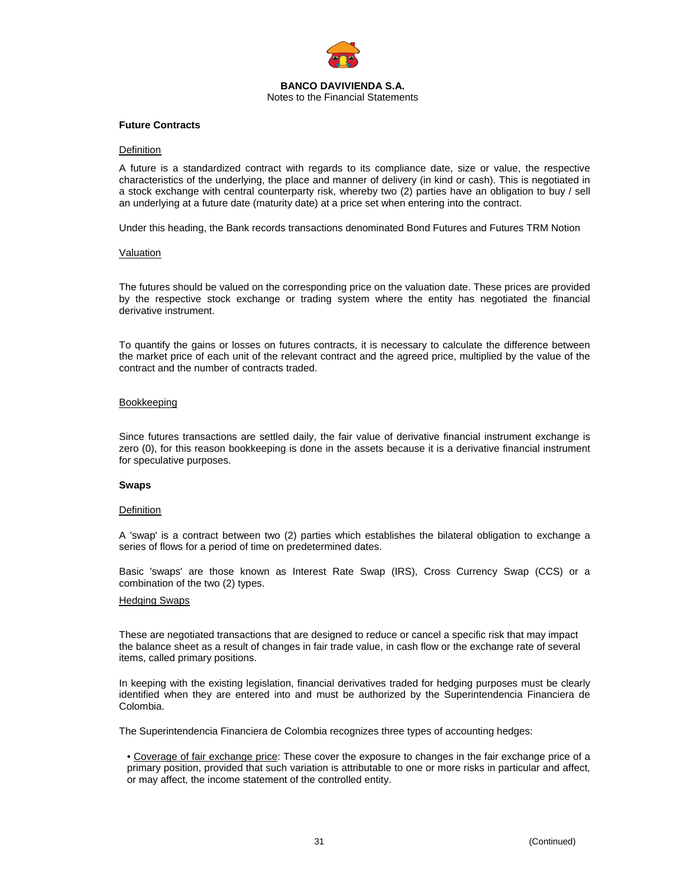

### **Future Contracts**

#### **Definition**

A future is a standardized contract with regards to its compliance date, size or value, the respective characteristics of the underlying, the place and manner of delivery (in kind or cash). This is negotiated in a stock exchange with central counterparty risk, whereby two (2) parties have an obligation to buy / sell an underlying at a future date (maturity date) at a price set when entering into the contract.

Under this heading, the Bank records transactions denominated Bond Futures and Futures TRM Notion

#### **Valuation**

The futures should be valued on the corresponding price on the valuation date. These prices are provided by the respective stock exchange or trading system where the entity has negotiated the financial derivative instrument.

To quantify the gains or losses on futures contracts, it is necessary to calculate the difference between the market price of each unit of the relevant contract and the agreed price, multiplied by the value of the contract and the number of contracts traded.

#### Bookkeeping

Since futures transactions are settled daily, the fair value of derivative financial instrument exchange is zero (0), for this reason bookkeeping is done in the assets because it is a derivative financial instrument for speculative purposes.

#### **Swaps**

#### **Definition**

A 'swap' is a contract between two (2) parties which establishes the bilateral obligation to exchange a series of flows for a period of time on predetermined dates.

Basic 'swaps' are those known as Interest Rate Swap (IRS), Cross Currency Swap (CCS) or a combination of the two (2) types.

#### Hedging Swaps

These are negotiated transactions that are designed to reduce or cancel a specific risk that may impact the balance sheet as a result of changes in fair trade value, in cash flow or the exchange rate of several items, called primary positions.

In keeping with the existing legislation, financial derivatives traded for hedging purposes must be clearly identified when they are entered into and must be authorized by the Superintendencia Financiera de Colombia.

The Superintendencia Financiera de Colombia recognizes three types of accounting hedges:

• Coverage of fair exchange price: These cover the exposure to changes in the fair exchange price of a primary position, provided that such variation is attributable to one or more risks in particular and affect, or may affect, the income statement of the controlled entity.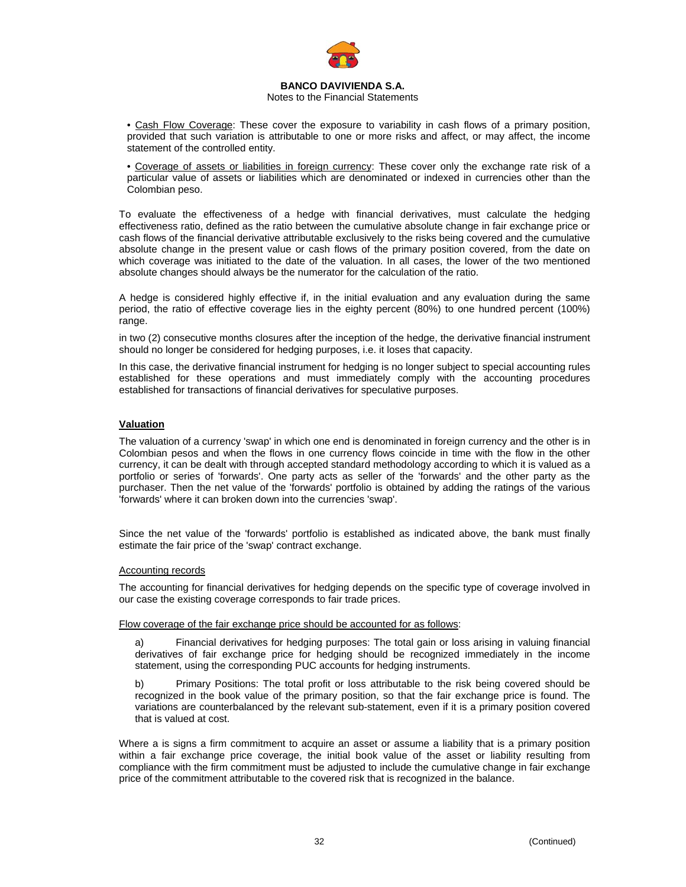

### Notes to the Financial Statements

• Cash Flow Coverage: These cover the exposure to variability in cash flows of a primary position, provided that such variation is attributable to one or more risks and affect, or may affect, the income statement of the controlled entity.

• Coverage of assets or liabilities in foreign currency: These cover only the exchange rate risk of a particular value of assets or liabilities which are denominated or indexed in currencies other than the Colombian peso.

To evaluate the effectiveness of a hedge with financial derivatives, must calculate the hedging effectiveness ratio, defined as the ratio between the cumulative absolute change in fair exchange price or cash flows of the financial derivative attributable exclusively to the risks being covered and the cumulative absolute change in the present value or cash flows of the primary position covered, from the date on which coverage was initiated to the date of the valuation. In all cases, the lower of the two mentioned absolute changes should always be the numerator for the calculation of the ratio.

A hedge is considered highly effective if, in the initial evaluation and any evaluation during the same period, the ratio of effective coverage lies in the eighty percent (80%) to one hundred percent (100%) range.

in two (2) consecutive months closures after the inception of the hedge, the derivative financial instrument should no longer be considered for hedging purposes, i.e. it loses that capacity.

In this case, the derivative financial instrument for hedging is no longer subject to special accounting rules established for these operations and must immediately comply with the accounting procedures established for transactions of financial derivatives for speculative purposes.

### **Valuation**

The valuation of a currency 'swap' in which one end is denominated in foreign currency and the other is in Colombian pesos and when the flows in one currency flows coincide in time with the flow in the other currency, it can be dealt with through accepted standard methodology according to which it is valued as a portfolio or series of 'forwards'. One party acts as seller of the 'forwards' and the other party as the purchaser. Then the net value of the 'forwards' portfolio is obtained by adding the ratings of the various 'forwards' where it can broken down into the currencies 'swap'.

Since the net value of the 'forwards' portfolio is established as indicated above, the bank must finally estimate the fair price of the 'swap' contract exchange.

### Accounting records

The accounting for financial derivatives for hedging depends on the specific type of coverage involved in our case the existing coverage corresponds to fair trade prices.

Flow coverage of the fair exchange price should be accounted for as follows:

a) Financial derivatives for hedging purposes: The total gain or loss arising in valuing financial derivatives of fair exchange price for hedging should be recognized immediately in the income statement, using the corresponding PUC accounts for hedging instruments.

b) Primary Positions: The total profit or loss attributable to the risk being covered should be recognized in the book value of the primary position, so that the fair exchange price is found. The variations are counterbalanced by the relevant sub-statement, even if it is a primary position covered that is valued at cost.

Where a is signs a firm commitment to acquire an asset or assume a liability that is a primary position within a fair exchange price coverage, the initial book value of the asset or liability resulting from compliance with the firm commitment must be adjusted to include the cumulative change in fair exchange price of the commitment attributable to the covered risk that is recognized in the balance.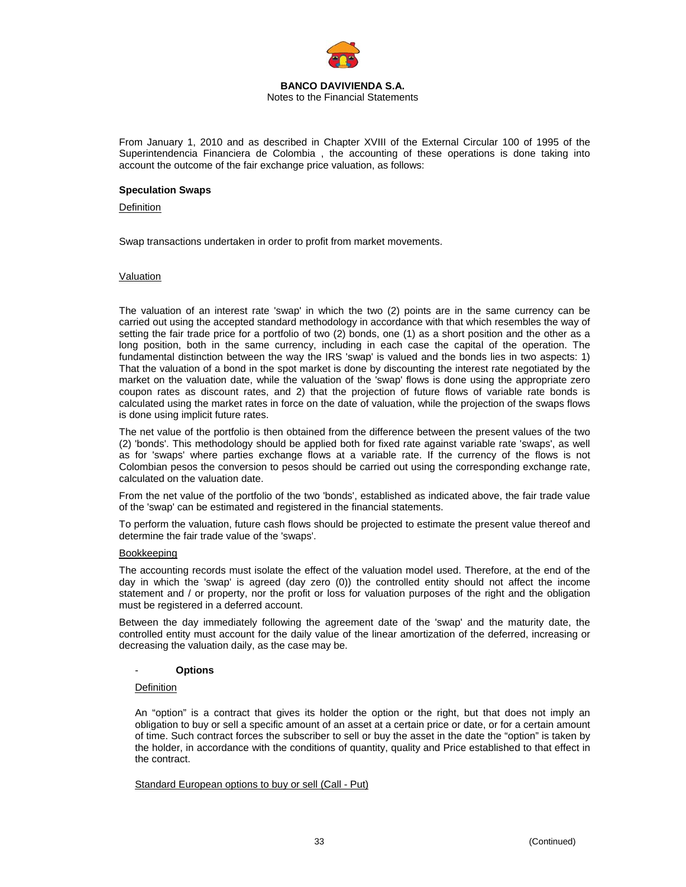

#### **BANCO DAVIVIENDA S.A.**  Notes to the Financial Statements

From January 1, 2010 and as described in Chapter XVIII of the External Circular 100 of 1995 of the Superintendencia Financiera de Colombia , the accounting of these operations is done taking into account the outcome of the fair exchange price valuation, as follows:

#### **Speculation Swaps**

#### **Definition**

Swap transactions undertaken in order to profit from market movements.

#### Valuation

The valuation of an interest rate 'swap' in which the two (2) points are in the same currency can be carried out using the accepted standard methodology in accordance with that which resembles the way of setting the fair trade price for a portfolio of two (2) bonds, one (1) as a short position and the other as a long position, both in the same currency, including in each case the capital of the operation. The fundamental distinction between the way the IRS 'swap' is valued and the bonds lies in two aspects: 1) That the valuation of a bond in the spot market is done by discounting the interest rate negotiated by the market on the valuation date, while the valuation of the 'swap' flows is done using the appropriate zero coupon rates as discount rates, and 2) that the projection of future flows of variable rate bonds is calculated using the market rates in force on the date of valuation, while the projection of the swaps flows is done using implicit future rates.

The net value of the portfolio is then obtained from the difference between the present values of the two (2) 'bonds'. This methodology should be applied both for fixed rate against variable rate 'swaps', as well as for 'swaps' where parties exchange flows at a variable rate. If the currency of the flows is not Colombian pesos the conversion to pesos should be carried out using the corresponding exchange rate, calculated on the valuation date.

From the net value of the portfolio of the two 'bonds', established as indicated above, the fair trade value of the 'swap' can be estimated and registered in the financial statements.

To perform the valuation, future cash flows should be projected to estimate the present value thereof and determine the fair trade value of the 'swaps'.

### Bookkeeping

The accounting records must isolate the effect of the valuation model used. Therefore, at the end of the day in which the 'swap' is agreed (day zero (0)) the controlled entity should not affect the income statement and / or property, nor the profit or loss for valuation purposes of the right and the obligation must be registered in a deferred account.

Between the day immediately following the agreement date of the 'swap' and the maturity date, the controlled entity must account for the daily value of the linear amortization of the deferred, increasing or decreasing the valuation daily, as the case may be.

#### - **Options**

#### **Definition**

An "option" is a contract that gives its holder the option or the right, but that does not imply an obligation to buy or sell a specific amount of an asset at a certain price or date, or for a certain amount of time. Such contract forces the subscriber to sell or buy the asset in the date the "option" is taken by the holder, in accordance with the conditions of quantity, quality and Price established to that effect in the contract.

#### Standard European options to buy or sell (Call - Put)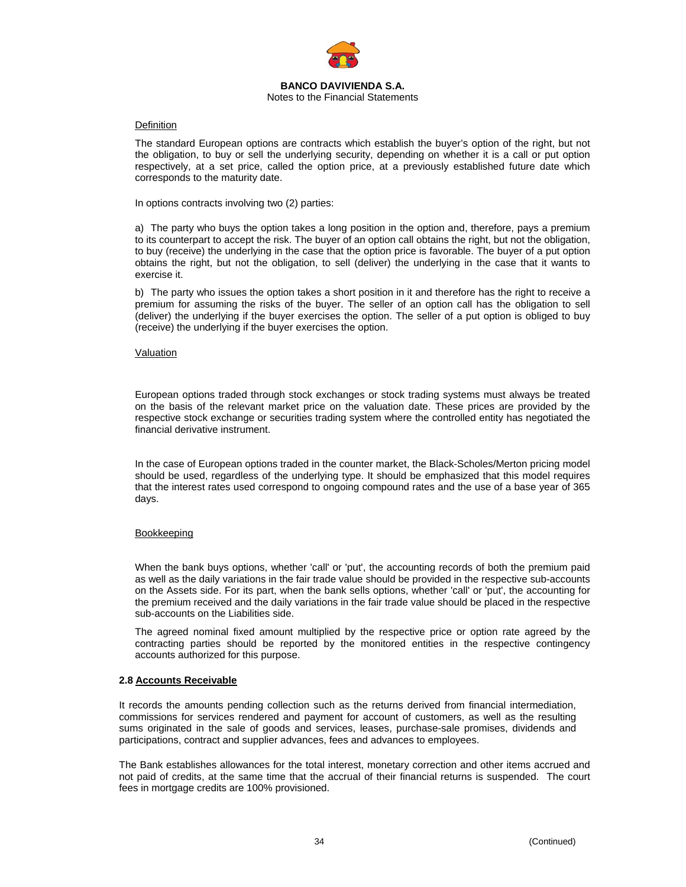

#### **BANCO DAVIVIENDA S.A.**  Notes to the Financial Statements

#### **Definition**

The standard European options are contracts which establish the buyer's option of the right, but not the obligation, to buy or sell the underlying security, depending on whether it is a call or put option respectively, at a set price, called the option price, at a previously established future date which corresponds to the maturity date.

In options contracts involving two (2) parties:

a) The party who buys the option takes a long position in the option and, therefore, pays a premium to its counterpart to accept the risk. The buyer of an option call obtains the right, but not the obligation, to buy (receive) the underlying in the case that the option price is favorable. The buyer of a put option obtains the right, but not the obligation, to sell (deliver) the underlying in the case that it wants to exercise it.

b) The party who issues the option takes a short position in it and therefore has the right to receive a premium for assuming the risks of the buyer. The seller of an option call has the obligation to sell (deliver) the underlying if the buyer exercises the option. The seller of a put option is obliged to buy (receive) the underlying if the buyer exercises the option.

#### Valuation

European options traded through stock exchanges or stock trading systems must always be treated on the basis of the relevant market price on the valuation date. These prices are provided by the respective stock exchange or securities trading system where the controlled entity has negotiated the financial derivative instrument.

In the case of European options traded in the counter market, the Black-Scholes/Merton pricing model should be used, regardless of the underlying type. It should be emphasized that this model requires that the interest rates used correspond to ongoing compound rates and the use of a base year of 365 days.

### Bookkeeping

When the bank buys options, whether 'call' or 'put', the accounting records of both the premium paid as well as the daily variations in the fair trade value should be provided in the respective sub-accounts on the Assets side. For its part, when the bank sells options, whether 'call' or 'put', the accounting for the premium received and the daily variations in the fair trade value should be placed in the respective sub-accounts on the Liabilities side.

The agreed nominal fixed amount multiplied by the respective price or option rate agreed by the contracting parties should be reported by the monitored entities in the respective contingency accounts authorized for this purpose.

### **2.8 Accounts Receivable**

It records the amounts pending collection such as the returns derived from financial intermediation, commissions for services rendered and payment for account of customers, as well as the resulting sums originated in the sale of goods and services, leases, purchase-sale promises, dividends and participations, contract and supplier advances, fees and advances to employees.

The Bank establishes allowances for the total interest, monetary correction and other items accrued and not paid of credits, at the same time that the accrual of their financial returns is suspended. The court fees in mortgage credits are 100% provisioned.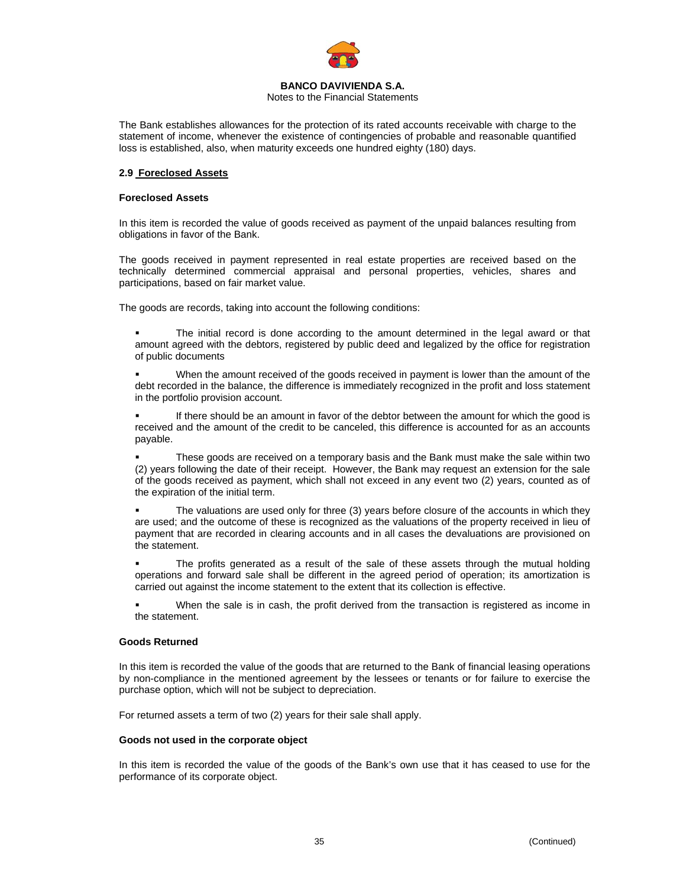

Notes to the Financial Statements

The Bank establishes allowances for the protection of its rated accounts receivable with charge to the statement of income, whenever the existence of contingencies of probable and reasonable quantified loss is established, also, when maturity exceeds one hundred eighty (180) days.

### **2.9 Foreclosed Assets**

### **Foreclosed Assets**

In this item is recorded the value of goods received as payment of the unpaid balances resulting from obligations in favor of the Bank.

The goods received in payment represented in real estate properties are received based on the technically determined commercial appraisal and personal properties, vehicles, shares and participations, based on fair market value.

The goods are records, taking into account the following conditions:

- The initial record is done according to the amount determined in the legal award or that amount agreed with the debtors, registered by public deed and legalized by the office for registration of public documents
- When the amount received of the goods received in payment is lower than the amount of the debt recorded in the balance, the difference is immediately recognized in the profit and loss statement in the portfolio provision account.
- If there should be an amount in favor of the debtor between the amount for which the good is received and the amount of the credit to be canceled, this difference is accounted for as an accounts payable.
- These goods are received on a temporary basis and the Bank must make the sale within two (2) years following the date of their receipt. However, the Bank may request an extension for the sale of the goods received as payment, which shall not exceed in any event two (2) years, counted as of the expiration of the initial term.
- The valuations are used only for three (3) years before closure of the accounts in which they are used; and the outcome of these is recognized as the valuations of the property received in lieu of payment that are recorded in clearing accounts and in all cases the devaluations are provisioned on the statement.
- The profits generated as a result of the sale of these assets through the mutual holding operations and forward sale shall be different in the agreed period of operation; its amortization is carried out against the income statement to the extent that its collection is effective.
- When the sale is in cash, the profit derived from the transaction is registered as income in the statement.

### **Goods Returned**

In this item is recorded the value of the goods that are returned to the Bank of financial leasing operations by non-compliance in the mentioned agreement by the lessees or tenants or for failure to exercise the purchase option, which will not be subject to depreciation.

For returned assets a term of two (2) years for their sale shall apply.

#### **Goods not used in the corporate object**

In this item is recorded the value of the goods of the Bank's own use that it has ceased to use for the performance of its corporate object.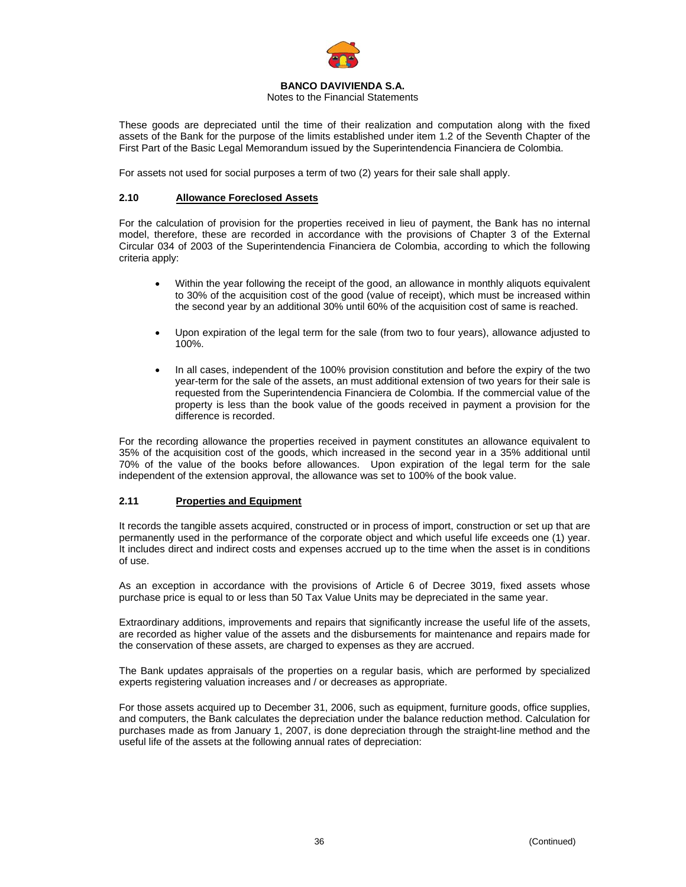

### Notes to the Financial Statements

These goods are depreciated until the time of their realization and computation along with the fixed assets of the Bank for the purpose of the limits established under item 1.2 of the Seventh Chapter of the First Part of the Basic Legal Memorandum issued by the Superintendencia Financiera de Colombia.

For assets not used for social purposes a term of two (2) years for their sale shall apply.

### **2.10 Allowance Foreclosed Assets**

For the calculation of provision for the properties received in lieu of payment, the Bank has no internal model, therefore, these are recorded in accordance with the provisions of Chapter 3 of the External Circular 034 of 2003 of the Superintendencia Financiera de Colombia, according to which the following criteria apply:

- Within the year following the receipt of the good, an allowance in monthly aliquots equivalent to 30% of the acquisition cost of the good (value of receipt), which must be increased within the second year by an additional 30% until 60% of the acquisition cost of same is reached.
- Upon expiration of the legal term for the sale (from two to four years), allowance adjusted to 100%.
- In all cases, independent of the 100% provision constitution and before the expiry of the two year-term for the sale of the assets, an must additional extension of two years for their sale is requested from the Superintendencia Financiera de Colombia. If the commercial value of the property is less than the book value of the goods received in payment a provision for the difference is recorded.

For the recording allowance the properties received in payment constitutes an allowance equivalent to 35% of the acquisition cost of the goods, which increased in the second year in a 35% additional until 70% of the value of the books before allowances. Upon expiration of the legal term for the sale independent of the extension approval, the allowance was set to 100% of the book value.

### **2.11 Properties and Equipment**

It records the tangible assets acquired, constructed or in process of import, construction or set up that are permanently used in the performance of the corporate object and which useful life exceeds one (1) year. It includes direct and indirect costs and expenses accrued up to the time when the asset is in conditions of use.

As an exception in accordance with the provisions of Article 6 of Decree 3019, fixed assets whose purchase price is equal to or less than 50 Tax Value Units may be depreciated in the same year.

Extraordinary additions, improvements and repairs that significantly increase the useful life of the assets, are recorded as higher value of the assets and the disbursements for maintenance and repairs made for the conservation of these assets, are charged to expenses as they are accrued.

The Bank updates appraisals of the properties on a regular basis, which are performed by specialized experts registering valuation increases and / or decreases as appropriate.

For those assets acquired up to December 31, 2006, such as equipment, furniture goods, office supplies, and computers, the Bank calculates the depreciation under the balance reduction method. Calculation for purchases made as from January 1, 2007, is done depreciation through the straight-line method and the useful life of the assets at the following annual rates of depreciation: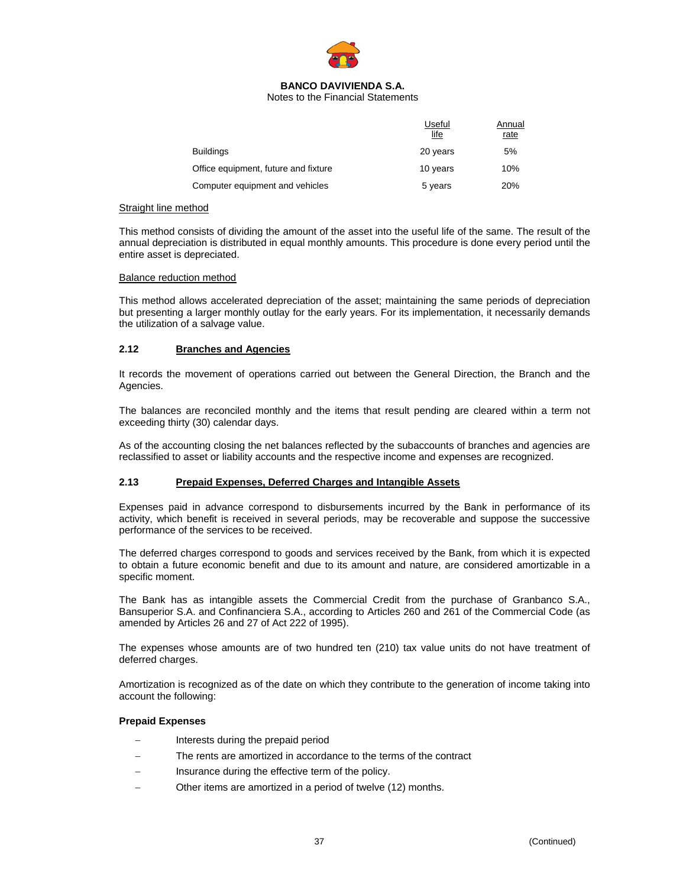

Notes to the Financial Statements

|                                      | Useful<br><u>life</u> | Annual<br>rate |
|--------------------------------------|-----------------------|----------------|
| <b>Buildings</b>                     | 20 years              | 5%             |
| Office equipment, future and fixture | 10 years              | 10%            |
| Computer equipment and vehicles      | 5 years               | 20%            |

#### Straight line method

This method consists of dividing the amount of the asset into the useful life of the same. The result of the annual depreciation is distributed in equal monthly amounts. This procedure is done every period until the entire asset is depreciated.

#### Balance reduction method

This method allows accelerated depreciation of the asset; maintaining the same periods of depreciation but presenting a larger monthly outlay for the early years. For its implementation, it necessarily demands the utilization of a salvage value.

### **2.12 Branches and Agencies**

It records the movement of operations carried out between the General Direction, the Branch and the Agencies.

The balances are reconciled monthly and the items that result pending are cleared within a term not exceeding thirty (30) calendar days.

As of the accounting closing the net balances reflected by the subaccounts of branches and agencies are reclassified to asset or liability accounts and the respective income and expenses are recognized.

#### **2.13 Prepaid Expenses, Deferred Charges and Intangible Assets**

Expenses paid in advance correspond to disbursements incurred by the Bank in performance of its activity, which benefit is received in several periods, may be recoverable and suppose the successive performance of the services to be received.

The deferred charges correspond to goods and services received by the Bank, from which it is expected to obtain a future economic benefit and due to its amount and nature, are considered amortizable in a specific moment.

The Bank has as intangible assets the Commercial Credit from the purchase of Granbanco S.A., Bansuperior S.A. and Confinanciera S.A., according to Articles 260 and 261 of the Commercial Code (as amended by Articles 26 and 27 of Act 222 of 1995).

The expenses whose amounts are of two hundred ten (210) tax value units do not have treatment of deferred charges.

Amortization is recognized as of the date on which they contribute to the generation of income taking into account the following:

#### **Prepaid Expenses**

- Interests during the prepaid period
- The rents are amortized in accordance to the terms of the contract
- Insurance during the effective term of the policy.
- Other items are amortized in a period of twelve (12) months.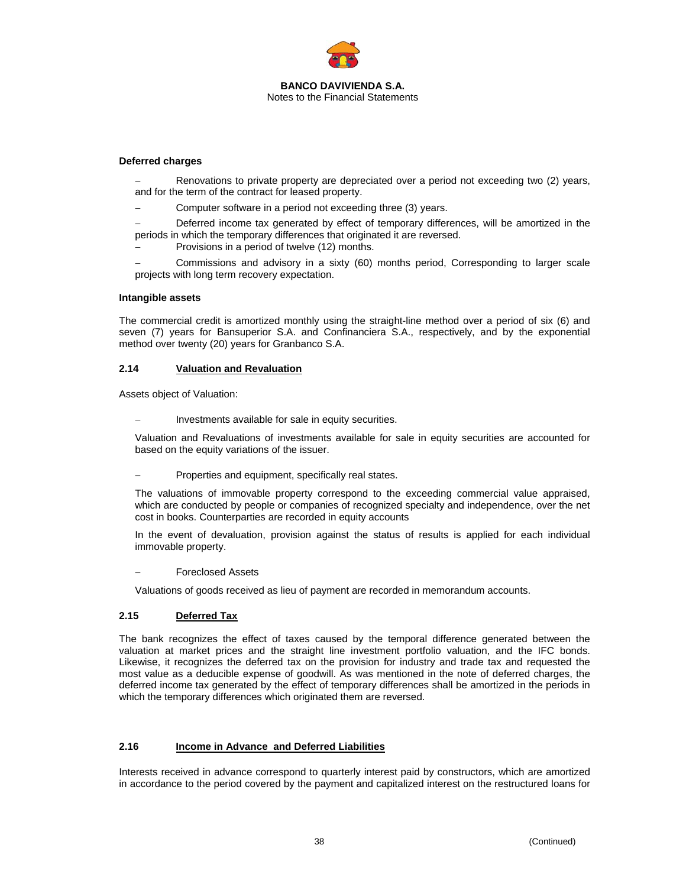

### **Deferred charges**

Renovations to private property are depreciated over a period not exceeding two (2) years, and for the term of the contract for leased property.

Computer software in a period not exceeding three (3) years.

Deferred income tax generated by effect of temporary differences, will be amortized in the periods in which the temporary differences that originated it are reversed.

Provisions in a period of twelve (12) months.

− Commissions and advisory in a sixty (60) months period, Corresponding to larger scale projects with long term recovery expectation.

#### **Intangible assets**

The commercial credit is amortized monthly using the straight-line method over a period of six (6) and seven (7) years for Bansuperior S.A. and Confinanciera S.A., respectively, and by the exponential method over twenty (20) years for Granbanco S.A.

#### **2.14 Valuation and Revaluation**

Assets object of Valuation:

Investments available for sale in equity securities.

Valuation and Revaluations of investments available for sale in equity securities are accounted for based on the equity variations of the issuer.

Properties and equipment, specifically real states.

The valuations of immovable property correspond to the exceeding commercial value appraised, which are conducted by people or companies of recognized specialty and independence, over the net cost in books. Counterparties are recorded in equity accounts

In the event of devaluation, provision against the status of results is applied for each individual immovable property.

− Foreclosed Assets

Valuations of goods received as lieu of payment are recorded in memorandum accounts.

# **2.15 Deferred Tax**

The bank recognizes the effect of taxes caused by the temporal difference generated between the valuation at market prices and the straight line investment portfolio valuation, and the IFC bonds. Likewise, it recognizes the deferred tax on the provision for industry and trade tax and requested the most value as a deducible expense of goodwill. As was mentioned in the note of deferred charges, the deferred income tax generated by the effect of temporary differences shall be amortized in the periods in which the temporary differences which originated them are reversed.

### **2.16 Income in Advance and Deferred Liabilities**

Interests received in advance correspond to quarterly interest paid by constructors, which are amortized in accordance to the period covered by the payment and capitalized interest on the restructured loans for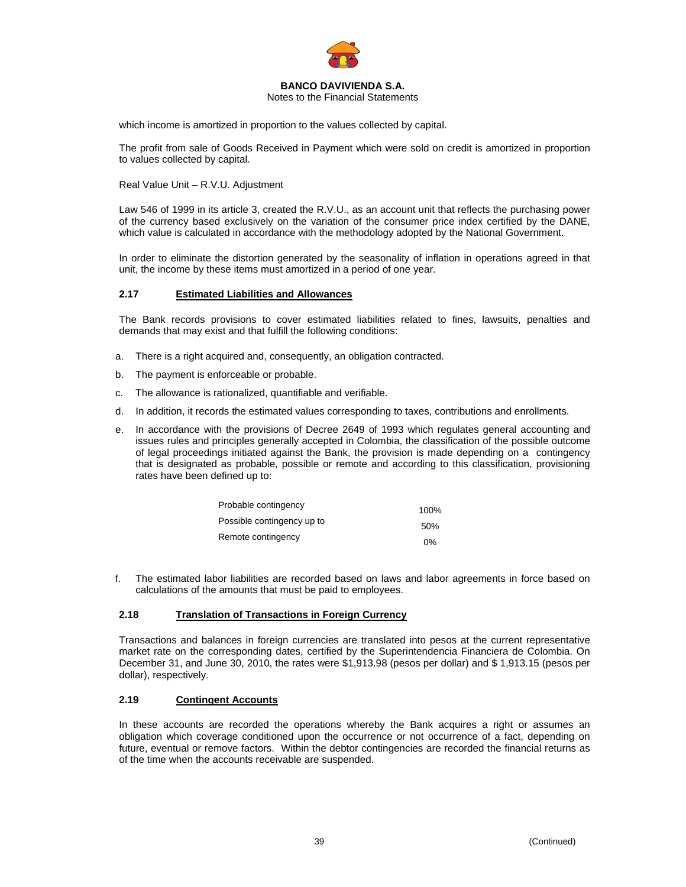

Notes to the Financial Statements

which income is amortized in proportion to the values collected by capital.

The profit from sale of Goods Received in Payment which were sold on credit is amortized in proportion to values collected by capital.

Real Value Unit – R.V.U. Adjustment

Law 546 of 1999 in its article 3, created the R.V.U., as an account unit that reflects the purchasing power of the currency based exclusively on the variation of the consumer price index certified by the DANE, which value is calculated in accordance with the methodology adopted by the National Government.

In order to eliminate the distortion generated by the seasonality of inflation in operations agreed in that unit, the income by these items must amortized in a period of one year.

### **2.17 Estimated Liabilities and Allowances**

The Bank records provisions to cover estimated liabilities related to fines, lawsuits, penalties and demands that may exist and that fulfill the following conditions:

- a. There is a right acquired and, consequently, an obligation contracted.
- b. The payment is enforceable or probable.
- c. The allowance is rationalized, quantifiable and verifiable.
- d. In addition, it records the estimated values corresponding to taxes, contributions and enrollments.
- e. In accordance with the provisions of Decree 2649 of 1993 which regulates general accounting and issues rules and principles generally accepted in Colombia, the classification of the possible outcome of legal proceedings initiated against the Bank, the provision is made depending on a contingency that is designated as probable, possible or remote and according to this classification, provisioning rates have been defined up to:

| Probable contingency       | 100%  |
|----------------------------|-------|
| Possible contingency up to | 50%   |
| Remote contingency         | $0\%$ |

f. The estimated labor liabilities are recorded based on laws and labor agreements in force based on calculations of the amounts that must be paid to employees.

### **2.18 Translation of Transactions in Foreign Currency**

Transactions and balances in foreign currencies are translated into pesos at the current representative market rate on the corresponding dates, certified by the Superintendencia Financiera de Colombia. On December 31, and June 30, 2010, the rates were \$1,913.98 (pesos per dollar) and \$ 1,913.15 (pesos per dollar), respectively.

### **2.19 Contingent Accounts**

In these accounts are recorded the operations whereby the Bank acquires a right or assumes an obligation which coverage conditioned upon the occurrence or not occurrence of a fact, depending on future, eventual or remove factors. Within the debtor contingencies are recorded the financial returns as of the time when the accounts receivable are suspended.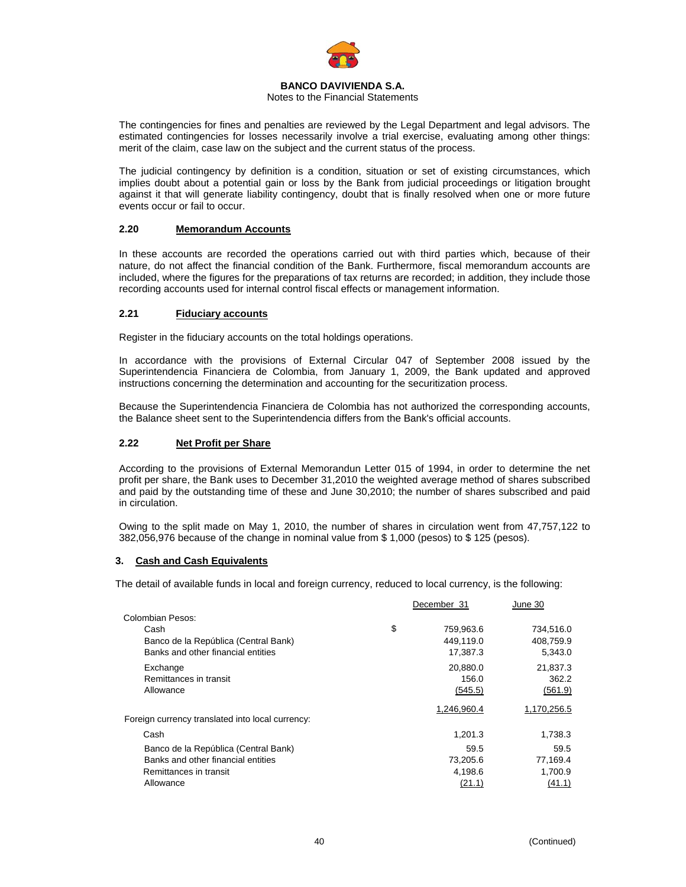

### Notes to the Financial Statements

The contingencies for fines and penalties are reviewed by the Legal Department and legal advisors. The estimated contingencies for losses necessarily involve a trial exercise, evaluating among other things: merit of the claim, case law on the subject and the current status of the process.

The judicial contingency by definition is a condition, situation or set of existing circumstances, which implies doubt about a potential gain or loss by the Bank from judicial proceedings or litigation brought against it that will generate liability contingency, doubt that is finally resolved when one or more future events occur or fail to occur.

## **2.20 Memorandum Accounts**

In these accounts are recorded the operations carried out with third parties which, because of their nature, do not affect the financial condition of the Bank. Furthermore, fiscal memorandum accounts are included, where the figures for the preparations of tax returns are recorded; in addition, they include those recording accounts used for internal control fiscal effects or management information.

### **2.21 Fiduciary accounts**

Register in the fiduciary accounts on the total holdings operations.

In accordance with the provisions of External Circular 047 of September 2008 issued by the Superintendencia Financiera de Colombia, from January 1, 2009, the Bank updated and approved instructions concerning the determination and accounting for the securitization process.

Because the Superintendencia Financiera de Colombia has not authorized the corresponding accounts, the Balance sheet sent to the Superintendencia differs from the Bank's official accounts.

### **2.22 Net Profit per Share**

According to the provisions of External Memorandun Letter 015 of 1994, in order to determine the net profit per share, the Bank uses to December 31,2010 the weighted average method of shares subscribed and paid by the outstanding time of these and June 30,2010; the number of shares subscribed and paid in circulation.

Owing to the split made on May 1, 2010, the number of shares in circulation went from 47,757,122 to 382,056,976 because of the change in nominal value from \$ 1,000 (pesos) to \$ 125 (pesos).

### **3. Cash and Cash Equivalents**

The detail of available funds in local and foreign currency, reduced to local currency, is the following:

|                                                  | December 31 |             | June 30     |  |
|--------------------------------------------------|-------------|-------------|-------------|--|
| Colombian Pesos:                                 |             |             |             |  |
| Cash                                             | \$          | 759,963.6   | 734,516.0   |  |
| Banco de la República (Central Bank)             |             | 449,119.0   | 408,759.9   |  |
| Banks and other financial entities               |             | 17,387.3    | 5,343.0     |  |
| Exchange                                         |             | 20,880.0    | 21,837.3    |  |
| Remittances in transit                           |             | 156.0       | 362.2       |  |
| Allowance                                        |             | (545.5)     | (561.9)     |  |
|                                                  |             | 1,246,960.4 | 1,170,256.5 |  |
| Foreign currency translated into local currency: |             |             |             |  |
| Cash                                             |             | 1,201.3     | 1,738.3     |  |
| Banco de la República (Central Bank)             |             | 59.5        | 59.5        |  |
| Banks and other financial entities               |             | 73,205.6    | 77,169.4    |  |
| Remittances in transit                           |             | 4,198.6     | 1,700.9     |  |
| Allowance                                        |             | (21.1)      | (41.1)      |  |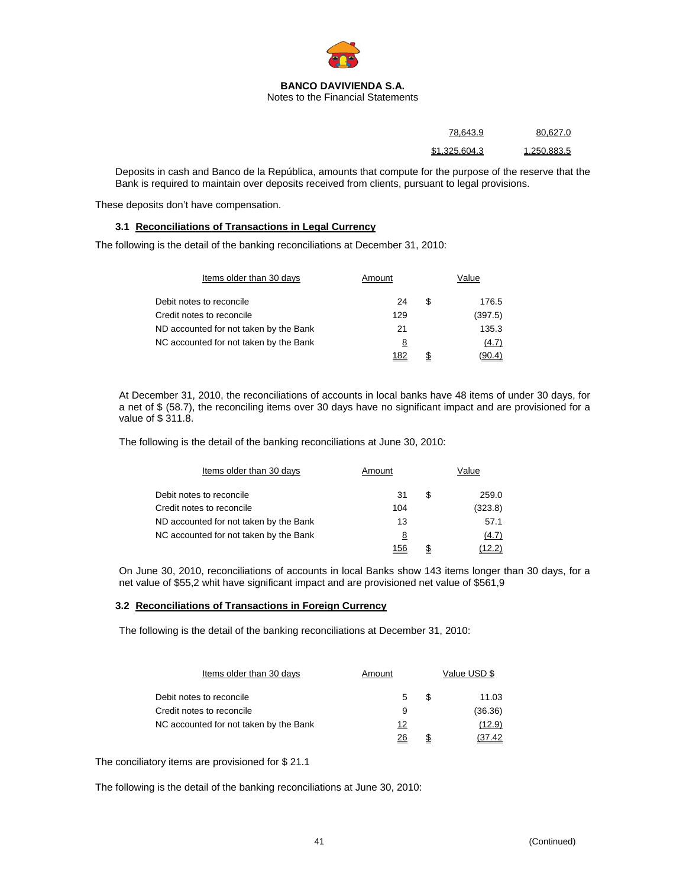

| 78.643.9      | 80.627.<br>. . |
|---------------|----------------|
| \$1,325,604.3 | 1 250 883 5    |

Deposits in cash and Banco de la República, amounts that compute for the purpose of the reserve that the Bank is required to maintain over deposits received from clients, pursuant to legal provisions.

These deposits don't have compensation.

### **3.1 Reconciliations of Transactions in Legal Currency**

The following is the detail of the banking reconciliations at December 31, 2010:

| Items older than 30 days               | Amount | Value |         |  |
|----------------------------------------|--------|-------|---------|--|
| Debit notes to reconcile               | 24     | S     | 176.5   |  |
| Credit notes to reconcile              | 129    |       | (397.5) |  |
| ND accounted for not taken by the Bank | 21     |       | 135.3   |  |
| NC accounted for not taken by the Bank | 8      |       | (4.7)   |  |
|                                        | 182    | \$    | (90.4)  |  |

At December 31, 2010, the reconciliations of accounts in local banks have 48 items of under 30 days, for a net of \$ (58.7), the reconciling items over 30 days have no significant impact and are provisioned for a value of \$ 311.8.

The following is the detail of the banking reconciliations at June 30, 2010:

| Items older than 30 days               | Amount | Value |         |  |
|----------------------------------------|--------|-------|---------|--|
| Debit notes to reconcile               | 31     | S     | 259.0   |  |
| Credit notes to reconcile              | 104    |       | (323.8) |  |
| ND accounted for not taken by the Bank | 13     |       | 57.1    |  |
| NC accounted for not taken by the Bank | 8      |       | (4.7)   |  |
|                                        | 156    |       |         |  |

On June 30, 2010, reconciliations of accounts in local Banks show 143 items longer than 30 days, for a net value of \$55,2 whit have significant impact and are provisioned net value of \$561,9

### **3.2 Reconciliations of Transactions in Foreign Currency**

The following is the detail of the banking reconciliations at December 31, 2010:

| Items older than 30 days               | Amount | Value USD \$ |         |  |
|----------------------------------------|--------|--------------|---------|--|
| Debit notes to reconcile               | 5      | S            | 11.03   |  |
| Credit notes to reconcile              | 9      |              | (36.36) |  |
| NC accounted for not taken by the Bank | 12     |              | (12.9)  |  |
|                                        | 26     |              | 37.42   |  |

The conciliatory items are provisioned for \$ 21.1

The following is the detail of the banking reconciliations at June 30, 2010: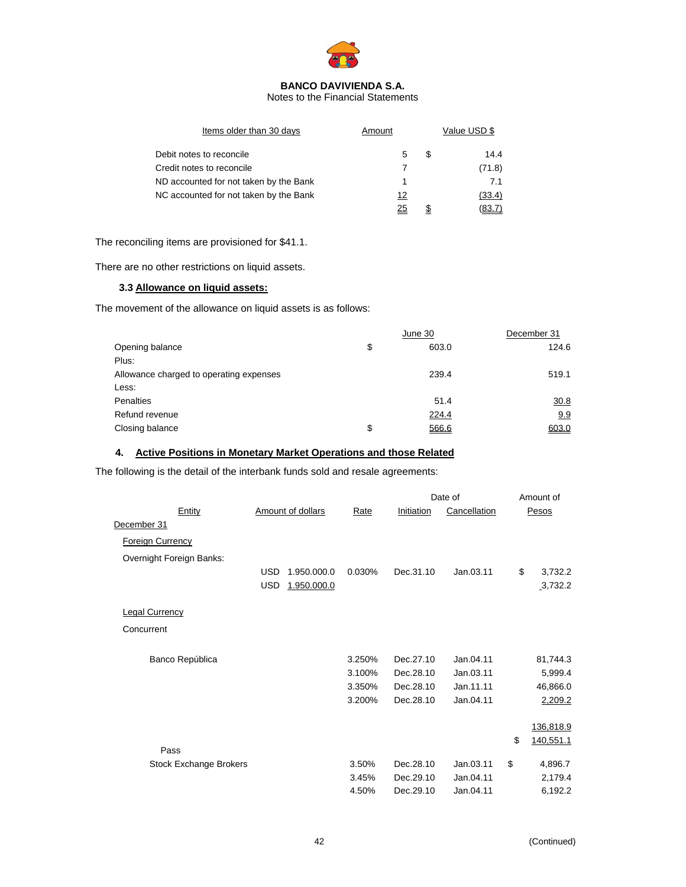

Notes to the Financial Statements

| Amount |   | Value USD \$ |  |  |
|--------|---|--------------|--|--|
| 5      | S | 14.4         |  |  |
| 7      |   | (71.8)       |  |  |
| 1      |   | 7.1          |  |  |
| 12     |   | (33.4)       |  |  |
| 25     | S | (83.7)       |  |  |
|        |   |              |  |  |

The reconciling items are provisioned for \$41.1.

There are no other restrictions on liquid assets.

# **3.3 Allowance on liquid assets:**

The movement of the allowance on liquid assets is as follows:

|                                         | June 30     | December 31 |
|-----------------------------------------|-------------|-------------|
| Opening balance                         | \$<br>603.0 | 124.6       |
| Plus:                                   |             |             |
| Allowance charged to operating expenses | 239.4       | 519.1       |
| Less:                                   |             |             |
| Penalties                               | 51.4        | 30.8        |
| Refund revenue                          | 224.4       | 9.9         |
| Closing balance                         | \$<br>566.6 | 603.0       |

# **4. Active Positions in Monetary Market Operations and those Related**

The following is the detail of the interbank funds sold and resale agreements:

|                               |                           |             |            | Date of      |    | Amount of |  |
|-------------------------------|---------------------------|-------------|------------|--------------|----|-----------|--|
| Entity                        | <b>Amount of dollars</b>  | <b>Rate</b> | Initiation | Cancellation |    | Pesos     |  |
| December 31                   |                           |             |            |              |    |           |  |
| <b>Foreign Currency</b>       |                           |             |            |              |    |           |  |
| Overnight Foreign Banks:      |                           |             |            |              |    |           |  |
|                               | <b>USD</b><br>1.950.000.0 | 0.030%      | Dec.31.10  | Jan.03.11    | \$ | 3,732.2   |  |
|                               | <b>USD</b><br>1.950.000.0 |             |            |              |    | 3,732.2   |  |
| <b>Legal Currency</b>         |                           |             |            |              |    |           |  |
| Concurrent                    |                           |             |            |              |    |           |  |
| Banco República               |                           | 3.250%      | Dec.27.10  | Jan.04.11    |    | 81,744.3  |  |
|                               |                           | 3.100%      | Dec.28.10  | Jan.03.11    |    | 5,999.4   |  |
|                               |                           | 3.350%      | Dec.28.10  | Jan.11.11    |    | 46,866.0  |  |
|                               |                           | 3.200%      | Dec.28.10  | Jan.04.11    |    | 2,209.2   |  |
|                               |                           |             |            |              |    | 136,818.9 |  |
|                               |                           |             |            |              | \$ | 140,551.1 |  |
| Pass                          |                           |             |            |              |    |           |  |
| <b>Stock Exchange Brokers</b> |                           | 3.50%       | Dec.28.10  | Jan.03.11    | \$ | 4,896.7   |  |
|                               |                           | 3.45%       | Dec.29.10  | Jan.04.11    |    | 2,179.4   |  |
|                               |                           | 4.50%       | Dec.29.10  | Jan.04.11    |    | 6,192.2   |  |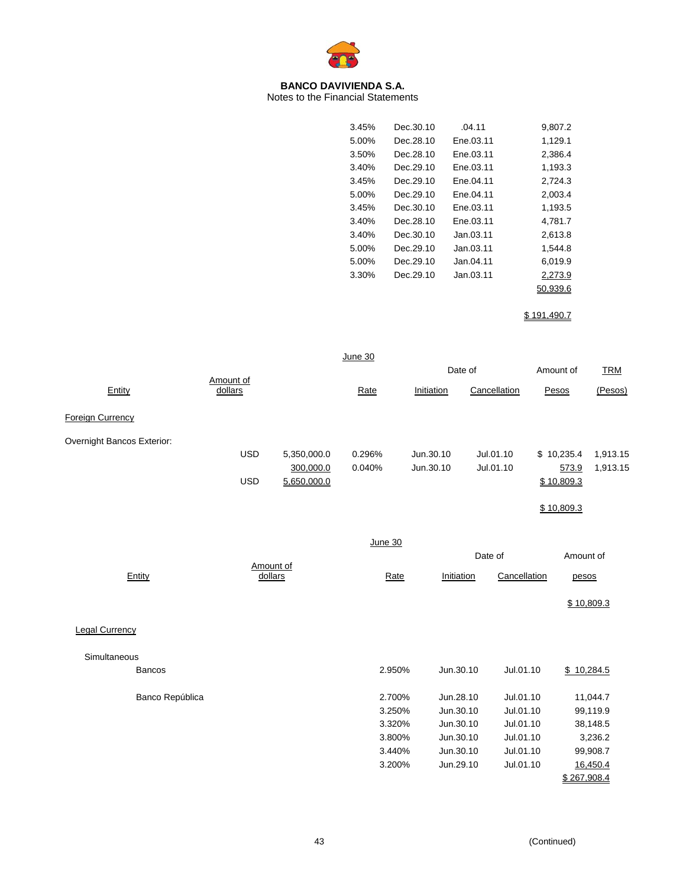

Notes to the Financial Statements

| 3.45% | Dec.30.10 | .04.11    | 9,807.2  |
|-------|-----------|-----------|----------|
| 5.00% | Dec.28.10 | Ene.03.11 | 1,129.1  |
| 3.50% | Dec.28.10 | Ene.03.11 | 2,386.4  |
| 3.40% | Dec.29.10 | Ene.03.11 | 1,193.3  |
| 3.45% | Dec.29.10 | Ene.04.11 | 2,724.3  |
| 5.00% | Dec.29.10 | Ene.04.11 | 2,003.4  |
| 3.45% | Dec.30.10 | Ene.03.11 | 1,193.5  |
| 3.40% | Dec.28.10 | Ene.03.11 | 4,781.7  |
| 3.40% | Dec.30.10 | Jan.03.11 | 2,613.8  |
| 5.00% | Dec.29.10 | Jan.03.11 | 1,544.8  |
| 5.00% | Dec.29.10 | Jan.04.11 | 6,019.9  |
| 3.30% | Dec.29.10 | Jan.03.11 | 2,273.9  |
|       |           |           | 50.939.6 |
|       |           |           |          |

\$ 191,490.7

|                            |            |                      | June 30        |            |              |             |            |
|----------------------------|------------|----------------------|----------------|------------|--------------|-------------|------------|
|                            | Amount of  |                      |                |            | Date of      | Amount of   | <b>TRM</b> |
| Entity                     | dollars    |                      | Rate           | Initiation | Cancellation | Pesos       | (Pesos)    |
| Foreign Currency           |            |                      |                |            |              |             |            |
| Overnight Bancos Exterior: |            |                      |                |            |              |             |            |
|                            | <b>USD</b> | 5,350,000.0          | 0.296%         | Jun.30.10  | Jul.01.10    | \$10,235.4  | 1,913.15   |
|                            |            | 300,000.0            | 0.040%         | Jun.30.10  | Jul.01.10    | 573.9       | 1,913.15   |
|                            | <b>USD</b> | 5,650,000.0          |                |            |              | \$10,809.3  |            |
|                            |            |                      |                |            |              | \$10,809.3  |            |
|                            |            |                      | <b>June 30</b> |            |              |             |            |
|                            |            |                      |                |            | Date of      | Amount of   |            |
| Entity                     |            | Amount of<br>dollars | Rate           | Initiation | Cancellation | pesos       |            |
|                            |            |                      |                |            |              |             | \$10,809.3 |
| <b>Legal Currency</b>      |            |                      |                |            |              |             |            |
| Simultaneous               |            |                      |                |            |              |             |            |
| <b>Bancos</b>              |            |                      | 2.950%         | Jun.30.10  | Jul.01.10    |             | \$10,284.5 |
| Banco República            |            |                      | 2.700%         | Jun.28.10  | Jul.01.10    |             | 11,044.7   |
|                            |            |                      | 3.250%         | Jun.30.10  | Jul.01.10    |             | 99,119.9   |
|                            |            |                      | 3.320%         | Jun.30.10  | Jul.01.10    |             | 38,148.5   |
|                            |            |                      | 3.800%         | Jun.30.10  | Jul.01.10    |             | 3,236.2    |
|                            |            |                      | 3.440%         | Jun.30.10  | Jul.01.10    |             | 99,908.7   |
|                            |            |                      | 3.200%         | Jun.29.10  | Jul.01.10    |             | 16,450.4   |
|                            |            |                      |                |            |              | \$267,908.4 |            |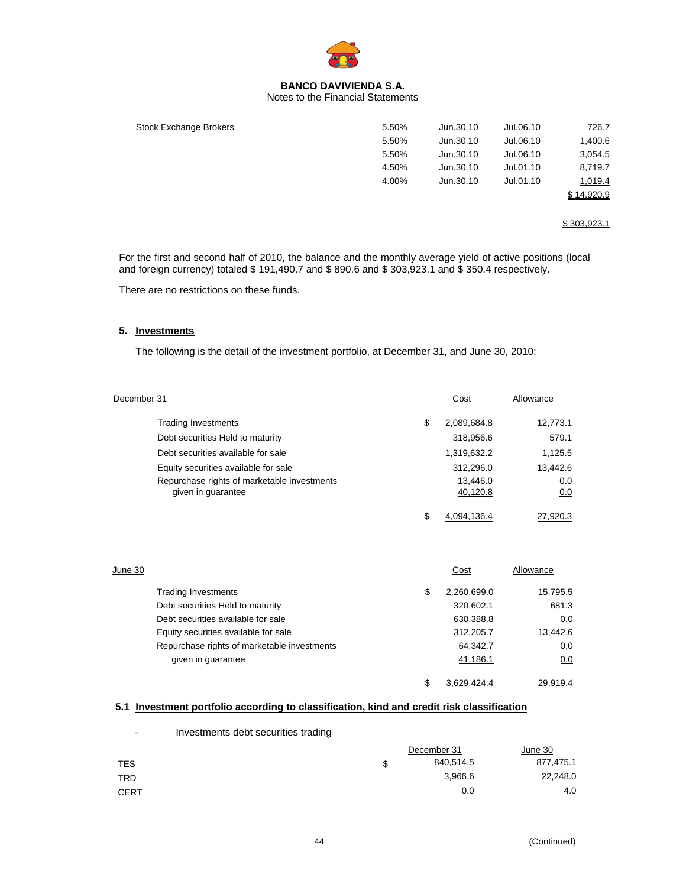

### Notes to the Financial Statements

| Stock Exchange Brokers | 5.50% | Jun.30.10 | Jul.06.10 | 726.7      |
|------------------------|-------|-----------|-----------|------------|
|                        | 5.50% | Jun.30.10 | Jul.06.10 | 1,400.6    |
|                        | 5.50% | Jun.30.10 | Jul.06.10 | 3,054.5    |
|                        | 4.50% | Jun.30.10 | Jul.01.10 | 8,719.7    |
|                        | 4.00% | Jun.30.10 | Jul.01.10 | 1,019.4    |
|                        |       |           |           | \$14.920.9 |
|                        |       |           |           |            |

\$ 303,923.1

For the first and second half of 2010, the balance and the monthly average yield of active positions (local and foreign currency) totaled \$ 191,490.7 and \$ 890.6 and \$ 303,923.1 and \$ 350.4 respectively.

There are no restrictions on these funds.

# **5. Investments**

The following is the detail of the investment portfolio, at December 31, and June 30, 2010:

| December 31                                                       | Cost                 | Allowance  |
|-------------------------------------------------------------------|----------------------|------------|
| <b>Trading Investments</b>                                        | \$<br>2,089,684.8    | 12,773.1   |
| Debt securities Held to maturity                                  | 318,956.6            | 579.1      |
| Debt securities available for sale                                | 1,319,632.2          | 1,125.5    |
| Equity securities available for sale                              | 312,296.0            | 13,442.6   |
| Repurchase rights of marketable investments<br>given in guarantee | 13,446.0<br>40,120.8 | 0.0<br>0.0 |
|                                                                   | \$<br>4.094.136.4    | 27.920.3   |

| June 30 |                                             | Cost              | Allowance |
|---------|---------------------------------------------|-------------------|-----------|
|         | <b>Trading Investments</b>                  | \$<br>2,260,699.0 | 15,795.5  |
|         | Debt securities Held to maturity            | 320,602.1         | 681.3     |
|         | Debt securities available for sale          | 630,388.8         | 0.0       |
|         | Equity securities available for sale        | 312,205.7         | 13.442.6  |
|         | Repurchase rights of marketable investments | 64,342.7          | 0,0       |
|         | given in guarantee                          | 41.186.1          | 0,0       |
|         |                                             | \$<br>3.629.424.4 | 29.919.4  |

# **5.1 Investment portfolio according to classification, kind and credit risk classification**

| $\blacksquare$ | Investments debt securities trading |   |             |           |
|----------------|-------------------------------------|---|-------------|-----------|
|                |                                     |   | December 31 | June 30   |
| <b>TES</b>     |                                     | S | 840,514.5   | 877,475.1 |
| TRD            |                                     |   | 3.966.6     | 22,248.0  |
| <b>CERT</b>    |                                     |   | 0.0         | 4.0       |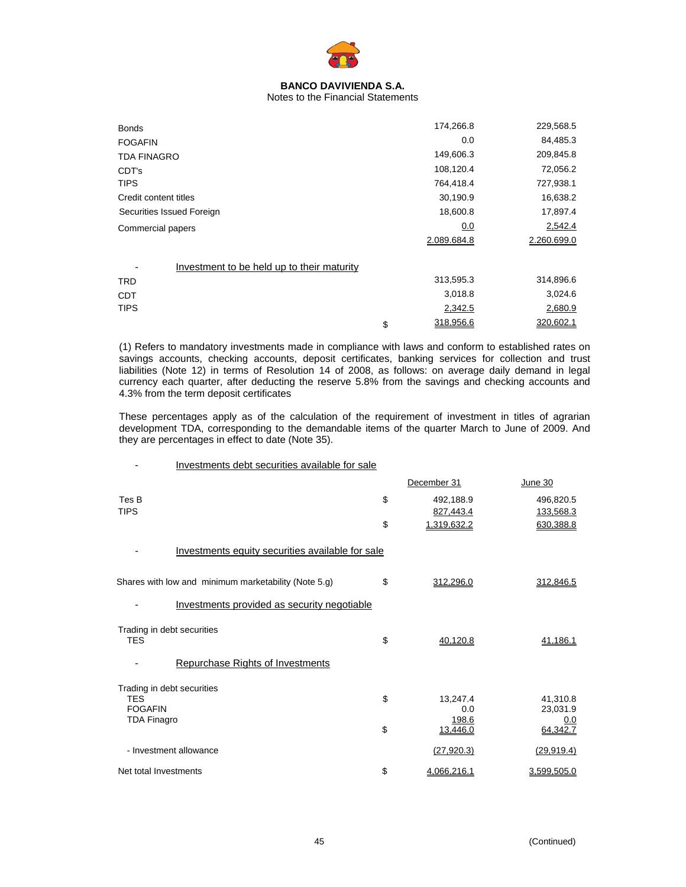

# Notes to the Financial Statements

| <b>Bonds</b>                               | 174,266.8       | 229,568.5   |
|--------------------------------------------|-----------------|-------------|
| <b>FOGAFIN</b>                             | 0.0             | 84,485.3    |
| <b>TDA FINAGRO</b>                         | 149,606.3       | 209,845.8   |
| CDT's                                      | 108,120.4       | 72,056.2    |
| <b>TIPS</b>                                | 764,418.4       | 727,938.1   |
| Credit content titles                      | 30,190.9        | 16,638.2    |
| Securities Issued Foreign                  | 18,600.8        | 17,897.4    |
| Commercial papers                          | 0.0             | 2,542.4     |
|                                            | 2.089.684.8     | 2.260.699.0 |
| Investment to be held up to their maturity |                 |             |
| <b>TRD</b>                                 | 313,595.3       | 314,896.6   |
| <b>CDT</b>                                 | 3,018.8         | 3,024.6     |
| <b>TIPS</b>                                | 2,342.5         | 2,680.9     |
|                                            | \$<br>318,956.6 | 320,602.1   |

(1) Refers to mandatory investments made in compliance with laws and conform to established rates on savings accounts, checking accounts, deposit certificates, banking services for collection and trust liabilities (Note 12) in terms of Resolution 14 of 2008, as follows: on average daily demand in legal currency each quarter, after deducting the reserve 5.8% from the savings and checking accounts and 4.3% from the term deposit certificates

These percentages apply as of the calculation of the requirement of investment in titles of agrarian development TDA, corresponding to the demandable items of the quarter March to June of 2009. And they are percentages in effect to date (Note 35).

| Investments debt securities available for sale       |                       |                      |
|------------------------------------------------------|-----------------------|----------------------|
|                                                      | December 31           | June 30              |
| Tes B                                                | \$<br>492,188.9       | 496,820.5            |
| <b>TIPS</b>                                          | 827,443.4             | 133,568.3            |
|                                                      | \$<br>1,319,632.2     | 630,388.8            |
| Investments equity securities available for sale     |                       |                      |
| Shares with low and minimum marketability (Note 5.g) | \$<br>312,296.0       | 312.846.5            |
| Investments provided as security negotiable          |                       |                      |
| Trading in debt securities<br><b>TES</b>             | \$                    |                      |
|                                                      | 40,120.8              | 41,186.1             |
| <b>Repurchase Rights of Investments</b>              |                       |                      |
| Trading in debt securities                           |                       |                      |
| <b>TES</b><br><b>FOGAFIN</b>                         | \$<br>13,247.4<br>0.0 | 41,310.8<br>23,031.9 |
| <b>TDA Finagro</b>                                   | 198.6                 | 0.0                  |
|                                                      | \$<br>13,446.0        | 64,342.7             |
| - Investment allowance                               | (27, 920.3)           | (29, 919.4)          |
| Net total Investments                                | \$<br>4,066,216.1     | 3,599,505.0          |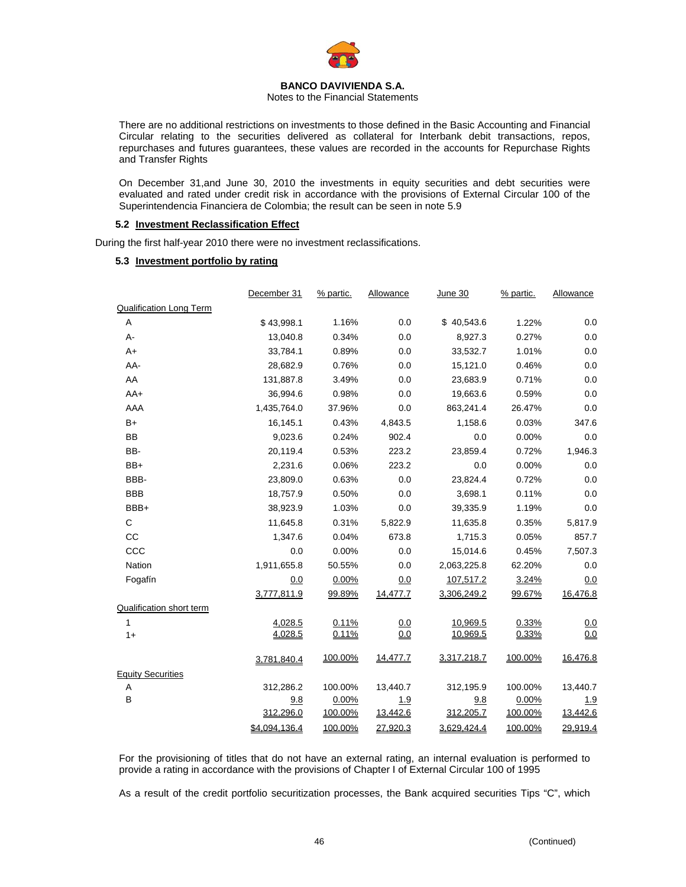

Notes to the Financial Statements

There are no additional restrictions on investments to those defined in the Basic Accounting and Financial Circular relating to the securities delivered as collateral for Interbank debit transactions, repos, repurchases and futures guarantees, these values are recorded in the accounts for Repurchase Rights and Transfer Rights

On December 31,and June 30, 2010 the investments in equity securities and debt securities were evaluated and rated under credit risk in accordance with the provisions of External Circular 100 of the Superintendencia Financiera de Colombia; the result can be seen in note 5.9

### **5.2 Investment Reclassification Effect**

During the first half-year 2010 there were no investment reclassifications.

### **5.3 Investment portfolio by rating**

|                                | December 31   | % partic. | Allowance | <b>June 30</b> | % partic. | Allowance |
|--------------------------------|---------------|-----------|-----------|----------------|-----------|-----------|
| <b>Qualification Long Term</b> |               |           |           |                |           |           |
| A                              | \$43,998.1    | 1.16%     | 0.0       | \$40,543.6     | 1.22%     | 0.0       |
| A-                             | 13,040.8      | 0.34%     | 0.0       | 8,927.3        | 0.27%     | 0.0       |
| $A+$                           | 33,784.1      | 0.89%     | 0.0       | 33,532.7       | 1.01%     | 0.0       |
| AA-                            | 28,682.9      | 0.76%     | 0.0       | 15,121.0       | 0.46%     | 0.0       |
| AA                             | 131,887.8     | 3.49%     | 0.0       | 23,683.9       | 0.71%     | 0.0       |
| $AA+$                          | 36,994.6      | 0.98%     | 0.0       | 19,663.6       | 0.59%     | 0.0       |
| AAA                            | 1,435,764.0   | 37.96%    | 0.0       | 863,241.4      | 26.47%    | 0.0       |
| $B+$                           | 16,145.1      | 0.43%     | 4,843.5   | 1,158.6        | 0.03%     | 347.6     |
| BB                             | 9,023.6       | 0.24%     | 902.4     | 0.0            | 0.00%     | 0.0       |
| BB-                            | 20,119.4      | 0.53%     | 223.2     | 23,859.4       | 0.72%     | 1,946.3   |
| BB+                            | 2,231.6       | 0.06%     | 223.2     | 0.0            | 0.00%     | 0.0       |
| BBB-                           | 23,809.0      | 0.63%     | 0.0       | 23,824.4       | 0.72%     | 0.0       |
| <b>BBB</b>                     | 18,757.9      | 0.50%     | 0.0       | 3,698.1        | 0.11%     | 0.0       |
| BBB+                           | 38,923.9      | 1.03%     | 0.0       | 39,335.9       | 1.19%     | 0.0       |
| $\mathsf{C}$                   | 11,645.8      | 0.31%     | 5,822.9   | 11,635.8       | 0.35%     | 5,817.9   |
| CC                             | 1,347.6       | 0.04%     | 673.8     | 1,715.3        | 0.05%     | 857.7     |
| CCC                            | 0.0           | 0.00%     | 0.0       | 15,014.6       | 0.45%     | 7,507.3   |
| Nation                         | 1,911,655.8   | 50.55%    | 0.0       | 2,063,225.8    | 62.20%    | 0.0       |
| Fogafín                        | 0.0           | 0.00%     | 0.0       | 107,517.2      | 3.24%     | 0.0       |
|                                | 3,777,811.9   | 99.89%    | 14,477.7  | 3,306,249.2    | 99.67%    | 16,476.8  |
| Qualification short term       |               |           |           |                |           |           |
| 1                              | 4,028.5       | 0.11%     | 0.0       | 10,969.5       | 0.33%     | 0.0       |
| $1+$                           | 4,028.5       | 0.11%     | 0.0       | 10,969.5       | 0.33%     | 0.0       |
|                                | 3,781,840.4   | 100.00%   | 14,477.7  | 3,317,218.7    | 100.00%   | 16,476.8  |
| <b>Equity Securities</b>       |               |           |           |                |           |           |
| Α                              | 312,286.2     | 100.00%   | 13,440.7  | 312,195.9      | 100.00%   | 13,440.7  |
| B                              | 9.8           | 0.00%     | 1.9       | 9.8            | 0.00%     | 1.9       |
|                                | 312,296.0     | 100.00%   | 13,442.6  | 312,205.7      | 100.00%   | 13,442.6  |
|                                | \$4,094,136.4 | 100.00%   | 27,920.3  | 3,629,424.4    | 100.00%   | 29,919.4  |

For the provisioning of titles that do not have an external rating, an internal evaluation is performed to provide a rating in accordance with the provisions of Chapter I of External Circular 100 of 1995

As a result of the credit portfolio securitization processes, the Bank acquired securities Tips "C", which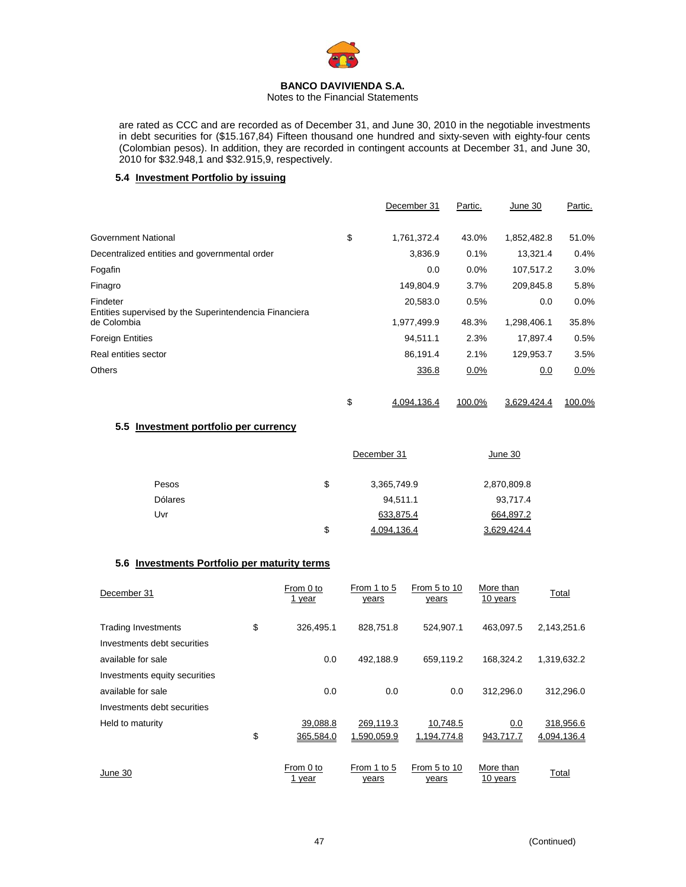

Notes to the Financial Statements

are rated as CCC and are recorded as of December 31, and June 30, 2010 in the negotiable investments in debt securities for (\$15.167,84) Fifteen thousand one hundred and sixty-seven with eighty-four cents (Colombian pesos). In addition, they are recorded in contingent accounts at December 31, and June 30, 2010 for \$32.948,1 and \$32.915,9, respectively.

### **5.4 Investment Portfolio by issuing**

|                                                                    | December 31       | Partic. | June 30     | Partic. |
|--------------------------------------------------------------------|-------------------|---------|-------------|---------|
| Government National                                                | \$<br>1,761,372.4 | 43.0%   | 1,852,482.8 | 51.0%   |
| Decentralized entities and governmental order                      | 3,836.9           | 0.1%    | 13,321.4    | 0.4%    |
| Fogafin                                                            | 0.0               | $0.0\%$ | 107,517.2   | 3.0%    |
| Finagro                                                            | 149,804.9         | 3.7%    | 209,845.8   | 5.8%    |
| Findeter<br>Entities supervised by the Superintendencia Financiera | 20,583.0          | 0.5%    | 0.0         | 0.0%    |
| de Colombia                                                        | 1,977,499.9       | 48.3%   | 1,298,406.1 | 35.8%   |
| <b>Foreign Entities</b>                                            | 94.511.1          | 2.3%    | 17.897.4    | 0.5%    |
| Real entities sector                                               | 86,191.4          | 2.1%    | 129,953.7   | 3.5%    |
| Others                                                             | 336.8             | 0.0%    | 0.0         | $0.0\%$ |
|                                                                    | \$<br>4,094,136.4 | 100.0%  | 3,629,424.4 | 100.0%  |

# **5.5 Investment portfolio per currency**

|                | December 31       | June 30     |  |
|----------------|-------------------|-------------|--|
| Pesos          | \$<br>3,365,749.9 | 2,870,809.8 |  |
| <b>Dólares</b> | 94,511.1          | 93,717.4    |  |
| Uvr            | 633,875.4         | 664,897.2   |  |
|                | \$<br>4.094.136.4 | 3.629.424.4 |  |

### **5.6 Investments Portfolio per maturity terms**

| December 31                   | From 0 to<br>1 year | From 1 to 5<br>years | From 5 to 10<br>years | More than<br>10 years | Total       |
|-------------------------------|---------------------|----------------------|-----------------------|-----------------------|-------------|
| <b>Trading Investments</b>    | \$<br>326,495.1     | 828,751.8            | 524,907.1             | 463.097.5             | 2,143,251.6 |
| Investments debt securities   |                     |                      |                       |                       |             |
| available for sale            | 0.0                 | 492,188.9            | 659,119.2             | 168.324.2             | 1,319,632.2 |
| Investments equity securities |                     |                      |                       |                       |             |
| available for sale            | 0.0                 | 0.0                  | 0.0                   | 312.296.0             | 312.296.0   |
| Investments debt securities   |                     |                      |                       |                       |             |
| Held to maturity              | 39,088.8            | 269,119.3            | 10,748.5              | 0.0                   | 318,956.6   |
|                               | \$<br>365,584.0     | 1,590,059.9          | 1,194,774.8           | 943,717.7             | 4,094,136.4 |
| June 30                       | From 0 to<br>1 year | From 1 to 5<br>years | From 5 to 10<br>years | More than<br>10 years | Total       |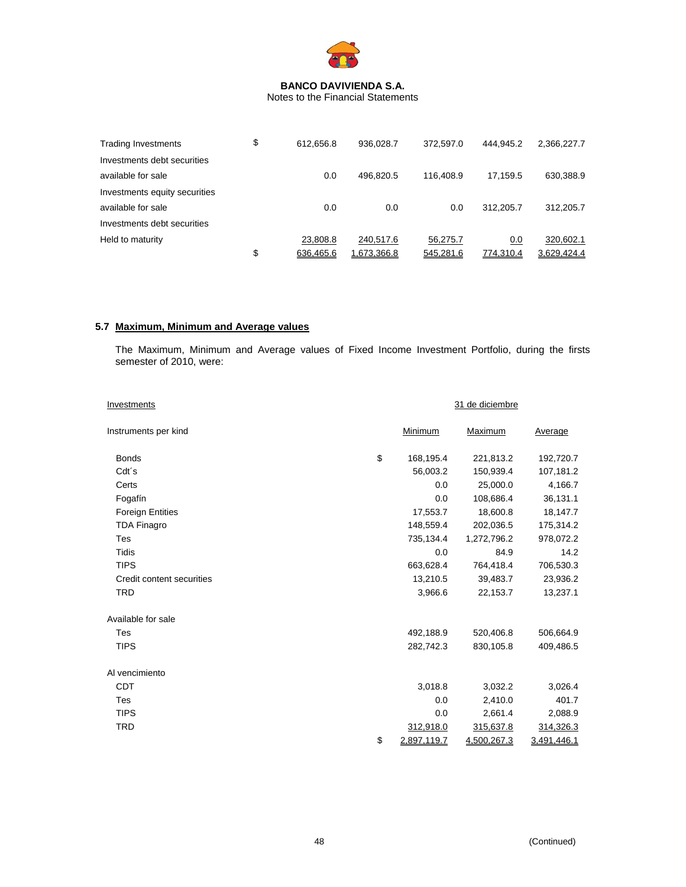

Notes to the Financial Statements

| Trading Investments           | \$<br>612.656.8 | 936.028.7   | 372.597.0 | 444.945.2 | 2,366,227.7 |
|-------------------------------|-----------------|-------------|-----------|-----------|-------------|
| Investments debt securities   |                 |             |           |           |             |
| available for sale            | 0.0             | 496.820.5   | 116.408.9 | 17.159.5  | 630,388.9   |
| Investments equity securities |                 |             |           |           |             |
| available for sale            | 0.0             | 0.0         | 0.0       | 312.205.7 | 312.205.7   |
| Investments debt securities   |                 |             |           |           |             |
| Held to maturity              | 23.808.8        | 240.517.6   | 56.275.7  | 0.0       | 320.602.1   |
|                               | \$<br>636.465.6 | 1.673.366.8 | 545.281.6 | 774.310.4 | 3.629.424.4 |

# **5.7 Maximum, Minimum and Average values**

The Maximum, Minimum and Average values of Fixed Income Investment Portfolio, during the firsts semester of 2010, were:

| Investments               |                   | 31 de diciembre |             |
|---------------------------|-------------------|-----------------|-------------|
| Instruments per kind      | Minimum           | Maximum         | Average     |
| <b>Bonds</b>              | \$<br>168,195.4   | 221,813.2       | 192,720.7   |
| Cdt <sup>'</sup> s        | 56,003.2          | 150,939.4       | 107,181.2   |
| Certs                     | 0.0               | 25,000.0        | 4,166.7     |
| Fogafín                   | 0.0               | 108,686.4       | 36,131.1    |
| <b>Foreign Entities</b>   | 17,553.7          | 18,600.8        | 18,147.7    |
| <b>TDA Finagro</b>        | 148,559.4         | 202,036.5       | 175,314.2   |
| Tes                       | 735,134.4         | 1,272,796.2     | 978,072.2   |
| <b>Tidis</b>              | 0.0               | 84.9            | 14.2        |
| <b>TIPS</b>               | 663,628.4         | 764,418.4       | 706,530.3   |
| Credit content securities | 13,210.5          | 39,483.7        | 23,936.2    |
| <b>TRD</b>                | 3,966.6           | 22,153.7        | 13,237.1    |
| Available for sale        |                   |                 |             |
| Tes                       | 492,188.9         | 520,406.8       | 506,664.9   |
| <b>TIPS</b>               | 282,742.3         | 830,105.8       | 409,486.5   |
| Al vencimiento            |                   |                 |             |
| <b>CDT</b>                | 3,018.8           | 3,032.2         | 3,026.4     |
| Tes                       | 0.0               | 2,410.0         | 401.7       |
| <b>TIPS</b>               | 0.0               | 2,661.4         | 2,088.9     |
| <b>TRD</b>                | 312,918.0         | 315,637.8       | 314,326.3   |
|                           | \$<br>2,897,119.7 | 4,500,267.3     | 3,491,446.1 |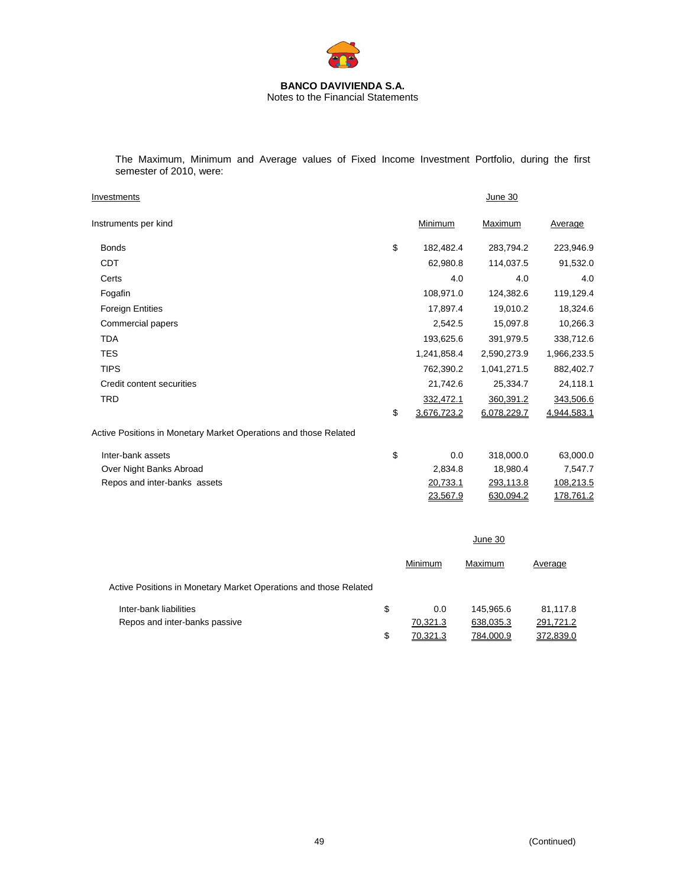

The Maximum, Minimum and Average values of Fixed Income Investment Portfolio, during the first semester of 2010, were:

| Investments                                                      |    |               | June 30     |             |
|------------------------------------------------------------------|----|---------------|-------------|-------------|
| Instruments per kind                                             |    | Minimum       | Maximum     | Average     |
| <b>Bonds</b>                                                     | \$ | 182,482.4     | 283,794.2   | 223,946.9   |
| CDT                                                              |    | 62,980.8      | 114,037.5   | 91,532.0    |
| Certs                                                            |    | 4.0           | 4.0         | 4.0         |
| Fogafin                                                          |    | 108,971.0     | 124,382.6   | 119,129.4   |
| <b>Foreign Entities</b>                                          |    | 17,897.4      | 19,010.2    | 18,324.6    |
| Commercial papers                                                |    | 2,542.5       | 15,097.8    | 10,266.3    |
| TDA                                                              |    | 193,625.6     | 391,979.5   | 338,712.6   |
| <b>TES</b>                                                       |    | 1,241,858.4   | 2,590,273.9 | 1,966,233.5 |
| <b>TIPS</b>                                                      |    | 762,390.2     | 1,041,271.5 | 882,402.7   |
| Credit content securities                                        |    | 21,742.6      | 25,334.7    | 24,118.1    |
| <b>TRD</b>                                                       |    | 332,472.1     | 360,391.2   | 343,506.6   |
|                                                                  | \$ | 3,676,723.2   | 6,078,229.7 | 4,944,583.1 |
| Active Positions in Monetary Market Operations and those Related |    |               |             |             |
| مغمممم باممط ممغما                                               | ←  | $\cap$ $\cap$ | 240.0000    | co ooo o    |

| Inter-bank assets            | 0.0      | 318,000.0 | 63.000.0  |
|------------------------------|----------|-----------|-----------|
| Over Night Banks Abroad      | 2.834.8  | 18.980.4  | 7.547.7   |
| Repos and inter-banks assets | 20.733.1 | 293.113.8 | 108.213.5 |
|                              | 23,567.9 | 630.094.2 | 178,761.2 |
|                              |          |           |           |

|                                                                  | June 30        |           |           |
|------------------------------------------------------------------|----------------|-----------|-----------|
|                                                                  | Minimum        | Maximum   | Average   |
| Active Positions in Monetary Market Operations and those Related |                |           |           |
| Inter-bank liabilities                                           | \$<br>0.0      | 145.965.6 | 81,117.8  |
| Repos and inter-banks passive                                    | 70,321.3       | 638,035.3 | 291,721.2 |
|                                                                  | \$<br>70.321.3 | 784.000.9 | 372,839.0 |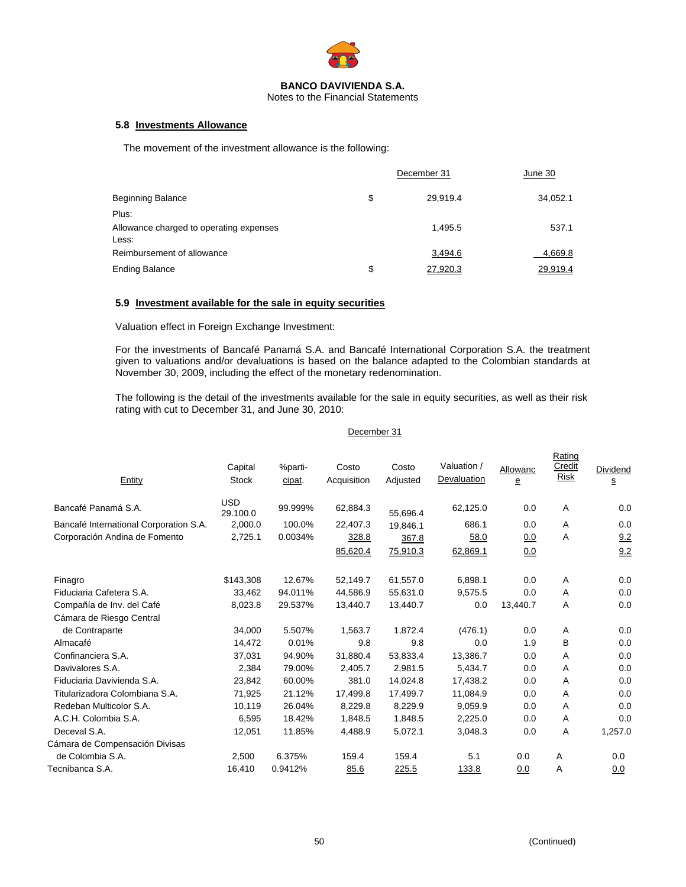

Notes to the Financial Statements

## **5.8 Investments Allowance**

The movement of the investment allowance is the following:

|                                                  | December 31    | June 30  |
|--------------------------------------------------|----------------|----------|
| <b>Beginning Balance</b>                         | \$<br>29.919.4 | 34,052.1 |
| Plus:                                            |                |          |
| Allowance charged to operating expenses<br>Less: | 1.495.5        | 537.1    |
| Reimbursement of allowance                       | 3,494.6        | 4,669.8  |
| <b>Ending Balance</b>                            | \$<br>27,920.3 | 29,919.4 |

### **5.9 Investment available for the sale in equity securities**

Valuation effect in Foreign Exchange Investment:

For the investments of Bancafé Panamá S.A. and Bancafé International Corporation S.A. the treatment given to valuations and/or devaluations is based on the balance adapted to the Colombian standards at November 30, 2009, including the effect of the monetary redenomination.

The following is the detail of the investments available for the sale in equity securities, as well as their risk rating with cut to December 31, and June 30, 2010:

|  | December 31 |
|--|-------------|
|--|-------------|

| Entity                                 | Capital<br><b>Stock</b> | %parti-<br>cipat. | Costo<br>Acquisition | Costo<br>Adjusted | Valuation /<br>Devaluation | Allowanc<br>$\mathbf{e}$ | Rating<br>Credit<br><b>Risk</b> | Dividend<br>S |
|----------------------------------------|-------------------------|-------------------|----------------------|-------------------|----------------------------|--------------------------|---------------------------------|---------------|
| Bancafé Panamá S.A.                    | <b>USD</b><br>29.100.0  | 99.999%           | 62,884.3             | 55,696.4          | 62,125.0                   | 0.0                      | Α                               | 0.0           |
| Bancafé International Corporation S.A. | 2.000.0                 | 100.0%            | 22,407.3             | 19.846.1          | 686.1                      | 0.0                      | A                               | 0.0           |
| Corporación Andina de Fomento          | 2,725.1                 | 0.0034%           | 328.8                | 367.8             | 58.0                       | <u>0.0</u>               | Α                               | 9.2           |
|                                        |                         |                   | 85,620.4             | 75,910.3          | 62,869.1                   | 0.0                      |                                 | 9.2           |
| Finagro                                | \$143,308               | 12.67%            | 52,149.7             | 61,557.0          | 6,898.1                    | 0.0                      | A                               | 0.0           |
| Fiduciaria Cafetera S.A.               | 33,462                  | 94.011%           | 44,586.9             | 55,631.0          | 9,575.5                    | 0.0                      | Α                               | 0.0           |
| Compañía de Inv. del Café              | 8,023.8                 | 29.537%           | 13,440.7             | 13,440.7          | 0.0                        | 13,440.7                 | Α                               | 0.0           |
| Cámara de Riesgo Central               |                         |                   |                      |                   |                            |                          |                                 |               |
| de Contraparte                         | 34,000                  | 5.507%            | 1,563.7              | 1,872.4           | (476.1)                    | 0.0                      | A                               | 0.0           |
| Almacafé                               | 14,472                  | 0.01%             | 9.8                  | 9.8               | 0.0                        | 1.9                      | B                               | 0.0           |
| Confinanciera S.A.                     | 37,031                  | 94.90%            | 31,880.4             | 53,833.4          | 13,386.7                   | 0.0                      | Α                               | 0.0           |
| Davivalores S.A.                       | 2,384                   | 79.00%            | 2,405.7              | 2,981.5           | 5,434.7                    | 0.0                      | Α                               | 0.0           |
| Fiduciaria Davivienda S.A.             | 23,842                  | 60.00%            | 381.0                | 14,024.8          | 17,438.2                   | 0.0                      | Α                               | 0.0           |
| Titularizadora Colombiana S.A.         | 71,925                  | 21.12%            | 17,499.8             | 17,499.7          | 11,084.9                   | 0.0                      | $\overline{A}$                  | 0.0           |
| Redeban Multicolor S.A.                | 10,119                  | 26.04%            | 8,229.8              | 8,229.9           | 9.059.9                    | 0.0                      | $\overline{A}$                  | 0.0           |
| A.C.H. Colombia S.A.                   | 6,595                   | 18.42%            | 1,848.5              | 1,848.5           | 2,225.0                    | 0.0                      | Α                               | 0.0           |
| Deceval S.A.                           | 12,051                  | 11.85%            | 4,488.9              | 5,072.1           | 3,048.3                    | 0.0                      | Α                               | 1,257.0       |
| Cámara de Compensación Divisas         |                         |                   |                      |                   |                            |                          |                                 |               |
| de Colombia S.A.                       | 2,500                   | 6.375%            | 159.4                | 159.4             | 5.1                        | 0.0                      | A                               | 0.0           |
| Tecnibanca S.A.                        | 16,410                  | 0.9412%           | 85.6                 | 225.5             | 133.8                      | 0.0                      | A                               | 0.0           |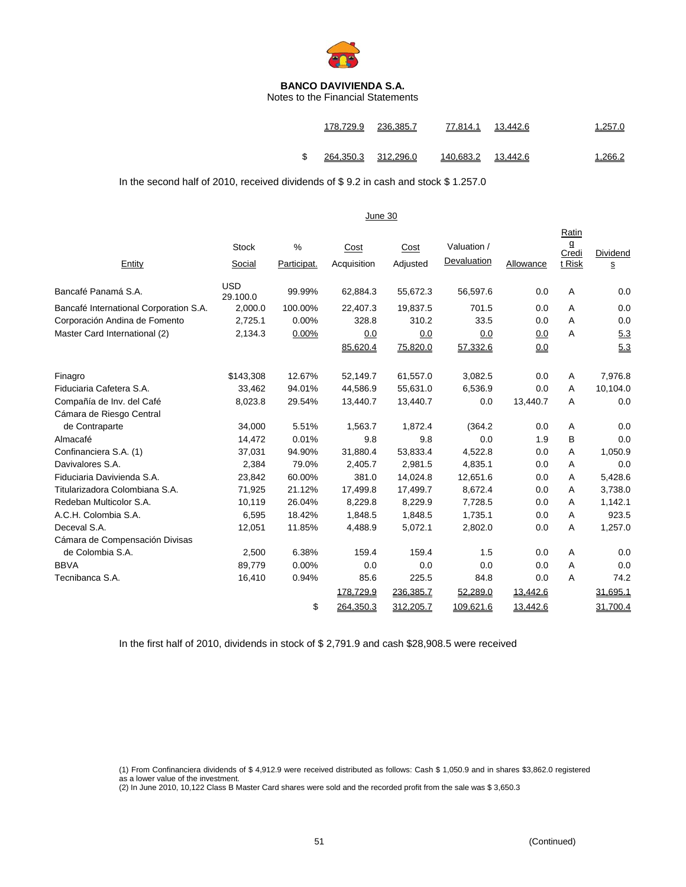

Notes to the Financial Statements

|   |                     | 178.729.9 236.385.7 | 77.814.1 13.442.6  | 1.257.0 |
|---|---------------------|---------------------|--------------------|---------|
| S | 264,350.3 312,296.0 |                     | 140,683.2 13,442.6 | 1,266.2 |

In the second half of 2010, received dividends of \$ 9.2 in cash and stock \$ 1.257.0

|                                        |                        |                  | June 30             |                  |                            |           |                               |                                      |
|----------------------------------------|------------------------|------------------|---------------------|------------------|----------------------------|-----------|-------------------------------|--------------------------------------|
| Entity                                 | <b>Stock</b><br>Social | %<br>Participat. | Cost<br>Acquisition | Cost<br>Adjusted | Valuation /<br>Devaluation | Allowance | Ratin<br>g<br>Credi<br>t Risk | Dividend<br>$\underline{\mathbf{S}}$ |
| Bancafé Panamá S.A.                    | <b>USD</b><br>29.100.0 | 99.99%           | 62,884.3            | 55,672.3         | 56,597.6                   | 0.0       | A                             | 0.0                                  |
| Bancafé International Corporation S.A. | 2,000.0                | 100.00%          | 22,407.3            | 19,837.5         | 701.5                      | 0.0       | A                             | 0.0                                  |
| Corporación Andina de Fomento          | 2,725.1                | 0.00%            | 328.8               | 310.2            | 33.5                       | 0.0       | A                             | 0.0                                  |
| Master Card International (2)          | 2,134.3                | 0.00%            | 0.0                 | 0.0              | 0.0                        | 0.0       | A                             | 5.3                                  |
|                                        |                        |                  | 85,620.4            | 75,820.0         | 57,332.6                   | 0.0       |                               | 5.3                                  |
| Finagro                                | \$143,308              | 12.67%           | 52,149.7            | 61,557.0         | 3,082.5                    | 0.0       | A                             | 7,976.8                              |
| Fiduciaria Cafetera S.A.               | 33,462                 | 94.01%           | 44,586.9            | 55,631.0         | 6,536.9                    | 0.0       | A                             | 10,104.0                             |
| Compañía de Inv. del Café              | 8,023.8                | 29.54%           | 13,440.7            | 13,440.7         | 0.0                        | 13,440.7  | A                             | 0.0                                  |
| Cámara de Riesgo Central               |                        |                  |                     |                  |                            |           |                               |                                      |
| de Contraparte                         | 34,000                 | 5.51%            | 1,563.7             | 1,872.4          | (364.2)                    | 0.0       | A                             | 0.0                                  |
| Almacafé                               | 14,472                 | 0.01%            | 9.8                 | 9.8              | 0.0                        | 1.9       | B                             | 0.0                                  |
| Confinanciera S.A. (1)                 | 37,031                 | 94.90%           | 31,880.4            | 53,833.4         | 4,522.8                    | 0.0       | Α                             | 1,050.9                              |
| Davivalores S.A.                       | 2,384                  | 79.0%            | 2,405.7             | 2,981.5          | 4,835.1                    | 0.0       | A                             | 0.0                                  |
| Fiduciaria Davivienda S.A.             | 23,842                 | 60.00%           | 381.0               | 14,024.8         | 12,651.6                   | 0.0       | A                             | 5,428.6                              |
| Titularizadora Colombiana S.A.         | 71,925                 | 21.12%           | 17,499.8            | 17,499.7         | 8,672.4                    | 0.0       | A                             | 3,738.0                              |
| Redeban Multicolor S.A.                | 10,119                 | 26.04%           | 8,229.8             | 8,229.9          | 7,728.5                    | 0.0       | A                             | 1,142.1                              |
| A.C.H. Colombia S.A.                   | 6,595                  | 18.42%           | 1,848.5             | 1,848.5          | 1,735.1                    | 0.0       | A                             | 923.5                                |
| Deceval S.A.                           | 12,051                 | 11.85%           | 4,488.9             | 5,072.1          | 2,802.0                    | 0.0       | A                             | 1,257.0                              |
| Cámara de Compensación Divisas         |                        |                  |                     |                  |                            |           |                               |                                      |
| de Colombia S.A.                       | 2,500                  | 6.38%            | 159.4               | 159.4            | 1.5                        | 0.0       | A                             | 0.0                                  |
| <b>BBVA</b>                            | 89,779                 | 0.00%            | 0.0                 | 0.0              | 0.0                        | 0.0       | A                             | 0.0                                  |
| Tecnibanca S.A.                        | 16,410                 | 0.94%            | 85.6                | 225.5            | 84.8                       | 0.0       | A                             | 74.2                                 |
|                                        |                        |                  | 178,729.9           | 236,385.7        | 52,289.0                   | 13,442.6  |                               | 31,695.1                             |
|                                        |                        | \$               | 264,350.3           | 312,205.7        | 109,621.6                  | 13,442.6  |                               | 31,700.4                             |

In the first half of 2010, dividends in stock of \$ 2,791.9 and cash \$28,908.5 were received

(1) From Confinanciera dividends of \$ 4,912.9 were received distributed as follows: Cash \$ 1,050.9 and in shares \$3,862.0 registered as a lower value of the investment.

(2) In June 2010, 10,122 Class B Master Card shares were sold and the recorded profit from the sale was \$ 3,650.3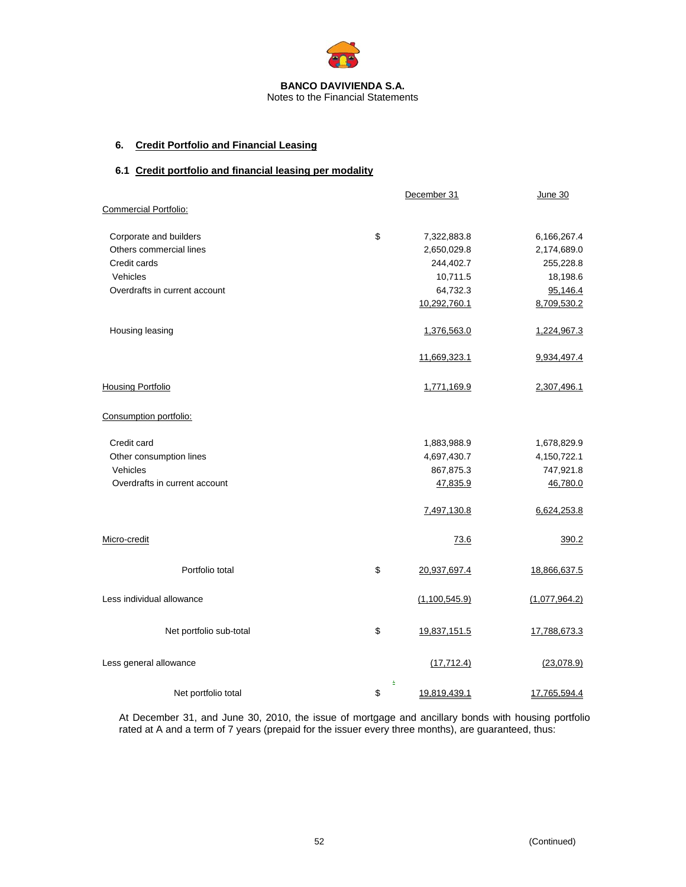

# **6. Credit Portfolio and Financial Leasing**

# **6.1 Credit portfolio and financial leasing per modality**

|                               | December 31             | <b>June 30</b> |
|-------------------------------|-------------------------|----------------|
| Commercial Portfolio:         |                         |                |
| Corporate and builders        | \$<br>7,322,883.8       | 6,166,267.4    |
| Others commercial lines       | 2,650,029.8             | 2,174,689.0    |
| Credit cards                  | 244,402.7               | 255,228.8      |
| Vehicles                      | 10,711.5                | 18,198.6       |
| Overdrafts in current account | 64,732.3                | 95,146.4       |
|                               | 10,292,760.1            | 8,709,530.2    |
| Housing leasing               | 1,376,563.0             | 1,224,967.3    |
|                               | 11,669,323.1            | 9,934,497.4    |
| <b>Housing Portfolio</b>      | 1,771,169.9             | 2,307,496.1    |
| Consumption portfolio:        |                         |                |
| Credit card                   | 1,883,988.9             | 1,678,829.9    |
| Other consumption lines       | 4,697,430.7             | 4,150,722.1    |
| Vehicles                      | 867,875.3               | 747,921.8      |
| Overdrafts in current account | 47,835.9                | 46,780.0       |
|                               | 7,497,130.8             | 6,624,253.8    |
| Micro-credit                  | 73.6                    | 390.2          |
| Portfolio total               | \$<br>20,937,697.4      | 18,866,637.5   |
| Less individual allowance     | (1,100,545.9)           | (1,077,964.2)  |
| Net portfolio sub-total       | \$<br>19,837,151.5      | 17,788,673.3   |
| Less general allowance        | (17, 712.4)             | (23,078.9)     |
| Net portfolio total           | \$<br>÷<br>19,819,439.1 | 17,765,594.4   |

At December 31, and June 30, 2010, the issue of mortgage and ancillary bonds with housing portfolio rated at A and a term of 7 years (prepaid for the issuer every three months), are guaranteed, thus: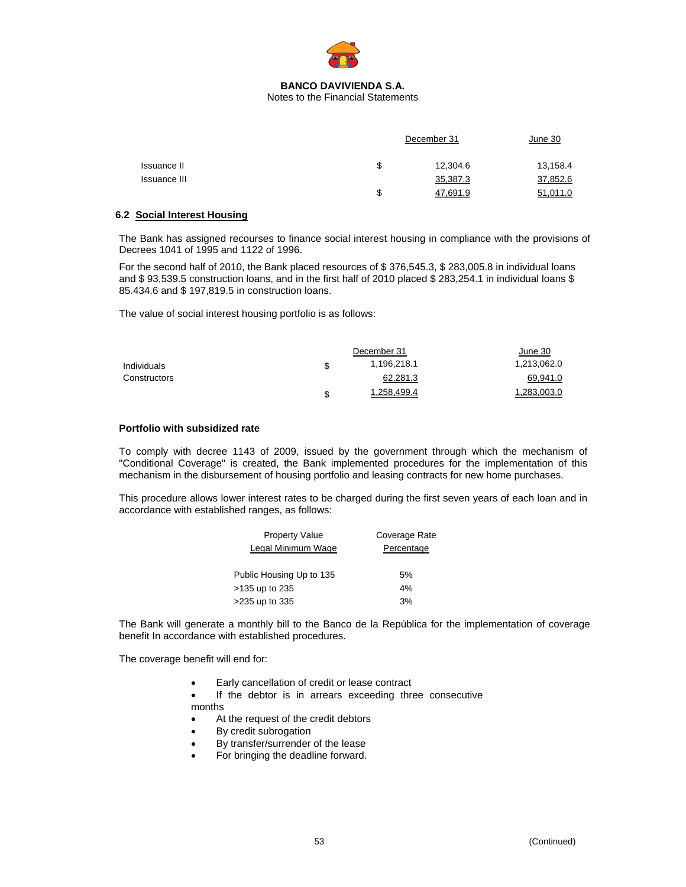

Notes to the Financial Statements

|              |    | December 31 | June 30  |
|--------------|----|-------------|----------|
| Issuance II  | \$ | 12,304.6    | 13,158.4 |
| Issuance III |    | 35,387.3    | 37,852.6 |
|              | S  | 47,691.9    | 51,011.0 |

### **6.2 Social Interest Housing**

The Bank has assigned recourses to finance social interest housing in compliance with the provisions of Decrees 1041 of 1995 and 1122 of 1996.

For the second half of 2010, the Bank placed resources of \$ 376,545.3, \$ 283,005.8 in individual loans and \$93,539.5 construction loans, and in the first half of 2010 placed \$283,254.1 in individual loans \$ 85.434.6 and \$ 197,819.5 in construction loans.

The value of social interest housing portfolio is as follows:

|              | December 31       | June 30     |
|--------------|-------------------|-------------|
| Individuals  | \$<br>1,196,218.1 | 1,213,062.0 |
| Constructors | 62,281.3          | 69,941.0    |
|              | \$<br>1.258.499.4 | 1.283.003.0 |

### **Portfolio with subsidized rate**

To comply with decree 1143 of 2009, issued by the government through which the mechanism of "Conditional Coverage" is created, the Bank implemented procedures for the implementation of this mechanism in the disbursement of housing portfolio and leasing contracts for new home purchases.

This procedure allows lower interest rates to be charged during the first seven years of each loan and in accordance with established ranges, as follows:

| <b>Property Value</b>    | Coverage Rate |
|--------------------------|---------------|
| Legal Minimum Wage       | Percentage    |
|                          |               |
| Public Housing Up to 135 | 5%            |
| >135 up to 235           | 4%            |
| >235 up to 335           | 3%            |

The Bank will generate a monthly bill to the Banco de la República for the implementation of coverage benefit In accordance with established procedures.

The coverage benefit will end for:

- Early cancellation of credit or lease contract
- If the debtor is in arrears exceeding three consecutive months
- At the request of the credit debtors
- By credit subrogation
- By transfer/surrender of the lease
- For bringing the deadline forward.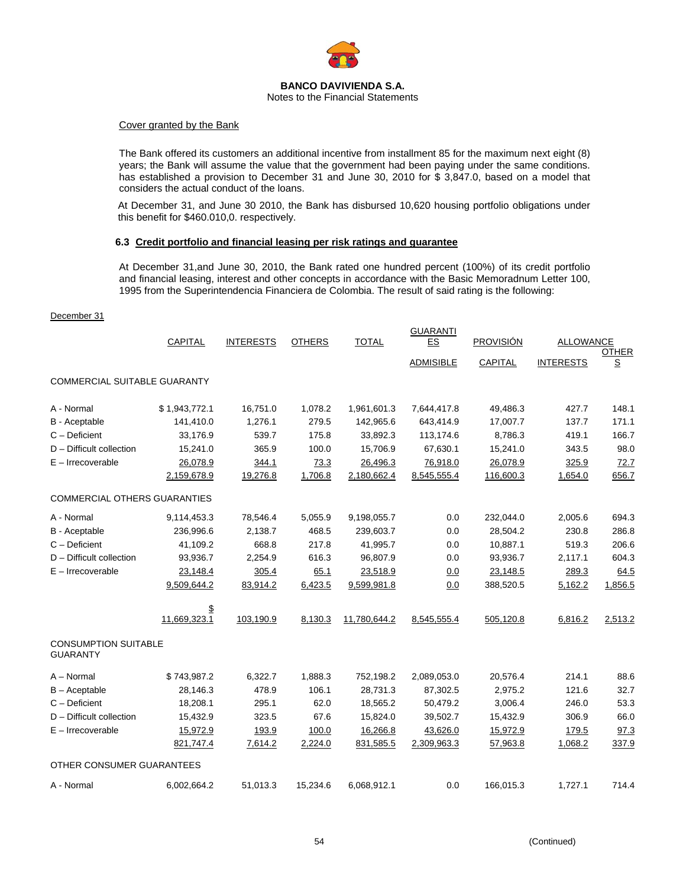

### Cover granted by the Bank

The Bank offered its customers an additional incentive from installment 85 for the maximum next eight (8) years; the Bank will assume the value that the government had been paying under the same conditions. has established a provision to December 31 and June 30, 2010 for \$ 3,847.0, based on a model that considers the actual conduct of the loans.

At December 31, and June 30 2010, the Bank has disbursed 10,620 housing portfolio obligations under this benefit for \$460.010,0. respectively.

### **6.3 Credit portfolio and financial leasing per risk ratings and guarantee**

At December 31,and June 30, 2010, the Bank rated one hundred percent (100%) of its credit portfolio and financial leasing, interest and other concepts in accordance with the Basic Memoradnum Letter 100, 1995 from the Superintendencia Financiera de Colombia. The result of said rating is the following:

#### December 31

|                                                | CAPITAL            | <b>INTERESTS</b> | <b>OTHERS</b> | <b>TOTAL</b> | <b>GUARANTI</b><br>ES<br><b>ADMISIBLE</b> | <b>PROVISIÓN</b><br><b>CAPITAL</b> | <b>ALLOWANCE</b><br><b>INTERESTS</b> | <b>OTHER</b><br>$\underline{\textbf{S}}$ |
|------------------------------------------------|--------------------|------------------|---------------|--------------|-------------------------------------------|------------------------------------|--------------------------------------|------------------------------------------|
| <b>COMMERCIAL SUITABLE GUARANTY</b>            |                    |                  |               |              |                                           |                                    |                                      |                                          |
| A - Normal                                     | \$1,943,772.1      | 16,751.0         | 1,078.2       | 1,961,601.3  | 7,644,417.8                               | 49,486.3                           | 427.7                                | 148.1                                    |
| B - Aceptable                                  | 141,410.0          | 1,276.1          | 279.5         | 142,965.6    | 643,414.9                                 | 17,007.7                           | 137.7                                | 171.1                                    |
| $C -$ Deficient                                | 33,176.9           | 539.7            | 175.8         | 33,892.3     | 113,174.6                                 | 8,786.3                            | 419.1                                | 166.7                                    |
| D - Difficult collection                       | 15,241.0           | 365.9            | 100.0         | 15,706.9     | 67,630.1                                  | 15,241.0                           | 343.5                                | 98.0                                     |
| $E - Irrecoverable$                            | 26,078.9           | 344.1            | 73.3          | 26,496.3     | 76,918.0                                  | 26,078.9                           | 325.9                                | 72.7                                     |
|                                                | 2,159,678.9        | 19,276.8         | 1,706.8       | 2,180,662.4  | 8,545,555.4                               | 116,600.3                          | 1,654.0                              | 656.7                                    |
| <b>COMMERCIAL OTHERS GUARANTIES</b>            |                    |                  |               |              |                                           |                                    |                                      |                                          |
| A - Normal                                     | 9,114,453.3        | 78,546.4         | 5,055.9       | 9,198,055.7  | 0.0                                       | 232,044.0                          | 2,005.6                              | 694.3                                    |
| B - Aceptable                                  | 236,996.6          | 2,138.7          | 468.5         | 239,603.7    | 0.0                                       | 28,504.2                           | 230.8                                | 286.8                                    |
| $C -$ Deficient                                | 41,109.2           | 668.8            | 217.8         | 41,995.7     | 0.0                                       | 10,887.1                           | 519.3                                | 206.6                                    |
| D - Difficult collection                       | 93,936.7           | 2,254.9          | 616.3         | 96,807.9     | 0.0                                       | 93,936.7                           | 2,117.1                              | 604.3                                    |
| $E -$ Irrecoverable                            | 23,148.4           | 305.4            | 65.1          | 23,518.9     | 0.0                                       | 23,148.5                           | 289.3                                | 64.5                                     |
|                                                | 9,509,644.2        | 83,914.2         | 6,423.5       | 9,599,981.8  | 0.0                                       | 388,520.5                          | 5,162.2                              | 1,856.5                                  |
|                                                | \$<br>11,669,323.1 | 103,190.9        | 8,130.3       | 11,780,644.2 | 8,545,555.4                               | 505,120.8                          | 6,816.2                              | 2,513.2                                  |
| <b>CONSUMPTION SUITABLE</b><br><b>GUARANTY</b> |                    |                  |               |              |                                           |                                    |                                      |                                          |
| A - Normal                                     | \$743,987.2        | 6,322.7          | 1,888.3       | 752,198.2    | 2,089,053.0                               | 20,576.4                           | 214.1                                | 88.6                                     |
| $B -$ Aceptable                                | 28,146.3           | 478.9            | 106.1         | 28,731.3     | 87,302.5                                  | 2,975.2                            | 121.6                                | 32.7                                     |
| C - Deficient                                  | 18,208.1           | 295.1            | 62.0          | 18,565.2     | 50,479.2                                  | 3,006.4                            | 246.0                                | 53.3                                     |
| D - Difficult collection                       | 15,432.9           | 323.5            | 67.6          | 15,824.0     | 39,502.7                                  | 15,432.9                           | 306.9                                | 66.0                                     |
| $E - Irrecoverable$                            | 15,972.9           | 193.9            | 100.0         | 16,266.8     | 43,626.0                                  | 15,972.9                           | 179.5                                | 97.3                                     |
|                                                | 821,747.4          | 7,614.2          | 2,224.0       | 831,585.5    | 2,309,963.3                               | 57,963.8                           | 1,068.2                              | 337.9                                    |
| OTHER CONSUMER GUARANTEES                      |                    |                  |               |              |                                           |                                    |                                      |                                          |
| A - Normal                                     | 6,002,664.2        | 51,013.3         | 15,234.6      | 6,068,912.1  | 0.0                                       | 166,015.3                          | 1,727.1                              | 714.4                                    |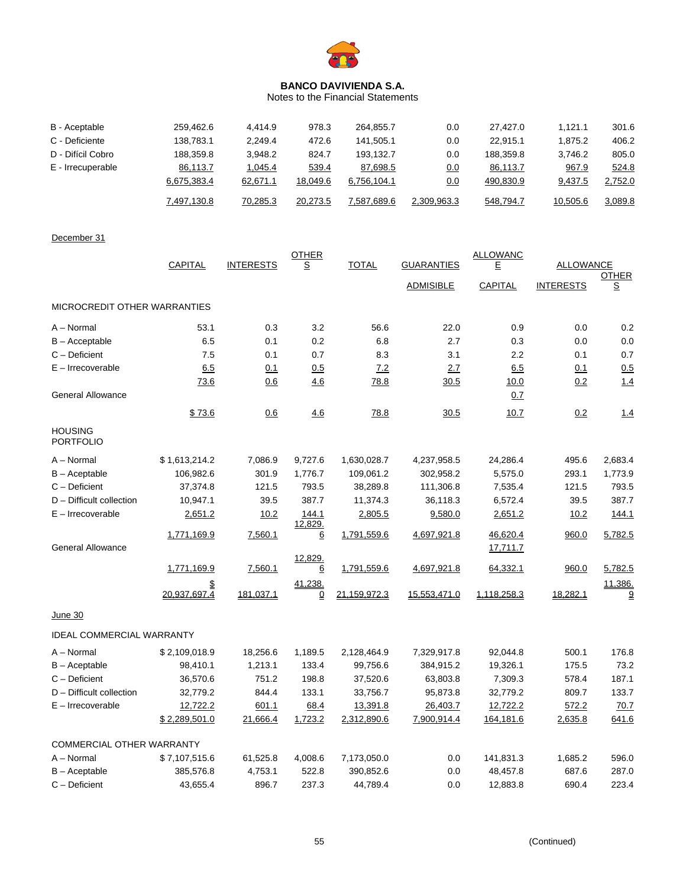

Notes to the Financial Statements

| B - Aceptable     | 259,462.6   | 4.414.9  | 978.3    | 264.855.7   | 0.0         | 27.427.0  | 1.121.1  | 301.6   |
|-------------------|-------------|----------|----------|-------------|-------------|-----------|----------|---------|
| C - Deficiente    | 138.783.1   | 2.249.4  | 472.6    | 141.505.1   | 0.0         | 22.915.1  | 1.875.2  | 406.2   |
| D - Difícil Cobro | 188,359.8   | 3.948.2  | 824.7    | 193.132.7   | 0.0         | 188.359.8 | 3.746.2  | 805.0   |
| E - Irrecuperable | 86,113.7    | 1,045.4  | 539.4    | 87,698.5    | 0.0         | 86,113.7  | 967.9    | 524.8   |
|                   | 6,675,383.4 | 62,671.1 | 18,049.6 | 6,756,104.1 | 0.0         | 490,830.9 | 9,437.5  | 2,752.0 |
|                   | 7,497,130.8 | 70,285.3 | 20,273.5 | 7,587,689.6 | 2,309,963.3 | 548,794.7 | 10,505.6 | 3,089.8 |

# December 31

|                                    | <b>CAPITAL</b>     | <b>INTERESTS</b> | <b>OTHER</b><br><u>s</u> | <b>TOTAL</b> | <b>GUARANTIES</b> | <b>ALLOWANC</b><br>E | <b>ALLOWANCE</b> |                                  |
|------------------------------------|--------------------|------------------|--------------------------|--------------|-------------------|----------------------|------------------|----------------------------------|
|                                    |                    |                  |                          |              | <b>ADMISIBLE</b>  | CAPITAL              | <b>INTERESTS</b> | <b>OTHER</b><br>S                |
| MICROCREDIT OTHER WARRANTIES       |                    |                  |                          |              |                   |                      |                  |                                  |
| A - Normal                         | 53.1               | 0.3              | 3.2                      | 56.6         | 22.0              | 0.9                  | 0.0              | 0.2                              |
| $B -$ Acceptable                   | 6.5                | 0.1              | 0.2                      | 6.8          | 2.7               | 0.3                  | 0.0              | 0.0                              |
| C - Deficient                      | 7.5                | 0.1              | 0.7                      | 8.3          | 3.1               | 2.2                  | 0.1              | 0.7                              |
| $E -$ Irrecoverable                | 6.5                | 0.1              | 0.5                      | 7.2          | 2.7               | 6.5                  | 0.1              | 0.5                              |
|                                    | 73.6               | 0.6              | 4.6                      | 78.8         | 30.5              | 10.0                 | 0.2              | 1.4                              |
| <b>General Allowance</b>           |                    |                  |                          |              |                   | 0.7                  |                  |                                  |
|                                    | \$73.6             | 0.6              | 4.6                      | 78.8         | 30.5              | 10.7                 | 0.2              | 1.4                              |
| <b>HOUSING</b><br><b>PORTFOLIO</b> |                    |                  |                          |              |                   |                      |                  |                                  |
| A - Normal                         | \$1,613,214.2      | 7,086.9          | 9,727.6                  | 1,630,028.7  | 4,237,958.5       | 24,286.4             | 495.6            | 2,683.4                          |
| B - Aceptable                      | 106,982.6          | 301.9            | 1,776.7                  | 109,061.2    | 302,958.2         | 5,575.0              | 293.1            | 1,773.9                          |
| C - Deficient                      | 37,374.8           | 121.5            | 793.5                    | 38,289.8     | 111,306.8         | 7,535.4              | 121.5            | 793.5                            |
| D - Difficult collection           | 10,947.1           | 39.5             | 387.7                    | 11,374.3     | 36,118.3          | 6,572.4              | 39.5             | 387.7                            |
| $E -$ Irrecoverable                | 2,651.2            | 10.2             | 144.1<br>12,829.         | 2,805.5      | 9,580.0           | 2,651.2              | 10.2             | 144.1                            |
|                                    | 1,771,169.9        | 7,560.1          | <u>6</u>                 | 1,791,559.6  | 4,697,921.8       | 46,620.4             | 960.0            | 5,782.5                          |
| <b>General Allowance</b>           |                    |                  |                          |              |                   | 17,711.7             |                  |                                  |
|                                    | 1,771,169.9        | 7,560.1          | 12,829.<br><u>6</u>      | 1,791,559.6  | 4,697,921.8       | 64,332.1             | 960.0            | 5,782.5                          |
|                                    | \$<br>20,937,697.4 | 181,037.1        | 41,238.<br><u>0</u>      | 21,159,972.3 | 15,553,471.0      | 1,118,258.3          | 18,282.1         | 11,386.<br>$\overline{\partial}$ |
| June 30                            |                    |                  |                          |              |                   |                      |                  |                                  |
| <b>IDEAL COMMERCIAL WARRANTY</b>   |                    |                  |                          |              |                   |                      |                  |                                  |
| A - Normal                         | \$2,109,018.9      | 18,256.6         | 1,189.5                  | 2,128,464.9  | 7,329,917.8       | 92,044.8             | 500.1            | 176.8                            |
| B - Aceptable                      | 98,410.1           | 1,213.1          | 133.4                    | 99,756.6     | 384,915.2         | 19,326.1             | 175.5            | 73.2                             |
| C - Deficient                      | 36,570.6           | 751.2            | 198.8                    | 37,520.6     | 63,803.8          | 7,309.3              | 578.4            | 187.1                            |
| D - Difficult collection           | 32,779.2           | 844.4            | 133.1                    | 33,756.7     | 95,873.8          | 32,779.2             | 809.7            | 133.7                            |
| $E -$ Irrecoverable                | 12,722.2           | 601.1            | 68.4                     | 13,391.8     | 26,403.7          | 12,722.2             | 572.2            | 70.7                             |
|                                    | \$2,289,501.0      | 21,666.4         | 1,723.2                  | 2,312,890.6  | 7,900,914.4       | 164,181.6            | 2,635.8          | 641.6                            |
| COMMERCIAL OTHER WARRANTY          |                    |                  |                          |              |                   |                      |                  |                                  |
| A - Normal                         | \$7,107,515.6      | 61,525.8         | 4,008.6                  | 7,173,050.0  | 0.0               | 141,831.3            | 1,685.2          | 596.0                            |
| $B -$ Aceptable                    | 385,576.8          | 4,753.1          | 522.8                    | 390,852.6    | 0.0               | 48,457.8             | 687.6            | 287.0                            |
| C - Deficient                      | 43,655.4           | 896.7            | 237.3                    | 44,789.4     | 0.0               | 12,883.8             | 690.4            | 223.4                            |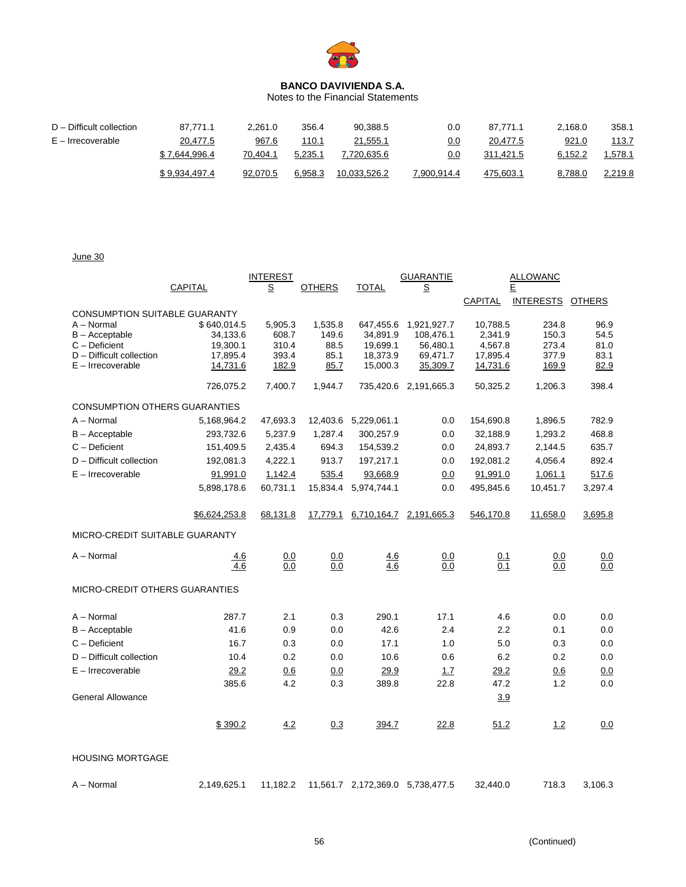

Notes to the Financial Statements

| D - Difficult collection | 87.771.1      | 2.261.0  | 356.4   | 90,388.5     | 0.0         | 87.771.1  | 2.168.0 | 358.1         |
|--------------------------|---------------|----------|---------|--------------|-------------|-----------|---------|---------------|
| E – Irrecoverable        | 20,477.5      | 967.6    | 110.1   | 21,555.1     | 0.0         | 20,477.5  | 921.0   | <u> 113.7</u> |
|                          | \$7.644.996.4 | 70.404.1 | 5.235.1 | 7.720.635.6  | 0.0         | 311.421.5 | 6.152.2 | .578.1        |
|                          | \$9,934,497.4 | 92.070.5 | 6.958.3 | 10.033.526.2 | 7,900,914.4 | 475,603.1 | 8,788.0 | 2,219.8       |

June 30

|                                             |                      | <b>INTEREST</b> |               |                      | <b>GUARANTIE</b>         | <b>ALLOWANC</b>     |                  |               |  |
|---------------------------------------------|----------------------|-----------------|---------------|----------------------|--------------------------|---------------------|------------------|---------------|--|
|                                             | CAPITAL              | $\overline{S}$  | <b>OTHERS</b> | TOTAL                | $\underline{\mathsf{S}}$ |                     | Ε                |               |  |
|                                             |                      |                 |               |                      |                          | <b>CAPITAL</b>      | <b>INTERESTS</b> | <b>OTHERS</b> |  |
| <b>CONSUMPTION SUITABLE GUARANTY</b>        |                      |                 |               |                      |                          |                     |                  |               |  |
| A - Normal                                  | \$640,014.5          | 5,905.3         | 1,535.8       | 647,455.6            | 1,921,927.7              | 10,788.5            | 234.8            | 96.9          |  |
| B - Acceptable                              | 34,133.6             | 608.7           | 149.6         | 34,891.9             | 108,476.1                | 2,341.9             | 150.3            | 54.5          |  |
| $C -$ Deficient<br>D - Difficult collection | 19,300.1<br>17,895.4 | 310.4<br>393.4  | 88.5<br>85.1  | 19,699.1<br>18,373.9 | 56,480.1<br>69,471.7     | 4,567.8<br>17,895.4 | 273.4<br>377.9   | 81.0<br>83.1  |  |
| E - Irrecoverable                           | 14,731.6             | 182.9           | 85.7          | 15,000.3             | 35,309.7                 | 14,731.6            | 169.9            | 82.9          |  |
|                                             | 726,075.2            | 7,400.7         | 1,944.7       |                      | 735,420.6 2,191,665.3    | 50,325.2            | 1,206.3          | 398.4         |  |
| <b>CONSUMPTION OTHERS GUARANTIES</b>        |                      |                 |               |                      |                          |                     |                  |               |  |
| A - Normal                                  | 5,168,964.2          | 47,693.3        |               | 12,403.6 5,229,061.1 | 0.0                      | 154,690.8           | 1,896.5          | 782.9         |  |
| $B -$ Acceptable                            | 293,732.6            | 5,237.9         | 1,287.4       | 300,257.9            | 0.0                      | 32,188.9            | 1,293.2          | 468.8         |  |
| $C -$ Deficient                             | 151,409.5            | 2,435.4         | 694.3         | 154,539.2            | 0.0                      | 24,893.7            | 2,144.5          | 635.7         |  |
| D - Difficult collection                    | 192,081.3            | 4,222.1         | 913.7         | 197,217.1            | 0.0                      | 192,081.2           | 4,056.4          | 892.4         |  |
| $E -$ Irrecoverable                         | 91,991.0             | 1,142.4         | 535.4         | 93,668.9             | 0.0                      | 91,991.0            | 1,061.1          | 517.6         |  |
|                                             | 5,898,178.6          | 60,731.1        | 15,834.4      | 5,974,744.1          | 0.0                      | 495,845.6           | 10,451.7         | 3,297.4       |  |
|                                             |                      |                 |               |                      |                          |                     |                  |               |  |
|                                             | \$6,624,253.8        | 68,131.8        | 17,779.1      | <u>6,710,164.7</u>   | 2,191,665.3              | 546,170.8           | 11,658.0         | 3,695.8       |  |
| MICRO-CREDIT SUITABLE GUARANTY              |                      |                 |               |                      |                          |                     |                  |               |  |
| A - Normal                                  | 4.6                  | 0.0             | 0.0           | 4.6                  | 0.0                      | 0.1                 | 0.0              | 0.0           |  |
|                                             | 4.6                  | 0.0             | 0.0           | 4.6                  | 0.0                      | 0.1                 | 0.0              | 0.0           |  |
| <b>MICRO-CREDIT OTHERS GUARANTIES</b>       |                      |                 |               |                      |                          |                     |                  |               |  |
| A - Normal                                  | 287.7                | 2.1             | 0.3           | 290.1                | 17.1                     | 4.6                 | 0.0              | 0.0           |  |
| $B -$ Acceptable                            | 41.6                 | 0.9             | 0.0           | 42.6                 | 2.4                      | 2.2                 | 0.1              | 0.0           |  |
| $C -$ Deficient                             | 16.7                 | 0.3             | 0.0           | 17.1                 | 1.0                      | 5.0                 | 0.3              | 0.0           |  |
| D - Difficult collection                    | 10.4                 | 0.2             | 0.0           | 10.6                 | 0.6                      | 6.2                 | 0.2              | 0.0           |  |
| $E -$ Irrecoverable                         | 29.2                 | 0.6             | 0.0           | 29.9                 | 1.7                      | 29.2                | 0.6              | 0.0           |  |
|                                             | 385.6                | 4.2             | 0.3           | 389.8                | 22.8                     | 47.2                | 1.2              | 0.0           |  |
| <b>General Allowance</b>                    |                      |                 |               |                      |                          | 3.9                 |                  |               |  |
|                                             |                      |                 |               |                      |                          |                     |                  |               |  |
|                                             | \$390.2              | 4.2             | 0.3           | 394.7                | 22.8                     | 51.2                | 1.2              | 0.0           |  |
| <b>HOUSING MORTGAGE</b>                     |                      |                 |               |                      |                          |                     |                  |               |  |
| A - Normal                                  | 2,149,625.1          | 11,182.2        |               | 11,561.7 2,172,369.0 | 5,738,477.5              | 32,440.0            | 718.3            | 3,106.3       |  |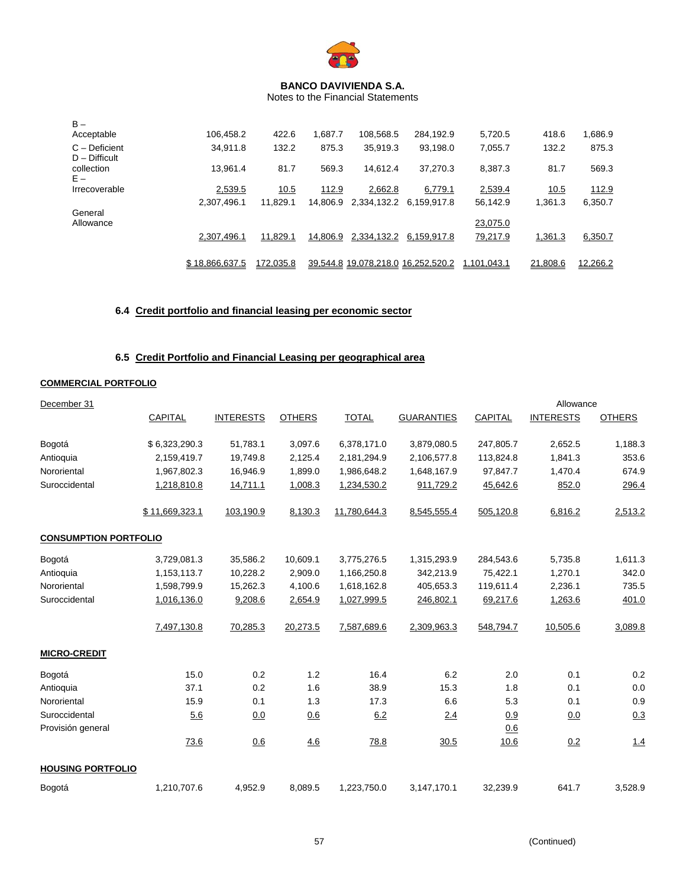

Notes to the Financial Statements

| $B -$                            |                |           |          |                                    |             |             |          |          |
|----------------------------------|----------------|-----------|----------|------------------------------------|-------------|-------------|----------|----------|
| Acceptable                       | 106.458.2      | 422.6     | 1.687.7  | 108,568.5                          | 284,192.9   | 5,720.5     | 418.6    | 1,686.9  |
| C - Deficient<br>$D - Difficult$ | 34.911.8       | 132.2     | 875.3    | 35,919.3                           | 93,198.0    | 7,055.7     | 132.2    | 875.3    |
| collection<br>$E -$              | 13.961.4       | 81.7      | 569.3    | 14.612.4                           | 37,270.3    | 8.387.3     | 81.7     | 569.3    |
| Irrecoverable                    | 2,539.5        | 10.5      | 112.9    | 2,662.8                            | 6,779.1     | 2,539.4     | 10.5     | 112.9    |
|                                  | 2.307.496.1    | 11.829.1  | 14.806.9 | 2,334,132.2                        | 6.159.917.8 | 56.142.9    | 1,361.3  | 6,350.7  |
| General<br>Allowance             |                |           |          |                                    |             | 23,075.0    |          |          |
|                                  | 2.307.496.1    | 11,829.1  | 14.806.9 | 2.334.132.2                        | 6.159.917.8 | 79,217.9    | 1,361.3  | 6,350.7  |
|                                  | \$18.866.637.5 | 172.035.8 |          | 39.544.8 19.078.218.0 16.252.520.2 |             | 1.101.043.1 | 21.808.6 | 12.266.2 |

# **6.4 Credit portfolio and financial leasing per economic sector**

# **6.5 Credit Portfolio and Financial Leasing per geographical area**

# **COMMERCIAL PORTFOLIO**

| December 31                  |                |                  |               |              |                   |                | Allowance        |               |
|------------------------------|----------------|------------------|---------------|--------------|-------------------|----------------|------------------|---------------|
|                              | <b>CAPITAL</b> | <b>INTERESTS</b> | <b>OTHERS</b> | <b>TOTAL</b> | <b>GUARANTIES</b> | <b>CAPITAL</b> | <b>INTERESTS</b> | <b>OTHERS</b> |
| Bogotá                       | \$6,323,290.3  | 51,783.1         | 3,097.6       | 6,378,171.0  | 3,879,080.5       | 247,805.7      | 2,652.5          | 1,188.3       |
| Antioquia                    | 2,159,419.7    | 19,749.8         | 2,125.4       | 2,181,294.9  | 2,106,577.8       | 113,824.8      | 1,841.3          | 353.6         |
| Nororiental                  | 1,967,802.3    | 16,946.9         | 1,899.0       | 1,986,648.2  | 1,648,167.9       | 97,847.7       | 1,470.4          | 674.9         |
| Suroccidental                | 1,218,810.8    | 14,711.1         | 1,008.3       | 1,234,530.2  | 911,729.2         | 45,642.6       | 852.0            | 296.4         |
|                              | \$11,669,323.1 | 103,190.9        | 8,130.3       | 11,780,644.3 | 8,545,555.4       | 505,120.8      | 6,816.2          | 2,513.2       |
| <b>CONSUMPTION PORTFOLIO</b> |                |                  |               |              |                   |                |                  |               |
| Bogotá                       | 3,729,081.3    | 35,586.2         | 10,609.1      | 3,775,276.5  | 1,315,293.9       | 284,543.6      | 5,735.8          | 1,611.3       |
| Antioquia                    | 1,153,113.7    | 10,228.2         | 2,909.0       | 1,166,250.8  | 342,213.9         | 75,422.1       | 1,270.1          | 342.0         |
| Nororiental                  | 1,598,799.9    | 15,262.3         | 4,100.6       | 1,618,162.8  | 405,653.3         | 119,611.4      | 2,236.1          | 735.5         |
| Suroccidental                | 1,016,136.0    | 9,208.6          | 2,654.9       | 1,027,999.5  | 246,802.1         | 69,217.6       | 1,263.6          | 401.0         |
|                              | 7,497,130.8    | 70,285.3         | 20,273.5      | 7,587,689.6  | 2,309,963.3       | 548,794.7      | 10,505.6         | 3,089.8       |
| <b>MICRO-CREDIT</b>          |                |                  |               |              |                   |                |                  |               |
| Bogotá                       | 15.0           | 0.2              | 1.2           | 16.4         | 6.2               | 2.0            | 0.1              | 0.2           |
| Antioquia                    | 37.1           | 0.2              | 1.6           | 38.9         | 15.3              | 1.8            | 0.1              | 0.0           |
| Nororiental                  | 15.9           | 0.1              | 1.3           | 17.3         | 6.6               | 5.3            | 0.1              | 0.9           |
| Suroccidental                | 5.6            | 0.0              | 0.6           | 6.2          | 2.4               | 0.9            | 0.0              | 0.3           |
| Provisión general            |                |                  |               |              |                   | 0.6            |                  |               |
|                              | 73.6           | 0.6              | 4.6           | 78.8         | 30.5              | 10.6           | 0.2              | 1.4           |
| <b>HOUSING PORTFOLIO</b>     |                |                  |               |              |                   |                |                  |               |
| Bogotá                       | 1,210,707.6    | 4,952.9          | 8,089.5       | 1,223,750.0  | 3,147,170.1       | 32,239.9       | 641.7            | 3,528.9       |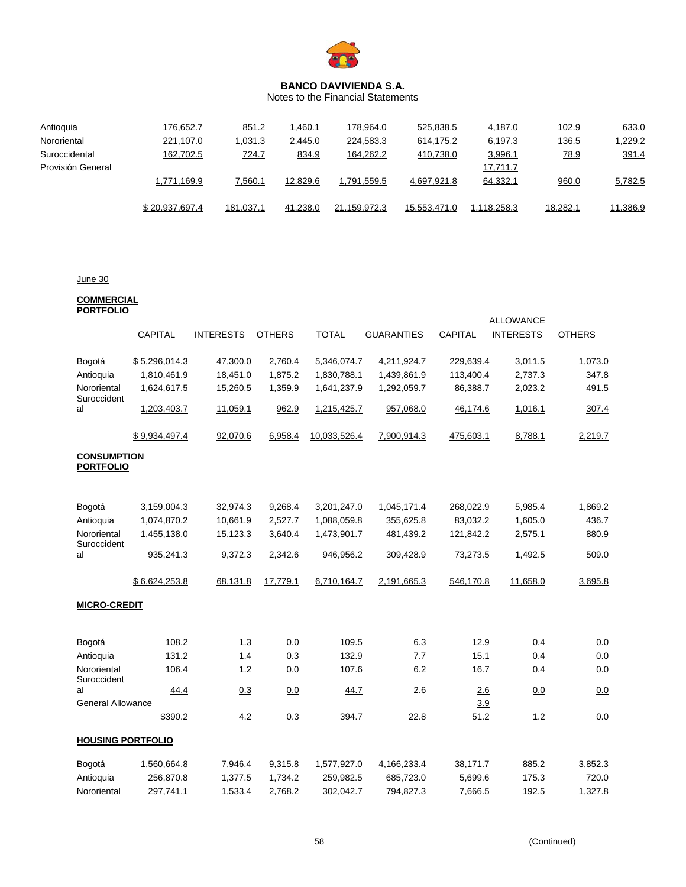

Notes to the Financial Statements

| Antioquia         | 176.652.7      | 851.2        | 1.460.1  | 178.964.0    | 525.838.5    | 4.187.0     | 102.9       | 633.0    |
|-------------------|----------------|--------------|----------|--------------|--------------|-------------|-------------|----------|
| Nororiental       | 221,107.0      | 1,031.3      | 2,445.0  | 224,583.3    | 614.175.2    | 6,197.3     | 136.5       | 1,229.2  |
| Suroccidental     | 162,702.5      | <u>724.7</u> | 834.9    | 164,262.2    | 410,738.0    | 3,996.1     | <u>78.9</u> | 391.4    |
| Provisión General |                |              |          |              |              | 17,711.7    |             |          |
|                   | 1,771,169.9    | 7,560.1      | 12,829.6 | 1,791,559.5  | 4,697,921.8  | 64,332.1    | 960.0       | 5,782.5  |
|                   |                |              |          |              |              |             |             |          |
|                   | \$20.937.697.4 | 181.037.1    | 41.238.0 | 21.159.972.3 | 15.553.471.0 | 1.118.258.3 | 18,282.1    | 11,386.9 |

# June 30

#### **COMMERCIAL PORTFOLIO**

|                            |                |                  |               |              |                   |                | <b>ALLOWANCE</b> |               |
|----------------------------|----------------|------------------|---------------|--------------|-------------------|----------------|------------------|---------------|
|                            | <b>CAPITAL</b> | <b>INTERESTS</b> | <b>OTHERS</b> | <b>TOTAL</b> | <b>GUARANTIES</b> | <b>CAPITAL</b> | <b>INTERESTS</b> | <b>OTHERS</b> |
|                            |                |                  |               |              |                   |                |                  |               |
| Bogotá                     | \$5,296,014.3  | 47,300.0         | 2,760.4       | 5,346,074.7  | 4,211,924.7       | 229,639.4      | 3,011.5          | 1,073.0       |
| Antioquia                  | 1,810,461.9    | 18,451.0         | 1,875.2       | 1,830,788.1  | 1,439,861.9       | 113,400.4      | 2,737.3          | 347.8         |
| Nororiental                | 1,624,617.5    | 15,260.5         | 1,359.9       | 1,641,237.9  | 1,292,059.7       | 86,388.7       | 2,023.2          | 491.5         |
| Suroccident                |                |                  |               |              |                   |                |                  |               |
| al                         | 1,203,403.7    | 11,059.1         | 962.9         | 1,215,425.7  | 957,068.0         | 46,174.6       | 1,016.1          | 307.4         |
|                            |                |                  |               |              |                   |                |                  |               |
|                            | \$9,934,497.4  | 92,070.6         | 6,958.4       | 10,033,526.4 | 7,900,914.3       | 475,603.1      | 8,788.1          | 2,219.7       |
| <b>CONSUMPTION</b>         |                |                  |               |              |                   |                |                  |               |
| <b>PORTFOLIO</b>           |                |                  |               |              |                   |                |                  |               |
|                            |                |                  |               |              |                   |                |                  |               |
|                            |                |                  |               |              |                   |                |                  |               |
| Bogotá                     | 3,159,004.3    | 32,974.3         | 9,268.4       | 3,201,247.0  | 1,045,171.4       | 268,022.9      | 5,985.4          | 1,869.2       |
| Antioquia                  | 1,074,870.2    | 10,661.9         | 2,527.7       | 1,088,059.8  | 355,625.8         | 83,032.2       | 1,605.0          | 436.7         |
| Nororiental                | 1,455,138.0    | 15,123.3         | 3,640.4       | 1,473,901.7  | 481,439.2         | 121,842.2      | 2,575.1          | 880.9         |
| Suroccident<br>al          | 935,241.3      | 9,372.3          | 2,342.6       | 946,956.2    | 309,428.9         | 73,273.5       | 1,492.5          | 509.0         |
|                            |                |                  |               |              |                   |                |                  |               |
|                            | \$6,624,253.8  | 68,131.8         | 17,779.1      | 6,710,164.7  | 2,191,665.3       | 546,170.8      | 11,658.0         | 3,695.8       |
|                            |                |                  |               |              |                   |                |                  |               |
| <b>MICRO-CREDIT</b>        |                |                  |               |              |                   |                |                  |               |
|                            |                |                  |               |              |                   |                |                  |               |
|                            |                |                  |               |              |                   |                |                  |               |
| Bogotá                     | 108.2          | 1.3              | 0.0           | 109.5        | 6.3               | 12.9           | 0.4              | 0.0           |
| Antioquia                  | 131.2          | 1.4              | 0.3           | 132.9        | 7.7               | 15.1           | 0.4              | 0.0           |
| Nororiental<br>Suroccident | 106.4          | 1.2              | 0.0           | 107.6        | 6.2               | 16.7           | 0.4              | 0.0           |
| al                         | 44.4           | 0.3              | 0.0           | 44.7         | 2.6               | 2.6            | 0.0              | 0.0           |
| <b>General Allowance</b>   |                |                  |               |              |                   | 3.9            |                  |               |
|                            | \$390.2        | 4.2              | 0.3           | 394.7        | 22.8              | 51.2           | 1.2              | 0.0           |
|                            |                |                  |               |              |                   |                |                  |               |
| <b>HOUSING PORTFOLIO</b>   |                |                  |               |              |                   |                |                  |               |
|                            | 1,560,664.8    | 7,946.4          | 9,315.8       | 1,577,927.0  | 4,166,233.4       | 38,171.7       | 885.2            | 3,852.3       |
| Bogotá<br>Antioquia        | 256,870.8      | 1,377.5          | 1,734.2       | 259,982.5    | 685,723.0         | 5,699.6        | 175.3            | 720.0         |
|                            |                |                  |               |              |                   |                |                  |               |
| Nororiental                | 297,741.1      | 1,533.4          | 2,768.2       | 302,042.7    | 794,827.3         | 7,666.5        | 192.5            | 1,327.8       |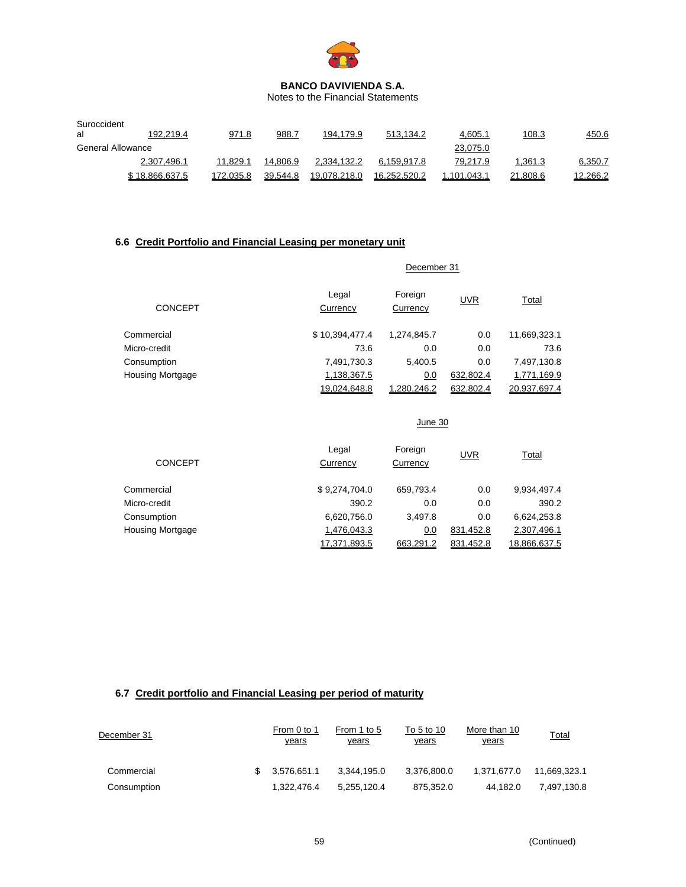

Notes to the Financial Statements

| Suroccident       |                |           |          |              |              |             |          |          |
|-------------------|----------------|-----------|----------|--------------|--------------|-------------|----------|----------|
| al                | 192.219.4      | 971.8     | 988.7    | 194.179.9    | 513.134.2    | 4,605.1     | 108.3    | 450.6    |
| General Allowance |                |           |          |              |              | 23,075.0    |          |          |
|                   | 2,307,496.1    | 11.829.1  | 14.806.9 | 2,334,132.2  | 6.159.917.8  | 79,217.9    | 1.361.3  | 6,350.7  |
|                   | \$18.866.637.5 | 172.035.8 | 39.544.8 | 19.078.218.0 | 16.252.520.2 | 1.101.043.1 | 21.808.6 | 12,266.2 |

# **6.6 Credit Portfolio and Financial Leasing per monetary unit**

|                         |                     | December 31         |            |              |  |  |  |  |  |
|-------------------------|---------------------|---------------------|------------|--------------|--|--|--|--|--|
| <b>CONCEPT</b>          | Legal<br>Currency   | Foreign<br>Currency | <b>UVR</b> | <b>Total</b> |  |  |  |  |  |
| Commercial              | \$10,394,477.4      | 1,274,845.7         | 0.0        | 11,669,323.1 |  |  |  |  |  |
| Micro-credit            | 73.6                | 0.0                 | 0.0        | 73.6         |  |  |  |  |  |
| Consumption             | 7,491,730.3         | 5,400.5             | 0.0        | 7,497,130.8  |  |  |  |  |  |
| <b>Housing Mortgage</b> | 1,138,367.5         | 0.0                 | 632,802.4  | 1,771,169.9  |  |  |  |  |  |
|                         | <u>19.024.648.8</u> | .280.246.2          | 632.802.4  | 20.937.697.4 |  |  |  |  |  |

|                         |                   | June 30             |            |              |
|-------------------------|-------------------|---------------------|------------|--------------|
| CONCEPT                 | Legal<br>Currency | Foreign<br>Currency | <b>UVR</b> | Total        |
| Commercial              | \$9,274,704.0     | 659,793.4           | 0.0        | 9,934,497.4  |
| Micro-credit            | 390.2             | 0.0                 | 0.0        | 390.2        |
| Consumption             | 6,620,756.0       | 3,497.8             | 0.0        | 6,624,253.8  |
| <b>Housing Mortgage</b> | 1,476,043.3       | 0.0                 | 831,452.8  | 2,307,496.1  |
|                         | 17.371.893.5      | 663.291.2           | 831.452.8  | 18.866.637.5 |

# **6.7 Credit portfolio and Financial Leasing per period of maturity**

| December 31 | From 0 to 1<br><u>years</u> | From 1 to 5<br>years | To 5 to 10<br><u>years</u> | More than 10<br><u>years</u> | Total        |
|-------------|-----------------------------|----------------------|----------------------------|------------------------------|--------------|
| Commercial  | 3.576.651.1                 | 3.344.195.0          | 3.376.800.0                | 1.371.677.0                  | 11.669.323.1 |
| Consumption | 1.322.476.4                 | 5.255.120.4          | 875,352.0                  | 44.182.0                     | 7.497.130.8  |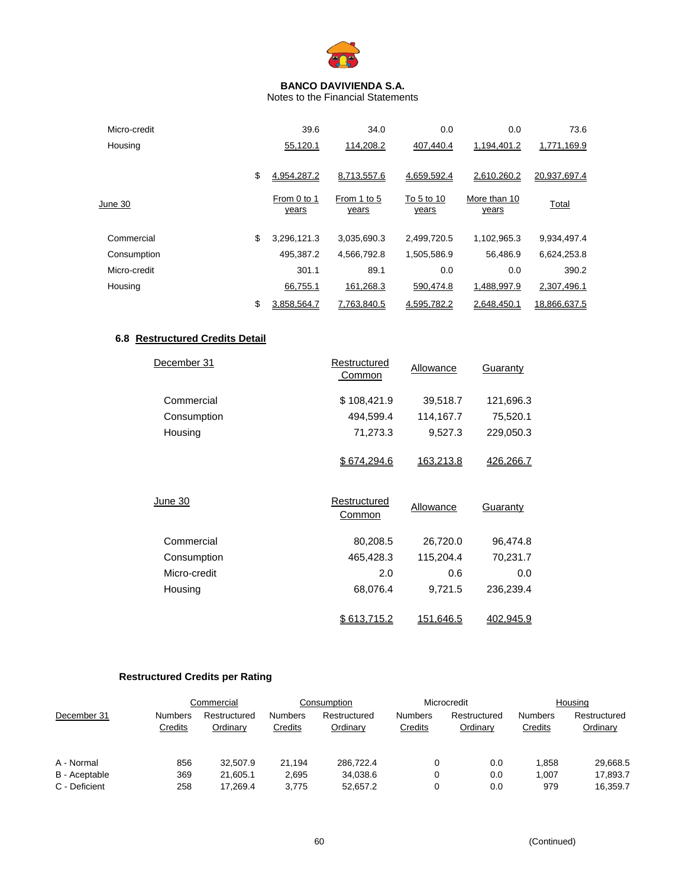

Notes to the Financial Statements

| Micro-credit | 39.6                 | 34.0                 | 0.0                 | 0.0                   | 73.6         |
|--------------|----------------------|----------------------|---------------------|-----------------------|--------------|
| Housing      | 55,120.1             | 114,208.2            | 407,440.4           | 1,194,401.2           | 1,771,169.9  |
|              | \$<br>4.954.287.2    | 8.713.557.6          | 4,659,592.4         | 2.610.260.2           | 20.937.697.4 |
| June 30      | From 0 to 1<br>years | From 1 to 5<br>years | To 5 to 10<br>years | More than 10<br>years | Total        |
| Commercial   | \$<br>3,296,121.3    | 3,035,690.3          | 2,499,720.5         | 1,102,965.3           | 9,934,497.4  |
| Consumption  | 495,387.2            | 4,566,792.8          | 1,505,586.9         | 56,486.9              | 6,624,253.8  |
| Micro-credit | 301.1                | 89.1                 | 0.0                 | 0.0                   | 390.2        |
| Housing      | 66,755.1             | 161,268.3            | 590,474.8           | 1,488,997.9           | 2,307,496.1  |
|              | \$<br>3.858.564.7    | 7.763.840.5          | 4.595.782.2         | 2.648.450.1           | 18.866.637.5 |

# **6.8 Restructured Credits Detail**

| December 31    | Restructured<br><b>Common</b> | Allowance        | Guaranty  |
|----------------|-------------------------------|------------------|-----------|
| Commercial     | \$108,421.9                   | 39,518.7         | 121,696.3 |
| Consumption    | 494,599.4                     | 114,167.7        | 75,520.1  |
| Housing        | 71,273.3                      | 9,527.3          | 229,050.3 |
|                | \$674,294.6                   | 163,213.8        | 426.266.7 |
| <b>June 30</b> | Restructured<br>Common        | Allowance        | Guaranty  |
| Commercial     | 80,208.5                      | 26,720.0         | 96,474.8  |
| Consumption    | 465,428.3                     | 115,204.4        | 70,231.7  |
| Micro-credit   | 2.0                           | 0.6              | 0.0       |
| Housing        | 68,076.4                      | 9,721.5          | 236,239.4 |
|                | <u>\$613.715.2</u>            | <u>151.646.5</u> | 402.945.9 |

# **Restructured Credits per Rating**

|               |                           | Commercial               |                           | Consumption              |                           | Microcredit              |                           | Housing                  |
|---------------|---------------------------|--------------------------|---------------------------|--------------------------|---------------------------|--------------------------|---------------------------|--------------------------|
| December 31   | <b>Numbers</b><br>Credits | Restructured<br>Ordinary | <b>Numbers</b><br>Credits | Restructured<br>Ordinary | <b>Numbers</b><br>Credits | Restructured<br>Ordinary | <b>Numbers</b><br>Credits | Restructured<br>Ordinary |
| A - Normal    | 856                       | 32.507.9                 | 21.194                    | 286.722.4                |                           | 0.0                      | 1.858                     | 29,668.5                 |
| B - Aceptable | 369                       | 21.605.1                 | 2.695                     | 34.038.6                 |                           | 0.0                      | 1.007                     | 17.893.7                 |
| C - Deficient | 258                       | 17.269.4                 | 3.775                     | 52.657.2                 |                           | 0.0                      | 979                       | 16,359.7                 |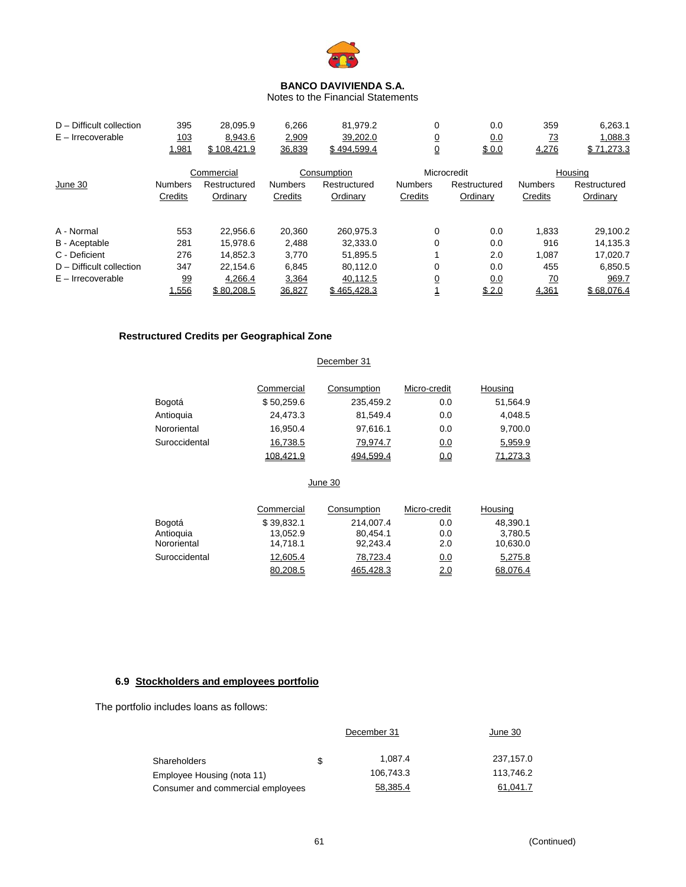

Notes to the Financial Statements

| $D -$ Difficult collection<br>$E -$ Irrecoverable | 395<br>103<br>1,981 | 28.095.9<br>8,943.6<br>\$108.421.9 | 6,266<br>2,909<br>36,839 | 81,979.2<br>39,202.0<br>\$494.599.4 | 0<br><u>0</u><br>₫ | 0.0<br>0.0<br>\$0.0 | 359<br><u>73</u><br>4,276 | 6,263.1<br>1,088.3<br>\$71,273.3 |
|---------------------------------------------------|---------------------|------------------------------------|--------------------------|-------------------------------------|--------------------|---------------------|---------------------------|----------------------------------|
|                                                   |                     | Commercial                         |                          | Consumption                         |                    | Microcredit         |                           | Housing                          |
| June 30                                           | <b>Numbers</b>      | Restructured                       | <b>Numbers</b>           | Restructured                        | <b>Numbers</b>     | Restructured        | <b>Numbers</b>            | Restructured                     |
|                                                   | Credits             | Ordinary                           | Credits                  | Ordinary                            | Credits            | Ordinary            | Credits                   | Ordinary                         |
| A - Normal                                        | 553                 | 22,956.6                           | 20,360                   | 260.975.3                           | $\mathbf 0$        | 0.0                 | 1.833                     | 29,100.2                         |
| B - Aceptable                                     | 281                 | 15,978.6                           | 2,488                    | 32,333.0                            | 0                  | 0.0                 | 916                       | 14,135.3                         |
| C - Deficient                                     | 276                 | 14.852.3                           | 3,770                    | 51,895.5                            |                    | 2.0                 | 1.087                     | 17,020.7                         |
| $D$ – Difficult collection                        | 347                 | 22.154.6                           | 6,845                    | 80.112.0                            | 0                  | 0.0                 | 455                       | 6,850.5                          |
| $E -$ Irrecoverable                               | 99                  | 4,266.4                            | 3,364                    | 40,112.5                            | <u>0</u>           | 0.0                 | 70                        | 969.7                            |
|                                                   | 1.556               | \$80.208.5                         | 36.827                   | \$465.428.3                         |                    | \$2.0               | 4,361                     | \$68.076.4                       |

# **Restructured Credits per Geographical Zone**

#### December 31

|               | Commercial | Consumption | Micro-credit | Housing  |
|---------------|------------|-------------|--------------|----------|
| Bogotá        | \$50,259.6 | 235,459.2   | 0.0          | 51,564.9 |
| Antioquia     | 24.473.3   | 81.549.4    | 0.0          | 4,048.5  |
| Nororiental   | 16,950.4   | 97,616.1    | 0.0          | 9,700.0  |
| Suroccidental | 16,738.5   | 79,974.7    | <u>0.0</u>   | 5,959.9  |
|               | 108.421.9  | 494.599.4   | 0.0          | 71.273.3 |

# June 30

|               | Commercial | Consumption | Micro-credit | Housing  |
|---------------|------------|-------------|--------------|----------|
| Bogotá        | \$39.832.1 | 214.007.4   | 0.0          | 48,390.1 |
| Antioquia     | 13,052.9   | 80,454.1    | 0.0          | 3,780.5  |
| Nororiental   | 14,718.1   | 92.243.4    | 2.0          | 10,630.0 |
| Suroccidental | 12,605.4   | 78,723.4    | <u>0.0</u>   | 5,275.8  |
|               | 80.208.5   | 465.428.3   | 2.0          | 68.076.4 |

# **6.9 Stockholders and employees portfolio**

The portfolio includes loans as follows:

|                                   |     | December 31 | June 30   |
|-----------------------------------|-----|-------------|-----------|
| <b>Shareholders</b>               | \$. | 1.087.4     | 237.157.0 |
| Employee Housing (nota 11)        |     | 106,743.3   | 113,746.2 |
| Consumer and commercial employees |     | 58,385.4    | 61.041.7  |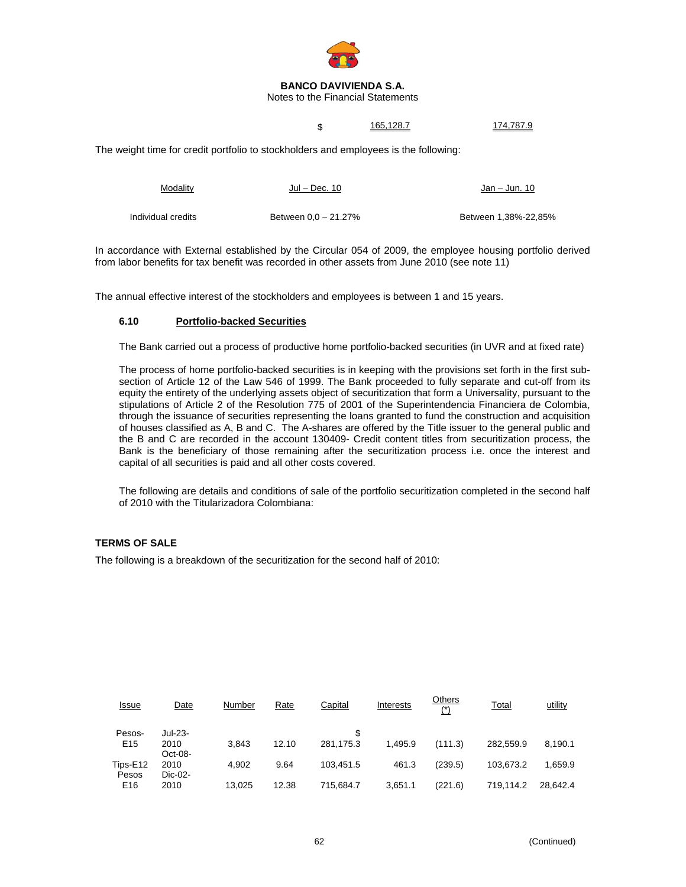

Notes to the Financial Statements

\$ 165,128.7 174,787.9

The weight time for credit portfolio to stockholders and employees is the following:

| Modality           | Jul – Dec. 10        | Jan – Jun. 10        |
|--------------------|----------------------|----------------------|
| Individual credits | Between 0.0 - 21.27% | Between 1.38%-22.85% |

In accordance with External established by the Circular 054 of 2009, the employee housing portfolio derived from labor benefits for tax benefit was recorded in other assets from June 2010 (see note 11)

The annual effective interest of the stockholders and employees is between 1 and 15 years.

### **6.10 Portfolio-backed Securities**

The Bank carried out a process of productive home portfolio-backed securities (in UVR and at fixed rate)

The process of home portfolio-backed securities is in keeping with the provisions set forth in the first subsection of Article 12 of the Law 546 of 1999. The Bank proceeded to fully separate and cut-off from its equity the entirety of the underlying assets object of securitization that form a Universality, pursuant to the stipulations of Article 2 of the Resolution 775 of 2001 of the Superintendencia Financiera de Colombia, through the issuance of securities representing the loans granted to fund the construction and acquisition of houses classified as A, B and C. The A-shares are offered by the Title issuer to the general public and the B and C are recorded in the account 130409- Credit content titles from securitization process, the Bank is the beneficiary of those remaining after the securitization process i.e. once the interest and capital of all securities is paid and all other costs covered.

The following are details and conditions of sale of the portfolio securitization completed in the second half of 2010 with the Titularizadora Colombiana:

## **TERMS OF SALE**

The following is a breakdown of the securitization for the second half of 2010:

| <u>Issue</u>      | Date            | Number | <b>Rate</b> | Capital   | Interests | Others<br>$(*)$ | <b>Total</b> | utility  |
|-------------------|-----------------|--------|-------------|-----------|-----------|-----------------|--------------|----------|
| Pesos-            | Jul-23-         |        |             | \$        |           |                 |              |          |
| E <sub>15</sub>   | 2010<br>Oct-08- | 3.843  | 12.10       | 281.175.3 | 1.495.9   | (111.3)         | 282.559.9    | 8.190.1  |
| Tips-E12<br>Pesos | 2010<br>Dic-02- | 4.902  | 9.64        | 103.451.5 | 461.3     | (239.5)         | 103.673.2    | 1,659.9  |
| E <sub>16</sub>   | 2010            | 13.025 | 12.38       | 715,684.7 | 3,651.1   | (221.6)         | 719.114.2    | 28.642.4 |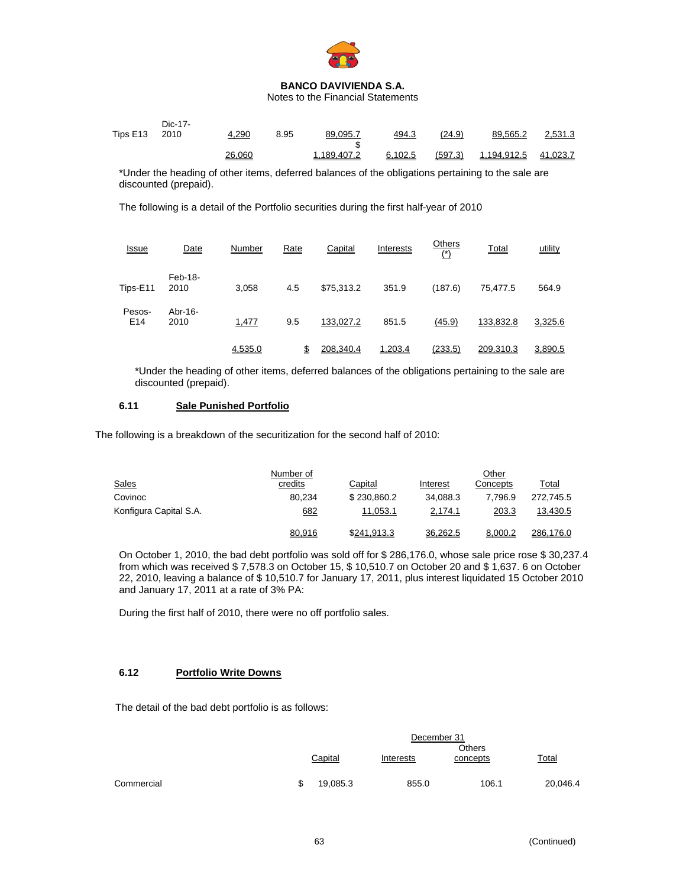

Notes to the Financial Statements

| Tips E13 2010 | Dic-17- | 4,290  | 8.95 | 89,095.7    | 494.3   | (24.9)  | 89,565.2           | 2,531.3  |
|---------------|---------|--------|------|-------------|---------|---------|--------------------|----------|
|               |         | 26,060 |      | 1.189.407.2 | 6.102.5 | (597.3) | <u>1.194.912.5</u> | 41.023.7 |

\*Under the heading of other items, deferred balances of the obligations pertaining to the sale are discounted (prepaid).

The following is a detail of the Portfolio securities during the first half-year of 2010

| <u>Issue</u>              | Date            | Number  | Rate | Capital    | Interests | Others<br>$(*)$ | <b>Total</b> | utility |
|---------------------------|-----------------|---------|------|------------|-----------|-----------------|--------------|---------|
| Tips-E11                  | Feb-18-<br>2010 | 3,058   | 4.5  | \$75,313.2 | 351.9     | (187.6)         | 75,477.5     | 564.9   |
| Pesos-<br>E <sub>14</sub> | Abr-16-<br>2010 | 1,477   | 9.5  | 133,027.2  | 851.5     | (45.9)          | 133,832.8    | 3,325.6 |
|                           |                 | 4,535.0 | \$   | 208.340.4  | 1.203.4   | (233.5)         | 209.310.3    | 3,890.5 |

\*Under the heading of other items, deferred balances of the obligations pertaining to the sale are discounted (prepaid).

# **6.11 Sale Punished Portfolio**

The following is a breakdown of the securitization for the second half of 2010:

|                        | Number of |             |          | Other    |           |
|------------------------|-----------|-------------|----------|----------|-----------|
| <b>Sales</b>           | credits   | Capital     | Interest | Concepts | Total     |
| Covinoc                | 80.234    | \$230,860.2 | 34.088.3 | 7.796.9  | 272.745.5 |
| Konfigura Capital S.A. | 682       | 11,053.1    | 2,174.1  | 203.3    | 13,430.5  |
|                        | 80,916    | \$241.913.3 | 36.262.5 | 8.000.2  | 286.176.0 |

On October 1, 2010, the bad debt portfolio was sold off for \$ 286,176.0, whose sale price rose \$ 30,237.4 from which was received \$ 7,578.3 on October 15, \$ 10,510.7 on October 20 and \$ 1,637. 6 on October 22, 2010, leaving a balance of \$ 10,510.7 for January 17, 2011, plus interest liquidated 15 October 2010 and January 17, 2011 at a rate of 3% PA:

During the first half of 2010, there were no off portfolio sales.

# **6.12 Portfolio Write Downs**

The detail of the bad debt portfolio is as follows:

|            | December 31<br><b>Others</b> |          |           |          |          |  |  |
|------------|------------------------------|----------|-----------|----------|----------|--|--|
|            |                              | Capital  | Interests | concepts | Total    |  |  |
| Commercial |                              | 19,085.3 | 855.0     | 106.1    | 20,046.4 |  |  |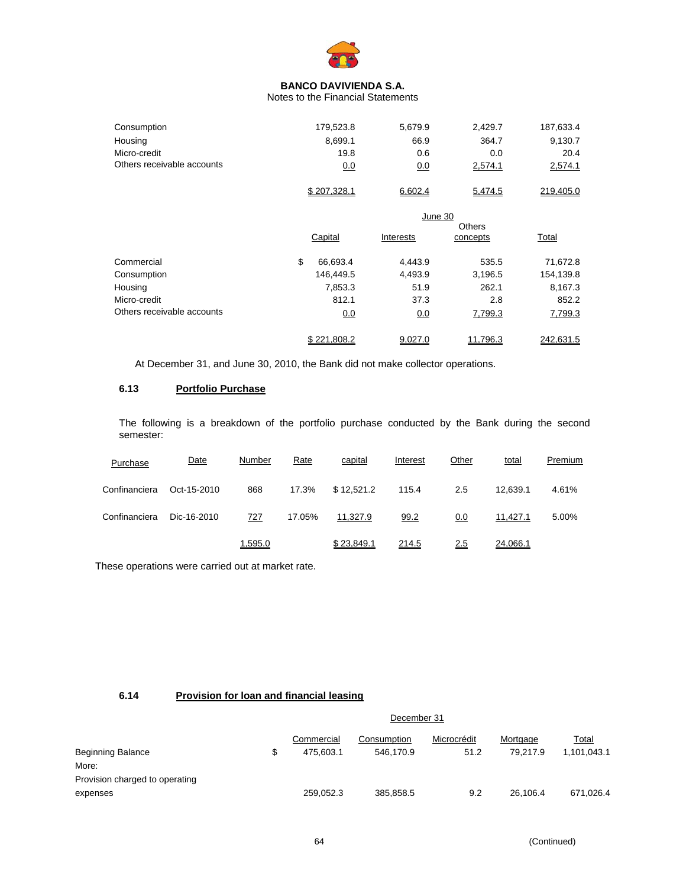

Notes to the Financial Statements

| Consumption                | 179,523.8   | 5.679.9  | 2.429.7 | 187,633.4 |
|----------------------------|-------------|----------|---------|-----------|
| Housing                    | 8.699.1     | 66.9     | 364.7   | 9,130.7   |
| Micro-credit               | 19.8        | 0.6      | 0.0     | 20.4      |
| Others receivable accounts | 0.0         | $_{0.0}$ | 2,574.1 | 2,574.1   |
|                            | \$207.328.1 | 6,602.4  | 5,474.5 | 219.405.0 |

|                            | June 30<br>Others |             |           |          |              |  |
|----------------------------|-------------------|-------------|-----------|----------|--------------|--|
|                            |                   | Capital     | Interests | concepts | <b>Total</b> |  |
| Commercial                 | \$                | 66,693.4    | 4,443.9   | 535.5    | 71,672.8     |  |
| Consumption                |                   | 146,449.5   | 4,493.9   | 3,196.5  | 154,139.8    |  |
| Housing                    |                   | 7,853.3     | 51.9      | 262.1    | 8,167.3      |  |
| Micro-credit               |                   | 812.1       | 37.3      | 2.8      | 852.2        |  |
| Others receivable accounts |                   | 0.0         | 0.0       | 7,799.3  | 7,799.3      |  |
|                            |                   | \$221.808.2 | 9.027.0   | 11.796.3 | 242.631.5    |  |

At December 31, and June 30, 2010, the Bank did not make collector operations.

# **6.13 Portfolio Purchase**

The following is a breakdown of the portfolio purchase conducted by the Bank during the second semester:

| Purchase      | Date        | Number  | Rate   | capital    | Interest | Other | total    | Premium |
|---------------|-------------|---------|--------|------------|----------|-------|----------|---------|
| Confinanciera | Oct-15-2010 | 868     | 17.3%  | \$12,521.2 | 115.4    | 2.5   | 12.639.1 | 4.61%   |
| Confinanciera | Dic-16-2010 | 727     | 17.05% | 11.327.9   | 99.2     | 0.0   | 11,427.1 | 5.00%   |
|               |             | 1.595.0 |        | \$23.849.1 | 214.5    | 2.5   | 24.066.1 |         |

These operations were carried out at market rate.

# **6.14 Provision for loan and financial leasing**

|                                | December 31 |            |             |             |          |             |  |  |  |
|--------------------------------|-------------|------------|-------------|-------------|----------|-------------|--|--|--|
|                                |             | Commercial | Consumption | Microcrédit | Mortgage | Total       |  |  |  |
| Beginning Balance              |             | 475.603.1  | 546,170.9   | 51.2        | 79.217.9 | 1,101,043.1 |  |  |  |
| More:                          |             |            |             |             |          |             |  |  |  |
| Provision charged to operating |             |            |             |             |          |             |  |  |  |
| expenses                       |             | 259,052.3  | 385,858.5   | 9.2         | 26.106.4 | 671,026.4   |  |  |  |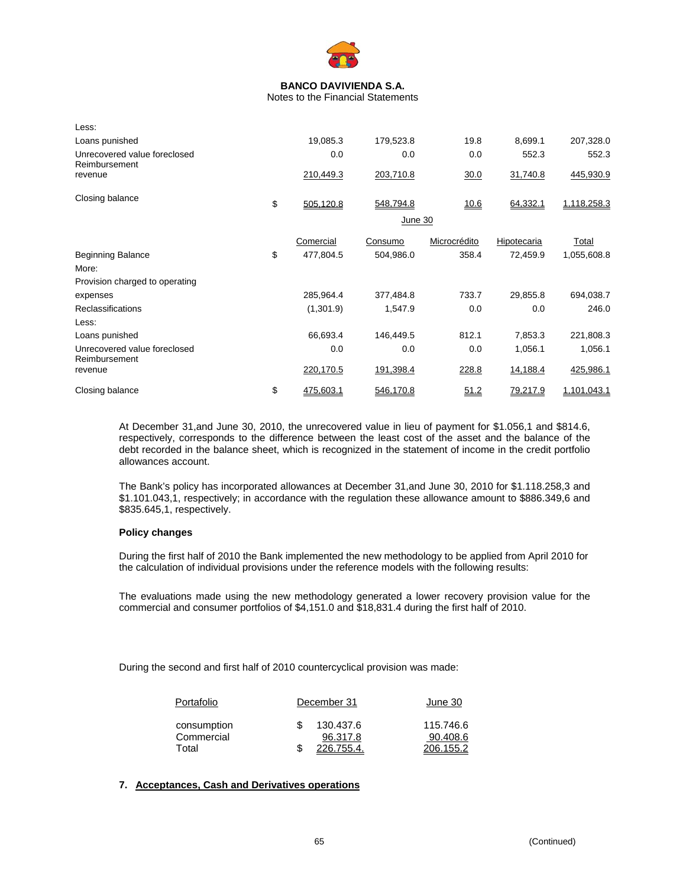

Notes to the Financial Statements

| Less:                                         |                 |           |              |             |             |
|-----------------------------------------------|-----------------|-----------|--------------|-------------|-------------|
| Loans punished                                | 19,085.3        | 179,523.8 | 19.8         | 8,699.1     | 207,328.0   |
| Unrecovered value foreclosed<br>Reimbursement | 0.0             | 0.0       | 0.0          | 552.3       | 552.3       |
| revenue                                       | 210,449.3       | 203,710.8 | 30.0         | 31,740.8    | 445,930.9   |
| Closing balance                               | \$<br>505,120.8 | 548,794.8 | 10.6         | 64,332.1    | 1,118,258.3 |
|                                               |                 | June 30   |              |             |             |
|                                               | Comercial       | Consumo   | Microcrédito | Hipotecaria | Total       |
| <b>Beginning Balance</b>                      | \$<br>477,804.5 | 504,986.0 | 358.4        | 72,459.9    | 1,055,608.8 |
| More:                                         |                 |           |              |             |             |
| Provision charged to operating                |                 |           |              |             |             |
| expenses                                      | 285,964.4       | 377,484.8 | 733.7        | 29,855.8    | 694,038.7   |
| <b>Reclassifications</b>                      | (1,301.9)       | 1,547.9   | 0.0          | 0.0         | 246.0       |
| Less:                                         |                 |           |              |             |             |
| Loans punished                                | 66,693.4        | 146,449.5 | 812.1        | 7,853.3     | 221,808.3   |
| Unrecovered value foreclosed<br>Reimbursement | 0.0             | 0.0       | 0.0          | 1,056.1     | 1,056.1     |
| revenue                                       | 220,170.5       | 191,398.4 | 228.8        | 14,188.4    | 425,986.1   |
| Closing balance                               | \$<br>475,603.1 | 546,170.8 | 51.2         | 79,217.9    | 1,101,043.1 |

At December 31,and June 30, 2010, the unrecovered value in lieu of payment for \$1.056,1 and \$814.6, respectively, corresponds to the difference between the least cost of the asset and the balance of the debt recorded in the balance sheet, which is recognized in the statement of income in the credit portfolio allowances account.

The Bank's policy has incorporated allowances at December 31,and June 30, 2010 for \$1.118.258,3 and \$1.101.043,1, respectively; in accordance with the regulation these allowance amount to \$886.349,6 and \$835.645,1, respectively.

### **Policy changes**

During the first half of 2010 the Bank implemented the new methodology to be applied from April 2010 for the calculation of individual provisions under the reference models with the following results:

The evaluations made using the new methodology generated a lower recovery provision value for the commercial and consumer portfolios of \$4,151.0 and \$18,831.4 during the first half of 2010.

During the second and first half of 2010 countercyclical provision was made:

| Portafolio                | December 31           | June 30               |  |
|---------------------------|-----------------------|-----------------------|--|
| consumption<br>Commercial | 130.437.6<br>96.317.8 | 115.746.6<br>90.408.6 |  |
| Total                     | - \$<br>226.755.4.    | 206.155.2             |  |

# **7. Acceptances, Cash and Derivatives operations**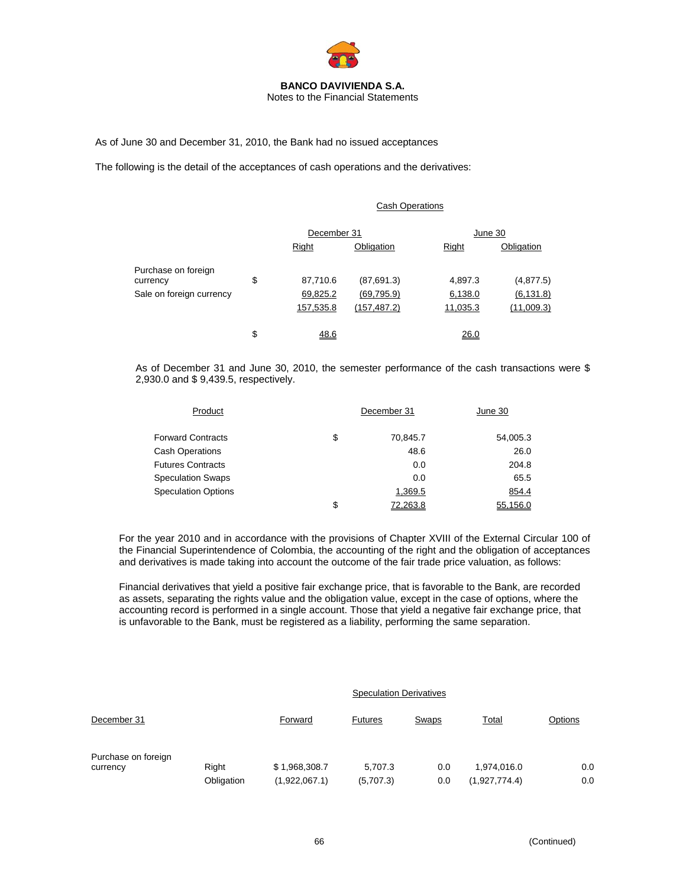

Notes to the Financial Statements

As of June 30 and December 31, 2010, the Bank had no issued acceptances

The following is the detail of the acceptances of cash operations and the derivatives:

### Cash Operations

|                |              | June 30     |            |  |
|----------------|--------------|-------------|------------|--|
| <b>Right</b>   | Obligation   | Right       | Obligation |  |
|                |              |             |            |  |
| \$<br>87,710.6 | (87,691.3)   | 4,897.3     | (4,877.5)  |  |
| 69,825.2       | (69, 795.9)  | 6,138.0     | (6, 131.8) |  |
| 157,535.8      | (157, 487.2) | 11,035.3    | (11,009.3) |  |
| \$<br>48.6     |              | 26.0        |            |  |
|                |              | December 31 |            |  |

As of December 31 and June 30, 2010, the semester performance of the cash transactions were \$ 2,930.0 and \$ 9,439.5, respectively.

| Product                    | December 31    |          |
|----------------------------|----------------|----------|
| <b>Forward Contracts</b>   | \$<br>70,845.7 | 54,005.3 |
| <b>Cash Operations</b>     | 48.6           | 26.0     |
| <b>Futures Contracts</b>   | 0.0            | 204.8    |
| <b>Speculation Swaps</b>   | 0.0            | 65.5     |
| <b>Speculation Options</b> | 1,369.5        | 854.4    |
|                            | \$<br>72.263.8 | 55.156.0 |

For the year 2010 and in accordance with the provisions of Chapter XVIII of the External Circular 100 of the Financial Superintendence of Colombia, the accounting of the right and the obligation of acceptances and derivatives is made taking into account the outcome of the fair trade price valuation, as follows:

Financial derivatives that yield a positive fair exchange price, that is favorable to the Bank, are recorded as assets, separating the rights value and the obligation value, except in the case of options, where the accounting record is performed in a single account. Those that yield a negative fair exchange price, that is unfavorable to the Bank, must be registered as a liability, performing the same separation.

|                                 |            |               | <b>Speculation Derivatives</b> |       |               |         |
|---------------------------------|------------|---------------|--------------------------------|-------|---------------|---------|
| December 31                     |            | Forward       | <b>Futures</b>                 | Swaps | <b>Total</b>  | Options |
| Purchase on foreign<br>currency | Right      | \$1,968,308.7 | 5.707.3                        | 0.0   | 1,974,016.0   | 0.0     |
|                                 | Obligation | (1,922,067.1) | (5,707.3)                      | 0.0   | (1,927,774.4) | 0.0     |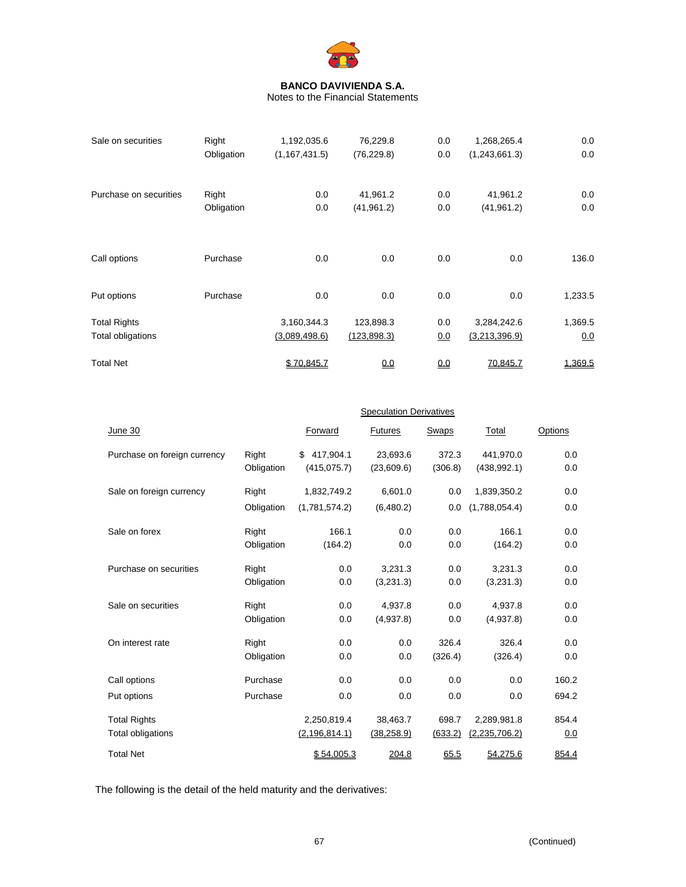

Notes to the Financial Statements

| Sale on securities     | Right      | 1,192,035.6     | 76,229.8     | 0.0 | 1,268,265.4   | 0.0     |
|------------------------|------------|-----------------|--------------|-----|---------------|---------|
|                        | Obligation | (1, 167, 431.5) | (76, 229.8)  | 0.0 | (1,243,661.3) | 0.0     |
| Purchase on securities | Right      | 0.0             | 41,961.2     | 0.0 | 41,961.2      | 0.0     |
|                        | Obligation | 0.0             | (41, 961.2)  | 0.0 | (41, 961.2)   | 0.0     |
| Call options           | Purchase   | 0.0             | 0.0          | 0.0 | 0.0           | 136.0   |
| Put options            | Purchase   | 0.0             | 0.0          | 0.0 | 0.0           | 1,233.5 |
| <b>Total Rights</b>    |            | 3,160,344.3     | 123,898.3    | 0.0 | 3,284,242.6   | 1,369.5 |
| Total obligations      |            | (3,089,498.6)   | (123, 898.3) | 0.0 | (3,213,396.9) | 0.0     |
| <b>Total Net</b>       |            | \$70.845.7      | 0.0          | 0.0 | 70.845.7      | 1,369.5 |

|                              |            | <b>Speculation Derivatives</b> |                |         |               |         |  |  |
|------------------------------|------------|--------------------------------|----------------|---------|---------------|---------|--|--|
| June 30                      |            | Forward                        | <b>Futures</b> | Swaps   | Total         | Options |  |  |
| Purchase on foreign currency | Right      | 417,904.1<br>\$                | 23,693.6       | 372.3   | 441,970.0     | 0.0     |  |  |
|                              | Obligation | (415, 075.7)                   | (23,609.6)     | (306.8) | (438, 992.1)  | 0.0     |  |  |
| Sale on foreign currency     | Right      | 1,832,749.2                    | 6,601.0        | 0.0     | 1,839,350.2   | 0.0     |  |  |
|                              | Obligation | (1,781,574.2)                  | (6,480.2)      | 0.0     | (1,788,054.4) | 0.0     |  |  |
| Sale on forex                | Right      | 166.1                          | 0.0            | 0.0     | 166.1         | 0.0     |  |  |
|                              | Obligation | (164.2)                        | 0.0            | 0.0     | (164.2)       | 0.0     |  |  |
| Purchase on securities       | Right      | 0.0                            | 3,231.3        | 0.0     | 3,231.3       | 0.0     |  |  |
|                              | Obligation | 0.0                            | (3,231.3)      | 0.0     | (3,231.3)     | 0.0     |  |  |
| Sale on securities           | Right      | 0.0                            | 4,937.8        | 0.0     | 4,937.8       | 0.0     |  |  |
|                              | Obligation | 0.0                            | (4,937.8)      | 0.0     | (4,937.8)     | 0.0     |  |  |
| On interest rate             | Right      | 0.0                            | 0.0            | 326.4   | 326.4         | 0.0     |  |  |
|                              | Obligation | 0.0                            | 0.0            | (326.4) | (326.4)       | 0.0     |  |  |
| Call options                 | Purchase   | 0.0                            | 0.0            | 0.0     | 0.0           | 160.2   |  |  |
| Put options                  | Purchase   | 0.0                            | 0.0            | 0.0     | 0.0           | 694.2   |  |  |
| <b>Total Rights</b>          |            | 2,250,819.4                    | 38,463.7       | 698.7   | 2,289,981.8   | 854.4   |  |  |
| Total obligations            |            | (2, 196, 814.1)                | (38, 258.9)    | (633.2) | (2,235,706.2) | 0.0     |  |  |
| <b>Total Net</b>             |            | \$54.005.3                     | 204.8          | 65.5    | 54,275.6      | 854.4   |  |  |

The following is the detail of the held maturity and the derivatives: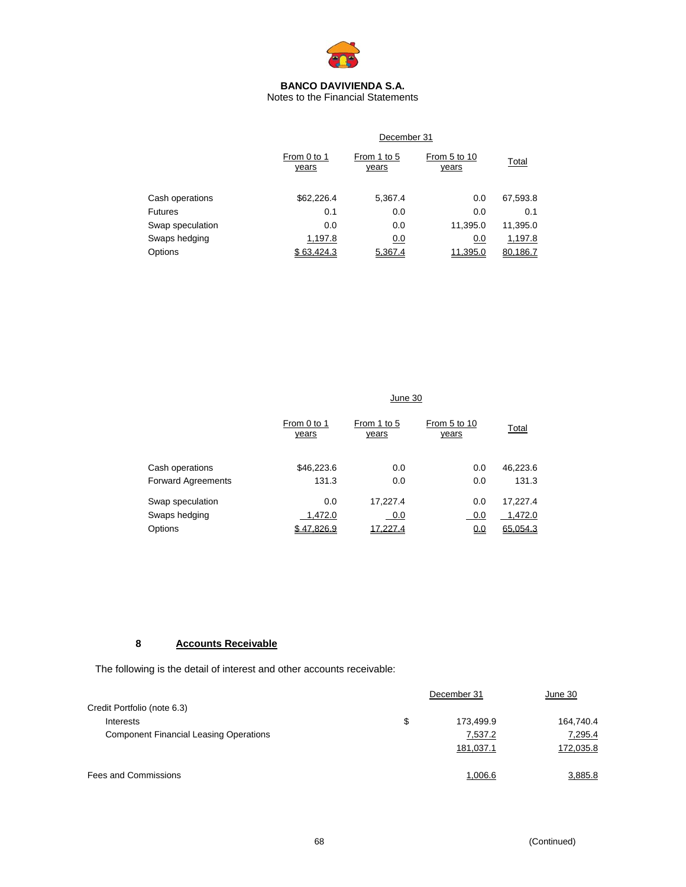

Notes to the Financial Statements

|                  | December 31          |                             |                              |          |  |  |  |
|------------------|----------------------|-----------------------------|------------------------------|----------|--|--|--|
|                  | From 0 to 1<br>years | From 1 to 5<br><u>years</u> | From 5 to 10<br><u>years</u> | Total    |  |  |  |
| Cash operations  | \$62,226.4           | 5,367.4                     | 0.0                          | 67,593.8 |  |  |  |
| <b>Futures</b>   | 0.1                  | 0.0                         | 0.0                          | 0.1      |  |  |  |
| Swap speculation | 0.0                  | 0.0                         | 11,395.0                     | 11,395.0 |  |  |  |
| Swaps hedging    | 1,197.8              | 0.0                         | 0.0                          | 1,197.8  |  |  |  |
| Options          | \$63,424.3           | 5.367.4                     | 11.395.0                     | 80.186.Z |  |  |  |

|                           | June 30              |                             |                       |          |  |  |  |
|---------------------------|----------------------|-----------------------------|-----------------------|----------|--|--|--|
|                           | From 0 to 1<br>years | From 1 to 5<br><u>years</u> | From 5 to 10<br>years | Total    |  |  |  |
| Cash operations           | \$46,223.6           | 0.0                         | 0.0                   | 46,223.6 |  |  |  |
| <b>Forward Agreements</b> | 131.3                | 0.0                         | 0.0                   | 131.3    |  |  |  |
| Swap speculation          | 0.0                  | 17,227.4                    | 0.0                   | 17,227.4 |  |  |  |
| Swaps hedging             | 1,472.0              | 0.0                         | 0.0                   | 1,472.0  |  |  |  |
| Options                   | \$47.826.9           | 17.227.4                    | 0.0                   | 65.054.3 |  |  |  |

# **8 Accounts Receivable**

The following is the detail of interest and other accounts receivable:

|                                               | December 31     |           |
|-----------------------------------------------|-----------------|-----------|
| Credit Portfolio (note 6.3)                   |                 |           |
| Interests                                     | \$<br>173.499.9 | 164,740.4 |
| <b>Component Financial Leasing Operations</b> | 7,537.2         | 7,295.4   |
|                                               | 181,037.1       | 172,035.8 |
| <b>Fees and Commissions</b>                   | 1,006.6         | 3,885.8   |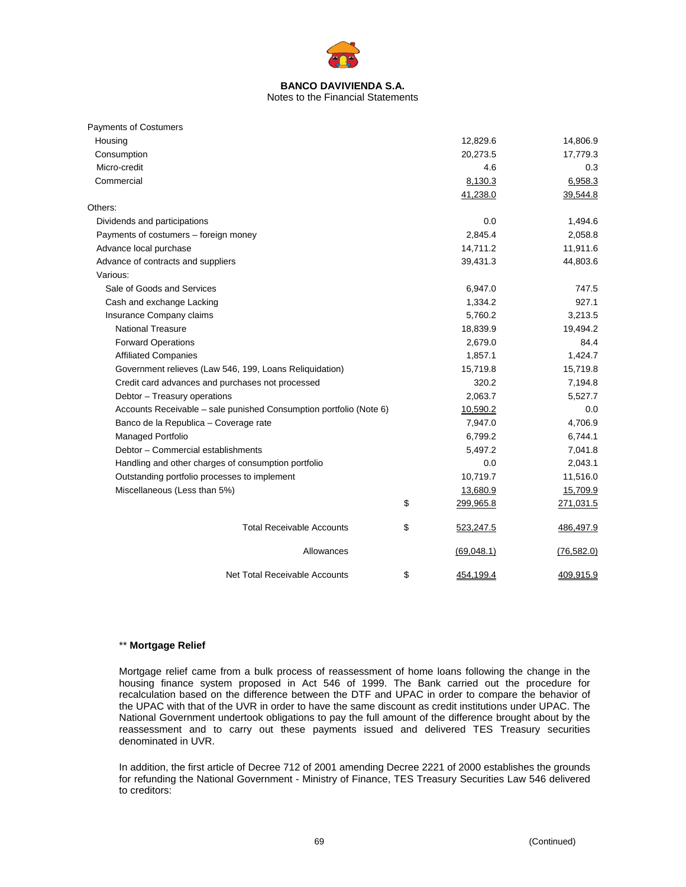

| Notes to the Financial Statements |
|-----------------------------------|
|-----------------------------------|

| <b>Payments of Costumers</b>                                       |                 |             |
|--------------------------------------------------------------------|-----------------|-------------|
| Housing                                                            | 12,829.6        | 14,806.9    |
| Consumption                                                        | 20,273.5        | 17,779.3    |
| Micro-credit                                                       | 4.6             | 0.3         |
| Commercial                                                         | 8,130.3         | 6,958.3     |
|                                                                    | 41,238.0        | 39,544.8    |
| Others:                                                            |                 |             |
| Dividends and participations                                       | 0.0             | 1,494.6     |
| Payments of costumers - foreign money                              | 2,845.4         | 2,058.8     |
| Advance local purchase                                             | 14,711.2        | 11,911.6    |
| Advance of contracts and suppliers                                 | 39,431.3        | 44,803.6    |
| Various:                                                           |                 |             |
| Sale of Goods and Services                                         | 6,947.0         | 747.5       |
| Cash and exchange Lacking                                          | 1,334.2         | 927.1       |
| Insurance Company claims                                           | 5,760.2         | 3,213.5     |
| <b>National Treasure</b>                                           | 18,839.9        | 19,494.2    |
| <b>Forward Operations</b>                                          | 2,679.0         | 84.4        |
| <b>Affiliated Companies</b>                                        | 1,857.1         | 1,424.7     |
| Government relieves (Law 546, 199, Loans Reliquidation)            | 15,719.8        | 15,719.8    |
| Credit card advances and purchases not processed                   | 320.2           | 7,194.8     |
| Debtor - Treasury operations                                       | 2,063.7         | 5,527.7     |
| Accounts Receivable - sale punished Consumption portfolio (Note 6) | 10,590.2        | 0.0         |
| Banco de la Republica - Coverage rate                              | 7,947.0         | 4,706.9     |
| Managed Portfolio                                                  | 6,799.2         | 6,744.1     |
| Debtor - Commercial establishments                                 | 5,497.2         | 7,041.8     |
| Handling and other charges of consumption portfolio                | 0.0             | 2,043.1     |
| Outstanding portfolio processes to implement                       | 10,719.7        | 11,516.0    |
| Miscellaneous (Less than 5%)                                       | 13,680.9        | 15,709.9    |
|                                                                    | \$<br>299,965.8 | 271,031.5   |
| <b>Total Receivable Accounts</b>                                   | \$<br>523,247.5 | 486,497.9   |
| Allowances                                                         | (69,048.1)      | (76, 582.0) |
| Net Total Receivable Accounts                                      | \$<br>454,199.4 | 409,915.9   |

### \*\* **Mortgage Relief**

Mortgage relief came from a bulk process of reassessment of home loans following the change in the housing finance system proposed in Act 546 of 1999. The Bank carried out the procedure for recalculation based on the difference between the DTF and UPAC in order to compare the behavior of the UPAC with that of the UVR in order to have the same discount as credit institutions under UPAC. The National Government undertook obligations to pay the full amount of the difference brought about by the reassessment and to carry out these payments issued and delivered TES Treasury securities denominated in UVR.

In addition, the first article of Decree 712 of 2001 amending Decree 2221 of 2000 establishes the grounds for refunding the National Government - Ministry of Finance, TES Treasury Securities Law 546 delivered to creditors: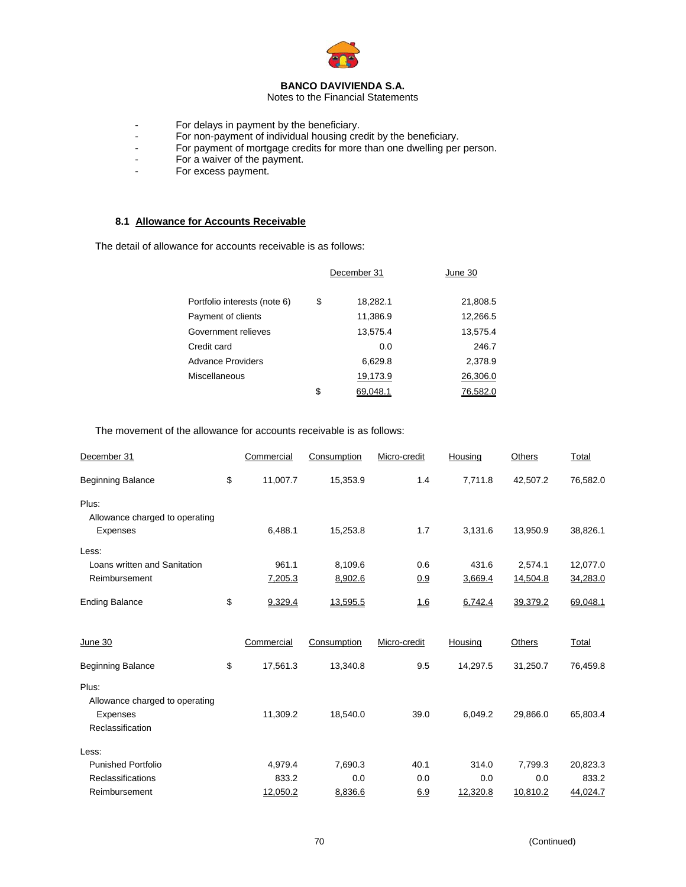

Notes to the Financial Statements

- For delays in payment by the beneficiary.
- For non-payment of individual housing credit by the beneficiary.
- For payment of mortgage credits for more than one dwelling per person.
- For a waiver of the payment.
- For excess payment.

# **8.1 Allowance for Accounts Receivable**

The detail of allowance for accounts receivable is as follows:

|                              | December 31    | June 30  |  |
|------------------------------|----------------|----------|--|
| Portfolio interests (note 6) | \$<br>18,282.1 | 21,808.5 |  |
| Payment of clients           | 11,386.9       | 12,266.5 |  |
| Government relieves          | 13,575.4       | 13,575.4 |  |
| Credit card                  | 0.0            | 246.7    |  |
| <b>Advance Providers</b>     | 6,629.8        | 2,378.9  |  |
| Miscellaneous                | 19,173.9       | 26,306.0 |  |
|                              | \$<br>69.048.1 | 76.582.0 |  |

The movement of the allowance for accounts receivable is as follows:

| December 31                    | Commercial     | Consumption | Micro-credit | Housing  | <b>Others</b> | Total    |
|--------------------------------|----------------|-------------|--------------|----------|---------------|----------|
| <b>Beginning Balance</b>       | \$<br>11,007.7 | 15,353.9    | 1.4          | 7,711.8  | 42,507.2      | 76,582.0 |
| Plus:                          |                |             |              |          |               |          |
| Allowance charged to operating |                |             |              |          |               |          |
| Expenses                       | 6,488.1        | 15,253.8    | 1.7          | 3,131.6  | 13,950.9      | 38,826.1 |
| Less:                          |                |             |              |          |               |          |
| Loans written and Sanitation   | 961.1          | 8,109.6     | 0.6          | 431.6    | 2,574.1       | 12,077.0 |
| Reimbursement                  | 7,205.3        | 8,902.6     | 0.9          | 3,669.4  | 14,504.8      | 34,283.0 |
| <b>Ending Balance</b>          | \$<br>9,329.4  | 13,595.5    | 16           | 6,742.4  | 39,379.2      | 69,048.1 |
| June 30                        | Commercial     | Consumption | Micro-credit | Housing  | Others        | Total    |
|                                |                |             |              |          |               |          |
| <b>Beginning Balance</b>       | \$<br>17,561.3 | 13,340.8    | 9.5          | 14,297.5 | 31,250.7      | 76,459.8 |
| Plus:                          |                |             |              |          |               |          |
| Allowance charged to operating |                |             |              |          |               |          |
| <b>Expenses</b>                | 11,309.2       | 18,540.0    | 39.0         | 6,049.2  | 29,866.0      | 65,803.4 |
| Reclassification               |                |             |              |          |               |          |
| Less:                          |                |             |              |          |               |          |
| <b>Punished Portfolio</b>      | 4,979.4        | 7,690.3     | 40.1         | 314.0    | 7,799.3       | 20,823.3 |
| <b>Reclassifications</b>       | 833.2          | 0.0         | 0.0          | 0.0      | 0.0           | 833.2    |
| Reimbursement                  | 12,050.2       | 8,836.6     | 6.9          | 12,320.8 | 10,810.2      | 44,024.7 |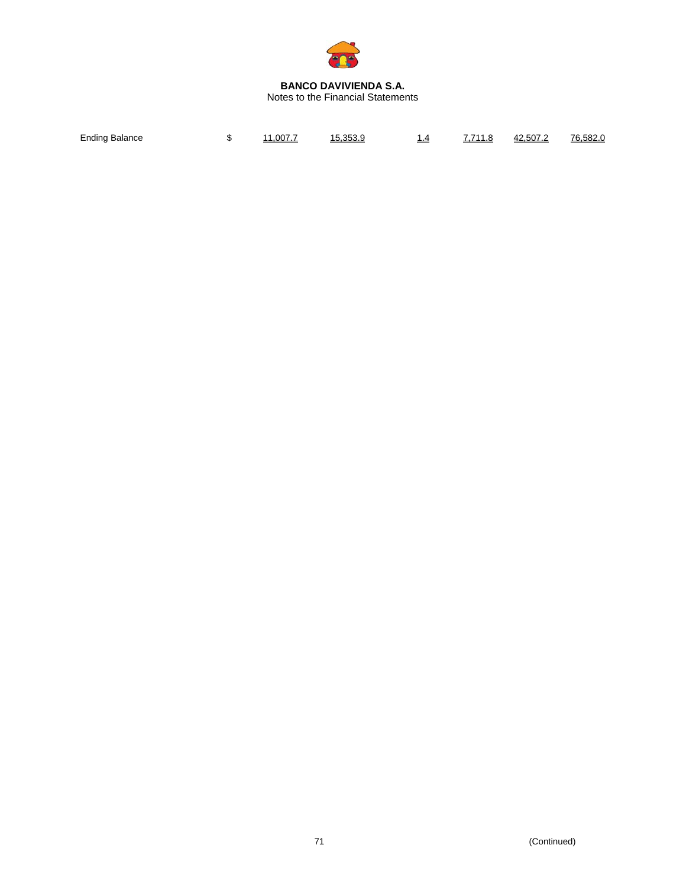

Notes to the Financial Statements

| Ending<br><sup>-</sup> Balance | $\cdot$ | 007.7 | .25 | . . | – <b>222</b> | - ^ - -<br>50.<br>42 | 76<br>, 582 |
|--------------------------------|---------|-------|-----|-----|--------------|----------------------|-------------|
|                                |         |       |     |     |              |                      |             |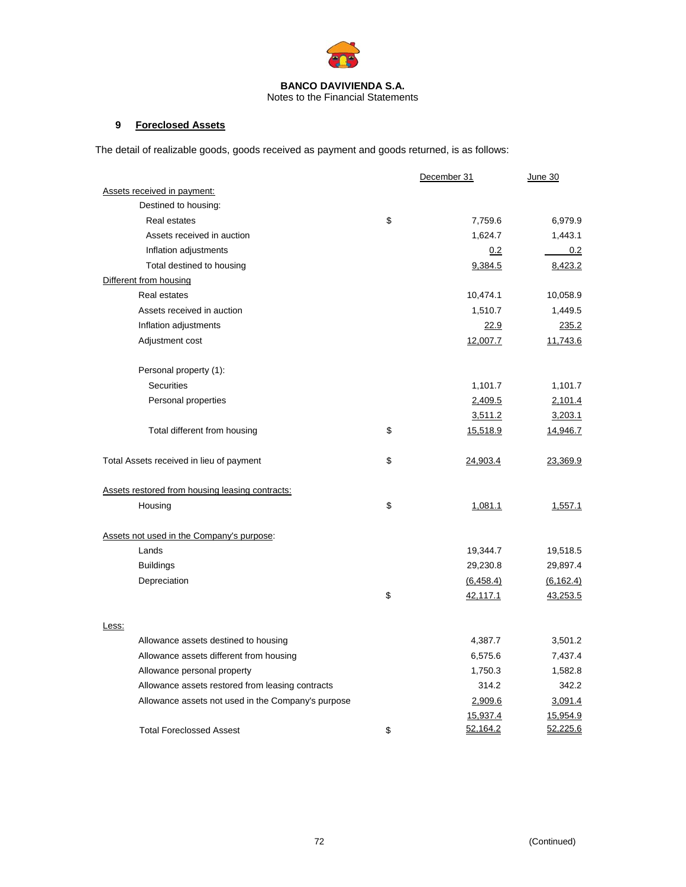

Notes to the Financial Statements

# **9 Foreclosed Assets**

The detail of realizable goods, goods received as payment and goods returned, is as follows:

|                                                    | December 31    | June 30         |
|----------------------------------------------------|----------------|-----------------|
| Assets received in payment:                        |                |                 |
| Destined to housing:                               |                |                 |
| <b>Real estates</b>                                | \$<br>7,759.6  | 6,979.9         |
| Assets received in auction                         | 1,624.7        | 1,443.1         |
| Inflation adjustments                              | 0.2            | 0.2             |
| Total destined to housing                          | 9,384.5        | 8,423.2         |
| Different from housing                             |                |                 |
| Real estates                                       | 10,474.1       | 10,058.9        |
| Assets received in auction                         | 1,510.7        | 1,449.5         |
| Inflation adjustments                              | 22.9           | 235.2           |
| Adjustment cost                                    | 12,007.7       | 11,743.6        |
| Personal property (1):                             |                |                 |
| <b>Securities</b>                                  | 1,101.7        | 1,101.7         |
| Personal properties                                | 2,409.5        | 2,101.4         |
|                                                    | 3,511.2        | 3,203.1         |
| Total different from housing                       | \$<br>15,518.9 | <u>14,946.7</u> |
| Total Assets received in lieu of payment           | \$<br>24,903.4 | 23,369.9        |
| Assets restored from housing leasing contracts:    |                |                 |
| Housing                                            | \$<br>1,081.1  | 1,557.1         |
| Assets not used in the Company's purpose:          |                |                 |
| Lands                                              | 19,344.7       | 19,518.5        |
| <b>Buildings</b>                                   | 29,230.8       | 29,897.4        |
| Depreciation                                       | (6, 458.4)     | (6, 162.4)      |
|                                                    | \$<br>42,117.1 | <u>43,253.5</u> |
| Less:                                              |                |                 |
| Allowance assets destined to housing               | 4,387.7        | 3,501.2         |
| Allowance assets different from housing            | 6,575.6        | 7,437.4         |
| Allowance personal property                        | 1,750.3        | 1,582.8         |
| Allowance assets restored from leasing contracts   | 314.2          | 342.2           |
| Allowance assets not used in the Company's purpose | 2,909.6        | 3,091.4         |
|                                                    | 15,937.4       | 15,954.9        |
| <b>Total Foreclossed Assest</b>                    | \$<br>52,164.2 | 52,225.6        |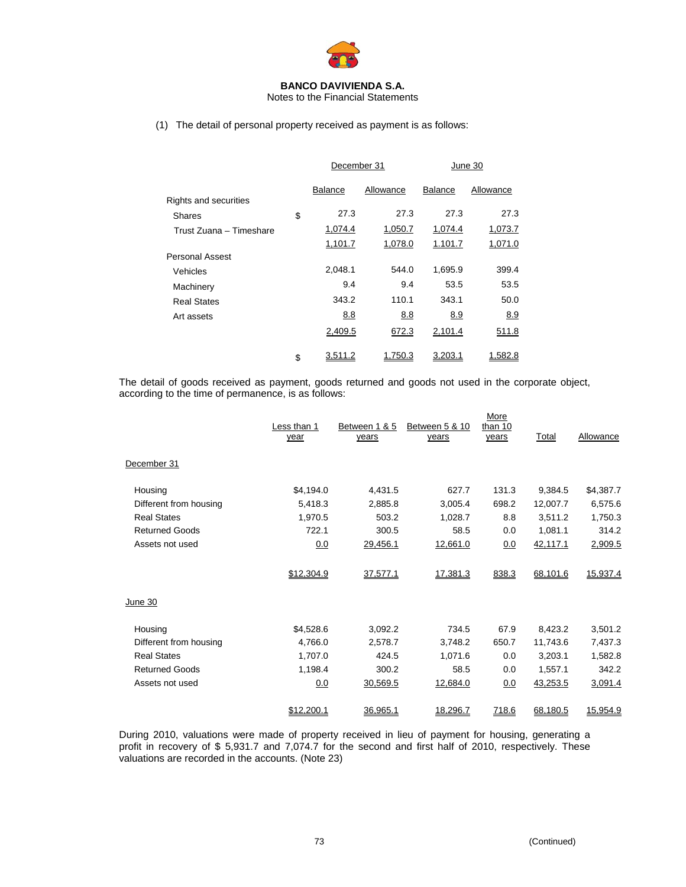

Notes to the Financial Statements

(1) The detail of personal property received as payment is as follows:

|                         | December 31    |           | June 30        |           |
|-------------------------|----------------|-----------|----------------|-----------|
|                         | <b>Balance</b> | Allowance | <b>Balance</b> | Allowance |
| Rights and securities   |                |           |                |           |
| <b>Shares</b>           | \$<br>27.3     | 27.3      | 27.3           | 27.3      |
| Trust Zuana – Timeshare | 1,074.4        | 1,050.7   | 1,074.4        | 1,073.7   |
|                         | 1,101.7        | 1,078.0   | 1.101.7        | 1,071.0   |
| <b>Personal Assest</b>  |                |           |                |           |
| Vehicles                | 2,048.1        | 544.0     | 1,695.9        | 399.4     |
| Machinery               | 9.4            | 9.4       | 53.5           | 53.5      |
| <b>Real States</b>      | 343.2          | 110.1     | 343.1          | 50.0      |
| Art assets              | 8.8            | 8.8       | 8.9            | 8.9       |
|                         | 2,409.5        | 672.3     | 2,101.4        | 511.8     |
|                         | \$<br>3,511.2  | 1,750.3   | 3,203.1        | 1,582.8   |

The detail of goods received as payment, goods returned and goods not used in the corporate object, according to the time of permanence, is as follows:

|                        | Less than 1<br>year | Between 1 & 5<br>years | Between 5 & 10<br>years | More<br>than 10<br>years | Total    | Allowance |
|------------------------|---------------------|------------------------|-------------------------|--------------------------|----------|-----------|
| December 31            |                     |                        |                         |                          |          |           |
| Housing                | \$4,194.0           | 4,431.5                | 627.7                   | 131.3                    | 9,384.5  | \$4,387.7 |
| Different from housing | 5,418.3             | 2,885.8                | 3,005.4                 | 698.2                    | 12,007.7 | 6,575.6   |
| <b>Real States</b>     | 1,970.5             | 503.2                  | 1,028.7                 | 8.8                      | 3,511.2  | 1,750.3   |
| <b>Returned Goods</b>  | 722.1               | 300.5                  | 58.5                    | 0.0                      | 1,081.1  | 314.2     |
| Assets not used        | 0.0                 | 29,456.1               | 12,661.0                | 0.0                      | 42,117.1 | 2,909.5   |
|                        | \$12,304.9          | 37,577.1               | 17,381.3                | 838.3                    | 68,101.6 | 15,937.4  |
| June 30                |                     |                        |                         |                          |          |           |
| Housing                | \$4,528.6           | 3,092.2                | 734.5                   | 67.9                     | 8,423.2  | 3,501.2   |
| Different from housing | 4,766.0             | 2,578.7                | 3,748.2                 | 650.7                    | 11,743.6 | 7,437.3   |
| <b>Real States</b>     | 1,707.0             | 424.5                  | 1,071.6                 | 0.0                      | 3,203.1  | 1,582.8   |
| <b>Returned Goods</b>  | 1,198.4             | 300.2                  | 58.5                    | 0.0                      | 1,557.1  | 342.2     |
| Assets not used        | 0.0                 | 30,569.5               | 12,684.0                | 0.0                      | 43,253.5 | 3,091.4   |
|                        | \$12,200.1          | 36,965.1               | 18,296.7                | 718.6                    | 68,180.5 | 15,954.9  |

During 2010, valuations were made of property received in lieu of payment for housing, generating a profit in recovery of \$ 5,931.7 and 7,074.7 for the second and first half of 2010, respectively. These valuations are recorded in the accounts. (Note 23)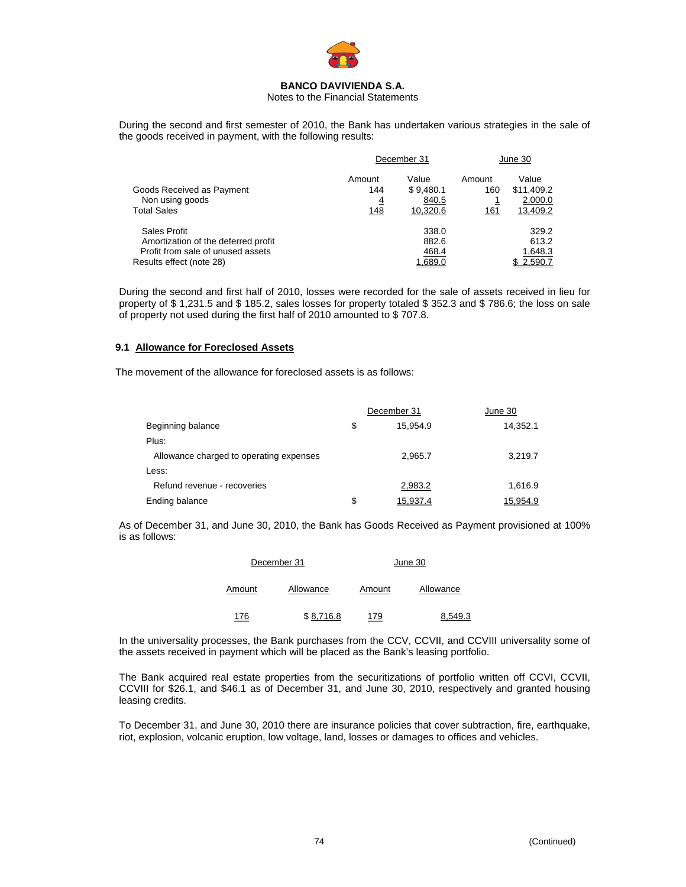

Notes to the Financial Statements

During the second and first semester of 2010, the Bank has undertaken various strategies in the sale of the goods received in payment, with the following results:

|                                     | December 31    |           | June 30     |            |
|-------------------------------------|----------------|-----------|-------------|------------|
|                                     | Amount         | Value     | Amount      | Value      |
| Goods Received as Payment           | 144            | \$9,480.1 | 160         | \$11,409.2 |
| Non using goods                     | $\overline{4}$ | 840.5     | <u>1</u>    | 2,000.0    |
| <b>Total Sales</b>                  | <u>148</u>     | 10,320.6  | <u> 161</u> | 13,409.2   |
| Sales Profit                        |                | 338.0     |             | 329.2      |
| Amortization of the deferred profit |                | 882.6     |             | 613.2      |
| Profit from sale of unused assets   |                | 468.4     |             | 1,648.3    |
| Results effect (note 28)            |                | 1,689.0   |             | 2,590.7    |

During the second and first half of 2010, losses were recorded for the sale of assets received in lieu for property of \$ 1,231.5 and \$ 185.2, sales losses for property totaled \$ 352.3 and \$ 786.6; the loss on sale of property not used during the first half of 2010 amounted to \$ 707.8.

## **9.1 Allowance for Foreclosed Assets**

The movement of the allowance for foreclosed assets is as follows:

|                                         | December 31    | June 30  |
|-----------------------------------------|----------------|----------|
| Beginning balance                       | \$<br>15.954.9 | 14,352.1 |
| Plus:                                   |                |          |
| Allowance charged to operating expenses | 2.965.7        | 3,219.7  |
| Less:                                   |                |          |
| Refund revenue - recoveries             | 2,983.2        | 1.616.9  |
| Ending balance                          | \$<br>15.937.4 | 15.954.9 |

As of December 31, and June 30, 2010, the Bank has Goods Received as Payment provisioned at 100% is as follows:

|        | December 31 | June 30 |           |  |  |
|--------|-------------|---------|-----------|--|--|
| Amount | Allowance   | Amount  | Allowance |  |  |
| 176    | \$8.716.8   | 179     | 8.549.3   |  |  |

In the universality processes, the Bank purchases from the CCV, CCVII, and CCVIII universality some of the assets received in payment which will be placed as the Bank's leasing portfolio.

The Bank acquired real estate properties from the securitizations of portfolio written off CCVI, CCVII, CCVIII for \$26.1, and \$46.1 as of December 31, and June 30, 2010, respectively and granted housing leasing credits.

To December 31, and June 30, 2010 there are insurance policies that cover subtraction, fire, earthquake, riot, explosion, volcanic eruption, low voltage, land, losses or damages to offices and vehicles.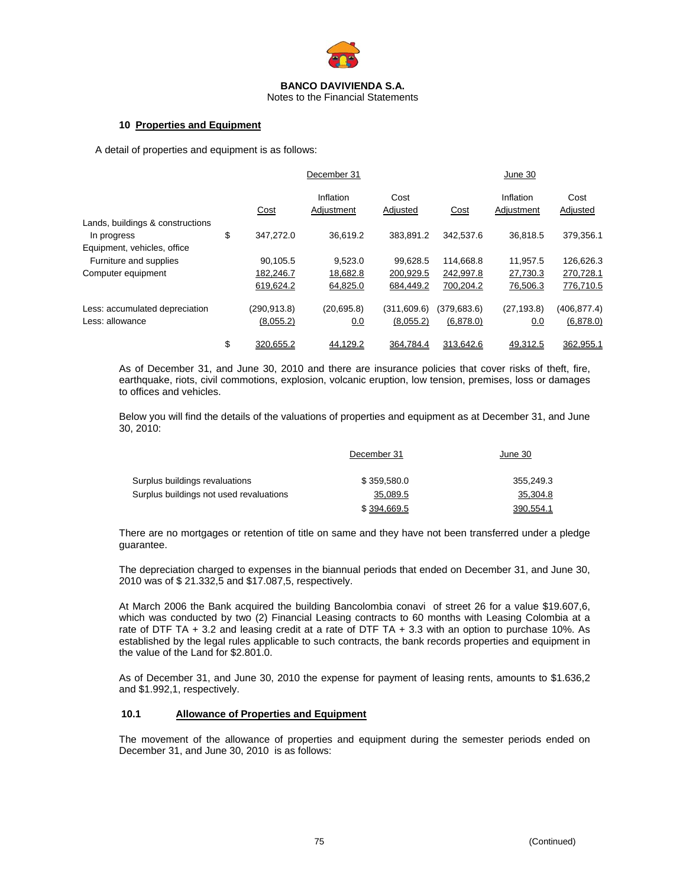

Notes to the Financial Statements

#### **10 Properties and Equipment**

A detail of properties and equipment is as follows:

|                                                 |                 | December 31             |                  |              | June 30                 |                  |
|-------------------------------------------------|-----------------|-------------------------|------------------|--------------|-------------------------|------------------|
|                                                 | Cost            | Inflation<br>Adjustment | Cost<br>Adjusted | Cost         | Inflation<br>Adjustment | Cost<br>Adjusted |
| Lands, buildings & constructions<br>In progress | \$<br>347,272.0 | 36.619.2                | 383.891.2        | 342,537.6    | 36.818.5                | 379,356.1        |
| Equipment, vehicles, office                     |                 |                         |                  |              |                         |                  |
| Furniture and supplies                          | 90,105.5        | 9.523.0                 | 99.628.5         | 114.668.8    | 11.957.5                | 126,626.3        |
| Computer equipment                              | 182,246.7       | 18,682.8                | 200,929.5        | 242,997.8    | 27,730.3                | 270,728.1        |
|                                                 | 619,624.2       | 64,825.0                | 684,449.2        | 700,204.2    | 76,506.3                | 776,710.5        |
| Less: accumulated depreciation                  | (290.913.8)     | (20, 695.8)             | (311,609.6)      | (379, 683.6) | (27, 193.8)             | (406, 877.4)     |
| Less: allowance                                 | (8,055.2)       | 0.0                     | (8,055.2)        | (6,878.0)    | 0.0                     | (6,878.0)        |
|                                                 | \$<br>320.655.2 | 44.129.2                | 364.784.4        | 313.642.6    | 49.312.5                | 362.955.1        |

As of December 31, and June 30, 2010 and there are insurance policies that cover risks of theft, fire, earthquake, riots, civil commotions, explosion, volcanic eruption, low tension, premises, loss or damages to offices and vehicles.

Below you will find the details of the valuations of properties and equipment as at December 31, and June 30, 2010:

|                                         | December 31 | June 30   |
|-----------------------------------------|-------------|-----------|
| Surplus buildings revaluations          | \$359,580.0 | 355.249.3 |
| Surplus buildings not used revaluations | 35,089.5    | 35,304.8  |
|                                         | \$394.669.5 | 390.554.1 |

There are no mortgages or retention of title on same and they have not been transferred under a pledge guarantee.

The depreciation charged to expenses in the biannual periods that ended on December 31, and June 30, 2010 was of \$ 21.332,5 and \$17.087,5, respectively.

At March 2006 the Bank acquired the building Bancolombia conavi of street 26 for a value \$19.607,6, which was conducted by two (2) Financial Leasing contracts to 60 months with Leasing Colombia at a rate of DTF TA + 3.2 and leasing credit at a rate of DTF TA + 3.3 with an option to purchase 10%. As established by the legal rules applicable to such contracts, the bank records properties and equipment in the value of the Land for \$2.801.0.

As of December 31, and June 30, 2010 the expense for payment of leasing rents, amounts to \$1.636,2 and \$1.992,1, respectively.

## **10.1 Allowance of Properties and Equipment**

The movement of the allowance of properties and equipment during the semester periods ended on December 31, and June 30, 2010 is as follows: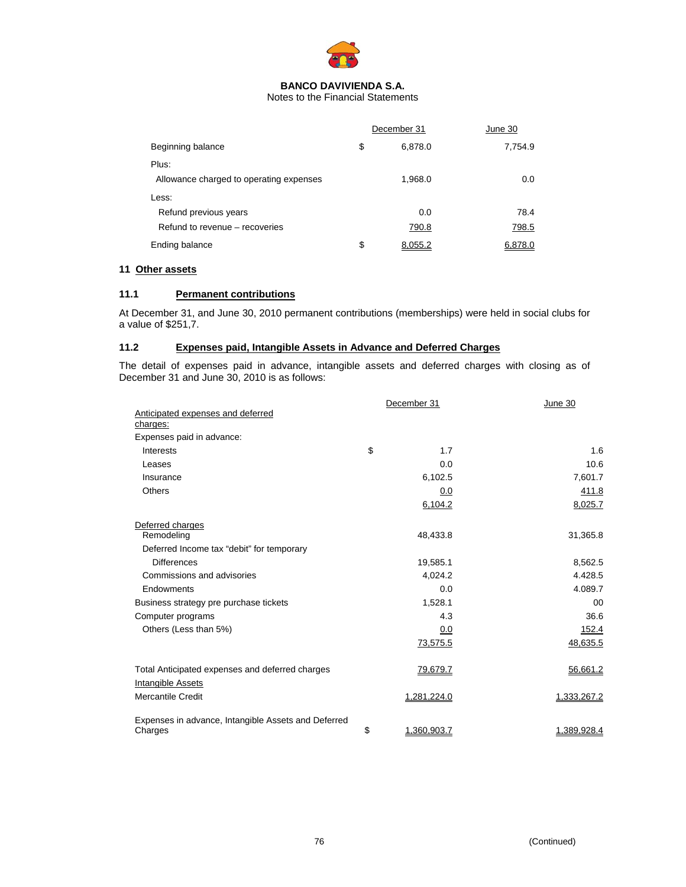

Notes to the Financial Statements

|                                         | December 31   | June 30 |
|-----------------------------------------|---------------|---------|
| Beginning balance                       | \$<br>6.878.0 | 7,754.9 |
| Plus:                                   |               |         |
| Allowance charged to operating expenses | 1,968.0       | 0.0     |
| Less:                                   |               |         |
| Refund previous years                   | 0.0           | 78.4    |
| Refund to revenue – recoveries          | 790.8         | 798.5   |
| Ending balance                          | \$<br>8,055.2 | 6,878.0 |

## **11 Other assets**

#### **11.1 Permanent contributions**

At December 31, and June 30, 2010 permanent contributions (memberships) were held in social clubs for a value of \$251,7.

# **11.2 Expenses paid, Intangible Assets in Advance and Deferred Charges**

The detail of expenses paid in advance, intangible assets and deferred charges with closing as of December 31 and June 30, 2010 is as follows:

|                                                                | December 31       | June 30     |
|----------------------------------------------------------------|-------------------|-------------|
| Anticipated expenses and deferred                              |                   |             |
| charges:                                                       |                   |             |
| Expenses paid in advance:                                      |                   |             |
| Interests                                                      | \$<br>1.7         | 1.6         |
| Leases                                                         | 0.0               | 10.6        |
| Insurance                                                      | 6,102.5           | 7,601.7     |
| <b>Others</b>                                                  | 0.0               | 411.8       |
|                                                                | 6,104.2           | 8,025.7     |
| Deferred charges                                               |                   |             |
| Remodeling                                                     | 48,433.8          | 31,365.8    |
| Deferred Income tax "debit" for temporary                      |                   |             |
| <b>Differences</b>                                             | 19,585.1          | 8,562.5     |
| Commissions and advisories                                     | 4,024.2           | 4.428.5     |
| Endowments                                                     | 0.0               | 4.089.7     |
| Business strategy pre purchase tickets                         | 1,528.1           | $00 \,$     |
| Computer programs                                              | 4.3               | 36.6        |
| Others (Less than 5%)                                          | 0.0               | 152.4       |
|                                                                | 73,575.5          | 48,635.5    |
| Total Anticipated expenses and deferred charges                | 79,679.7          | 56,661.2    |
| Intangible Assets                                              |                   |             |
| <b>Mercantile Credit</b>                                       | 1,281,224.0       | 1,333,267.2 |
| Expenses in advance, Intangible Assets and Deferred<br>Charges | \$<br>1,360,903.7 | 1,389,928.4 |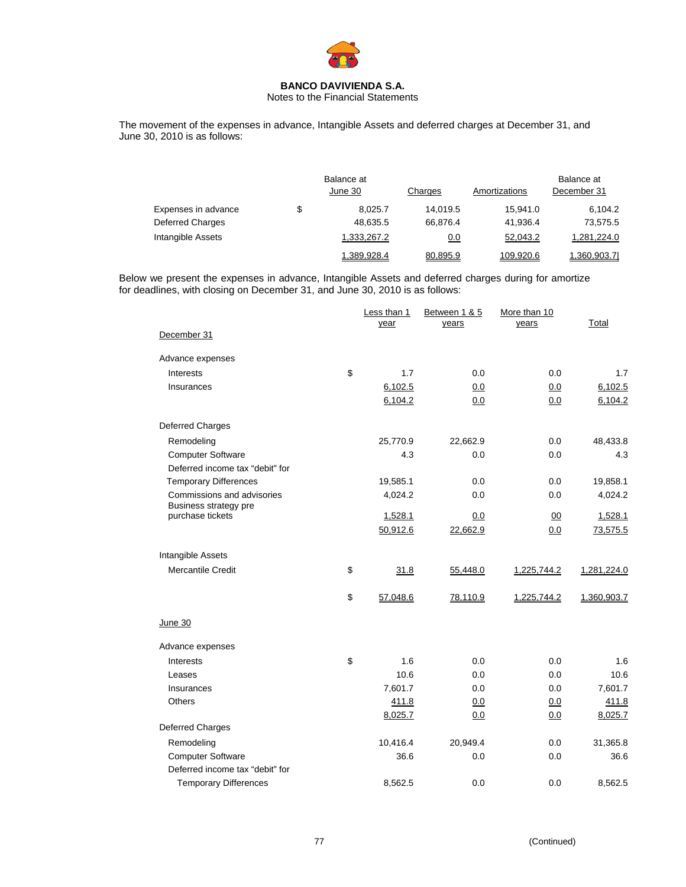

Notes to the Financial Statements

The movement of the expenses in advance, Intangible Assets and deferred charges at December 31, and June 30, 2010 is as follows:

|                     | Balance at<br>June 30 | Charges  | Amortizations |             |  |
|---------------------|-----------------------|----------|---------------|-------------|--|
| Expenses in advance | \$<br>8.025.7         | 14.019.5 | 15.941.0      | 6.104.2     |  |
| Deferred Charges    | 48,635.5              | 66.876.4 | 41,936.4      | 73,575.5    |  |
| Intangible Assets   | 1,333,267.2           | 0.0      | 52,043.2      | 1.281.224.0 |  |
|                     | 1,389,928.4           | 80,895.9 | 109,920.6     | 1,360,903.7 |  |

Below we present the expenses in advance, Intangible Assets and deferred charges during for amortize for deadlines, with closing on December 31, and June 30, 2010 is as follows:

|                                           | Less than 1<br>year | Between 1 & 5<br>years | More than 10<br>years | Total       |
|-------------------------------------------|---------------------|------------------------|-----------------------|-------------|
| December 31                               |                     |                        |                       |             |
| Advance expenses                          |                     |                        |                       |             |
| Interests                                 | \$<br>1.7           | 0.0                    | 0.0                   | 1.7         |
| Insurances                                | 6,102.5             | 0.0                    | 0.0                   | 6,102.5     |
|                                           | 6,104.2             | 0.0                    | 0.0                   | 6,104.2     |
| Deferred Charges                          |                     |                        |                       |             |
| Remodeling                                | 25,770.9            | 22,662.9               | 0.0                   | 48,433.8    |
| <b>Computer Software</b>                  | 4.3                 | 0.0                    | 0.0                   | 4.3         |
| Deferred income tax "debit" for           |                     |                        |                       |             |
| <b>Temporary Differences</b>              | 19,585.1            | 0.0                    | 0.0                   | 19,858.1    |
| Commissions and advisories                | 4,024.2             | 0.0                    | 0.0                   | 4,024.2     |
| Business strategy pre<br>purchase tickets | 1,528.1             | 0.0                    | 00                    | 1,528.1     |
|                                           | 50,912.6            | 22,662.9               | 0.0                   | 73,575.5    |
|                                           |                     |                        |                       |             |
| Intangible Assets                         |                     |                        |                       |             |
| <b>Mercantile Credit</b>                  | \$<br>31.8          | 55,448.0               | 1,225,744.2           | 1,281,224.0 |
|                                           | \$<br>57,048.6      | 78,110.9               | 1,225,744.2           | 1,360,903.7 |
| June 30                                   |                     |                        |                       |             |
| Advance expenses                          |                     |                        |                       |             |
| Interests                                 | \$<br>1.6           | 0.0                    | 0.0                   | 1.6         |
| Leases                                    | 10.6                | 0.0                    | 0.0                   | 10.6        |
| Insurances                                | 7,601.7             | 0.0                    | 0.0                   | 7,601.7     |
| Others                                    | 411.8               | 0.0                    | 0.0                   | 411.8       |
|                                           | 8,025.7             | 0.0                    | 0.0                   | 8,025.7     |
| Deferred Charges                          |                     |                        |                       |             |
| Remodeling                                | 10,416.4            | 20,949.4               | 0.0                   | 31,365.8    |
| <b>Computer Software</b>                  | 36.6                | 0.0                    | 0.0                   | 36.6        |
| Deferred income tax "debit" for           |                     |                        |                       |             |
| <b>Temporary Differences</b>              | 8,562.5             | 0.0                    | 0.0                   | 8,562.5     |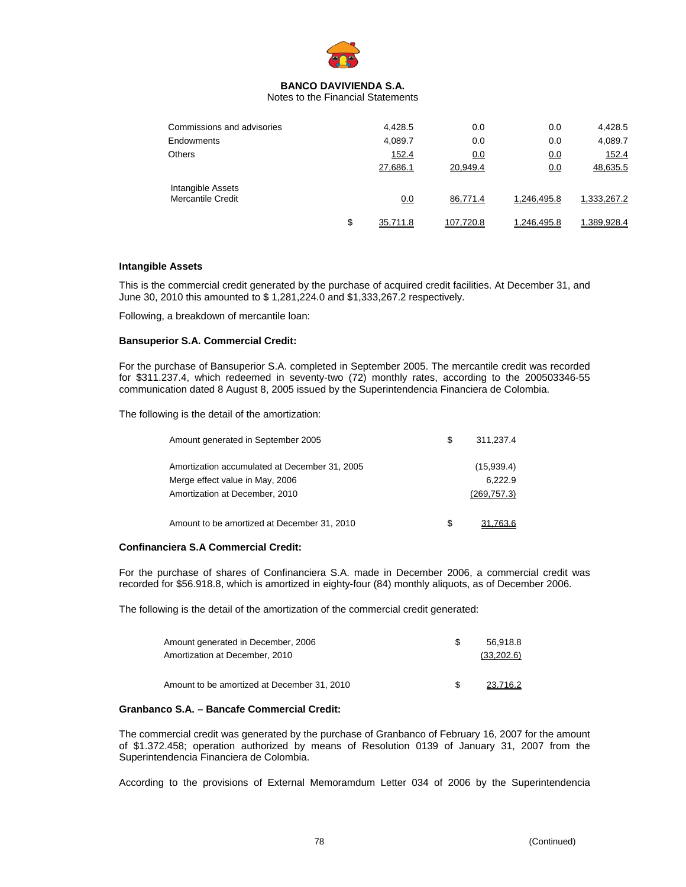

Notes to the Financial Statements

| Commissions and advisories             | 4,428.5        | 0.0       | 0.0         | 4,428.5     |
|----------------------------------------|----------------|-----------|-------------|-------------|
| Endowments                             | 4,089.7        | 0.0       | 0.0         | 4,089.7     |
| <b>Others</b>                          | 152.4          | 0.0       | 0.0         | 152.4       |
|                                        | 27,686.1       | 20,949.4  | 0.0         | 48,635.5    |
| Intangible Assets<br>Mercantile Credit | 0.0            | 86,771.4  | 1.246.495.8 | 1,333,267.2 |
|                                        | \$<br>35.711.8 | 107.720.8 | 1.246.495.8 | 1.389.928.4 |

#### **Intangible Assets**

This is the commercial credit generated by the purchase of acquired credit facilities. At December 31, and June 30, 2010 this amounted to \$ 1,281,224.0 and \$1,333,267.2 respectively.

Following, a breakdown of mercantile loan:

#### **Bansuperior S.A. Commercial Credit:**

For the purchase of Bansuperior S.A. completed in September 2005. The mercantile credit was recorded for \$311.237.4, which redeemed in seventy-two (72) monthly rates, according to the 200503346-55 communication dated 8 August 8, 2005 issued by the Superintendencia Financiera de Colombia.

The following is the detail of the amortization:

| Amount generated in September 2005                                                                                 | S | 311.237.4                             |
|--------------------------------------------------------------------------------------------------------------------|---|---------------------------------------|
| Amortization accumulated at December 31, 2005<br>Merge effect value in May, 2006<br>Amortization at December, 2010 |   | (15,939.4)<br>6.222.9<br>(269, 757.3) |
| Amount to be amortized at December 31, 2010                                                                        | S |                                       |

#### **Confinanciera S.A Commercial Credit:**

For the purchase of shares of Confinanciera S.A. made in December 2006, a commercial credit was recorded for \$56.918.8, which is amortized in eighty-four (84) monthly aliquots, as of December 2006.

The following is the detail of the amortization of the commercial credit generated:

| Amount generated in December, 2006          | 56.918.8   |
|---------------------------------------------|------------|
| Amortization at December, 2010              | (33,202.6) |
|                                             |            |
| Amount to be amortized at December 31, 2010 | 23.716.2   |

## **Granbanco S.A. – Bancafe Commercial Credit:**

The commercial credit was generated by the purchase of Granbanco of February 16, 2007 for the amount of \$1.372.458; operation authorized by means of Resolution 0139 of January 31, 2007 from the Superintendencia Financiera de Colombia.

According to the provisions of External Memoramdum Letter 034 of 2006 by the Superintendencia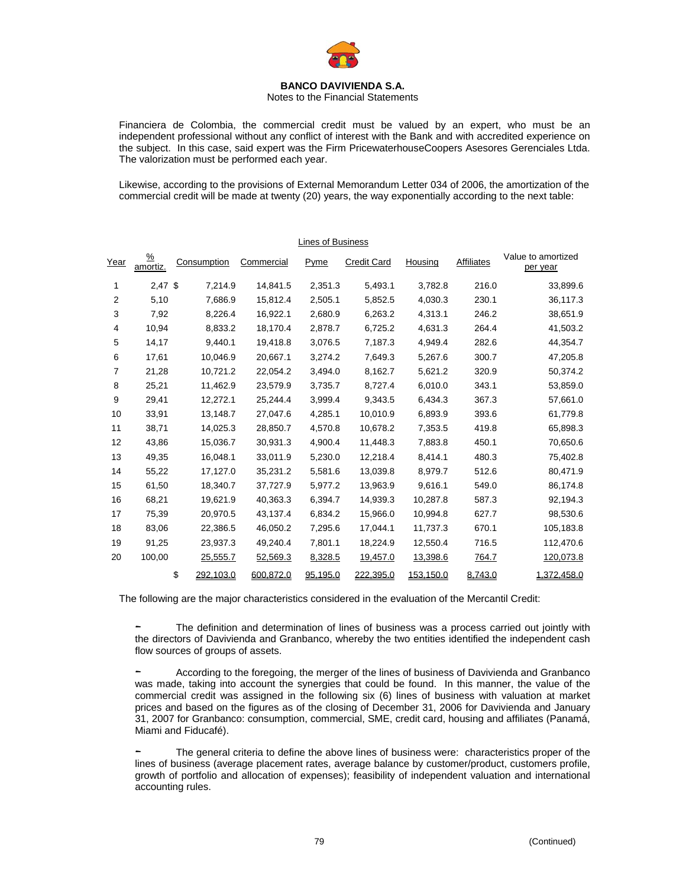

#### Notes to the Financial Statements

Financiera de Colombia, the commercial credit must be valued by an expert, who must be an independent professional without any conflict of interest with the Bank and with accredited experience on the subject. In this case, said expert was the Firm PricewaterhouseCoopers Asesores Gerenciales Ltda. The valorization must be performed each year.

Likewise, according to the provisions of External Memorandum Letter 034 of 2006, the amortization of the commercial credit will be made at twenty (20) years, the way exponentially according to the next table:

|                | Lines of Business         |                 |                     |          |                    |           |            |                                |
|----------------|---------------------------|-----------------|---------------------|----------|--------------------|-----------|------------|--------------------------------|
| Year           | $\frac{9}{6}$<br>amortiz. | Consumption     | Commercial          | Pyme     | <b>Credit Card</b> | Housing   | Affiliates | Value to amortized<br>per year |
| 1              | $2.47$ \$                 |                 | 7,214.9<br>14,841.5 | 2,351.3  | 5,493.1            | 3,782.8   | 216.0      | 33,899.6                       |
| 2              | 5,10                      |                 | 7,686.9<br>15,812.4 | 2,505.1  | 5,852.5            | 4,030.3   | 230.1      | 36,117.3                       |
| 3              | 7,92                      |                 | 8,226.4<br>16,922.1 | 2,680.9  | 6,263.2            | 4,313.1   | 246.2      | 38,651.9                       |
| 4              | 10,94                     |                 | 8,833.2<br>18,170.4 | 2,878.7  | 6,725.2            | 4,631.3   | 264.4      | 41,503.2                       |
| 5              | 14,17                     |                 | 9.440.1<br>19,418.8 | 3,076.5  | 7,187.3            | 4,949.4   | 282.6      | 44,354.7                       |
| 6              | 17,61                     | 10,046.9        | 20,667.1            | 3,274.2  | 7,649.3            | 5,267.6   | 300.7      | 47,205.8                       |
| $\overline{7}$ | 21,28                     | 10,721.2        | 22,054.2            | 3.494.0  | 8.162.7            | 5,621.2   | 320.9      | 50,374.2                       |
| 8              | 25,21                     | 11,462.9        | 23,579.9            | 3,735.7  | 8,727.4            | 6,010.0   | 343.1      | 53,859.0                       |
| 9              | 29,41                     | 12,272.1        | 25,244.4            | 3,999.4  | 9,343.5            | 6,434.3   | 367.3      | 57,661.0                       |
| 10             | 33,91                     | 13,148.7        | 27,047.6            | 4,285.1  | 10,010.9           | 6,893.9   | 393.6      | 61,779.8                       |
| 11             | 38,71                     | 14,025.3        | 28,850.7            | 4,570.8  | 10,678.2           | 7,353.5   | 419.8      | 65,898.3                       |
| 12             | 43,86                     | 15,036.7        | 30,931.3            | 4,900.4  | 11,448.3           | 7,883.8   | 450.1      | 70,650.6                       |
| 13             | 49,35                     | 16,048.1        | 33,011.9            | 5,230.0  | 12,218.4           | 8,414.1   | 480.3      | 75,402.8                       |
| 14             | 55,22                     | 17,127.0        | 35,231.2            | 5,581.6  | 13,039.8           | 8,979.7   | 512.6      | 80,471.9                       |
| 15             | 61,50                     | 18,340.7        | 37,727.9            | 5,977.2  | 13,963.9           | 9,616.1   | 549.0      | 86,174.8                       |
| 16             | 68,21                     | 19,621.9        | 40,363.3            | 6,394.7  | 14,939.3           | 10,287.8  | 587.3      | 92,194.3                       |
| 17             | 75,39                     | 20,970.5        | 43,137.4            | 6,834.2  | 15.966.0           | 10,994.8  | 627.7      | 98,530.6                       |
| 18             | 83,06                     | 22,386.5        | 46,050.2            | 7,295.6  | 17,044.1           | 11,737.3  | 670.1      | 105,183.8                      |
| 19             | 91,25                     | 23,937.3        | 49,240.4            | 7,801.1  | 18,224.9           | 12,550.4  | 716.5      | 112,470.6                      |
| 20             | 100,00                    | 25,555.7        | 52,569.3            | 8,328.5  | 19,457.0           | 13,398.6  | 764.7      | 120,073.8                      |
|                |                           | \$<br>292,103.0 | 600,872.0           | 95,195.0 | 222,395.0          | 153,150.0 | 8,743.0    | 1,372,458.0                    |

The following are the major characteristics considered in the evaluation of the Mercantil Credit:

The definition and determination of lines of business was a process carried out jointly with the directors of Davivienda and Granbanco, whereby the two entities identified the independent cash flow sources of groups of assets.

- According to the foregoing, the merger of the lines of business of Davivienda and Granbanco was made, taking into account the synergies that could be found. In this manner, the value of the commercial credit was assigned in the following six (6) lines of business with valuation at market prices and based on the figures as of the closing of December 31, 2006 for Davivienda and January 31, 2007 for Granbanco: consumption, commercial, SME, credit card, housing and affiliates (Panamá, Miami and Fiducafé).

The general criteria to define the above lines of business were: characteristics proper of the lines of business (average placement rates, average balance by customer/product, customers profile, growth of portfolio and allocation of expenses); feasibility of independent valuation and international accounting rules.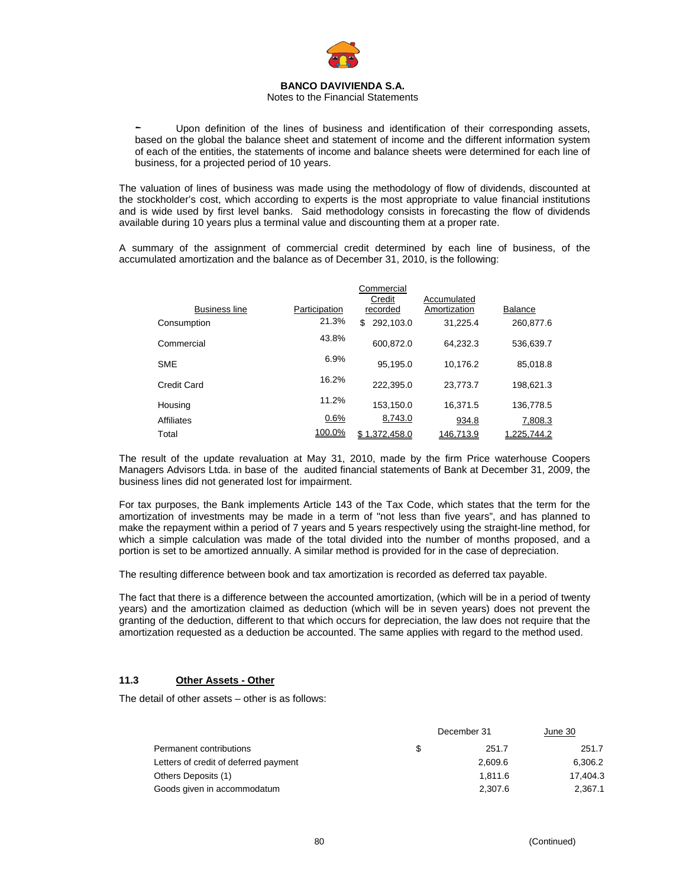

#### Notes to the Financial Statements

Upon definition of the lines of business and identification of their corresponding assets, based on the global the balance sheet and statement of income and the different information system of each of the entities, the statements of income and balance sheets were determined for each line of business, for a projected period of 10 years.

The valuation of lines of business was made using the methodology of flow of dividends, discounted at the stockholder's cost, which according to experts is the most appropriate to value financial institutions and is wide used by first level banks. Said methodology consists in forecasting the flow of dividends available during 10 years plus a terminal value and discounting them at a proper rate.

A summary of the assignment of commercial credit determined by each line of business, of the accumulated amortization and the balance as of December 31, 2010, is the following:

|                      |               | Commercial<br>Credit | Accumulated  |                |
|----------------------|---------------|----------------------|--------------|----------------|
| <b>Business line</b> | Participation | recorded             | Amortization | <b>Balance</b> |
| Consumption          | 21.3%         | 292,103.0<br>\$      | 31.225.4     | 260,877.6      |
| Commercial           | 43.8%         | 600,872.0            | 64,232.3     | 536,639.7      |
| <b>SME</b>           | 6.9%          | 95,195.0             | 10,176.2     | 85,018.8       |
| Credit Card          | 16.2%         | 222.395.0            | 23.773.7     | 198.621.3      |
| Housing              | 11.2%         | 153,150.0            | 16.371.5     | 136,778.5      |
| Affiliates           | 0.6%          | 8,743.0              | 934.8        | 7,808.3        |
| Total                | 100.0%        | 1.372.458.0          | 146.713.9    | 225.744.2      |

The result of the update revaluation at May 31, 2010, made by the firm Price waterhouse Coopers Managers Advisors Ltda. in base of the audited financial statements of Bank at December 31, 2009, the business lines did not generated lost for impairment.

For tax purposes, the Bank implements Article 143 of the Tax Code, which states that the term for the amortization of investments may be made in a term of "not less than five years", and has planned to make the repayment within a period of 7 years and 5 years respectively using the straight-line method, for which a simple calculation was made of the total divided into the number of months proposed, and a portion is set to be amortized annually. A similar method is provided for in the case of depreciation.

The resulting difference between book and tax amortization is recorded as deferred tax payable.

The fact that there is a difference between the accounted amortization, (which will be in a period of twenty years) and the amortization claimed as deduction (which will be in seven years) does not prevent the granting of the deduction, different to that which occurs for depreciation, the law does not require that the amortization requested as a deduction be accounted. The same applies with regard to the method used.

## **11.3 Other Assets - Other**

The detail of other assets – other is as follows:

|                                       |   | December 31 | June 30  |
|---------------------------------------|---|-------------|----------|
| Permanent contributions               | S | 251.7       | 251.7    |
| Letters of credit of deferred payment |   | 2.609.6     | 6,306.2  |
| Others Deposits (1)                   |   | 1.811.6     | 17.404.3 |
| Goods given in accommodatum           |   | 2.307.6     | 2.367.1  |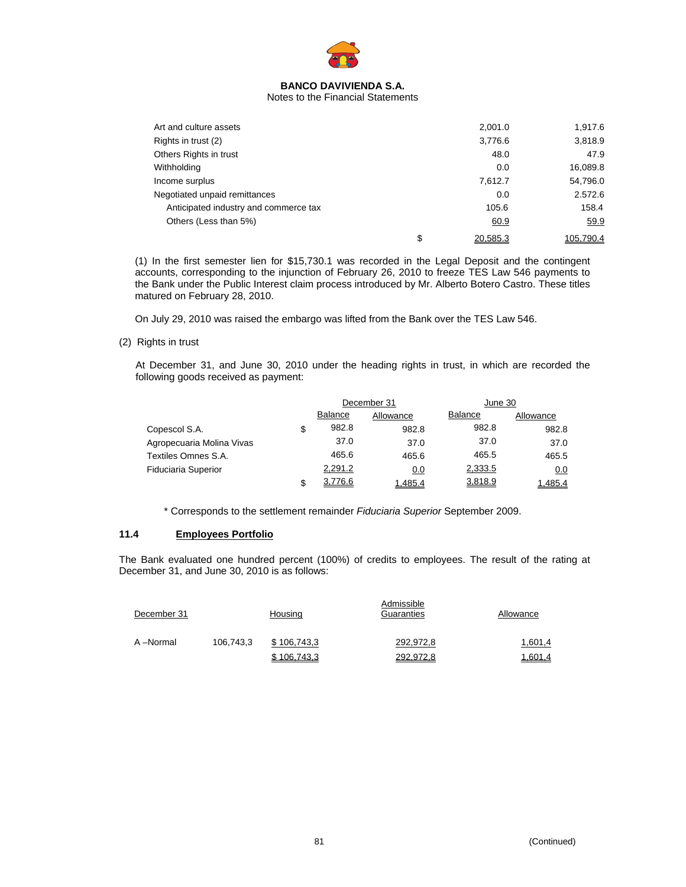

#### Notes to the Financial Statements

| Art and culture assets                |    | 2,001.0  | 1,917.6   |
|---------------------------------------|----|----------|-----------|
| Rights in trust (2)                   |    | 3,776.6  | 3,818.9   |
| Others Rights in trust                |    | 48.0     | 47.9      |
| Withholding                           |    | 0.0      | 16,089.8  |
| Income surplus                        |    | 7,612.7  | 54,796.0  |
| Negotiated unpaid remittances         |    | 0.0      | 2.572.6   |
| Anticipated industry and commerce tax |    | 105.6    | 158.4     |
| Others (Less than 5%)                 |    | 60.9     | 59.9      |
|                                       | \$ | 20.585.3 | 105.790.4 |

(1) In the first semester lien for \$15,730.1 was recorded in the Legal Deposit and the contingent accounts, corresponding to the injunction of February 26, 2010 to freeze TES Law 546 payments to the Bank under the Public Interest claim process introduced by Mr. Alberto Botero Castro. These titles matured on February 28, 2010.

On July 29, 2010 was raised the embargo was lifted from the Bank over the TES Law 546.

(2) Rights in trust

At December 31, and June 30, 2010 under the heading rights in trust, in which are recorded the following goods received as payment:

|                            |    | December 31    |           | June 30        |           |
|----------------------------|----|----------------|-----------|----------------|-----------|
|                            |    | <b>Balance</b> | Allowance | <b>Balance</b> | Allowance |
| Copescol S.A.              | \$ | 982.8          | 982.8     | 982.8          | 982.8     |
| Agropecuaria Molina Vivas  |    | 37.0           | 37.0      | 37.0           | 37.0      |
| Textiles Omnes S.A.        |    | 465.6          | 465.6     | 465.5          | 465.5     |
| <b>Fiduciaria Superior</b> |    | 2,291.2        | 0.0       | 2,333.5        | 0.0       |
|                            | S  | 3,776.6        | 1.485.4   | 3,818.9        | 1.485.4   |

\* Corresponds to the settlement remainder *Fiduciaria Superior* September 2009.

# **11.4 Employees Portfolio**

The Bank evaluated one hundred percent (100%) of credits to employees. The result of the rating at December 31, and June 30, 2010 is as follows:

| December 31 |           | Housing     | Admissible<br>Guaranties | Allowance      |
|-------------|-----------|-------------|--------------------------|----------------|
| A-Normal    | 106,743,3 | \$106.743.3 | 292,972,8                | 1,601,4        |
|             |           | \$106,743,3 | 292,972,8                | <u>1,601,4</u> |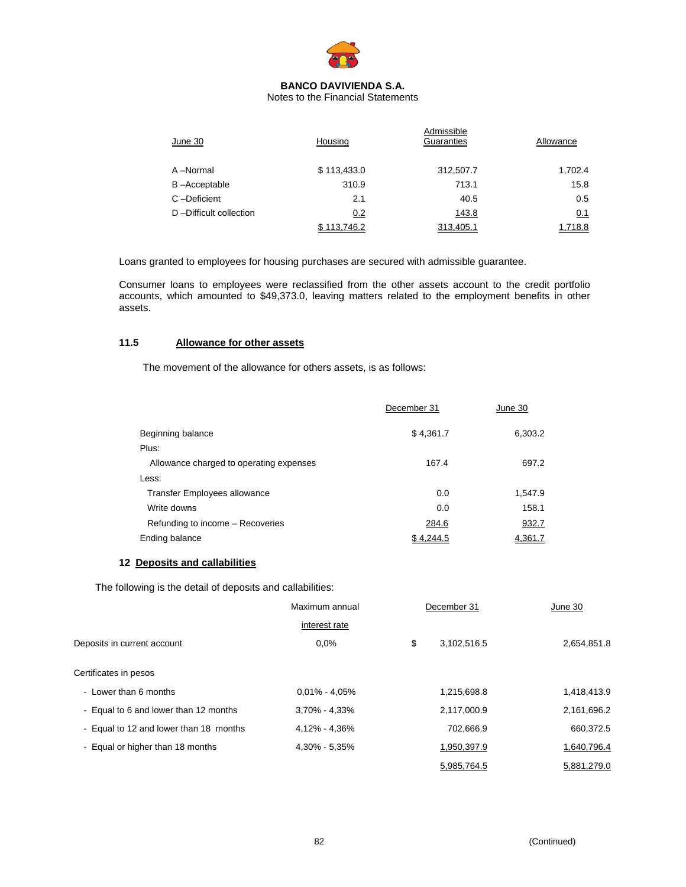

Notes to the Financial Statements

| June 30                | Housing     | Admissible<br>Guaranties | Allowance |
|------------------------|-------------|--------------------------|-----------|
| A-Normal               | \$113,433.0 | 312,507.7                | 1,702.4   |
| B-Acceptable           | 310.9       | 713.1                    | 15.8      |
| C-Deficient            | 2.1         | 40.5                     | 0.5       |
| D-Difficult collection | 0.2         | 143.8                    | 0.1       |
|                        | \$113.746.2 | 313.405.1                | 1.718.8   |

Loans granted to employees for housing purchases are secured with admissible guarantee.

Consumer loans to employees were reclassified from the other assets account to the credit portfolio accounts, which amounted to \$49,373.0, leaving matters related to the employment benefits in other assets.

## **11.5 Allowance for other assets**

The movement of the allowance for others assets, is as follows:

|                                         | December 31 | June 30 |
|-----------------------------------------|-------------|---------|
| Beginning balance                       | \$4,361.7   | 6,303.2 |
| Plus:                                   |             |         |
| Allowance charged to operating expenses | 167.4       | 697.2   |
| Less:                                   |             |         |
| Transfer Employees allowance            | 0.0         | 1,547.9 |
| Write downs                             | 0.0         | 158.1   |
| Refunding to income - Recoveries        | 284.6       | 932.7   |
| Ending balance                          | \$4.244.5   | 4.361.7 |

## **12 Deposits and callabilities**

The following is the detail of deposits and callabilities:

|                                        | Maximum annual    | December 31       | June 30     |
|----------------------------------------|-------------------|-------------------|-------------|
|                                        | interest rate     |                   |             |
| Deposits in current account            | 0.0%              | \$<br>3,102,516.5 | 2,654,851.8 |
| Certificates in pesos                  |                   |                   |             |
| - Lower than 6 months                  | $0.01\% - 4.05\%$ | 1,215,698.8       | 1,418,413.9 |
| - Equal to 6 and lower than 12 months  | $3,70\% - 4,33\%$ | 2,117,000.9       | 2,161,696.2 |
| - Equal to 12 and lower than 18 months | 4,12% - 4,36%     | 702,666.9         | 660,372.5   |
| - Equal or higher than 18 months       | 4,30% - 5,35%     | 1,950,397.9       | 1,640,796.4 |
|                                        |                   | 5,985,764.5       | 5.881.279.0 |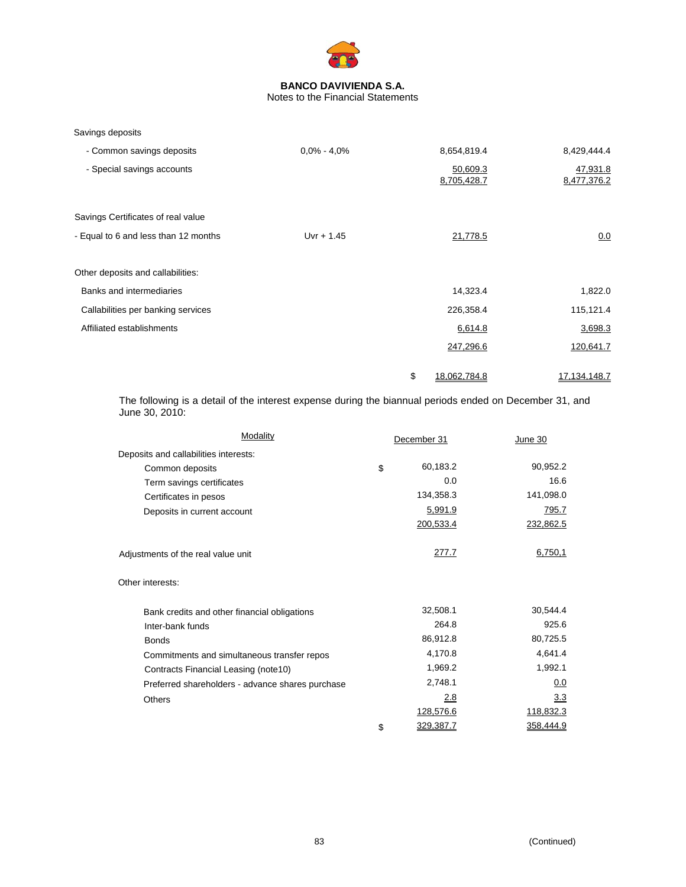

# Notes to the Financial Statements

| Savings deposits |
|------------------|
|                  |

| - Common savings deposits            | $0.0\% - 4.0\%$ | 8,654,819.4             | 8,429,444.4             |
|--------------------------------------|-----------------|-------------------------|-------------------------|
| - Special savings accounts           |                 | 50,609.3<br>8,705,428.7 | 47,931.8<br>8,477,376.2 |
| Savings Certificates of real value   |                 |                         |                         |
| - Equal to 6 and less than 12 months | $Uvr + 1.45$    | 21,778.5                | 0.0                     |
| Other deposits and callabilities:    |                 |                         |                         |
| Banks and intermediaries             |                 | 14,323.4                | 1,822.0                 |
| Callabilities per banking services   |                 | 226,358.4               | 115,121.4               |
| Affiliated establishments            |                 | 6,614.8                 | 3,698.3                 |
|                                      |                 | 247,296.6               | 120,641.7               |
|                                      |                 | \$<br>18.062.784.8      | 17.134.148.7            |

The following is a detail of the interest expense during the biannual periods ended on December 31, and June 30, 2010:

| Modality                                         | December 31     | June 30   |
|--------------------------------------------------|-----------------|-----------|
| Deposits and callabilities interests:            |                 |           |
| Common deposits                                  | \$<br>60,183.2  | 90,952.2  |
| Term savings certificates                        | 0.0             | 16.6      |
| Certificates in pesos                            | 134,358.3       | 141,098.0 |
| Deposits in current account                      | 5,991.9         | 795.7     |
|                                                  | 200,533.4       | 232,862.5 |
| Adjustments of the real value unit               | <u>277.7</u>    | 6,750,1   |
| Other interests:                                 |                 |           |
| Bank credits and other financial obligations     | 32,508.1        | 30,544.4  |
| Inter-bank funds                                 | 264.8           | 925.6     |
| <b>Bonds</b>                                     | 86,912.8        | 80,725.5  |
| Commitments and simultaneous transfer repos      | 4,170.8         | 4,641.4   |
| Contracts Financial Leasing (note10)             | 1,969.2         | 1,992.1   |
| Preferred shareholders - advance shares purchase | 2,748.1         | 0.0       |
| <b>Others</b>                                    | 2.8             | 3.3       |
|                                                  | 128,576.6       | 118,832.3 |
|                                                  | \$<br>329,387.7 | 358,444.9 |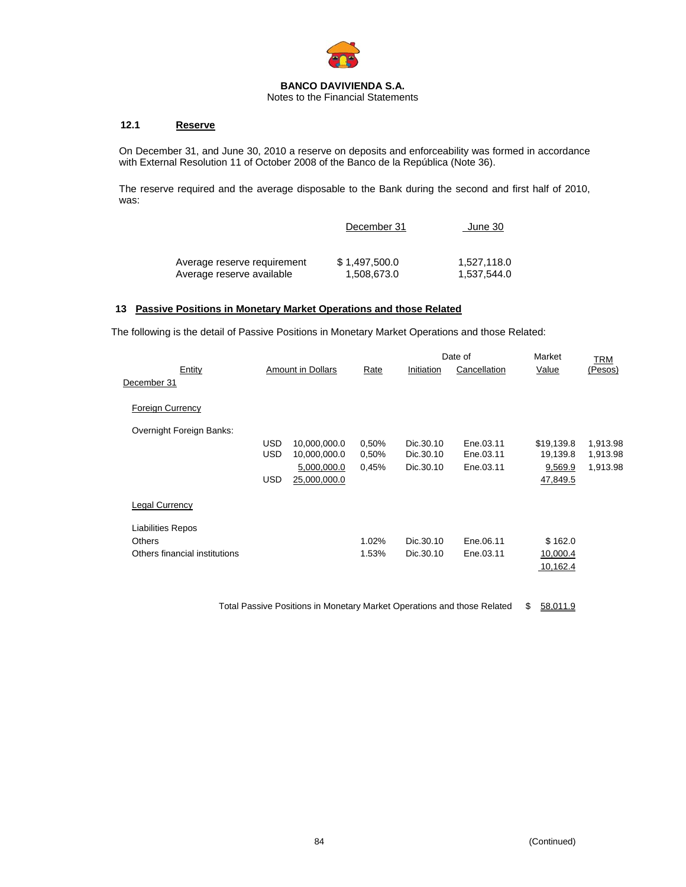

Notes to the Financial Statements

## **12.1 Reserve**

On December 31, and June 30, 2010 a reserve on deposits and enforceability was formed in accordance with External Resolution 11 of October 2008 of the Banco de la República (Note 36).

The reserve required and the average disposable to the Bank during the second and first half of 2010, was:

| 1.527.118.0<br>1,537,544.0 |
|----------------------------|
|                            |

# **13 Passive Positions in Monetary Market Operations and those Related**

The following is the detail of Passive Positions in Monetary Market Operations and those Related:

|                               |      |                          |       |            | Date of      | Market     | TRM      |
|-------------------------------|------|--------------------------|-------|------------|--------------|------------|----------|
| Entity<br>December 31         |      | <b>Amount in Dollars</b> | Rate  | Initiation | Cancellation | Value      | (Pesos)  |
| <b>Foreign Currency</b>       |      |                          |       |            |              |            |          |
| Overnight Foreign Banks:      |      |                          |       |            |              |            |          |
|                               | USD  | 10,000,000.0             | 0,50% | Dic.30.10  | Ene.03.11    | \$19,139.8 | 1,913.98 |
|                               | USD  | 10,000,000.0             | 0,50% | Dic.30.10  | Ene.03.11    | 19,139.8   | 1,913.98 |
|                               |      | 5,000,000.0              | 0,45% | Dic.30.10  | Ene.03.11    | 9,569.9    | 1,913.98 |
|                               | USD. | 25,000,000.0             |       |            |              | 47,849.5   |          |
| <b>Legal Currency</b>         |      |                          |       |            |              |            |          |
| <b>Liabilities Repos</b>      |      |                          |       |            |              |            |          |
| <b>Others</b>                 |      |                          | 1.02% | Dic.30.10  | Ene.06.11    | \$162.0    |          |
| Others financial institutions |      |                          | 1.53% | Dic.30.10  | Ene.03.11    | 10,000.4   |          |
|                               |      |                          |       |            |              |            |          |
|                               |      |                          |       |            |              | 10,162.4   |          |

Total Passive Positions in Monetary Market Operations and those Related \$ 58,011.9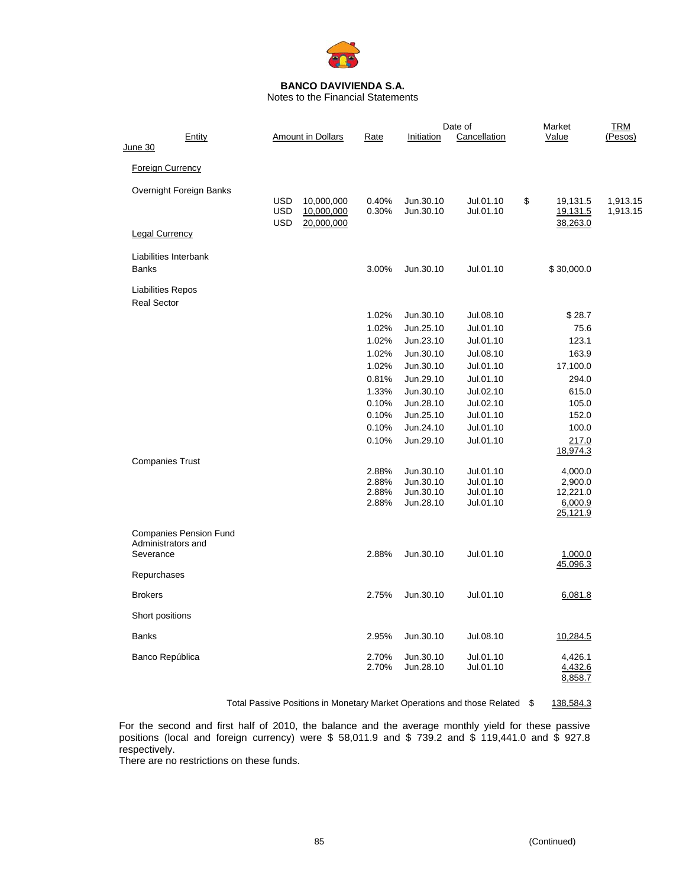

Notes to the Financial Statements

|                                                |                                                     |                                                                                  |                                  |                                                  | Date of                                          | Market                                                | <b>TRM</b>           |
|------------------------------------------------|-----------------------------------------------------|----------------------------------------------------------------------------------|----------------------------------|--------------------------------------------------|--------------------------------------------------|-------------------------------------------------------|----------------------|
| June 30                                        | Entity                                              | <b>Amount in Dollars</b>                                                         | Rate                             | Initiation                                       | <b>Cancellation</b>                              | Value                                                 | (Pesos)              |
| <b>Foreign Currency</b>                        |                                                     |                                                                                  |                                  |                                                  |                                                  |                                                       |                      |
|                                                | Overnight Foreign Banks                             | <b>USD</b><br>10,000,000<br><b>USD</b><br>10,000,000<br><b>USD</b><br>20,000,000 | 0.40%<br>0.30%                   | Jun.30.10<br>Jun.30.10                           | Jul.01.10<br>Jul.01.10                           | \$<br>19,131.5<br>19,131.5<br>38,263.0                | 1,913.15<br>1,913.15 |
| <b>Legal Currency</b>                          |                                                     |                                                                                  |                                  |                                                  |                                                  |                                                       |                      |
| <b>Banks</b>                                   | Liabilities Interbank                               |                                                                                  | 3.00%                            | Jun.30.10                                        | Jul.01.10                                        | \$30,000.0                                            |                      |
| <b>Liabilities Repos</b><br><b>Real Sector</b> |                                                     |                                                                                  |                                  |                                                  |                                                  |                                                       |                      |
|                                                |                                                     |                                                                                  | 1.02%                            | Jun.30.10                                        | Jul.08.10                                        | \$28.7                                                |                      |
|                                                |                                                     |                                                                                  | 1.02%                            | Jun.25.10                                        | Jul.01.10                                        | 75.6                                                  |                      |
|                                                |                                                     |                                                                                  | 1.02%                            | Jun.23.10                                        | Jul.01.10                                        | 123.1                                                 |                      |
|                                                |                                                     |                                                                                  | 1.02%                            | Jun.30.10                                        | Jul.08.10                                        | 163.9                                                 |                      |
|                                                |                                                     |                                                                                  | 1.02%                            | Jun.30.10                                        | Jul.01.10                                        | 17,100.0                                              |                      |
|                                                |                                                     |                                                                                  | 0.81%                            | Jun.29.10                                        | Jul.01.10                                        | 294.0                                                 |                      |
|                                                |                                                     |                                                                                  | 1.33%                            | Jun.30.10                                        | Jul.02.10                                        | 615.0                                                 |                      |
|                                                |                                                     |                                                                                  | 0.10%                            | Jun.28.10                                        | Jul.02.10                                        | 105.0                                                 |                      |
|                                                |                                                     |                                                                                  | 0.10%                            | Jun.25.10                                        | Jul.01.10                                        | 152.0                                                 |                      |
|                                                |                                                     |                                                                                  | 0.10%                            | Jun.24.10                                        | Jul.01.10                                        | 100.0                                                 |                      |
|                                                |                                                     |                                                                                  | 0.10%                            | Jun.29.10                                        | Jul.01.10                                        | 217.0<br>18,974.3                                     |                      |
| <b>Companies Trust</b>                         |                                                     |                                                                                  | 2.88%<br>2.88%<br>2.88%<br>2.88% | Jun.30.10<br>Jun.30.10<br>Jun.30.10<br>Jun.28.10 | Jul.01.10<br>Jul.01.10<br>Jul.01.10<br>Jul.01.10 | 4,000.0<br>2,900.0<br>12,221.0<br>6,000.9<br>25,121.9 |                      |
| Severance                                      | <b>Companies Pension Fund</b><br>Administrators and |                                                                                  | 2.88%                            | Jun.30.10                                        | Jul.01.10                                        | 1,000.0                                               |                      |
| Repurchases                                    |                                                     |                                                                                  |                                  |                                                  |                                                  | 45,096.3                                              |                      |
| <b>Brokers</b>                                 |                                                     |                                                                                  | 2.75%                            | Jun.30.10                                        | Jul.01.10                                        | 6,081.8                                               |                      |
| Short positions                                |                                                     |                                                                                  |                                  |                                                  |                                                  |                                                       |                      |
| <b>Banks</b>                                   |                                                     |                                                                                  | 2.95%                            | Jun.30.10                                        | Jul.08.10                                        | 10,284.5                                              |                      |
| Banco República                                |                                                     |                                                                                  | 2.70%<br>2.70%                   | Jun.30.10<br>Jun.28.10                           | Jul.01.10<br>Jul.01.10                           | 4,426.1<br>4,432.6<br>8,858.7                         |                      |

Total Passive Positions in Monetary Market Operations and those Related \$ 138,584.3

For the second and first half of 2010, the balance and the average monthly yield for these passive positions (local and foreign currency) were \$ 58,011.9 and \$ 739.2 and \$ 119,441.0 and \$ 927.8 respectively.

There are no restrictions on these funds.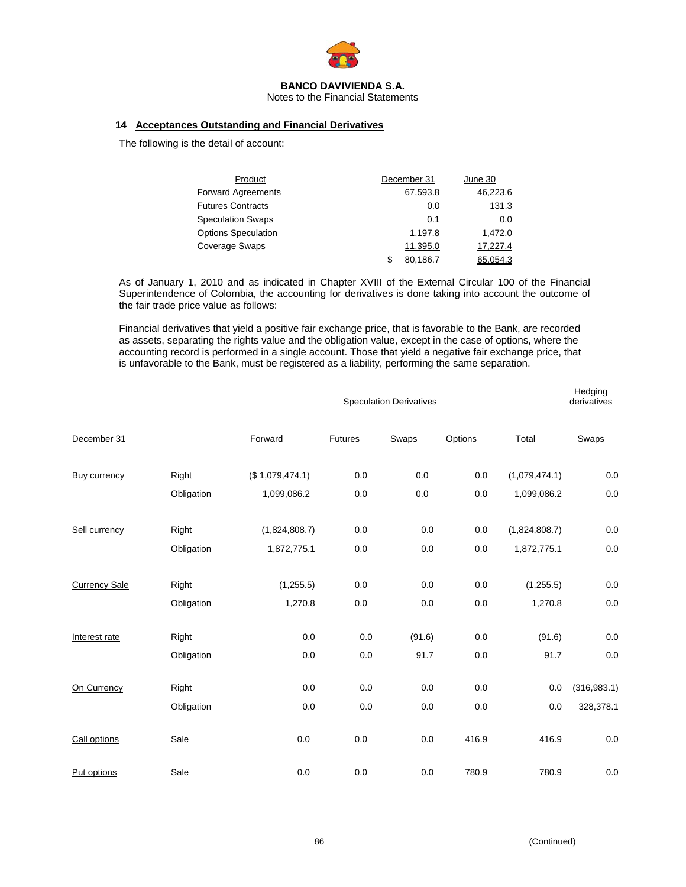

Notes to the Financial Statements

## **14 Acceptances Outstanding and Financial Derivatives**

The following is the detail of account:

| Product                    |    | December 31 | June 30  |
|----------------------------|----|-------------|----------|
| <b>Forward Agreements</b>  |    | 67,593.8    | 46.223.6 |
| <b>Futures Contracts</b>   |    | 0.0         | 131.3    |
| <b>Speculation Swaps</b>   |    | 0.1         | 0.0      |
| <b>Options Speculation</b> |    | 1,197.8     | 1,472.0  |
| Coverage Swaps             |    | 11,395.0    | 17,227.4 |
|                            | £. | 80.186.7    | 65.054.3 |

As of January 1, 2010 and as indicated in Chapter XVIII of the External Circular 100 of the Financial Superintendence of Colombia, the accounting for derivatives is done taking into account the outcome of the fair trade price value as follows:

Financial derivatives that yield a positive fair exchange price, that is favorable to the Bank, are recorded as assets, separating the rights value and the obligation value, except in the case of options, where the accounting record is performed in a single account. Those that yield a negative fair exchange price, that is unfavorable to the Bank, must be registered as a liability, performing the same separation.

|                      |            |                 | <b>Speculation Derivatives</b> |         |         |               |              |
|----------------------|------------|-----------------|--------------------------------|---------|---------|---------------|--------------|
| December 31          |            | Forward         | <b>Futures</b>                 | Swaps   | Options | Total         | <b>Swaps</b> |
| <b>Buy currency</b>  | Right      | (\$1,079,474.1) | 0.0                            | $0.0\,$ | $0.0\,$ | (1,079,474.1) | $0.0\,$      |
|                      | Obligation | 1,099,086.2     | 0.0                            | 0.0     | 0.0     | 1,099,086.2   | 0.0          |
| Sell currency        | Right      | (1,824,808.7)   | 0.0                            | 0.0     | 0.0     | (1,824,808.7) | $0.0\,$      |
|                      | Obligation | 1,872,775.1     | 0.0                            | 0.0     | 0.0     | 1,872,775.1   | $0.0\,$      |
| <b>Currency Sale</b> | Right      | (1,255.5)       | 0.0                            | 0.0     | 0.0     | (1,255.5)     | $0.0\,$      |
|                      | Obligation | 1,270.8         | 0.0                            | 0.0     | 0.0     | 1,270.8       | $0.0\,$      |
| Interest rate        | Right      | 0.0             | 0.0                            | (91.6)  | $0.0\,$ | (91.6)        | $0.0\,$      |
|                      | Obligation | 0.0             | 0.0                            | 91.7    | 0.0     | 91.7          | $0.0\,$      |
| On Currency          | Right      | 0.0             | 0.0                            | 0.0     | 0.0     | 0.0           | (316, 983.1) |
|                      | Obligation | 0.0             | 0.0                            | 0.0     | 0.0     | 0.0           | 328,378.1    |
| Call options         | Sale       | 0.0             | 0.0                            | 0.0     | 416.9   | 416.9         | $0.0\,$      |
| Put options          | Sale       | 0.0             | 0.0                            | 0.0     | 780.9   | 780.9         | $0.0\,$      |

**Hedging**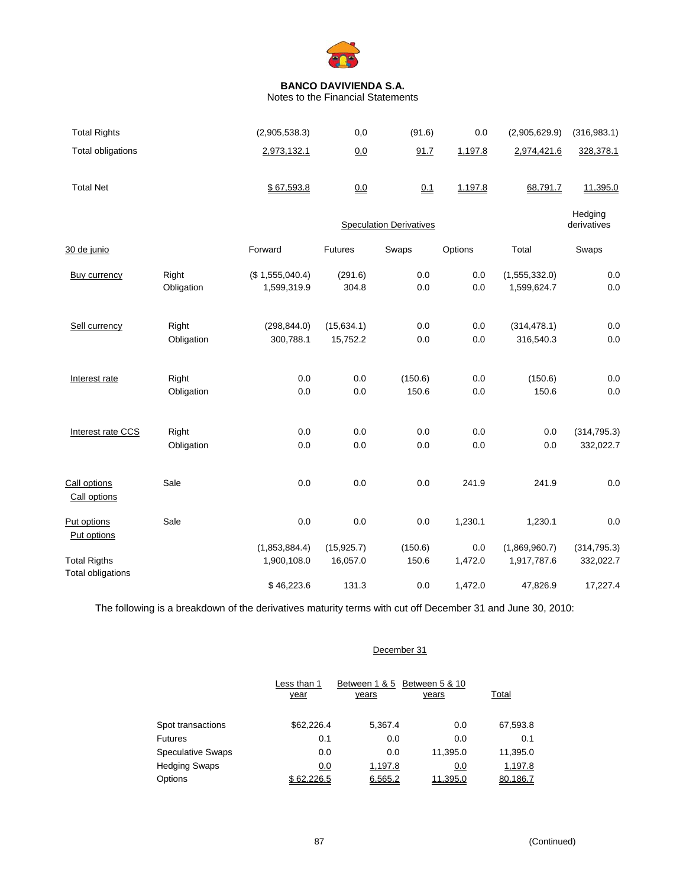

Notes to the Financial Statements

| <b>Total Rights</b>                             |                     | (2,905,538.3)                  | 0,0              | (91.6)                         | 0.0        | (2,905,629.9)                | (316, 983.1)           |
|-------------------------------------------------|---------------------|--------------------------------|------------------|--------------------------------|------------|------------------------------|------------------------|
| <b>Total obligations</b>                        |                     | 2,973,132.1                    | 0.0              | 91.7                           | 1,197.8    | 2,974,421.6                  | 328,378.1              |
| <b>Total Net</b>                                |                     | \$67,593.8                     | 0.0              | 0.1                            | 1,197.8    | 68,791.7                     | 11,395.0               |
|                                                 |                     |                                |                  | <b>Speculation Derivatives</b> |            |                              | Hedging<br>derivatives |
| 30 de junio                                     |                     | Forward                        | Futures          | Swaps                          | Options    | Total                        | Swaps                  |
| <b>Buy currency</b>                             | Right<br>Obligation | (\$1,555,040.4)<br>1,599,319.9 | (291.6)<br>304.8 | 0.0<br>0.0                     | 0.0<br>0.0 | (1,555,332.0)<br>1,599,624.7 | 0.0<br>0.0             |
|                                                 |                     |                                |                  |                                |            |                              |                        |
| Sell currency                                   | Right               | (298, 844.0)                   | (15, 634.1)      | 0.0                            | 0.0        | (314, 478.1)                 | 0.0                    |
|                                                 | Obligation          | 300,788.1                      | 15,752.2         | 0.0                            | 0.0        | 316,540.3                    | 0.0                    |
| Interest rate                                   | Right               | 0.0                            | 0.0              | (150.6)                        | 0.0        | (150.6)                      | 0.0                    |
|                                                 | Obligation          | 0.0                            | 0.0              | 150.6                          | 0.0        | 150.6                        | 0.0                    |
| Interest rate CCS                               | Right               | 0.0                            | 0.0              | 0.0                            | 0.0        | 0.0                          | (314, 795.3)           |
|                                                 | Obligation          | 0.0                            | 0.0              | 0.0                            | 0.0        | 0.0                          | 332,022.7              |
| Call options<br>Call options                    | Sale                | 0.0                            | 0.0              | 0.0                            | 241.9      | 241.9                        | 0.0                    |
| Put options<br>Put options                      | Sale                | 0.0                            | 0.0              | 0.0                            | 1,230.1    | 1,230.1                      | 0.0                    |
|                                                 |                     | (1,853,884.4)                  | (15, 925.7)      | (150.6)                        | 0.0        | (1,869,960.7)                | (314, 795.3)           |
| <b>Total Rigths</b><br><b>Total obligations</b> |                     | 1,900,108.0                    | 16,057.0         | 150.6                          | 1,472.0    | 1,917,787.6                  | 332,022.7              |
|                                                 |                     | \$46,223.6                     | 131.3            | 0.0                            | 1,472.0    | 47,826.9                     | 17,227.4               |

The following is a breakdown of the derivatives maturity terms with cut off December 31 and June 30, 2010:

# December 31

|                          | Less than 1 | Between 1 & 5         | Between 5 & 10 |          |  |
|--------------------------|-------------|-----------------------|----------------|----------|--|
|                          | year        | years<br><u>years</u> |                | Total    |  |
|                          |             |                       |                |          |  |
| Spot transactions        | \$62,226.4  | 5.367.4               | 0.0            | 67,593.8 |  |
| <b>Futures</b>           | 0.1         | 0.0                   | 0.0            | 0.1      |  |
| <b>Speculative Swaps</b> | 0.0         | 0.0                   | 11,395.0       | 11,395.0 |  |
| <b>Hedging Swaps</b>     | 0.0         | 1,197.8               | 0.0            | 1,197.8  |  |
| Options                  | \$62.226.5  | 6.565.2               | 11.395.0       | 80.186.7 |  |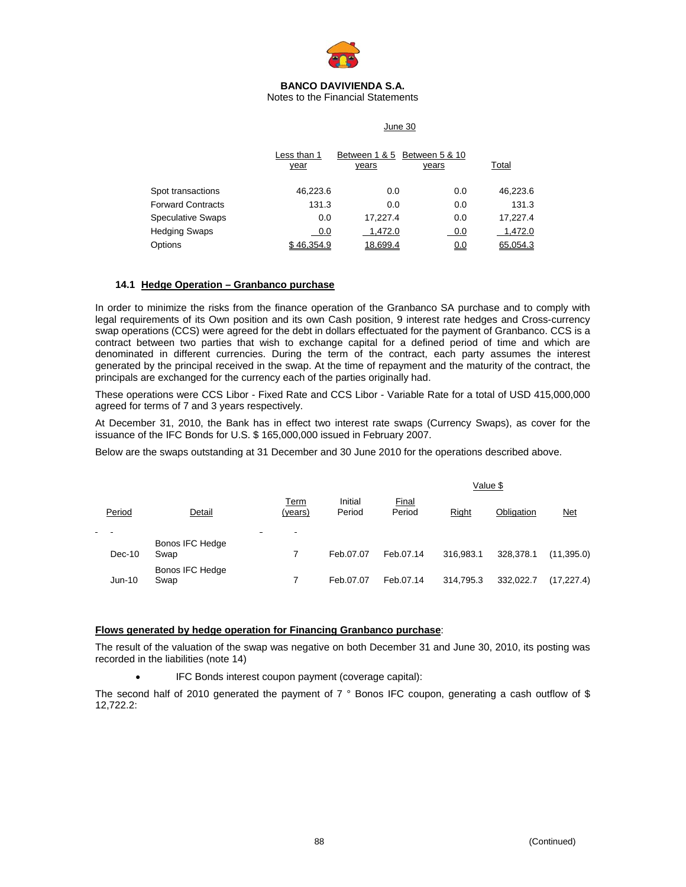

Notes to the Financial Statements

#### June 30

|                          | Less than 1<br>year | years    | Between 1 & 5 Between 5 & 10<br>years | <u>Total</u> |
|--------------------------|---------------------|----------|---------------------------------------|--------------|
| Spot transactions        | 46,223.6            | 0.0      | 0.0                                   | 46,223.6     |
| <b>Forward Contracts</b> | 131.3               | 0.0      | 0.0                                   | 131.3        |
| <b>Speculative Swaps</b> | 0.0                 | 17.227.4 | 0.0                                   | 17.227.4     |
| <b>Hedging Swaps</b>     | 0.0                 | 1.472.0  | 0.0                                   | 1,472.0      |
| Options                  | \$46.354.9          | 18.699.4 | <u>0.0</u>                            | 65.054.3     |

#### **14.1 Hedge Operation – Granbanco purchase**

In order to minimize the risks from the finance operation of the Granbanco SA purchase and to comply with legal requirements of its Own position and its own Cash position, 9 interest rate hedges and Cross-currency swap operations (CCS) were agreed for the debt in dollars effectuated for the payment of Granbanco. CCS is a contract between two parties that wish to exchange capital for a defined period of time and which are denominated in different currencies. During the term of the contract, each party assumes the interest generated by the principal received in the swap. At the time of repayment and the maturity of the contract, the principals are exchanged for the currency each of the parties originally had.

These operations were CCS Libor - Fixed Rate and CCS Libor - Variable Rate for a total of USD 415,000,000 agreed for terms of 7 and 3 years respectively.

At December 31, 2010, the Bank has in effect two interest rate swaps (Currency Swaps), as cover for the issuance of the IFC Bonds for U.S. \$ 165,000,000 issued in February 2007.

Below are the swaps outstanding at 31 December and 30 June 2010 for the operations described above.

|        |                         |                     | Value \$          |                 |           |            |            |
|--------|-------------------------|---------------------|-------------------|-----------------|-----------|------------|------------|
| Period | Detail                  | Term<br>(years)     | Initial<br>Period | Final<br>Period | Right     | Obligation | <u>Net</u> |
|        |                         | $\blacksquare$<br>- |                   |                 |           |            |            |
| Dec-10 | Bonos IFC Hedge<br>Swap |                     | Feb.07.07         | Feb.07.14       | 316.983.1 | 328.378.1  | (11,395.0) |
| Jun-10 | Bonos IFC Hedge<br>Swap |                     | Feb.07.07         | Feb.07.14       | 314,795.3 | 332.022.7  | (17,227.4) |

#### **Flows generated by hedge operation for Financing Granbanco purchase**:

The result of the valuation of the swap was negative on both December 31 and June 30, 2010, its posting was recorded in the liabilities (note 14)

• IFC Bonds interest coupon payment (coverage capital):

The second half of 2010 generated the payment of  $7°$  Bonos IFC coupon, generating a cash outflow of \$ 12,722.2: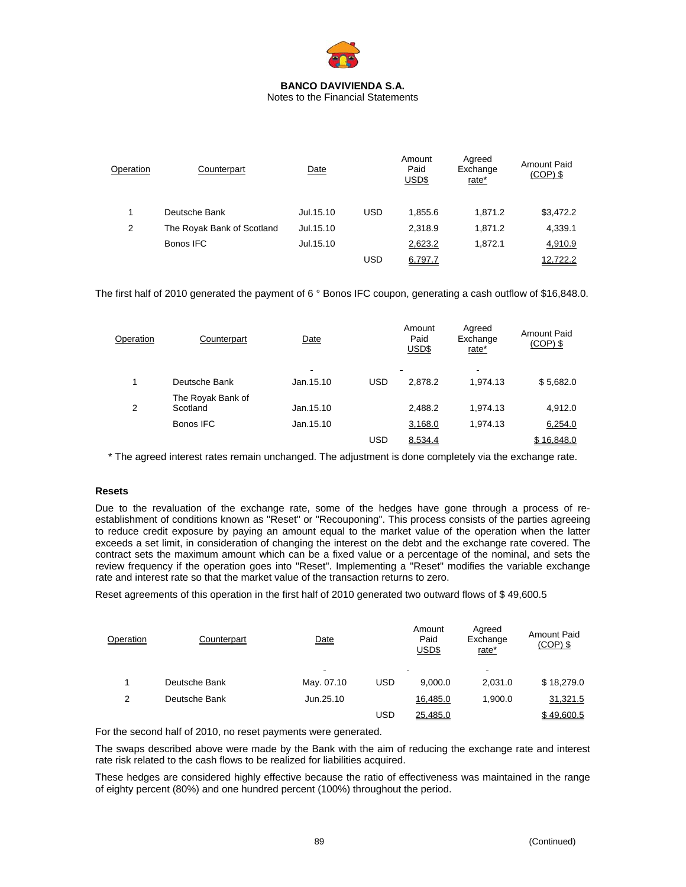

Notes to the Financial Statements

| Operation | Counterpart                | Date      |            | Amount<br>Paid<br>USD\$ | Agreed<br>Exchange<br>rate* | <b>Amount Paid</b><br>$(COP)$ \$ |
|-----------|----------------------------|-----------|------------|-------------------------|-----------------------------|----------------------------------|
|           | Deutsche Bank              | Jul.15.10 | <b>USD</b> | 1.855.6                 | 1.871.2                     | \$3,472.2                        |
| 2         | The Royak Bank of Scotland | Jul.15.10 |            | 2,318.9                 | 1,871.2                     | 4,339.1                          |
|           | Bonos IFC                  | Jul.15.10 |            | 2,623.2                 | 1,872.1                     | 4,910.9                          |
|           |                            |           | USD        | 6,797.7                 |                             | 12,722.2                         |

The first half of 2010 generated the payment of 6 ° Bonos IFC coupon, generating a cash outflow of \$16,848.0.

| Operation | Counterpart       | Date      |            | Amount<br>Paid<br>USD\$ | Agreed<br>Exchange<br>rate* | <b>Amount Paid</b><br>$(COP)$ \$ |
|-----------|-------------------|-----------|------------|-------------------------|-----------------------------|----------------------------------|
|           |                   | -         |            | -                       | $\blacksquare$              |                                  |
|           | Deutsche Bank     | Jan.15.10 | <b>USD</b> | 2.878.2                 | 1.974.13                    | \$5,682.0                        |
|           | The Royak Bank of |           |            |                         |                             |                                  |
| 2         | Scotland          | Jan.15.10 |            | 2,488.2                 | 1,974.13                    | 4,912.0                          |
|           | Bonos IFC         | Jan.15.10 |            | 3,168.0                 | 1,974.13                    | 6,254.0                          |
|           |                   |           | <b>USD</b> | 8,534.4                 |                             | \$16.848.0                       |

\* The agreed interest rates remain unchanged. The adjustment is done completely via the exchange rate.

## **Resets**

Due to the revaluation of the exchange rate, some of the hedges have gone through a process of reestablishment of conditions known as "Reset" or "Recouponing". This process consists of the parties agreeing to reduce credit exposure by paying an amount equal to the market value of the operation when the latter exceeds a set limit, in consideration of changing the interest on the debt and the exchange rate covered. The contract sets the maximum amount which can be a fixed value or a percentage of the nominal, and sets the review frequency if the operation goes into "Reset". Implementing a "Reset" modifies the variable exchange rate and interest rate so that the market value of the transaction returns to zero.

Reset agreements of this operation in the first half of 2010 generated two outward flows of \$ 49,600.5

| Operation | Counterpart   | Date           |            | Amount<br>Paid<br>USD\$ | Agreed<br>Exchange<br>rate* | <b>Amount Paid</b><br>$(COP)$ \$ |
|-----------|---------------|----------------|------------|-------------------------|-----------------------------|----------------------------------|
|           |               | $\blacksquare$ |            |                         | $\blacksquare$              |                                  |
|           | Deutsche Bank | May. 07.10     | <b>USD</b> | 9.000.0                 | 2.031.0                     | \$18,279.0                       |
| 2         | Deutsche Bank | Jun.25.10      |            | 16,485.0                | 1.900.0                     | 31,321.5                         |
|           |               |                | USD        | 25.485.0                |                             | \$49,600.5                       |

For the second half of 2010, no reset payments were generated.

The swaps described above were made by the Bank with the aim of reducing the exchange rate and interest rate risk related to the cash flows to be realized for liabilities acquired.

These hedges are considered highly effective because the ratio of effectiveness was maintained in the range of eighty percent (80%) and one hundred percent (100%) throughout the period.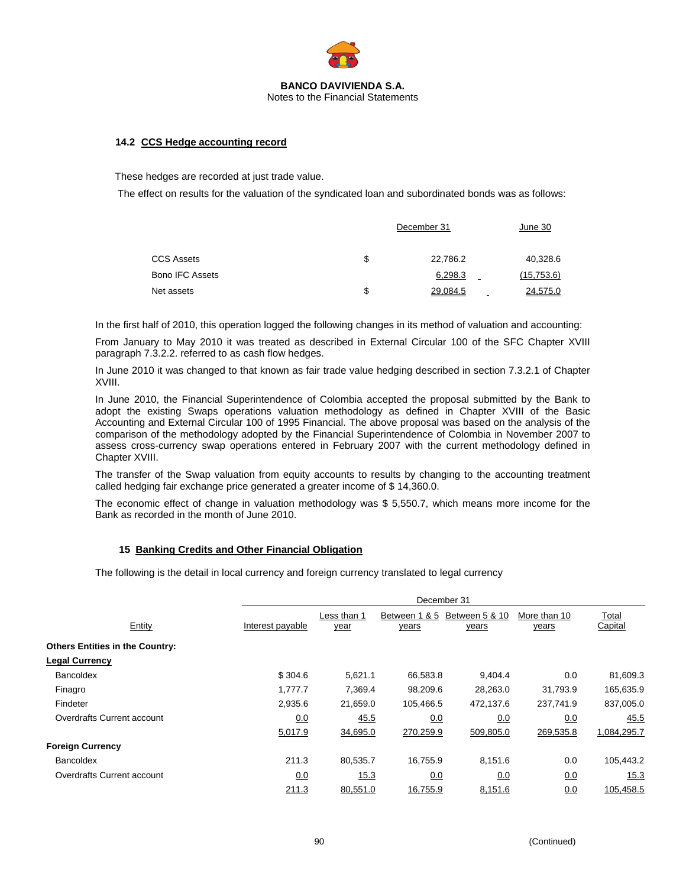

## **14.2 CCS Hedge accounting record**

These hedges are recorded at just trade value.

The effect on results for the valuation of the syndicated loan and subordinated bonds was as follows:

|                        | December 31    | June 30    |
|------------------------|----------------|------------|
| <b>CCS Assets</b>      | \$<br>22,786.2 | 40,328.6   |
| <b>Bono IFC Assets</b> | 6,298.3        | (15,753.6) |
| Net assets             | \$<br>29,084.5 | 24,575.0   |

In the first half of 2010, this operation logged the following changes in its method of valuation and accounting:

From January to May 2010 it was treated as described in External Circular 100 of the SFC Chapter XVIII paragraph 7.3.2.2. referred to as cash flow hedges.

In June 2010 it was changed to that known as fair trade value hedging described in section 7.3.2.1 of Chapter XVIII.

In June 2010, the Financial Superintendence of Colombia accepted the proposal submitted by the Bank to adopt the existing Swaps operations valuation methodology as defined in Chapter XVIII of the Basic Accounting and External Circular 100 of 1995 Financial. The above proposal was based on the analysis of the comparison of the methodology adopted by the Financial Superintendence of Colombia in November 2007 to assess cross-currency swap operations entered in February 2007 with the current methodology defined in Chapter XVIII.

The transfer of the Swap valuation from equity accounts to results by changing to the accounting treatment called hedging fair exchange price generated a greater income of \$ 14,360.0.

The economic effect of change in valuation methodology was \$ 5,550.7, which means more income for the Bank as recorded in the month of June 2010.

## **15 Banking Credits and Other Financial Obligation**

The following is the detail in local currency and foreign currency translated to legal currency

|                                        | December 31      |                     |                               |                                |                       |                         |  |
|----------------------------------------|------------------|---------------------|-------------------------------|--------------------------------|-----------------------|-------------------------|--|
| Entity                                 | Interest payable | Less than 1<br>year | Between 1 & 5<br><u>years</u> | Between 5 & 10<br><u>years</u> | More than 10<br>years | Total<br><b>Capital</b> |  |
| <b>Others Entities in the Country:</b> |                  |                     |                               |                                |                       |                         |  |
| <b>Legal Currency</b>                  |                  |                     |                               |                                |                       |                         |  |
| <b>Bancoldex</b>                       | \$304.6          | 5,621.1             | 66,583.8                      | 9,404.4                        | 0.0                   | 81,609.3                |  |
| Finagro                                | 1.777.7          | 7.369.4             | 98,209.6                      | 28,263.0                       | 31,793.9              | 165,635.9               |  |
| Findeter                               | 2,935.6          | 21,659.0            | 105,466.5                     | 472,137.6                      | 237.741.9             | 837,005.0               |  |
| Overdrafts Current account             | 0.0              | 45.5                | 0.0                           | 0.0                            | 0.0                   | 45.5                    |  |
|                                        | 5,017.9          | 34,695.0            | 270,259.9                     | 509,805.0                      | 269,535.8             | 1,084,295.7             |  |
| <b>Foreign Currency</b>                |                  |                     |                               |                                |                       |                         |  |
| <b>Bancoldex</b>                       | 211.3            | 80,535.7            | 16,755.9                      | 8,151.6                        | 0.0                   | 105,443.2               |  |
| Overdrafts Current account             | 0.0              | 15.3                | 0.0                           | 0.0                            | 0.0                   | 15.3                    |  |
|                                        | 211.3            | 80,551.0            | 16.755.9                      | 8,151.6                        | 0.0                   | 105.458.5               |  |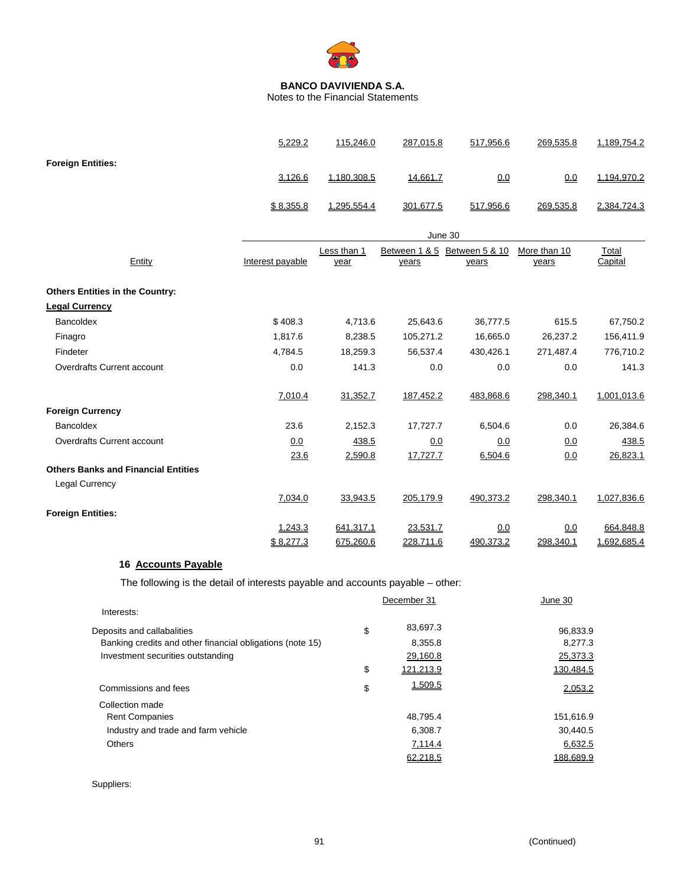

Notes to the Financial Statements

|                                            | 5,229.2          | 115,246.0   | 287,015.8     | 517,956.6      | 269,535.8    | 1,189,754.2 |
|--------------------------------------------|------------------|-------------|---------------|----------------|--------------|-------------|
| <b>Foreign Entities:</b>                   |                  |             |               |                |              |             |
|                                            | 3,126.6          | 1,180,308.5 | 14,661.7      | 0.0            | 0.0          | 1,194,970.2 |
|                                            | \$8,355.8        | 1,295,554.4 | 301,677.5     | 517,956.6      | 269,535.8    | 2,384,724.3 |
|                                            |                  |             | June 30       |                |              |             |
|                                            |                  | Less than 1 | Between 1 & 5 | Between 5 & 10 | More than 10 | Total       |
| Entity                                     | Interest payable | year        | years         | years          | years        | Capital     |
| <b>Others Entities in the Country:</b>     |                  |             |               |                |              |             |
| <b>Legal Currency</b>                      |                  |             |               |                |              |             |
| <b>Bancoldex</b>                           | \$408.3          | 4,713.6     | 25,643.6      | 36,777.5       | 615.5        | 67,750.2    |
| Finagro                                    | 1.817.6          | 8,238.5     | 105,271.2     | 16,665.0       | 26,237.2     | 156,411.9   |
| Findeter                                   | 4,784.5          | 18,259.3    | 56,537.4      | 430,426.1      | 271,487.4    | 776,710.2   |
| Overdrafts Current account                 | 0.0              | 141.3       | 0.0           | 0.0            | 0.0          | 141.3       |
|                                            | 7,010.4          | 31,352.7    | 187,452.2     | 483,868.6      | 298,340.1    | 1,001,013.6 |
| <b>Foreign Currency</b>                    |                  |             |               |                |              |             |
| <b>Bancoldex</b>                           | 23.6             | 2,152.3     | 17,727.7      | 6,504.6        | 0.0          | 26,384.6    |
| Overdrafts Current account                 | 0.0              | 438.5       | 0.0           | 0.0            | 0.0          | 438.5       |
|                                            | 23.6             | 2,590.8     | 17,727.7      | 6,504.6        | 0.0          | 26,823.1    |
| <b>Others Banks and Financial Entities</b> |                  |             |               |                |              |             |
| Legal Currency                             |                  |             |               |                |              |             |
|                                            | 7,034.0          | 33,943.5    | 205,179.9     | 490,373.2      | 298,340.1    | 1,027,836.6 |
| <b>Foreign Entities:</b>                   |                  |             |               |                |              |             |
|                                            | 1,243.3          | 641,317.1   | 23,531.7      | 0.0            | 0.0          | 664,848.8   |
|                                            | \$8,277.3        | 675,260.6   | 228,711.6     | 490,373.2      | 298,340.1    | 1,692,685.4 |

# **16 Accounts Payable**

The following is the detail of interests payable and accounts payable – other:

|                                                           | December 31     | June 30   |
|-----------------------------------------------------------|-----------------|-----------|
| Interests:                                                |                 |           |
| Deposits and callabalities                                | \$<br>83,697.3  | 96,833.9  |
| Banking credits and other financial obligations (note 15) | 8,355.8         | 8,277.3   |
| Investment securities outstanding                         | 29,160.8        | 25,373.3  |
|                                                           | \$<br>121.213.9 | 130.484.5 |
| Commissions and fees                                      | \$<br>1,509.5   | 2,053.2   |
| Collection made                                           |                 |           |
| <b>Rent Companies</b>                                     | 48.795.4        | 151,616.9 |
| Industry and trade and farm vehicle                       | 6.308.7         | 30.440.5  |
| <b>Others</b>                                             | 7,114.4         | 6,632.5   |
|                                                           | 62.218.5        | 188.689.9 |

Suppliers: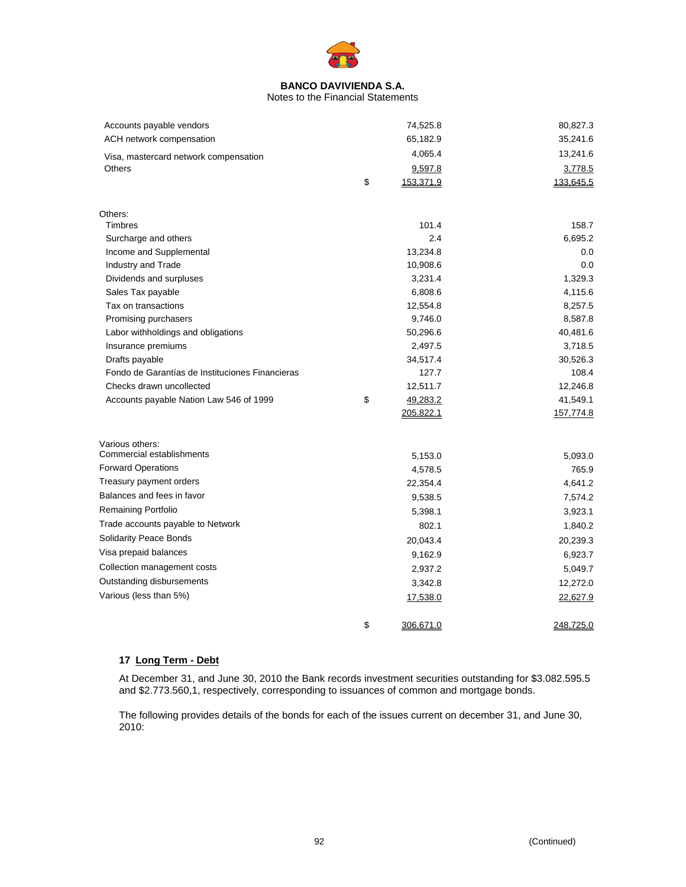

#### Notes to the Financial Statements

| Accounts payable vendors                        | 74,525.8        | 80,827.3  |
|-------------------------------------------------|-----------------|-----------|
| ACH network compensation                        | 65,182.9        | 35,241.6  |
| Visa, mastercard network compensation           | 4,065.4         | 13,241.6  |
| <b>Others</b>                                   | 9,597.8         | 3,778.5   |
|                                                 | \$<br>153,371.9 | 133,645.5 |
|                                                 |                 |           |
| Others:                                         |                 |           |
| <b>Timbres</b>                                  | 101.4           | 158.7     |
| Surcharge and others                            | 2.4             | 6,695.2   |
| Income and Supplemental                         | 13,234.8        | 0.0       |
| Industry and Trade                              | 10,908.6        | 0.0       |
| Dividends and surpluses                         | 3,231.4         | 1,329.3   |
| Sales Tax payable                               | 6,808.6         | 4,115.6   |
| Tax on transactions                             | 12,554.8        | 8,257.5   |
| Promising purchasers                            | 9,746.0         | 8,587.8   |
| Labor withholdings and obligations              | 50,296.6        | 40,481.6  |
| Insurance premiums                              | 2,497.5         | 3,718.5   |
| Drafts payable                                  | 34,517.4        | 30,526.3  |
| Fondo de Garantías de Instituciones Financieras | 127.7           | 108.4     |
| Checks drawn uncollected                        | 12,511.7        | 12,246.8  |
| Accounts payable Nation Law 546 of 1999         | \$<br>49,283.2  | 41,549.1  |
|                                                 | 205,822.1       | 157,774.8 |
| Various others:                                 |                 |           |
| Commercial establishments                       | 5,153.0         | 5,093.0   |
| <b>Forward Operations</b>                       | 4,578.5         | 765.9     |
| Treasury payment orders                         | 22,354.4        | 4,641.2   |
| Balances and fees in favor                      | 9,538.5         | 7,574.2   |
| Remaining Portfolio                             | 5,398.1         | 3,923.1   |
| Trade accounts payable to Network               | 802.1           | 1,840.2   |
| Solidarity Peace Bonds                          |                 |           |
| Visa prepaid balances                           | 20,043.4        | 20,239.3  |
|                                                 | 9,162.9         | 6,923.7   |
| Collection management costs                     | 2,937.2         | 5,049.7   |
| Outstanding disbursements                       | 3,342.8         | 12,272.0  |
| Various (less than 5%)                          | 17,538.0        | 22,627.9  |
|                                                 | \$<br>306,671.0 | 248,725.0 |

# **17 Long Term - Debt**

At December 31, and June 30, 2010 the Bank records investment securities outstanding for \$3.082.595.5 and \$2.773.560,1, respectively, corresponding to issuances of common and mortgage bonds.

The following provides details of the bonds for each of the issues current on december 31, and June 30, 2010: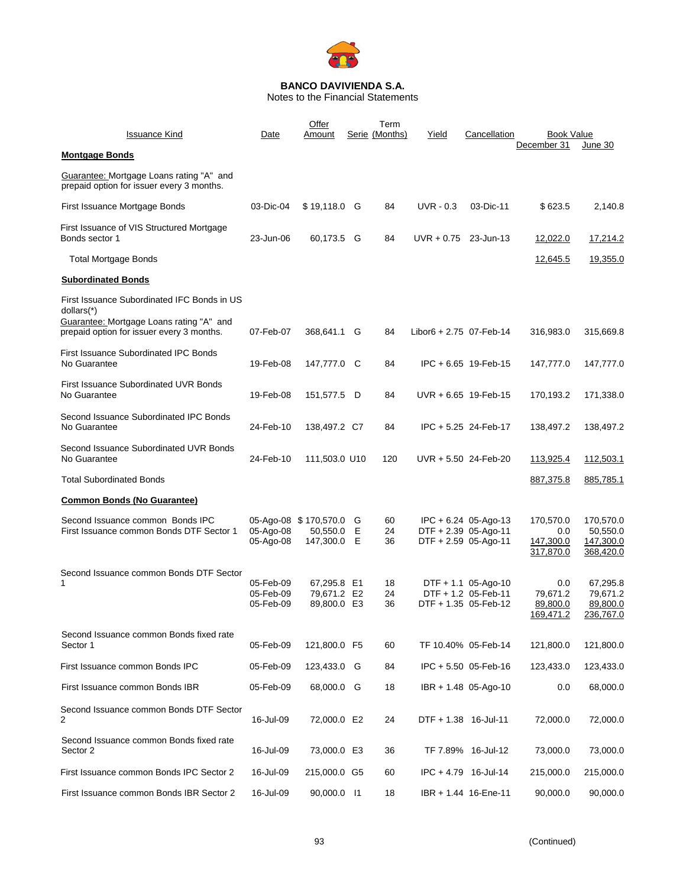

Notes to the Financial Statements

| Issuance Kind                                                                                                                                      | Date                                | Offer<br>Amount                                  |        | Term<br>Serie (Months) | Yield                   | Cancellation                                                           | <b>Book Value</b>                          |                                                 |
|----------------------------------------------------------------------------------------------------------------------------------------------------|-------------------------------------|--------------------------------------------------|--------|------------------------|-------------------------|------------------------------------------------------------------------|--------------------------------------------|-------------------------------------------------|
| <b>Montgage Bonds</b>                                                                                                                              |                                     |                                                  |        |                        |                         |                                                                        | December 31                                | June 30                                         |
| Guarantee: Mortgage Loans rating "A" and<br>prepaid option for issuer every 3 months.                                                              |                                     |                                                  |        |                        |                         |                                                                        |                                            |                                                 |
| First Issuance Mortgage Bonds                                                                                                                      | 03-Dic-04                           | \$19,118.0 G                                     |        | 84                     | $UVR - 0.3$             | 03-Dic-11                                                              | \$623.5                                    | 2,140.8                                         |
| First Issuance of VIS Structured Mortgage<br>Bonds sector 1                                                                                        | 23-Jun-06                           | 60,173.5                                         | G      | 84                     | $UVR + 0.75$ 23-Jun-13  |                                                                        | 12,022.0                                   | 17,214.2                                        |
| <b>Total Mortgage Bonds</b>                                                                                                                        |                                     |                                                  |        |                        |                         |                                                                        | 12,645.5                                   | 19,355.0                                        |
| <b>Subordinated Bonds</b>                                                                                                                          |                                     |                                                  |        |                        |                         |                                                                        |                                            |                                                 |
| First Issuance Subordinated IFC Bonds in US<br>dollars(*)<br>Guarantee: Mortgage Loans rating "A" and<br>prepaid option for issuer every 3 months. | 07-Feb-07                           | 368,641.1                                        | G      | 84                     | Libor6 + 2.75 07-Feb-14 |                                                                        | 316,983.0                                  | 315,669.8                                       |
| <b>First Issuance Subordinated IPC Bonds</b><br>No Guarantee                                                                                       | 19-Feb-08                           | 147,777.0 C                                      |        | 84                     |                         | IPC + 6.65 19-Feb-15                                                   | 147,777.0                                  | 147,777.0                                       |
| First Issuance Subordinated UVR Bonds<br>No Guarantee                                                                                              | 19-Feb-08                           | 151,577.5 D                                      |        | 84                     |                         | $UVR + 6.65$ 19-Feb-15                                                 | 170,193.2                                  | 171,338.0                                       |
| Second Issuance Subordinated IPC Bonds<br>No Guarantee                                                                                             | 24-Feb-10                           | 138,497.2 C7                                     |        | 84                     |                         | IPC + 5.25 24-Feb-17                                                   | 138,497.2                                  | 138,497.2                                       |
| Second Issuance Subordinated UVR Bonds<br>No Guarantee                                                                                             | 24-Feb-10                           | 111,503.0 U10                                    |        | 120                    | UVR + 5.50 24-Feb-20    |                                                                        | 113,925.4                                  | 112,503.1                                       |
| <b>Total Subordinated Bonds</b>                                                                                                                    |                                     |                                                  |        |                        |                         |                                                                        | 887,375.8                                  | 885,785.1                                       |
| <b>Common Bonds (No Guarantee)</b>                                                                                                                 |                                     |                                                  |        |                        |                         |                                                                        |                                            |                                                 |
| Second Issuance common Bonds IPC<br>First Issuance common Bonds DTF Sector 1                                                                       | 05-Ago-08<br>05-Ago-08              | 05-Ago-08 \$170,570.0<br>50,550.0<br>147,300.0 E | G<br>Е | 60<br>24<br>36         |                         | $IPC + 6.24$ 05-Ago-13<br>DTF + 2.39 05-Ago-11<br>DTF + 2.59 05-Ago-11 | 170,570.0<br>0.0<br>147,300.0<br>317,870.0 | 170,570.0<br>50,550.0<br>147,300.0<br>368,420.0 |
| Second Issuance common Bonds DTF Sector<br>1                                                                                                       | 05-Feb-09<br>05-Feb-09<br>05-Feb-09 | 67,295.8 E1<br>79,671.2 E2<br>89,800.0 E3        |        | 18<br>24<br>36         |                         | $DTF + 1.1$ 05-Ago-10<br>DTF + 1.2 05-Feb-11<br>DTF + 1.35 05-Feb-12   | 0.0<br>79,671.2<br>89,800.0<br>169,471.2   | 67,295.8<br>79,671.2<br>89,800.0<br>236,767.0   |
| Second Issuance common Bonds fixed rate<br>Sector 1                                                                                                | 05-Feb-09                           | 121,800.0 F5                                     |        | 60                     |                         | TF 10.40% 05-Feb-14                                                    | 121,800.0                                  | 121,800.0                                       |
| First Issuance common Bonds IPC                                                                                                                    | 05-Feb-09                           | 123,433.0 G                                      |        | 84                     |                         | IPC + 5.50 05-Feb-16                                                   | 123,433.0                                  | 123,433.0                                       |
| First Issuance common Bonds IBR                                                                                                                    | 05-Feb-09                           | 68,000.0 G                                       |        | 18                     |                         | IBR + 1.48 05-Ago-10                                                   | 0.0                                        | 68,000.0                                        |
| Second Issuance common Bonds DTF Sector<br>2                                                                                                       | 16-Jul-09                           | 72,000.0 E2                                      |        | 24                     | DTF + 1.38 16-Jul-11    |                                                                        | 72,000.0                                   | 72,000.0                                        |
| Second Issuance common Bonds fixed rate<br>Sector 2                                                                                                | 16-Jul-09                           | 73,000.0 E3                                      |        | 36                     |                         | TF 7.89% 16-Jul-12                                                     | 73,000.0                                   | 73,000.0                                        |
| First Issuance common Bonds IPC Sector 2                                                                                                           | 16-Jul-09                           | 215,000.0 G5                                     |        | 60                     |                         | IPC + 4.79 16-Jul-14                                                   | 215,000.0                                  | 215,000.0                                       |
| First Issuance common Bonds IBR Sector 2                                                                                                           | 16-Jul-09                           | 90,000.0 11                                      |        | 18                     |                         | IBR + 1.44 16-Ene-11                                                   | 90,000.0                                   | 90,000.0                                        |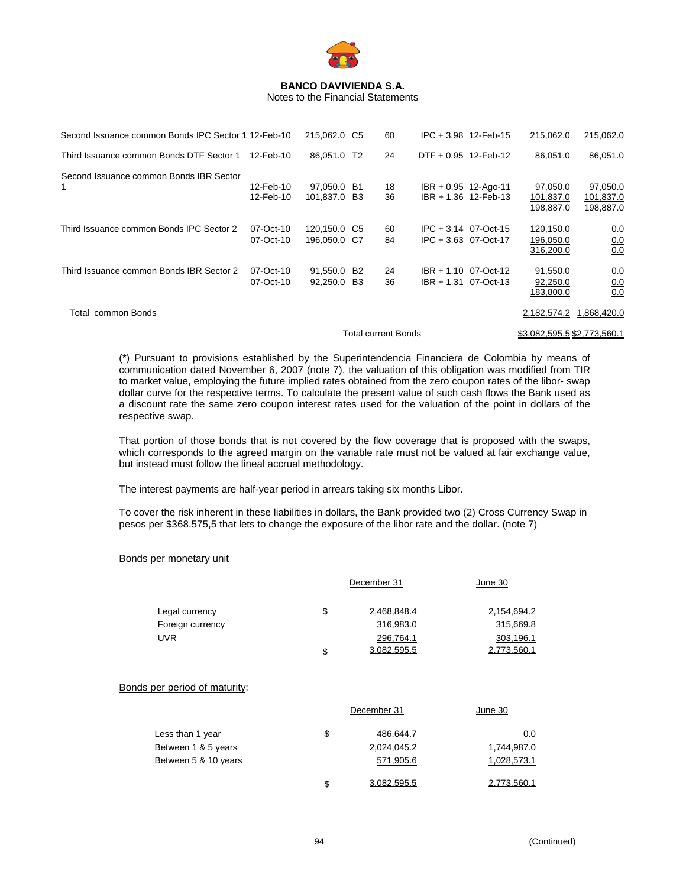

Notes to the Financial Statements

| Second Issuance common Bonds IPC Sector 1 12-Feb-10 |                        | 215,062.0 C5                 |                      | 60                         | $IPC + 3.98$ 12-Feb-15                         | 215,062.0                           | 215,062.0                          |
|-----------------------------------------------------|------------------------|------------------------------|----------------------|----------------------------|------------------------------------------------|-------------------------------------|------------------------------------|
| Third Issuance common Bonds DTF Sector 1            | 12-Feb-10              | 86,051.0                     | T2                   | 24                         | DTF + 0.95 12-Feb-12                           | 86.051.0                            | 86,051.0                           |
| Second Issuance common Bonds IBR Sector<br>1        | 12-Feb-10<br>12-Feb-10 | 97,050.0 B1<br>101,837.0     | B3                   | 18<br>36                   | $IBR + 0.95$ 12-Ago-11<br>IBR + 1.36 12-Feb-13 | 97,050.0<br>101,837.0<br>198,887.0  | 97,050.0<br>101,837.0<br>198,887.0 |
| Third Issuance common Bonds IPC Sector 2            | 07-Oct-10<br>07-Oct-10 | 120,150.0 C5<br>196,050.0 C7 |                      | 60<br>84                   | $IPC + 3.14$ 07-Oct-15<br>IPC + 3.63 07-Oct-17 | 120,150.0<br>196,050.0<br>316,200.0 | 0.0<br>0.0<br>0.0                  |
| Third Issuance common Bonds IBR Sector 2            | 07-Oct-10<br>07-Oct-10 | 91,550.0<br>92,250.0         | B <sub>2</sub><br>B3 | 24<br>36                   | $IBR + 1.10$ 07-Oct-12<br>IBR + 1.31 07-Oct-13 | 91,550.0<br>92,250.0<br>183,800.0   | 0.0<br>0.0<br>0.0                  |
| Total common Bonds                                  |                        |                              |                      |                            |                                                | 2,182,574.2 1,868,420.0             |                                    |
|                                                     |                        |                              |                      | <b>Total current Bonds</b> |                                                | \$3.082.595.5 \$2.773.560.1         |                                    |

(\*) Pursuant to provisions established by the Superintendencia Financiera de Colombia by means of communication dated November 6, 2007 (note 7), the valuation of this obligation was modified from TIR to market value, employing the future implied rates obtained from the zero coupon rates of the libor- swap dollar curve for the respective terms. To calculate the present value of such cash flows the Bank used as a discount rate the same zero coupon interest rates used for the valuation of the point in dollars of the respective swap.

That portion of those bonds that is not covered by the flow coverage that is proposed with the swaps, which corresponds to the agreed margin on the variable rate must not be valued at fair exchange value, but instead must follow the lineal accrual methodology.

The interest payments are half-year period in arrears taking six months Libor.

To cover the risk inherent in these liabilities in dollars, the Bank provided two (2) Cross Currency Swap in pesos per \$368.575,5 that lets to change the exposure of the libor rate and the dollar. (note 7)

#### Bonds per monetary unit

|                               | December 31       | June 30            |
|-------------------------------|-------------------|--------------------|
| Legal currency                | \$<br>2,468,848.4 | 2,154,694.2        |
| Foreign currency              | 316,983.0         | 315,669.8          |
| <b>UVR</b>                    | 296,764.1         | 303,196.1          |
|                               | \$<br>3,082,595.5 | 2,773,560.1        |
| Bonds per period of maturity: | December 31       | June 30            |
| Less than 1 year              | \$<br>486,644.7   | 0.0                |
| Between 1 & 5 years           | 2,024,045.2       | 1,744,987.0        |
| Between 5 & 10 years          | 571,905.6         | 1,028,573.1        |
|                               | \$<br>3.082.595.5 | <u>2.773.560.1</u> |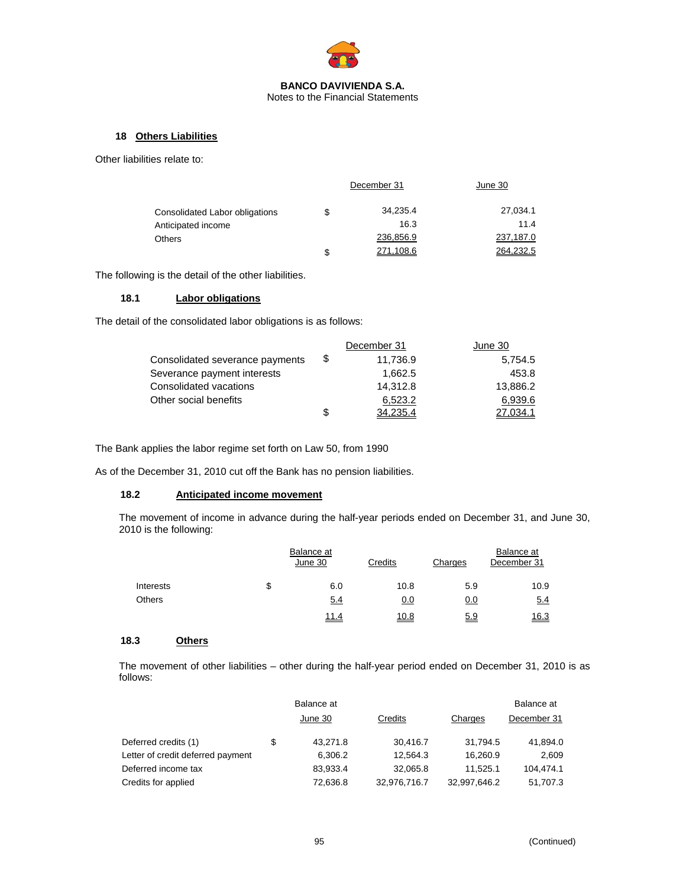

Notes to the Financial Statements

## **18 Others Liabilities**

Other liabilities relate to:

|                                |    | December 31 | June 30   |  |
|--------------------------------|----|-------------|-----------|--|
| Consolidated Labor obligations | S  | 34,235.4    | 27,034.1  |  |
| Anticipated income             |    | 16.3        | 11.4      |  |
| <b>Others</b>                  |    | 236,856.9   | 237,187.0 |  |
|                                | \$ | 271.108.6   | 264.232.5 |  |

The following is the detail of the other liabilities.

## **18.1 Labor obligations**

The detail of the consolidated labor obligations is as follows:

|                                 |      | December 31 | June 30  |
|---------------------------------|------|-------------|----------|
| Consolidated severance payments | - \$ | 11,736.9    | 5.754.5  |
| Severance payment interests     |      | 1.662.5     | 453.8    |
| Consolidated vacations          |      | 14.312.8    | 13,886.2 |
| Other social benefits           |      | 6,523.2     | 6,939.6  |
|                                 | \$   | 34,235.4    | 27.034.1 |

The Bank applies the labor regime set forth on Law 50, from 1990

As of the December 31, 2010 cut off the Bank has no pension liabilities.

# **18.2 Anticipated income movement**

The movement of income in advance during the half-year periods ended on December 31, and June 30, 2010 is the following:

|               | Balance at<br>June 30 | Credits     | Charges | Balance at<br>December 31 |
|---------------|-----------------------|-------------|---------|---------------------------|
| Interests     | \$<br>6.0             | 10.8        | 5.9     | 10.9                      |
| <b>Others</b> | 5.4                   | 0.0         | 0.0     | 5.4                       |
|               | 11.4                  | <u>10.8</u> | 5.9     | 16.3                      |

# **18.3 Others**

The movement of other liabilities – other during the half-year period ended on December 31, 2010 is as follows:

|                                   | Balance at     |              |              | Balance at  |
|-----------------------------------|----------------|--------------|--------------|-------------|
|                                   | June 30        | Credits      | Charges      | December 31 |
| Deferred credits (1)              | \$<br>43,271.8 | 30,416.7     | 31.794.5     | 41,894.0    |
| Letter of credit deferred payment | 6,306.2        | 12.564.3     | 16.260.9     | 2.609       |
| Deferred income tax               | 83,933.4       | 32,065.8     | 11.525.1     | 104.474.1   |
| Credits for applied               | 72,636.8       | 32,976,716.7 | 32,997,646.2 | 51,707.3    |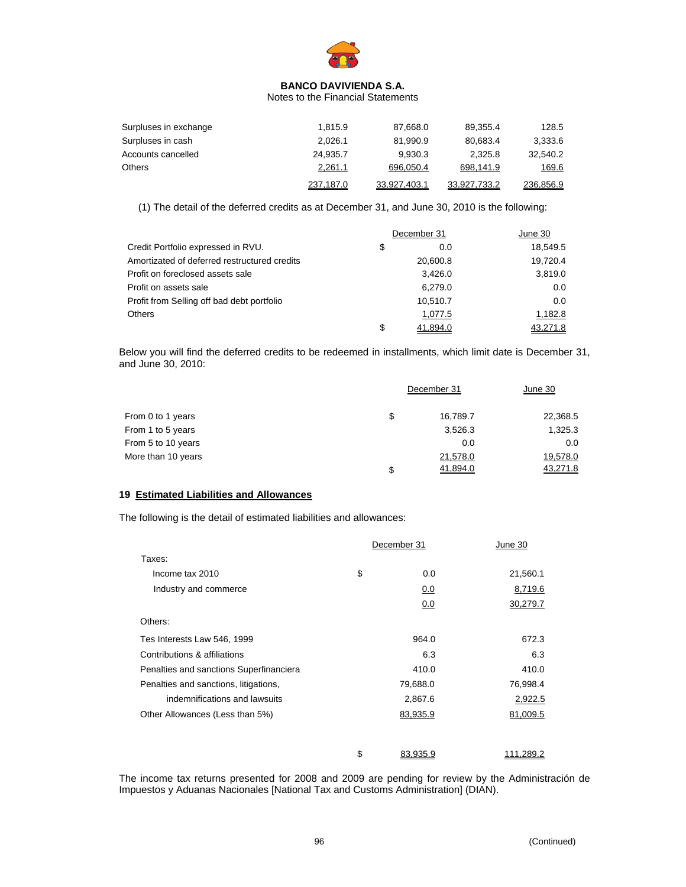

#### Notes to the Financial Statements

| Surpluses in exchange | 1.815.9   | 87.668.0     | 89.355.4     | 128.5     |
|-----------------------|-----------|--------------|--------------|-----------|
| Surpluses in cash     | 2.026.1   | 81.990.9     | 80.683.4     | 3,333.6   |
| Accounts cancelled    | 24.935.7  | 9.930.3      | 2.325.8      | 32.540.2  |
| Others                | 2,261.1   | 696,050.4    | 698,141.9    | 169.6     |
|                       | 237,187.0 | 33.927.403.1 | 33.927.733.2 | 236,856.9 |

(1) The detail of the deferred credits as at December 31, and June 30, 2010 is the following:

|                                              | December 31    | June 30  |
|----------------------------------------------|----------------|----------|
| Credit Portfolio expressed in RVU.           | \$<br>0.0      | 18.549.5 |
| Amortizated of deferred restructured credits | 20,600.8       | 19,720.4 |
| Profit on foreclosed assets sale             | 3.426.0        | 3,819.0  |
| Profit on assets sale                        | 6,279.0        | 0.0      |
| Profit from Selling off bad debt portfolio   | 10,510.7       | 0.0      |
| <b>Others</b>                                | 1,077.5        | 1,182.8  |
|                                              | \$<br>41.894.0 | 43.271.8 |

Below you will find the deferred credits to be redeemed in installments, which limit date is December 31, and June 30, 2010:

|                    | December 31 |          | <u>June 30</u> |
|--------------------|-------------|----------|----------------|
| From 0 to 1 years  | \$          | 16,789.7 | 22,368.5       |
| From 1 to 5 years  |             | 3,526.3  | 1,325.3        |
| From 5 to 10 years |             | 0.0      | 0.0            |
| More than 10 years |             | 21,578.0 | 19,578.0       |
|                    | \$          | 41,894.0 | 43,271.8       |

## **19 Estimated Liabilities and Allowances**

The following is the detail of estimated liabilities and allowances:

|                                         | December 31    | June 30   |  |
|-----------------------------------------|----------------|-----------|--|
| Taxes:                                  |                |           |  |
| Income tax 2010                         | \$<br>0.0      | 21,560.1  |  |
| Industry and commerce                   | 0.0            | 8,719.6   |  |
|                                         | 0.0            | 30,279.7  |  |
| Others:                                 |                |           |  |
| Tes Interests Law 546, 1999             | 964.0          | 672.3     |  |
| Contributions & affiliations            | 6.3            | 6.3       |  |
| Penalties and sanctions Superfinanciera | 410.0          | 410.0     |  |
| Penalties and sanctions, litigations,   | 79,688.0       | 76,998.4  |  |
| indemnifications and lawsuits           | 2,867.6        | 2,922.5   |  |
| Other Allowances (Less than 5%)         | 83,935.9       | 81,009.5  |  |
|                                         |                |           |  |
|                                         | \$<br>83.935.9 | 111.289.2 |  |

The income tax returns presented for 2008 and 2009 are pending for review by the Administración de Impuestos y Aduanas Nacionales [National Tax and Customs Administration] (DIAN).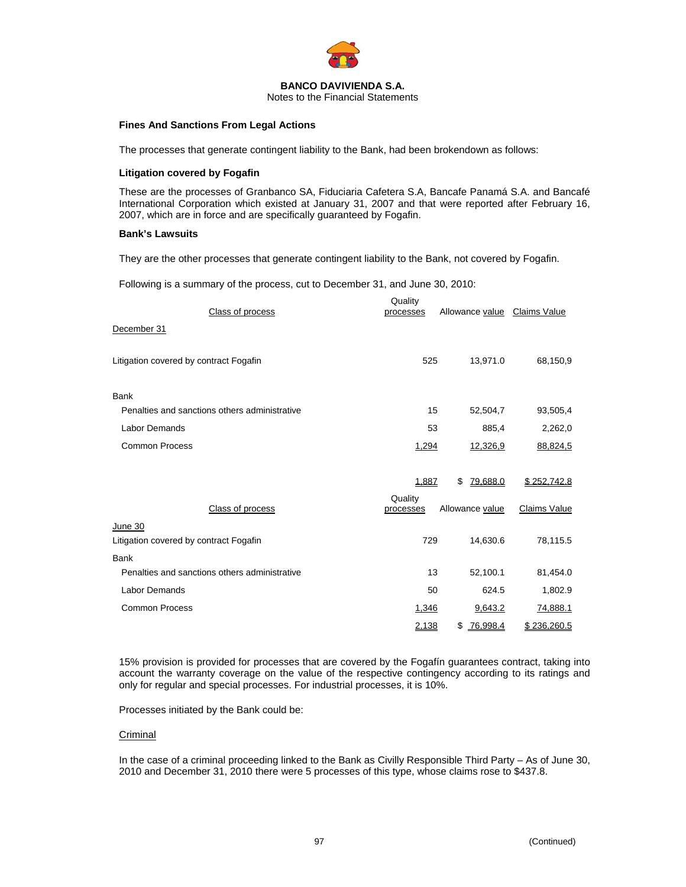

Notes to the Financial Statements

## **Fines And Sanctions From Legal Actions**

The processes that generate contingent liability to the Bank, had been brokendown as follows:

## **Litigation covered by Fogafin**

These are the processes of Granbanco SA, Fiduciaria Cafetera S.A, Bancafe Panamá S.A. and Bancafé International Corporation which existed at January 31, 2007 and that were reported after February 16, 2007, which are in force and are specifically guaranteed by Fogafin.

## **Bank's Lawsuits**

They are the other processes that generate contingent liability to the Bank, not covered by Fogafin.

Following is a summary of the process, cut to December 31, and June 30, 2010:

| Class of process                              | Quality<br>processes | Allowance value Claims Value |                     |
|-----------------------------------------------|----------------------|------------------------------|---------------------|
| December 31                                   |                      |                              |                     |
| Litigation covered by contract Fogafin        | 525                  | 13,971.0                     | 68,150,9            |
| Bank                                          |                      |                              |                     |
| Penalties and sanctions others administrative | 15                   | 52,504,7                     | 93,505,4            |
| <b>Labor Demands</b>                          | 53                   | 885,4                        | 2,262,0             |
| <b>Common Process</b>                         | 1,294                | 12,326,9                     | 88,824,5            |
|                                               | 1,887                | <u>79,688.0</u><br>\$        | \$252,742.8         |
| Class of process                              | Quality<br>processes | Allowance value              | <b>Claims Value</b> |
| June 30                                       |                      |                              |                     |
| Litigation covered by contract Fogafin        | 729                  | 14,630.6                     | 78,115.5            |
| <b>Bank</b>                                   |                      |                              |                     |
| Penalties and sanctions others administrative | 13                   | 52,100.1                     | 81,454.0            |
| <b>Labor Demands</b>                          | 50                   | 624.5                        | 1,802.9             |
| <b>Common Process</b>                         | 1,346                | 9,643.2                      | 74,888.1            |
|                                               | 2,138                | \$<br><u>76,998.4</u>        | \$236,260.5         |

15% provision is provided for processes that are covered by the Fogafín guarantees contract, taking into account the warranty coverage on the value of the respective contingency according to its ratings and only for regular and special processes. For industrial processes, it is 10%.

Processes initiated by the Bank could be:

## **Criminal**

In the case of a criminal proceeding linked to the Bank as Civilly Responsible Third Party – As of June 30, 2010 and December 31, 2010 there were 5 processes of this type, whose claims rose to \$437.8.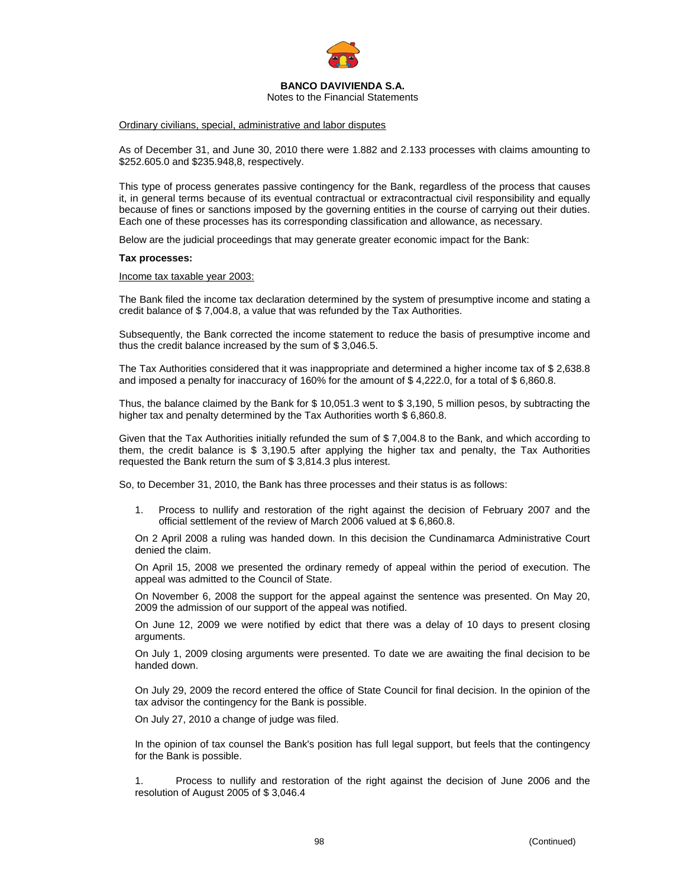

Notes to the Financial Statements

#### Ordinary civilians, special, administrative and labor disputes

As of December 31, and June 30, 2010 there were 1.882 and 2.133 processes with claims amounting to \$252.605.0 and \$235.948,8, respectively.

This type of process generates passive contingency for the Bank, regardless of the process that causes it, in general terms because of its eventual contractual or extracontractual civil responsibility and equally because of fines or sanctions imposed by the governing entities in the course of carrying out their duties. Each one of these processes has its corresponding classification and allowance, as necessary.

Below are the judicial proceedings that may generate greater economic impact for the Bank:

#### **Tax processes:**

Income tax taxable year 2003:

The Bank filed the income tax declaration determined by the system of presumptive income and stating a credit balance of \$ 7,004.8, a value that was refunded by the Tax Authorities.

Subsequently, the Bank corrected the income statement to reduce the basis of presumptive income and thus the credit balance increased by the sum of \$ 3,046.5.

The Tax Authorities considered that it was inappropriate and determined a higher income tax of \$ 2,638.8 and imposed a penalty for inaccuracy of 160% for the amount of \$4,222.0, for a total of \$6,860.8.

Thus, the balance claimed by the Bank for \$ 10,051.3 went to \$ 3,190, 5 million pesos, by subtracting the higher tax and penalty determined by the Tax Authorities worth \$ 6,860.8.

Given that the Tax Authorities initially refunded the sum of \$ 7,004.8 to the Bank, and which according to them, the credit balance is \$ 3,190.5 after applying the higher tax and penalty, the Tax Authorities requested the Bank return the sum of \$ 3,814.3 plus interest.

So, to December 31, 2010, the Bank has three processes and their status is as follows:

1. Process to nullify and restoration of the right against the decision of February 2007 and the official settlement of the review of March 2006 valued at \$ 6,860.8.

On 2 April 2008 a ruling was handed down. In this decision the Cundinamarca Administrative Court denied the claim.

On April 15, 2008 we presented the ordinary remedy of appeal within the period of execution. The appeal was admitted to the Council of State.

On November 6, 2008 the support for the appeal against the sentence was presented. On May 20, 2009 the admission of our support of the appeal was notified.

On June 12, 2009 we were notified by edict that there was a delay of 10 days to present closing arguments.

On July 1, 2009 closing arguments were presented. To date we are awaiting the final decision to be handed down.

On July 29, 2009 the record entered the office of State Council for final decision. In the opinion of the tax advisor the contingency for the Bank is possible.

On July 27, 2010 a change of judge was filed.

In the opinion of tax counsel the Bank's position has full legal support, but feels that the contingency for the Bank is possible.

1. Process to nullify and restoration of the right against the decision of June 2006 and the resolution of August 2005 of \$ 3,046.4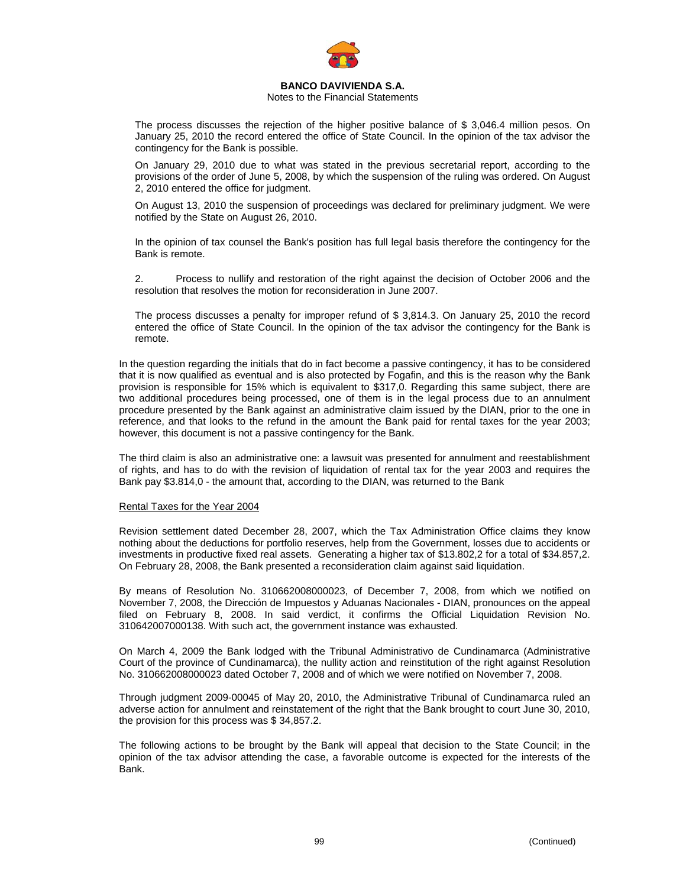

## Notes to the Financial Statements

The process discusses the rejection of the higher positive balance of \$ 3,046.4 million pesos. On January 25, 2010 the record entered the office of State Council. In the opinion of the tax advisor the contingency for the Bank is possible.

On January 29, 2010 due to what was stated in the previous secretarial report, according to the provisions of the order of June 5, 2008, by which the suspension of the ruling was ordered. On August 2, 2010 entered the office for judgment.

On August 13, 2010 the suspension of proceedings was declared for preliminary judgment. We were notified by the State on August 26, 2010.

In the opinion of tax counsel the Bank's position has full legal basis therefore the contingency for the Bank is remote.

2. Process to nullify and restoration of the right against the decision of October 2006 and the resolution that resolves the motion for reconsideration in June 2007.

The process discusses a penalty for improper refund of \$ 3,814.3. On January 25, 2010 the record entered the office of State Council. In the opinion of the tax advisor the contingency for the Bank is remote.

In the question regarding the initials that do in fact become a passive contingency, it has to be considered that it is now qualified as eventual and is also protected by Fogafin, and this is the reason why the Bank provision is responsible for 15% which is equivalent to \$317,0. Regarding this same subject, there are two additional procedures being processed, one of them is in the legal process due to an annulment procedure presented by the Bank against an administrative claim issued by the DIAN, prior to the one in reference, and that looks to the refund in the amount the Bank paid for rental taxes for the year 2003; however, this document is not a passive contingency for the Bank.

The third claim is also an administrative one: a lawsuit was presented for annulment and reestablishment of rights, and has to do with the revision of liquidation of rental tax for the year 2003 and requires the Bank pay \$3.814,0 - the amount that, according to the DIAN, was returned to the Bank

#### Rental Taxes for the Year 2004

Revision settlement dated December 28, 2007, which the Tax Administration Office claims they know nothing about the deductions for portfolio reserves, help from the Government, losses due to accidents or investments in productive fixed real assets. Generating a higher tax of \$13.802,2 for a total of \$34.857,2. On February 28, 2008, the Bank presented a reconsideration claim against said liquidation.

By means of Resolution No. 310662008000023, of December 7, 2008, from which we notified on November 7, 2008, the Dirección de Impuestos y Aduanas Nacionales - DIAN, pronounces on the appeal filed on February 8, 2008. In said verdict, it confirms the Official Liquidation Revision No. 310642007000138. With such act, the government instance was exhausted.

On March 4, 2009 the Bank lodged with the Tribunal Administrativo de Cundinamarca (Administrative Court of the province of Cundinamarca), the nullity action and reinstitution of the right against Resolution No. 310662008000023 dated October 7, 2008 and of which we were notified on November 7, 2008.

Through judgment 2009-00045 of May 20, 2010, the Administrative Tribunal of Cundinamarca ruled an adverse action for annulment and reinstatement of the right that the Bank brought to court June 30, 2010, the provision for this process was \$ 34,857.2.

The following actions to be brought by the Bank will appeal that decision to the State Council; in the opinion of the tax advisor attending the case, a favorable outcome is expected for the interests of the Bank.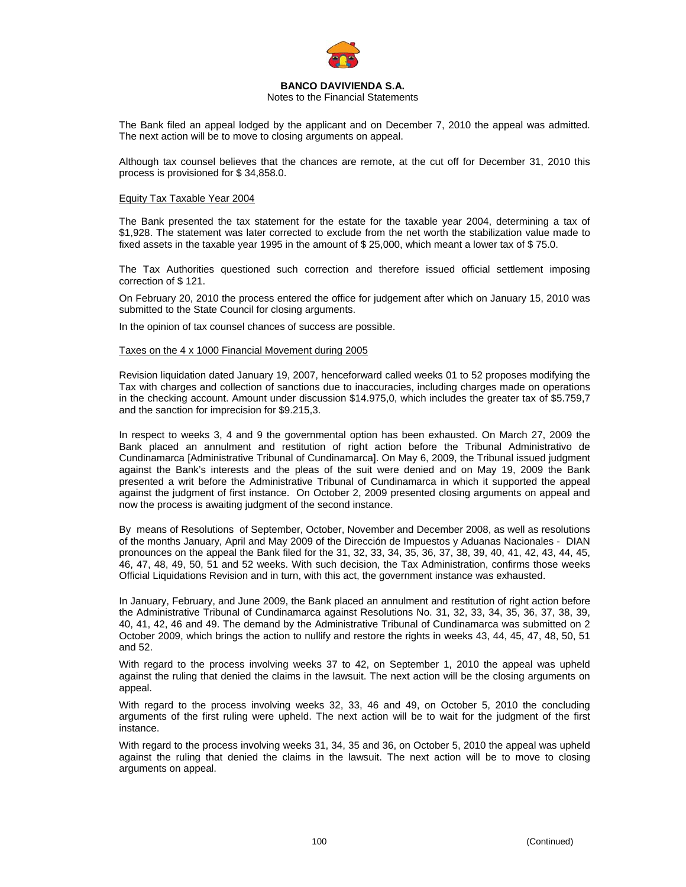

#### Notes to the Financial Statements

The Bank filed an appeal lodged by the applicant and on December 7, 2010 the appeal was admitted. The next action will be to move to closing arguments on appeal.

Although tax counsel believes that the chances are remote, at the cut off for December 31, 2010 this process is provisioned for \$ 34,858.0.

#### Equity Tax Taxable Year 2004

The Bank presented the tax statement for the estate for the taxable year 2004, determining a tax of \$1,928. The statement was later corrected to exclude from the net worth the stabilization value made to fixed assets in the taxable year 1995 in the amount of \$ 25,000, which meant a lower tax of \$ 75.0.

The Tax Authorities questioned such correction and therefore issued official settlement imposing correction of \$ 121.

On February 20, 2010 the process entered the office for judgement after which on January 15, 2010 was submitted to the State Council for closing arguments.

In the opinion of tax counsel chances of success are possible.

Taxes on the 4 x 1000 Financial Movement during 2005

Revision liquidation dated January 19, 2007, henceforward called weeks 01 to 52 proposes modifying the Tax with charges and collection of sanctions due to inaccuracies, including charges made on operations in the checking account. Amount under discussion \$14.975,0, which includes the greater tax of \$5.759,7 and the sanction for imprecision for \$9.215,3.

In respect to weeks 3, 4 and 9 the governmental option has been exhausted. On March 27, 2009 the Bank placed an annulment and restitution of right action before the Tribunal Administrativo de Cundinamarca [Administrative Tribunal of Cundinamarca]. On May 6, 2009, the Tribunal issued judgment against the Bank's interests and the pleas of the suit were denied and on May 19, 2009 the Bank presented a writ before the Administrative Tribunal of Cundinamarca in which it supported the appeal against the judgment of first instance. On October 2, 2009 presented closing arguments on appeal and now the process is awaiting judgment of the second instance.

By means of Resolutions of September, October, November and December 2008, as well as resolutions of the months January, April and May 2009 of the Dirección de Impuestos y Aduanas Nacionales - DIAN pronounces on the appeal the Bank filed for the 31, 32, 33, 34, 35, 36, 37, 38, 39, 40, 41, 42, 43, 44, 45, 46, 47, 48, 49, 50, 51 and 52 weeks. With such decision, the Tax Administration, confirms those weeks Official Liquidations Revision and in turn, with this act, the government instance was exhausted.

In January, February, and June 2009, the Bank placed an annulment and restitution of right action before the Administrative Tribunal of Cundinamarca against Resolutions No. 31, 32, 33, 34, 35, 36, 37, 38, 39, 40, 41, 42, 46 and 49. The demand by the Administrative Tribunal of Cundinamarca was submitted on 2 October 2009, which brings the action to nullify and restore the rights in weeks 43, 44, 45, 47, 48, 50, 51 and 52.

With regard to the process involving weeks 37 to 42, on September 1, 2010 the appeal was upheld against the ruling that denied the claims in the lawsuit. The next action will be the closing arguments on appeal.

With regard to the process involving weeks 32, 33, 46 and 49, on October 5, 2010 the concluding arguments of the first ruling were upheld. The next action will be to wait for the judgment of the first instance.

With regard to the process involving weeks 31, 34, 35 and 36, on October 5, 2010 the appeal was upheld against the ruling that denied the claims in the lawsuit. The next action will be to move to closing arguments on appeal.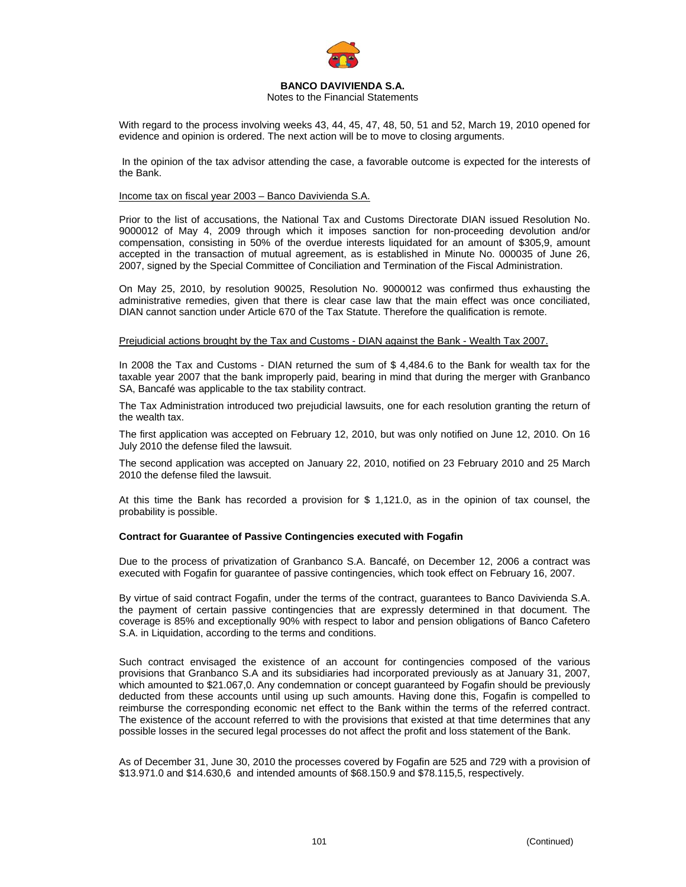

## Notes to the Financial Statements

With regard to the process involving weeks 43, 44, 45, 47, 48, 50, 51 and 52, March 19, 2010 opened for evidence and opinion is ordered. The next action will be to move to closing arguments.

 In the opinion of the tax advisor attending the case, a favorable outcome is expected for the interests of the Bank.

## Income tax on fiscal year 2003 – Banco Davivienda S.A.

Prior to the list of accusations, the National Tax and Customs Directorate DIAN issued Resolution No. 9000012 of May 4, 2009 through which it imposes sanction for non-proceeding devolution and/or compensation, consisting in 50% of the overdue interests liquidated for an amount of \$305,9, amount accepted in the transaction of mutual agreement, as is established in Minute No. 000035 of June 26, 2007, signed by the Special Committee of Conciliation and Termination of the Fiscal Administration.

On May 25, 2010, by resolution 90025, Resolution No. 9000012 was confirmed thus exhausting the administrative remedies, given that there is clear case law that the main effect was once conciliated, DIAN cannot sanction under Article 670 of the Tax Statute. Therefore the qualification is remote.

#### Prejudicial actions brought by the Tax and Customs - DIAN against the Bank - Wealth Tax 2007.

In 2008 the Tax and Customs - DIAN returned the sum of \$ 4,484.6 to the Bank for wealth tax for the taxable year 2007 that the bank improperly paid, bearing in mind that during the merger with Granbanco SA, Bancafé was applicable to the tax stability contract.

The Tax Administration introduced two prejudicial lawsuits, one for each resolution granting the return of the wealth tax.

The first application was accepted on February 12, 2010, but was only notified on June 12, 2010. On 16 July 2010 the defense filed the lawsuit.

The second application was accepted on January 22, 2010, notified on 23 February 2010 and 25 March 2010 the defense filed the lawsuit.

At this time the Bank has recorded a provision for \$ 1,121.0, as in the opinion of tax counsel, the probability is possible.

## **Contract for Guarantee of Passive Contingencies executed with Fogafin**

Due to the process of privatization of Granbanco S.A. Bancafé, on December 12, 2006 a contract was executed with Fogafin for guarantee of passive contingencies, which took effect on February 16, 2007.

By virtue of said contract Fogafin, under the terms of the contract, guarantees to Banco Davivienda S.A. the payment of certain passive contingencies that are expressly determined in that document. The coverage is 85% and exceptionally 90% with respect to labor and pension obligations of Banco Cafetero S.A. in Liquidation, according to the terms and conditions.

Such contract envisaged the existence of an account for contingencies composed of the various provisions that Granbanco S.A and its subsidiaries had incorporated previously as at January 31, 2007, which amounted to \$21.067,0. Any condemnation or concept guaranteed by Fogafin should be previously deducted from these accounts until using up such amounts. Having done this, Fogafin is compelled to reimburse the corresponding economic net effect to the Bank within the terms of the referred contract. The existence of the account referred to with the provisions that existed at that time determines that any possible losses in the secured legal processes do not affect the profit and loss statement of the Bank.

As of December 31, June 30, 2010 the processes covered by Fogafin are 525 and 729 with a provision of \$13.971.0 and \$14.630,6 and intended amounts of \$68.150.9 and \$78.115,5, respectively.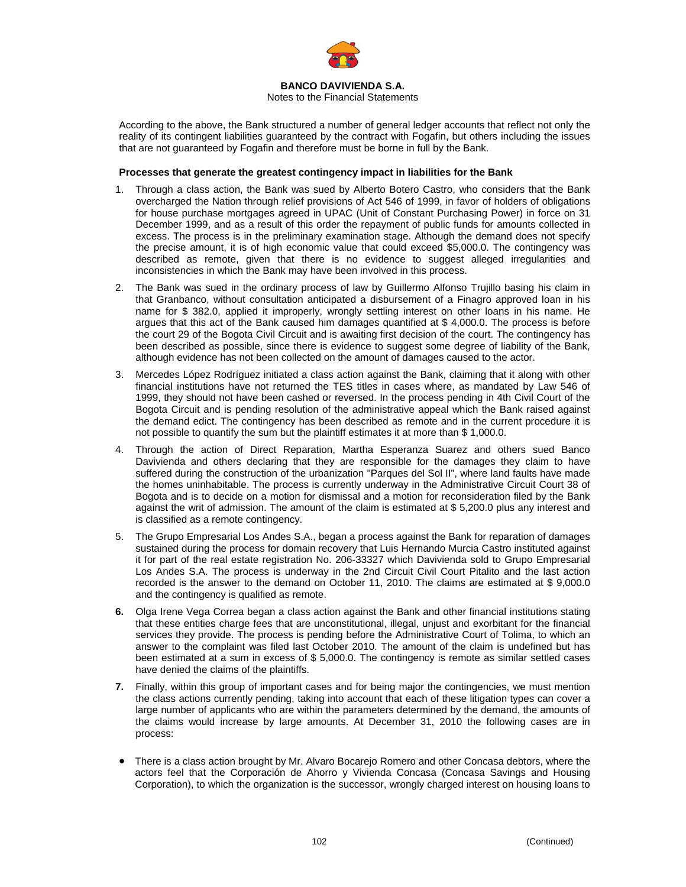

Notes to the Financial Statements

According to the above, the Bank structured a number of general ledger accounts that reflect not only the reality of its contingent liabilities guaranteed by the contract with Fogafin, but others including the issues that are not guaranteed by Fogafin and therefore must be borne in full by the Bank.

## **Processes that generate the greatest contingency impact in liabilities for the Bank**

- 1. Through a class action, the Bank was sued by Alberto Botero Castro, who considers that the Bank overcharged the Nation through relief provisions of Act 546 of 1999, in favor of holders of obligations for house purchase mortgages agreed in UPAC (Unit of Constant Purchasing Power) in force on 31 December 1999, and as a result of this order the repayment of public funds for amounts collected in excess. The process is in the preliminary examination stage. Although the demand does not specify the precise amount, it is of high economic value that could exceed \$5,000.0. The contingency was described as remote, given that there is no evidence to suggest alleged irregularities and inconsistencies in which the Bank may have been involved in this process.
- 2. The Bank was sued in the ordinary process of law by Guillermo Alfonso Trujillo basing his claim in that Granbanco, without consultation anticipated a disbursement of a Finagro approved loan in his name for \$ 382.0, applied it improperly, wrongly settling interest on other loans in his name. He argues that this act of the Bank caused him damages quantified at \$ 4,000.0. The process is before the court 29 of the Bogota Civil Circuit and is awaiting first decision of the court. The contingency has been described as possible, since there is evidence to suggest some degree of liability of the Bank, although evidence has not been collected on the amount of damages caused to the actor.
- 3. Mercedes López Rodríguez initiated a class action against the Bank, claiming that it along with other financial institutions have not returned the TES titles in cases where, as mandated by Law 546 of 1999, they should not have been cashed or reversed. In the process pending in 4th Civil Court of the Bogota Circuit and is pending resolution of the administrative appeal which the Bank raised against the demand edict. The contingency has been described as remote and in the current procedure it is not possible to quantify the sum but the plaintiff estimates it at more than \$ 1,000.0.
- 4. Through the action of Direct Reparation, Martha Esperanza Suarez and others sued Banco Davivienda and others declaring that they are responsible for the damages they claim to have suffered during the construction of the urbanization "Parques del Sol II", where land faults have made the homes uninhabitable. The process is currently underway in the Administrative Circuit Court 38 of Bogota and is to decide on a motion for dismissal and a motion for reconsideration filed by the Bank against the writ of admission. The amount of the claim is estimated at \$ 5,200.0 plus any interest and is classified as a remote contingency.
- 5. The Grupo Empresarial Los Andes S.A., began a process against the Bank for reparation of damages sustained during the process for domain recovery that Luis Hernando Murcia Castro instituted against it for part of the real estate registration No. 206-33327 which Davivienda sold to Grupo Empresarial Los Andes S.A. The process is underway in the 2nd Circuit Civil Court Pitalito and the last action recorded is the answer to the demand on October 11, 2010. The claims are estimated at \$ 9,000.0 and the contingency is qualified as remote.
- **6.** Olga Irene Vega Correa began a class action against the Bank and other financial institutions stating that these entities charge fees that are unconstitutional, illegal, unjust and exorbitant for the financial services they provide. The process is pending before the Administrative Court of Tolima, to which an answer to the complaint was filed last October 2010. The amount of the claim is undefined but has been estimated at a sum in excess of \$ 5,000.0. The contingency is remote as similar settled cases have denied the claims of the plaintiffs.
- **7.** Finally, within this group of important cases and for being major the contingencies, we must mention the class actions currently pending, taking into account that each of these litigation types can cover a large number of applicants who are within the parameters determined by the demand, the amounts of the claims would increase by large amounts. At December 31, 2010 the following cases are in process:
- There is a class action brought by Mr. Alvaro Bocarejo Romero and other Concasa debtors, where the actors feel that the Corporación de Ahorro y Vivienda Concasa (Concasa Savings and Housing Corporation), to which the organization is the successor, wrongly charged interest on housing loans to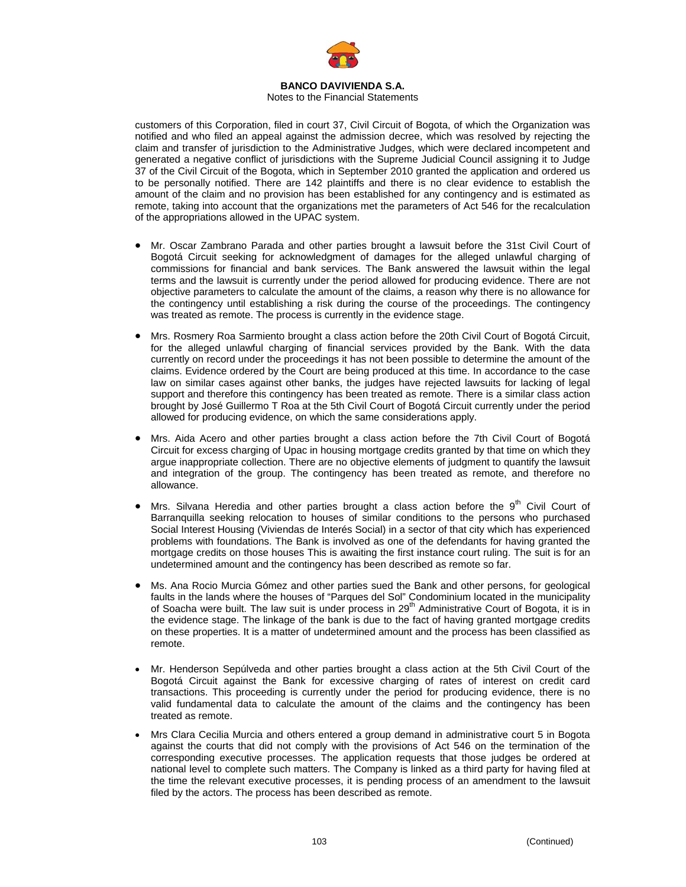

Notes to the Financial Statements

customers of this Corporation, filed in court 37, Civil Circuit of Bogota, of which the Organization was notified and who filed an appeal against the admission decree, which was resolved by rejecting the claim and transfer of jurisdiction to the Administrative Judges, which were declared incompetent and generated a negative conflict of jurisdictions with the Supreme Judicial Council assigning it to Judge 37 of the Civil Circuit of the Bogota, which in September 2010 granted the application and ordered us to be personally notified. There are 142 plaintiffs and there is no clear evidence to establish the amount of the claim and no provision has been established for any contingency and is estimated as remote, taking into account that the organizations met the parameters of Act 546 for the recalculation of the appropriations allowed in the UPAC system.

- Mr. Oscar Zambrano Parada and other parties brought a lawsuit before the 31st Civil Court of Bogotá Circuit seeking for acknowledgment of damages for the alleged unlawful charging of commissions for financial and bank services. The Bank answered the lawsuit within the legal terms and the lawsuit is currently under the period allowed for producing evidence. There are not objective parameters to calculate the amount of the claims, a reason why there is no allowance for the contingency until establishing a risk during the course of the proceedings. The contingency was treated as remote. The process is currently in the evidence stage.
- Mrs. Rosmery Roa Sarmiento brought a class action before the 20th Civil Court of Bogotá Circuit, for the alleged unlawful charging of financial services provided by the Bank. With the data currently on record under the proceedings it has not been possible to determine the amount of the claims. Evidence ordered by the Court are being produced at this time. In accordance to the case law on similar cases against other banks, the judges have rejected lawsuits for lacking of legal support and therefore this contingency has been treated as remote. There is a similar class action brought by José Guillermo T Roa at the 5th Civil Court of Bogotá Circuit currently under the period allowed for producing evidence, on which the same considerations apply.
- Mrs. Aida Acero and other parties brought a class action before the 7th Civil Court of Bogotá Circuit for excess charging of Upac in housing mortgage credits granted by that time on which they argue inappropriate collection. There are no objective elements of judgment to quantify the lawsuit and integration of the group. The contingency has been treated as remote, and therefore no allowance.
- Mrs. Silvana Heredia and other parties brought a class action before the  $9<sup>th</sup>$  Civil Court of Barranquilla seeking relocation to houses of similar conditions to the persons who purchased Social Interest Housing (Viviendas de Interés Social) in a sector of that city which has experienced problems with foundations. The Bank is involved as one of the defendants for having granted the mortgage credits on those houses This is awaiting the first instance court ruling. The suit is for an undetermined amount and the contingency has been described as remote so far.
- Ms. Ana Rocio Murcia Gómez and other parties sued the Bank and other persons, for geological faults in the lands where the houses of "Parques del Sol" Condominium located in the municipality of Soacha were built. The law suit is under process in 29<sup>th</sup> Administrative Court of Bogota, it is in the evidence stage. The linkage of the bank is due to the fact of having granted mortgage credits on these properties. It is a matter of undetermined amount and the process has been classified as remote.
- Mr. Henderson Sepúlveda and other parties brought a class action at the 5th Civil Court of the Bogotá Circuit against the Bank for excessive charging of rates of interest on credit card transactions. This proceeding is currently under the period for producing evidence, there is no valid fundamental data to calculate the amount of the claims and the contingency has been treated as remote.
- Mrs Clara Cecilia Murcia and others entered a group demand in administrative court 5 in Bogota against the courts that did not comply with the provisions of Act 546 on the termination of the corresponding executive processes. The application requests that those judges be ordered at national level to complete such matters. The Company is linked as a third party for having filed at the time the relevant executive processes, it is pending process of an amendment to the lawsuit filed by the actors. The process has been described as remote.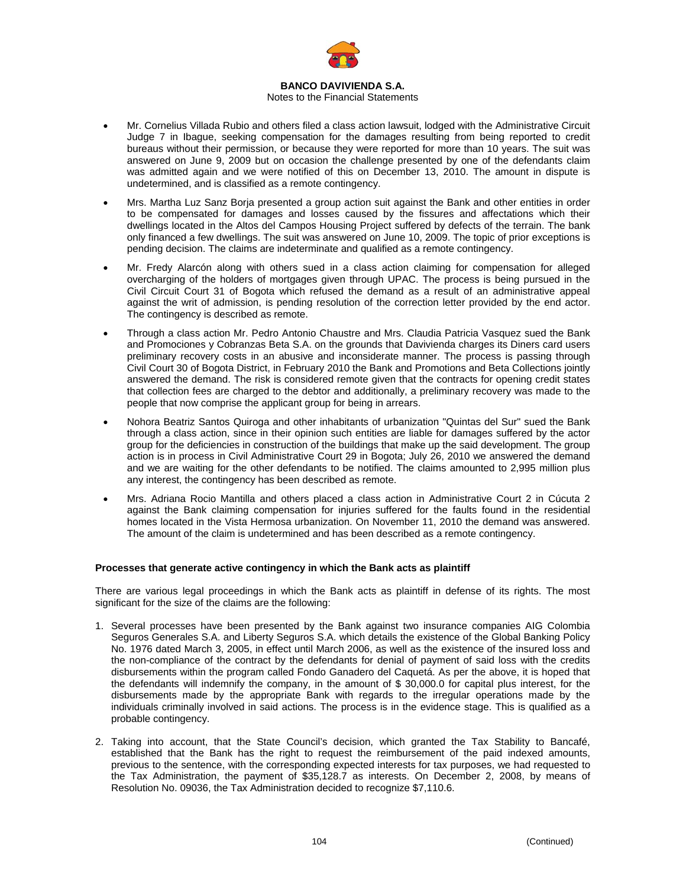

#### Notes to the Financial Statements

- Mr. Cornelius Villada Rubio and others filed a class action lawsuit, lodged with the Administrative Circuit Judge 7 in Ibague, seeking compensation for the damages resulting from being reported to credit bureaus without their permission, or because they were reported for more than 10 years. The suit was answered on June 9, 2009 but on occasion the challenge presented by one of the defendants claim was admitted again and we were notified of this on December 13, 2010. The amount in dispute is undetermined, and is classified as a remote contingency.
- Mrs. Martha Luz Sanz Borja presented a group action suit against the Bank and other entities in order to be compensated for damages and losses caused by the fissures and affectations which their dwellings located in the Altos del Campos Housing Project suffered by defects of the terrain. The bank only financed a few dwellings. The suit was answered on June 10, 2009. The topic of prior exceptions is pending decision. The claims are indeterminate and qualified as a remote contingency.
- Mr. Fredy Alarcón along with others sued in a class action claiming for compensation for alleged overcharging of the holders of mortgages given through UPAC. The process is being pursued in the Civil Circuit Court 31 of Bogota which refused the demand as a result of an administrative appeal against the writ of admission, is pending resolution of the correction letter provided by the end actor. The contingency is described as remote.
- Through a class action Mr. Pedro Antonio Chaustre and Mrs. Claudia Patricia Vasquez sued the Bank and Promociones y Cobranzas Beta S.A. on the grounds that Davivienda charges its Diners card users preliminary recovery costs in an abusive and inconsiderate manner. The process is passing through Civil Court 30 of Bogota District, in February 2010 the Bank and Promotions and Beta Collections jointly answered the demand. The risk is considered remote given that the contracts for opening credit states that collection fees are charged to the debtor and additionally, a preliminary recovery was made to the people that now comprise the applicant group for being in arrears.
- Nohora Beatriz Santos Quiroga and other inhabitants of urbanization "Quintas del Sur" sued the Bank through a class action, since in their opinion such entities are liable for damages suffered by the actor group for the deficiencies in construction of the buildings that make up the said development. The group action is in process in Civil Administrative Court 29 in Bogota; July 26, 2010 we answered the demand and we are waiting for the other defendants to be notified. The claims amounted to 2,995 million plus any interest, the contingency has been described as remote.
- Mrs. Adriana Rocio Mantilla and others placed a class action in Administrative Court 2 in Cúcuta 2 against the Bank claiming compensation for injuries suffered for the faults found in the residential homes located in the Vista Hermosa urbanization. On November 11, 2010 the demand was answered. The amount of the claim is undetermined and has been described as a remote contingency.

#### **Processes that generate active contingency in which the Bank acts as plaintiff**

There are various legal proceedings in which the Bank acts as plaintiff in defense of its rights. The most significant for the size of the claims are the following:

- 1. Several processes have been presented by the Bank against two insurance companies AIG Colombia Seguros Generales S.A. and Liberty Seguros S.A. which details the existence of the Global Banking Policy No. 1976 dated March 3, 2005, in effect until March 2006, as well as the existence of the insured loss and the non-compliance of the contract by the defendants for denial of payment of said loss with the credits disbursements within the program called Fondo Ganadero del Caquetá. As per the above, it is hoped that the defendants will indemnify the company, in the amount of \$ 30,000.0 for capital plus interest, for the disbursements made by the appropriate Bank with regards to the irregular operations made by the individuals criminally involved in said actions. The process is in the evidence stage. This is qualified as a probable contingency.
- 2. Taking into account, that the State Council's decision, which granted the Tax Stability to Bancafé, established that the Bank has the right to request the reimbursement of the paid indexed amounts, previous to the sentence, with the corresponding expected interests for tax purposes, we had requested to the Tax Administration, the payment of \$35,128.7 as interests. On December 2, 2008, by means of Resolution No. 09036, the Tax Administration decided to recognize \$7,110.6.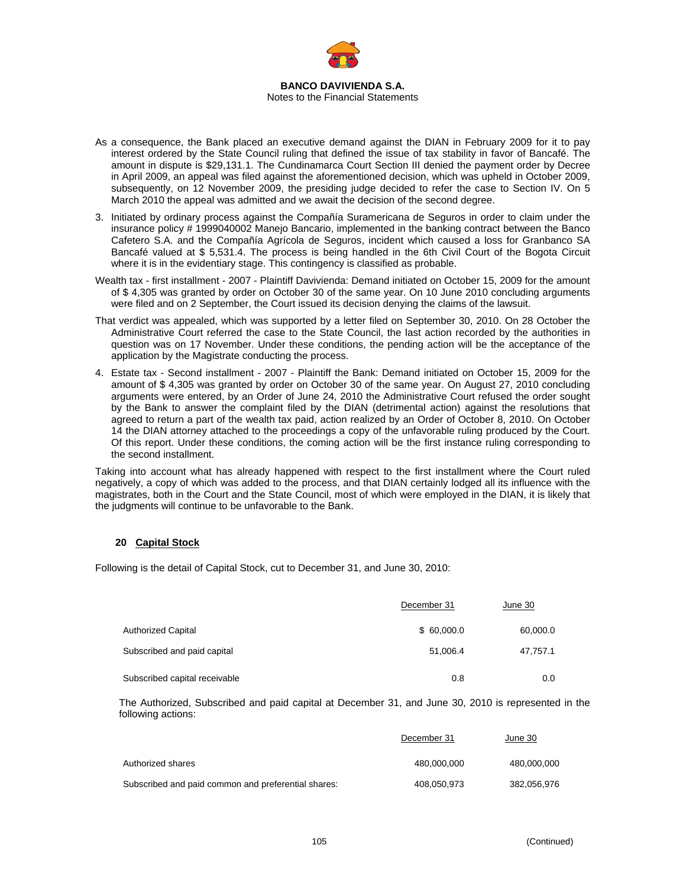

- As a consequence, the Bank placed an executive demand against the DIAN in February 2009 for it to pay interest ordered by the State Council ruling that defined the issue of tax stability in favor of Bancafé. The amount in dispute is \$29,131.1. The Cundinamarca Court Section III denied the payment order by Decree in April 2009, an appeal was filed against the aforementioned decision, which was upheld in October 2009, subsequently, on 12 November 2009, the presiding judge decided to refer the case to Section IV. On 5 March 2010 the appeal was admitted and we await the decision of the second degree.
- 3. Initiated by ordinary process against the Compañía Suramericana de Seguros in order to claim under the insurance policy # 1999040002 Manejo Bancario, implemented in the banking contract between the Banco Cafetero S.A. and the Compañía Agrícola de Seguros, incident which caused a loss for Granbanco SA Bancafé valued at \$ 5,531.4. The process is being handled in the 6th Civil Court of the Bogota Circuit where it is in the evidentiary stage. This contingency is classified as probable.
- Wealth tax first installment 2007 Plaintiff Davivienda: Demand initiated on October 15, 2009 for the amount of \$ 4,305 was granted by order on October 30 of the same year. On 10 June 2010 concluding arguments were filed and on 2 September, the Court issued its decision denying the claims of the lawsuit.
- That verdict was appealed, which was supported by a letter filed on September 30, 2010. On 28 October the Administrative Court referred the case to the State Council, the last action recorded by the authorities in question was on 17 November. Under these conditions, the pending action will be the acceptance of the application by the Magistrate conducting the process.
- 4. Estate tax Second installment 2007 Plaintiff the Bank: Demand initiated on October 15, 2009 for the amount of \$ 4,305 was granted by order on October 30 of the same year. On August 27, 2010 concluding arguments were entered, by an Order of June 24, 2010 the Administrative Court refused the order sought by the Bank to answer the complaint filed by the DIAN (detrimental action) against the resolutions that agreed to return a part of the wealth tax paid, action realized by an Order of October 8, 2010. On October 14 the DIAN attorney attached to the proceedings a copy of the unfavorable ruling produced by the Court. Of this report. Under these conditions, the coming action will be the first instance ruling corresponding to the second installment.

Taking into account what has already happened with respect to the first installment where the Court ruled negatively, a copy of which was added to the process, and that DIAN certainly lodged all its influence with the magistrates, both in the Court and the State Council, most of which were employed in the DIAN, it is likely that the judgments will continue to be unfavorable to the Bank.

# **20 Capital Stock**

Following is the detail of Capital Stock, cut to December 31, and June 30, 2010:

|                               | December 31 | June 30  |
|-------------------------------|-------------|----------|
| Authorized Capital            | \$60,000.0  | 60,000.0 |
| Subscribed and paid capital   | 51,006.4    | 47,757.1 |
| Subscribed capital receivable | 0.8         | 0.0      |

The Authorized, Subscribed and paid capital at December 31, and June 30, 2010 is represented in the following actions:

|                                                     | December 31 | June 30     |
|-----------------------------------------------------|-------------|-------------|
| Authorized shares                                   | 480.000.000 | 480.000.000 |
| Subscribed and paid common and preferential shares: | 408.050.973 | 382.056.976 |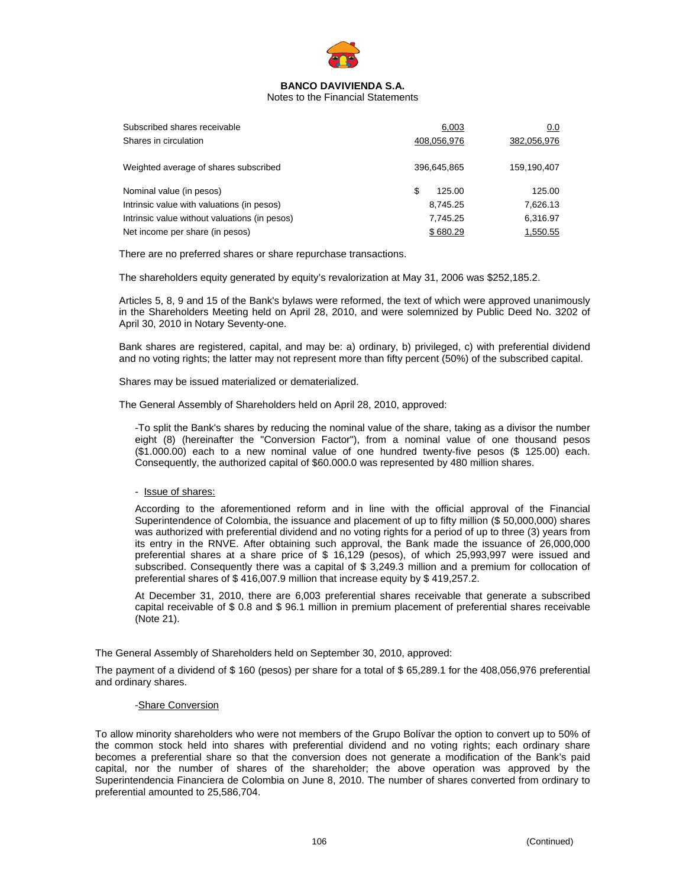

Notes to the Financial Statements

| Subscribed shares receivable<br>Shares in circulation                                                                                                      | 6,003<br>408,056,976                             | 0.0<br>382,056,976                         |
|------------------------------------------------------------------------------------------------------------------------------------------------------------|--------------------------------------------------|--------------------------------------------|
| Weighted average of shares subscribed                                                                                                                      | 396,645,865                                      | 159,190,407                                |
| Nominal value (in pesos)<br>Intrinsic value with valuations (in pesos)<br>Intrinsic value without valuations (in pesos)<br>Net income per share (in pesos) | \$<br>125.00<br>8,745.25<br>7.745.25<br>\$680.29 | 125.00<br>7,626.13<br>6,316.97<br>1,550.55 |

There are no preferred shares or share repurchase transactions.

The shareholders equity generated by equity's revalorization at May 31, 2006 was \$252,185.2.

Articles 5, 8, 9 and 15 of the Bank's bylaws were reformed, the text of which were approved unanimously in the Shareholders Meeting held on April 28, 2010, and were solemnized by Public Deed No. 3202 of April 30, 2010 in Notary Seventy-one.

Bank shares are registered, capital, and may be: a) ordinary, b) privileged, c) with preferential dividend and no voting rights; the latter may not represent more than fifty percent (50%) of the subscribed capital.

Shares may be issued materialized or dematerialized.

The General Assembly of Shareholders held on April 28, 2010, approved:

-To split the Bank's shares by reducing the nominal value of the share, taking as a divisor the number eight (8) (hereinafter the "Conversion Factor"), from a nominal value of one thousand pesos (\$1.000.00) each to a new nominal value of one hundred twenty-five pesos (\$ 125.00) each. Consequently, the authorized capital of \$60.000.0 was represented by 480 million shares.

## - Issue of shares:

According to the aforementioned reform and in line with the official approval of the Financial Superintendence of Colombia, the issuance and placement of up to fifty million (\$ 50,000,000) shares was authorized with preferential dividend and no voting rights for a period of up to three (3) years from its entry in the RNVE. After obtaining such approval, the Bank made the issuance of 26,000,000 preferential shares at a share price of \$ 16,129 (pesos), of which 25,993,997 were issued and subscribed. Consequently there was a capital of \$ 3,249.3 million and a premium for collocation of preferential shares of \$ 416,007.9 million that increase equity by \$ 419,257.2.

At December 31, 2010, there are 6,003 preferential shares receivable that generate a subscribed capital receivable of \$ 0.8 and \$ 96.1 million in premium placement of preferential shares receivable (Note 21).

The General Assembly of Shareholders held on September 30, 2010, approved:

The payment of a dividend of \$ 160 (pesos) per share for a total of \$ 65,289.1 for the 408,056,976 preferential and ordinary shares.

## -Share Conversion

To allow minority shareholders who were not members of the Grupo Bolívar the option to convert up to 50% of the common stock held into shares with preferential dividend and no voting rights; each ordinary share becomes a preferential share so that the conversion does not generate a modification of the Bank's paid capital, nor the number of shares of the shareholder; the above operation was approved by the Superintendencia Financiera de Colombia on June 8, 2010. The number of shares converted from ordinary to preferential amounted to 25,586,704.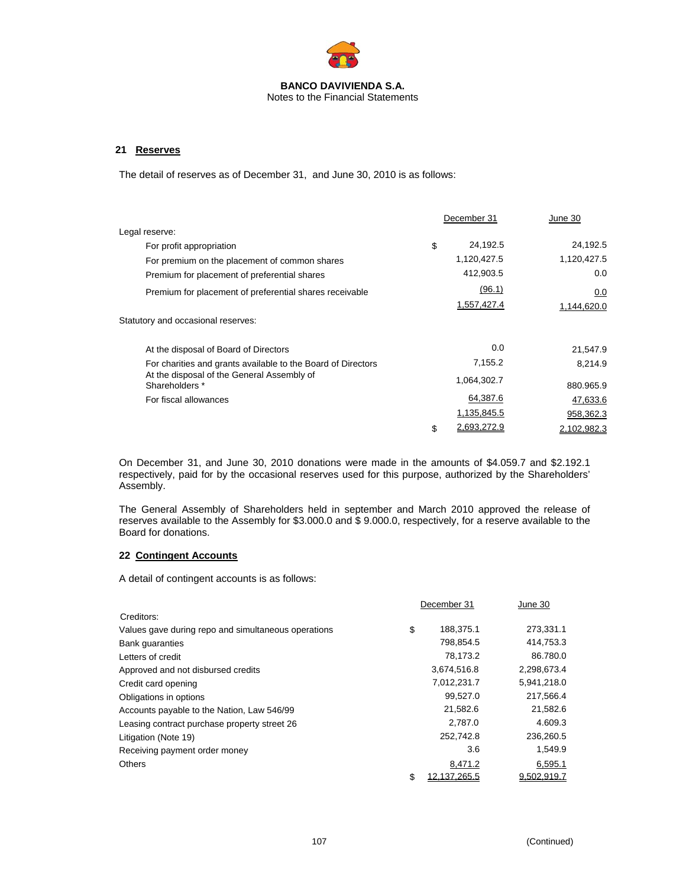

Notes to the Financial Statements

## **21 Reserves**

The detail of reserves as of December 31, and June 30, 2010 is as follows:

|                   | June 30     |
|-------------------|-------------|
|                   |             |
| \$<br>24,192.5    | 24,192.5    |
| 1,120,427.5       | 1,120,427.5 |
| 412,903.5         | 0.0         |
| (96.1)            | 0.0         |
| 1,557,427.4       | 1,144,620.0 |
|                   |             |
| 0.0               | 21,547.9    |
| 7,155.2           | 8.214.9     |
| 1,064,302.7       | 880.965.9   |
| 64,387.6          | 47,633.6    |
| 1,135,845.5       | 958,362.3   |
| \$<br>2,693,272.9 | 2,102,982.3 |
|                   | December 31 |

On December 31, and June 30, 2010 donations were made in the amounts of \$4.059.7 and \$2.192.1 respectively, paid for by the occasional reserves used for this purpose, authorized by the Shareholders' Assembly.

The General Assembly of Shareholders held in september and March 2010 approved the release of reserves available to the Assembly for \$3.000.0 and \$ 9.000.0, respectively, for a reserve available to the Board for donations.

# **22 Contingent Accounts**

A detail of contingent accounts is as follows:

|                                                     | December 31        | June 30     |  |
|-----------------------------------------------------|--------------------|-------------|--|
| Creditors:                                          |                    |             |  |
| Values gave during repo and simultaneous operations | \$<br>188,375.1    | 273,331.1   |  |
| <b>Bank quaranties</b>                              | 798,854.5          | 414,753.3   |  |
| Letters of credit                                   | 78,173.2           | 86.780.0    |  |
| Approved and not disbursed credits                  | 3,674,516.8        | 2,298,673.4 |  |
| Credit card opening                                 | 7,012,231.7        | 5,941,218.0 |  |
| Obligations in options                              | 99,527.0           | 217,566.4   |  |
| Accounts payable to the Nation, Law 546/99          | 21,582.6           | 21,582.6    |  |
| Leasing contract purchase property street 26        | 2,787.0            | 4.609.3     |  |
| Litigation (Note 19)                                | 252,742.8          | 236,260.5   |  |
| Receiving payment order money                       | 3.6                | 1,549.9     |  |
| <b>Others</b>                                       | 8,471.2            | 6,595.1     |  |
|                                                     | \$<br>12.137.265.5 | 9.502.919.7 |  |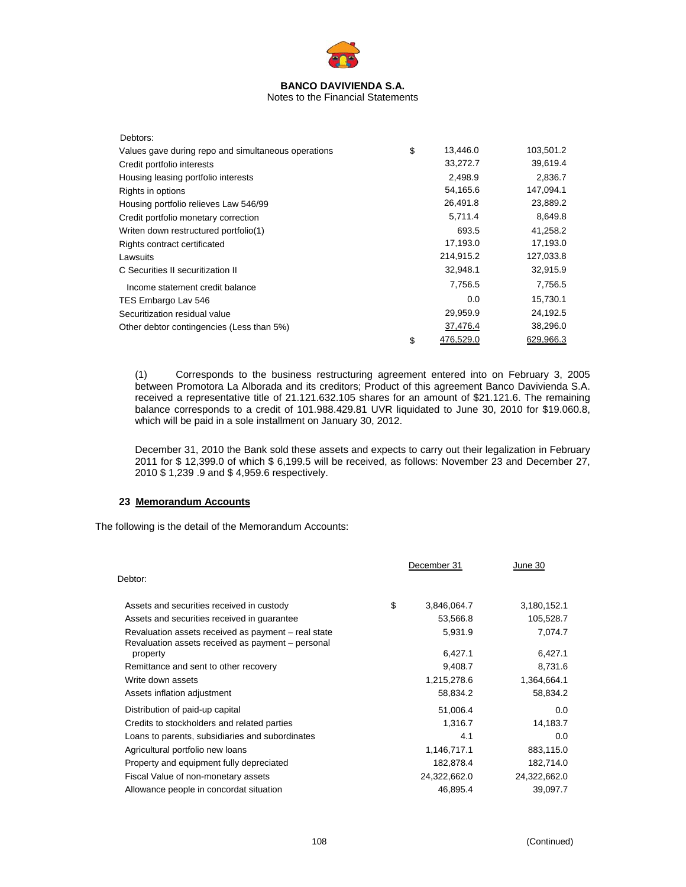

#### Notes to the Financial Statements

| Debtors:                                            |                 |           |
|-----------------------------------------------------|-----------------|-----------|
| Values gave during repo and simultaneous operations | \$<br>13,446.0  | 103,501.2 |
| Credit portfolio interests                          | 33,272.7        | 39,619.4  |
| Housing leasing portfolio interests                 | 2,498.9         | 2,836.7   |
| Rights in options                                   | 54,165.6        | 147,094.1 |
| Housing portfolio relieves Law 546/99               | 26,491.8        | 23,889.2  |
| Credit portfolio monetary correction                | 5,711.4         | 8,649.8   |
| Writen down restructured portfolio(1)               | 693.5           | 41,258.2  |
| Rights contract certificated                        | 17,193.0        | 17,193.0  |
| Lawsuits                                            | 214,915.2       | 127,033.8 |
| C Securities II securitization II                   | 32,948.1        | 32,915.9  |
| Income statement credit balance                     | 7,756.5         | 7,756.5   |
| TES Embargo Lav 546                                 | 0.0             | 15,730.1  |
| Securitization residual value                       | 29,959.9        | 24,192.5  |
| Other debtor contingencies (Less than 5%)           | 37,476.4        | 38,296.0  |
|                                                     | \$<br>476.529.0 | 629.966.3 |

(1) Corresponds to the business restructuring agreement entered into on February 3, 2005 between Promotora La Alborada and its creditors; Product of this agreement Banco Davivienda S.A. received a representative title of 21.121.632.105 shares for an amount of \$21.121.6. The remaining balance corresponds to a credit of 101.988.429.81 UVR liquidated to June 30, 2010 for \$19.060.8, which will be paid in a sole installment on January 30, 2012.

December 31, 2010 the Bank sold these assets and expects to carry out their legalization in February 2011 for \$ 12,399.0 of which \$ 6,199.5 will be received, as follows: November 23 and December 27, 2010 \$ 1,239 .9 and \$ 4,959.6 respectively.

## **23 Memorandum Accounts**

The following is the detail of the Memorandum Accounts:

|                                                               | December 31 |              | June 30      |
|---------------------------------------------------------------|-------------|--------------|--------------|
| Debtor:                                                       |             |              |              |
| Assets and securities received in custody                     | \$          | 3,846,064.7  | 3,180,152.1  |
| Assets and securities received in guarantee                   | 53,566.8    |              | 105,528.7    |
| Revaluation assets received as payment - real state           |             | 5,931.9      | 7,074.7      |
| Revaluation assets received as payment – personal<br>property |             | 6,427.1      | 6,427.1      |
| Remittance and sent to other recovery                         | 9,408.7     |              | 8,731.6      |
| Write down assets                                             |             | 1,215,278.6  | 1,364,664.1  |
| Assets inflation adjustment                                   |             | 58,834.2     | 58,834.2     |
| Distribution of paid-up capital                               |             | 51,006.4     | 0.0          |
| Credits to stockholders and related parties                   | 1,316.7     |              | 14,183.7     |
| Loans to parents, subsidiaries and subordinates               | 4.1         |              | 0.0          |
| Agricultural portfolio new loans                              | 1,146,717.1 |              | 883,115.0    |
| Property and equipment fully depreciated                      | 182,878.4   |              | 182,714.0    |
| Fiscal Value of non-monetary assets                           |             | 24,322,662.0 | 24,322,662.0 |
| Allowance people in concordat situation                       |             | 46,895.4     | 39,097.7     |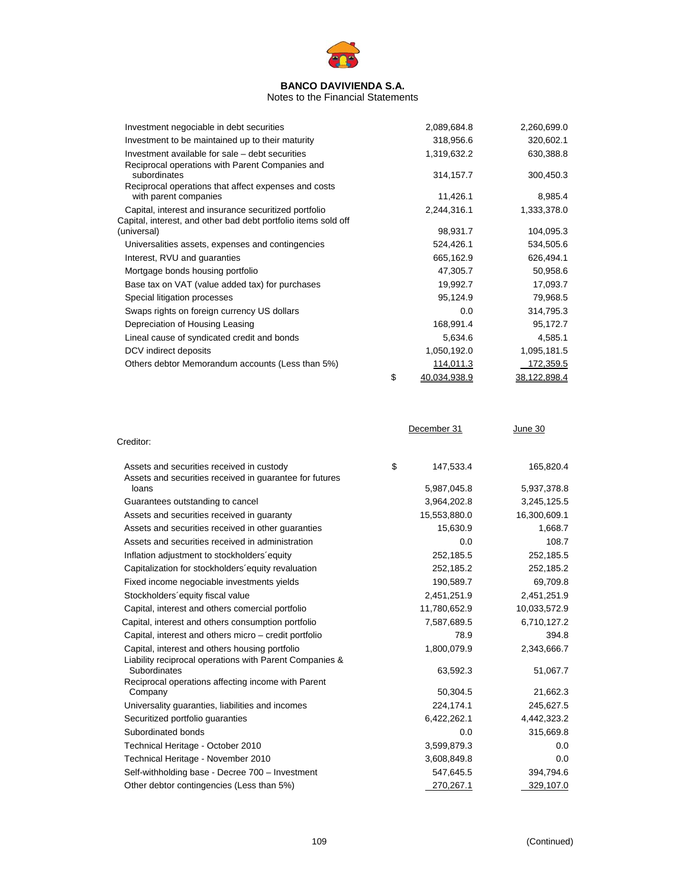

#### Notes to the Financial Statements

| Investment negociable in debt securities                             | 2,089,684.8        | 2,260,699.0  |
|----------------------------------------------------------------------|--------------------|--------------|
| Investment to be maintained up to their maturity                     | 318,956.6          | 320,602.1    |
| Investment available for sale – debt securities                      | 1,319,632.2        | 630,388.8    |
| Reciprocal operations with Parent Companies and                      |                    |              |
| subordinates<br>Reciprocal operations that affect expenses and costs | 314, 157.7         | 300,450.3    |
| with parent companies                                                | 11,426.1           | 8,985.4      |
| Capital, interest and insurance securitized portfolio                | 2,244,316.1        | 1,333,378.0  |
| Capital, interest, and other bad debt portfolio items sold off       |                    |              |
| (universal)                                                          | 98,931.7           | 104,095.3    |
| Universalities assets, expenses and contingencies                    | 524,426.1          | 534,505.6    |
| Interest, RVU and guaranties                                         | 665,162.9          | 626,494.1    |
| Mortgage bonds housing portfolio                                     | 47,305.7           | 50,958.6     |
| Base tax on VAT (value added tax) for purchases                      | 19,992.7           | 17,093.7     |
| Special litigation processes                                         | 95,124.9           | 79,968.5     |
| Swaps rights on foreign currency US dollars                          | 0.0                | 314,795.3    |
| Depreciation of Housing Leasing                                      | 168,991.4          | 95,172.7     |
| Lineal cause of syndicated credit and bonds                          | 5,634.6            | 4,585.1      |
| DCV indirect deposits                                                | 1,050,192.0        | 1,095,181.5  |
| Others debtor Memorandum accounts (Less than 5%)                     | 114,011.3          | 172,359.5    |
|                                                                      | \$<br>40.034.938.9 | 38,122,898.4 |

|                                                                                                           | December 31     | June 30      |
|-----------------------------------------------------------------------------------------------------------|-----------------|--------------|
| Creditor:                                                                                                 |                 |              |
| Assets and securities received in custody<br>Assets and securities received in guarantee for futures      | \$<br>147,533.4 | 165,820.4    |
| loans                                                                                                     | 5,987,045.8     | 5,937,378.8  |
| Guarantees outstanding to cancel                                                                          | 3,964,202.8     | 3,245,125.5  |
| Assets and securities received in guaranty                                                                | 15,553,880.0    | 16,300,609.1 |
| Assets and securities received in other quaranties                                                        | 15,630.9        | 1,668.7      |
| Assets and securities received in administration                                                          | 0.0             | 108.7        |
| Inflation adjustment to stockholders equity                                                               | 252,185.5       | 252,185.5    |
| Capitalization for stockholders' equity revaluation                                                       | 252,185.2       | 252,185.2    |
| Fixed income negociable investments yields                                                                | 190,589.7       | 69,709.8     |
| Stockholders' equity fiscal value                                                                         | 2,451,251.9     | 2,451,251.9  |
| Capital, interest and others comercial portfolio                                                          | 11,780,652.9    | 10,033,572.9 |
| Capital, interest and others consumption portfolio                                                        | 7,587,689.5     | 6,710,127.2  |
| Capital, interest and others micro – credit portfolio                                                     | 78.9            | 394.8        |
| Capital, interest and others housing portfolio<br>Liability reciprocal operations with Parent Companies & | 1,800,079.9     | 2,343,666.7  |
| Subordinates                                                                                              | 63,592.3        | 51,067.7     |
| Reciprocal operations affecting income with Parent<br>Company                                             | 50,304.5        | 21,662.3     |
| Universality guaranties, liabilities and incomes                                                          | 224,174.1       | 245,627.5    |
| Securitized portfolio guaranties                                                                          | 6,422,262.1     | 4,442,323.2  |
| Subordinated bonds                                                                                        | 0.0             | 315,669.8    |
| Technical Heritage - October 2010                                                                         | 3,599,879.3     | 0.0          |
| Technical Heritage - November 2010                                                                        | 3,608,849.8     | 0.0          |
| Self-withholding base - Decree 700 - Investment                                                           | 547,645.5       | 394,794.6    |
| Other debtor contingencies (Less than 5%)                                                                 | 270,267.1       | 329,107.0    |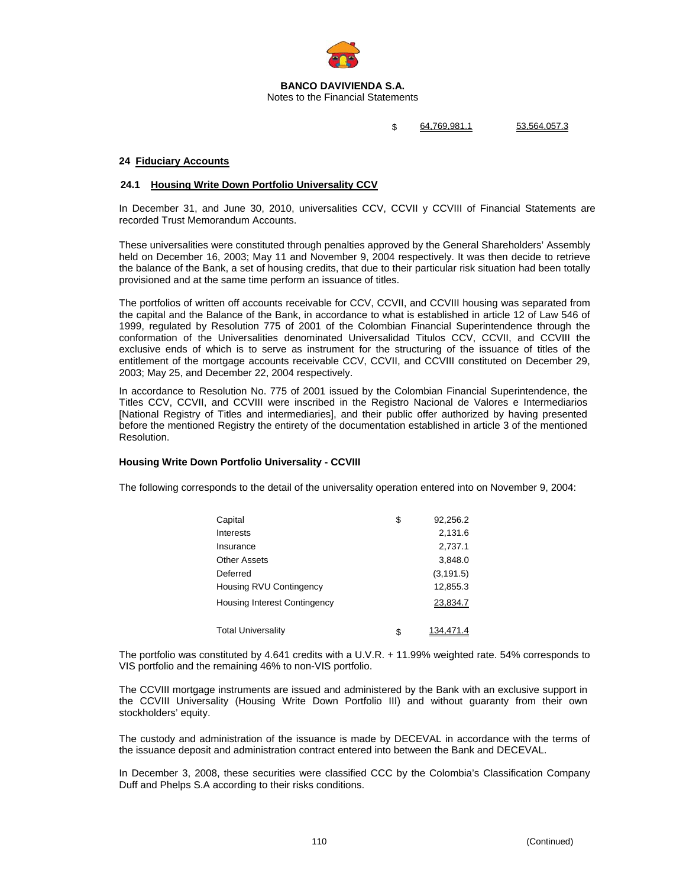

Notes to the Financial Statements

\$ 64,769,981.1 53,564,057.3

# **24 Fiduciary Accounts**

### **24.1 Housing Write Down Portfolio Universality CCV**

In December 31, and June 30, 2010, universalities CCV, CCVII y CCVIII of Financial Statements are recorded Trust Memorandum Accounts.

These universalities were constituted through penalties approved by the General Shareholders' Assembly held on December 16, 2003; May 11 and November 9, 2004 respectively. It was then decide to retrieve the balance of the Bank, a set of housing credits, that due to their particular risk situation had been totally provisioned and at the same time perform an issuance of titles.

The portfolios of written off accounts receivable for CCV, CCVII, and CCVIII housing was separated from the capital and the Balance of the Bank, in accordance to what is established in article 12 of Law 546 of 1999, regulated by Resolution 775 of 2001 of the Colombian Financial Superintendence through the conformation of the Universalities denominated Universalidad Titulos CCV, CCVII, and CCVIII the exclusive ends of which is to serve as instrument for the structuring of the issuance of titles of the entitlement of the mortgage accounts receivable CCV, CCVII, and CCVIII constituted on December 29, 2003; May 25, and December 22, 2004 respectively.

In accordance to Resolution No. 775 of 2001 issued by the Colombian Financial Superintendence, the Titles CCV, CCVII, and CCVIII were inscribed in the Registro Nacional de Valores e Intermediarios [National Registry of Titles and intermediaries], and their public offer authorized by having presented before the mentioned Registry the entirety of the documentation established in article 3 of the mentioned Resolution.

# **Housing Write Down Portfolio Universality - CCVIII**

The following corresponds to the detail of the universality operation entered into on November 9, 2004:

| Capital                             | \$<br>92,256.2  |
|-------------------------------------|-----------------|
| Interests                           | 2,131.6         |
| Insurance                           | 2,737.1         |
| Other Assets                        | 3,848.0         |
| Deferred                            | (3, 191.5)      |
| Housing RVU Contingency             | 12,855.3        |
| <b>Housing Interest Contingency</b> | 23,834.7        |
| Total Universality                  | \$<br>134,471.4 |

The portfolio was constituted by 4.641 credits with a U.V.R. + 11.99% weighted rate. 54% corresponds to VIS portfolio and the remaining 46% to non-VIS portfolio.

The CCVIII mortgage instruments are issued and administered by the Bank with an exclusive support in the CCVIII Universality (Housing Write Down Portfolio III) and without guaranty from their own stockholders' equity.

The custody and administration of the issuance is made by DECEVAL in accordance with the terms of the issuance deposit and administration contract entered into between the Bank and DECEVAL.

In December 3, 2008, these securities were classified CCC by the Colombia's Classification Company Duff and Phelps S.A according to their risks conditions.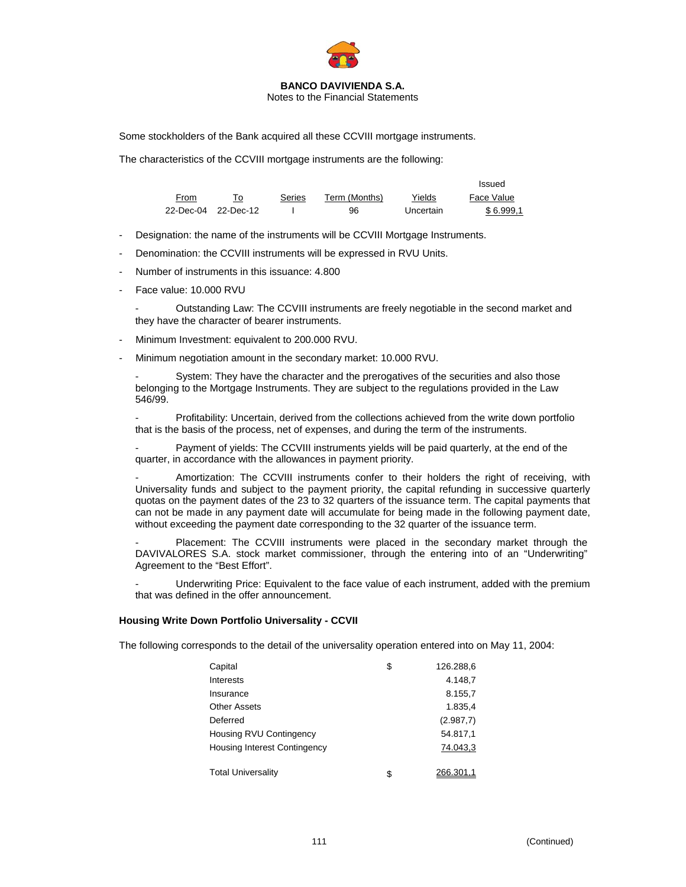

Notes to the Financial Statements

Some stockholders of the Bank acquired all these CCVIII mortgage instruments.

The characteristics of the CCVIII mortgage instruments are the following:

|      |                     |        |               |           | Issued     |
|------|---------------------|--------|---------------|-----------|------------|
| From |                     | Series | Term (Months) | Yields    | Face Value |
|      | 22-Dec-04 22-Dec-12 |        | 96            | Uncertain | \$6.999.1  |

- Designation: the name of the instruments will be CCVIII Mortgage Instruments.
- Denomination: the CCVIII instruments will be expressed in RVU Units.
- Number of instruments in this issuance: 4.800
- Face value: 10.000 RVU

- Outstanding Law: The CCVIII instruments are freely negotiable in the second market and they have the character of bearer instruments.

- Minimum Investment: equivalent to 200.000 RVU.
- Minimum negotiation amount in the secondary market: 10.000 RVU.

System: They have the character and the prerogatives of the securities and also those belonging to the Mortgage Instruments. They are subject to the regulations provided in the Law 546/99.

Profitability: Uncertain, derived from the collections achieved from the write down portfolio that is the basis of the process, net of expenses, and during the term of the instruments.

Payment of yields: The CCVIII instruments yields will be paid quarterly, at the end of the quarter, in accordance with the allowances in payment priority.

Amortization: The CCVIII instruments confer to their holders the right of receiving, with Universality funds and subject to the payment priority, the capital refunding in successive quarterly quotas on the payment dates of the 23 to 32 quarters of the issuance term. The capital payments that can not be made in any payment date will accumulate for being made in the following payment date, without exceeding the payment date corresponding to the 32 quarter of the issuance term.

Placement: The CCVIII instruments were placed in the secondary market through the DAVIVALORES S.A. stock market commissioner, through the entering into of an "Underwriting" Agreement to the "Best Effort".

Underwriting Price: Equivalent to the face value of each instrument, added with the premium that was defined in the offer announcement.

#### **Housing Write Down Portfolio Universality - CCVII**

The following corresponds to the detail of the universality operation entered into on May 11, 2004:

| Capital                      | \$<br>126.288,6 |
|------------------------------|-----------------|
| Interests                    | 4.148,7         |
| Insurance                    | 8.155,7         |
| <b>Other Assets</b>          | 1.835,4         |
| Deferred                     | (2.987,7)       |
| Housing RVU Contingency      | 54.817.1        |
| Housing Interest Contingency | 74.043,3        |
| <b>Total Universality</b>    | \$<br>266.301,1 |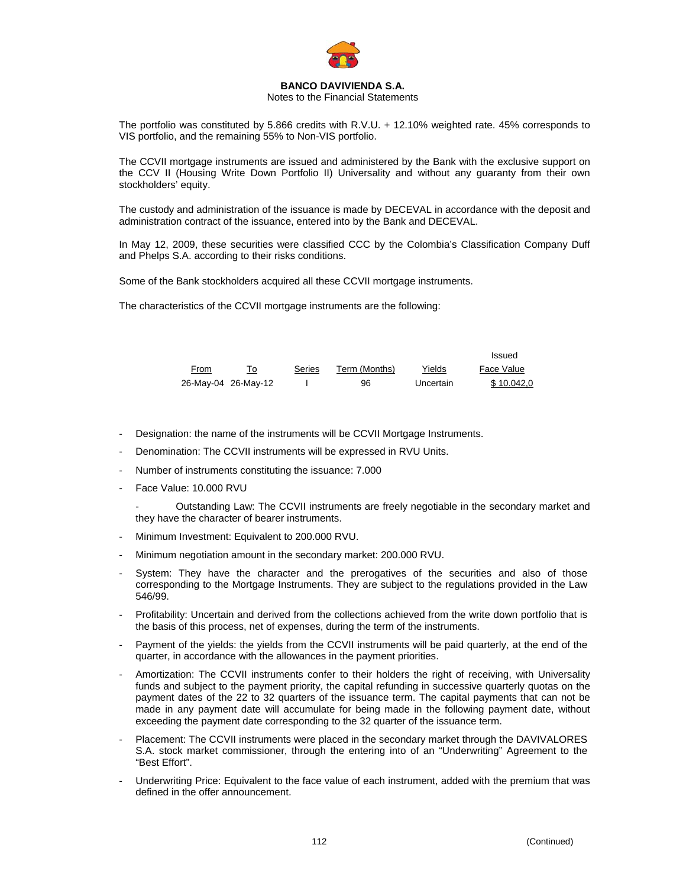

#### Notes to the Financial Statements

The portfolio was constituted by 5.866 credits with R.V.U. + 12.10% weighted rate. 45% corresponds to VIS portfolio, and the remaining 55% to Non-VIS portfolio.

The CCVII mortgage instruments are issued and administered by the Bank with the exclusive support on the CCV II (Housing Write Down Portfolio II) Universality and without any guaranty from their own stockholders' equity.

The custody and administration of the issuance is made by DECEVAL in accordance with the deposit and administration contract of the issuance, entered into by the Bank and DECEVAL.

In May 12, 2009, these securities were classified CCC by the Colombia's Classification Company Duff and Phelps S.A. according to their risks conditions.

Some of the Bank stockholders acquired all these CCVII mortgage instruments.

The characteristics of the CCVII mortgage instruments are the following:

|      |                     |        |               |           | Issued     |
|------|---------------------|--------|---------------|-----------|------------|
| From |                     | Series | Term (Months) | Yields    | Face Value |
|      | 26-May-04 26-May-12 |        | 96            | Uncertain | \$10.042.0 |

- Designation: the name of the instruments will be CCVII Mortgage Instruments.
- Denomination: The CCVII instruments will be expressed in RVU Units.
- Number of instruments constituting the issuance: 7.000
- Face Value: 10.000 RVU

- Outstanding Law: The CCVII instruments are freely negotiable in the secondary market and they have the character of bearer instruments.

- Minimum Investment: Equivalent to 200.000 RVU.
- Minimum negotiation amount in the secondary market: 200.000 RVU.
- System: They have the character and the prerogatives of the securities and also of those corresponding to the Mortgage Instruments. They are subject to the regulations provided in the Law 546/99.
- Profitability: Uncertain and derived from the collections achieved from the write down portfolio that is the basis of this process, net of expenses, during the term of the instruments.
- Payment of the yields: the yields from the CCVII instruments will be paid quarterly, at the end of the quarter, in accordance with the allowances in the payment priorities.
- Amortization: The CCVII instruments confer to their holders the right of receiving, with Universality funds and subject to the payment priority, the capital refunding in successive quarterly quotas on the payment dates of the 22 to 32 quarters of the issuance term. The capital payments that can not be made in any payment date will accumulate for being made in the following payment date, without exceeding the payment date corresponding to the 32 quarter of the issuance term.
- Placement: The CCVII instruments were placed in the secondary market through the DAVIVALORES S.A. stock market commissioner, through the entering into of an "Underwriting" Agreement to the "Best Effort".
- Underwriting Price: Equivalent to the face value of each instrument, added with the premium that was defined in the offer announcement.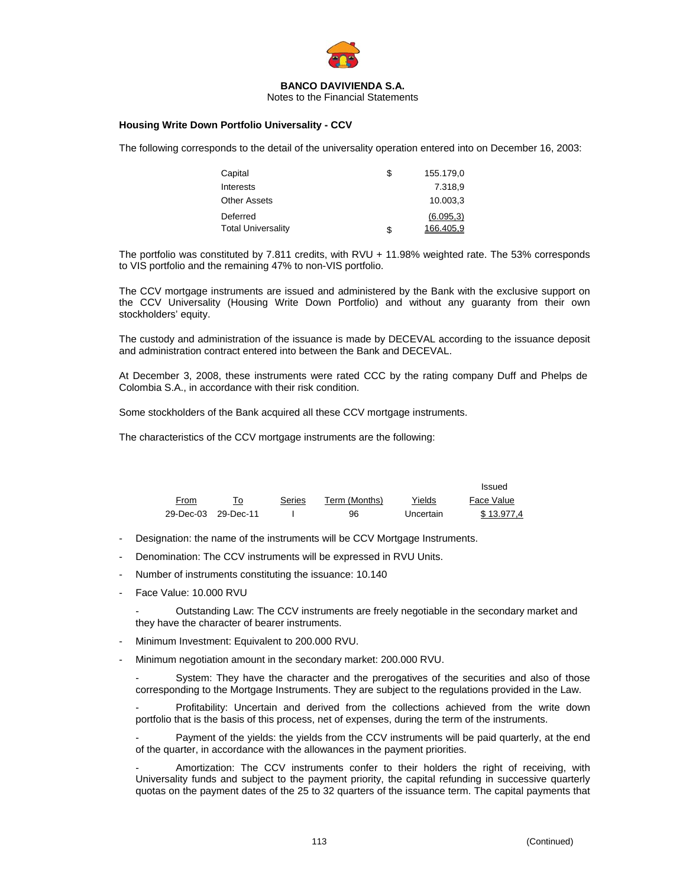

Notes to the Financial Statements

#### **Housing Write Down Portfolio Universality - CCV**

The following corresponds to the detail of the universality operation entered into on December 16, 2003:

| Capital                   | S | 155.179.0  |
|---------------------------|---|------------|
| Interests                 |   | 7.318.9    |
| <b>Other Assets</b>       |   | 10.003.3   |
| Deferred                  |   | (6.095, 3) |
| <b>Total Universality</b> | S | 166.405.9  |

The portfolio was constituted by 7.811 credits, with RVU + 11.98% weighted rate. The 53% corresponds to VIS portfolio and the remaining 47% to non-VIS portfolio.

The CCV mortgage instruments are issued and administered by the Bank with the exclusive support on the CCV Universality (Housing Write Down Portfolio) and without any guaranty from their own stockholders' equity.

The custody and administration of the issuance is made by DECEVAL according to the issuance deposit and administration contract entered into between the Bank and DECEVAL.

At December 3, 2008, these instruments were rated CCC by the rating company Duff and Phelps de Colombia S.A., in accordance with their risk condition.

Some stockholders of the Bank acquired all these CCV mortgage instruments.

The characteristics of the CCV mortgage instruments are the following:

|                     |        |               |           | Issued     |
|---------------------|--------|---------------|-----------|------------|
| From                | Series | Term (Months) | Yields    | Face Value |
| 29-Dec-03 29-Dec-11 |        | 96            | Uncertain | \$13.977.4 |

- Designation: the name of the instruments will be CCV Mortgage Instruments.
- Denomination: The CCV instruments will be expressed in RVU Units.
- Number of instruments constituting the issuance: 10.140
- Face Value: 10.000 RVU

- Outstanding Law: The CCV instruments are freely negotiable in the secondary market and they have the character of bearer instruments.

- Minimum Investment: Equivalent to 200.000 RVU.
- Minimum negotiation amount in the secondary market: 200.000 RVU.

System: They have the character and the prerogatives of the securities and also of those corresponding to the Mortgage Instruments. They are subject to the regulations provided in the Law.

Profitability: Uncertain and derived from the collections achieved from the write down portfolio that is the basis of this process, net of expenses, during the term of the instruments.

Payment of the yields: the yields from the CCV instruments will be paid quarterly, at the end of the quarter, in accordance with the allowances in the payment priorities.

Amortization: The CCV instruments confer to their holders the right of receiving, with Universality funds and subject to the payment priority, the capital refunding in successive quarterly quotas on the payment dates of the 25 to 32 quarters of the issuance term. The capital payments that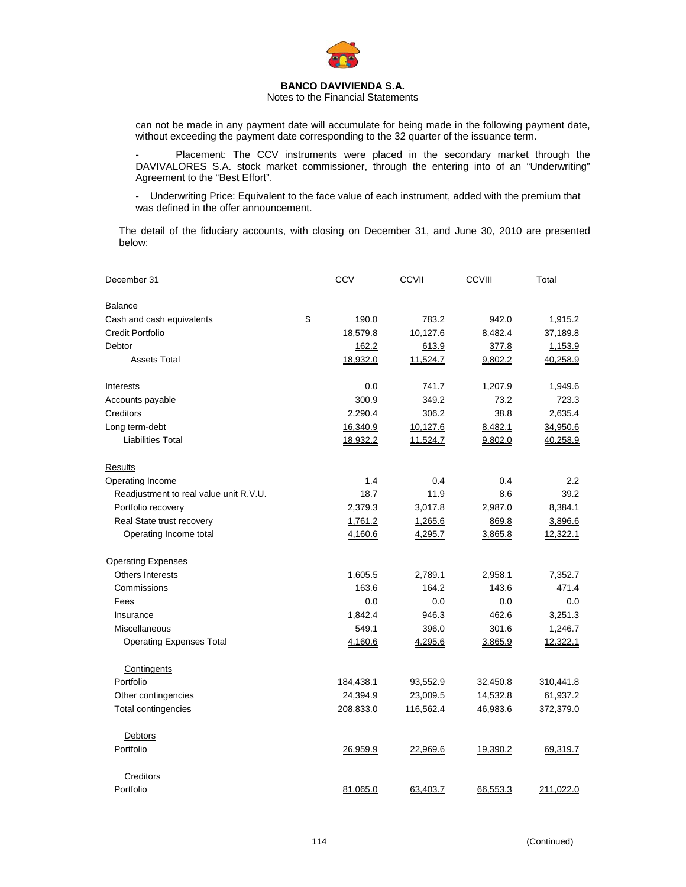

#### Notes to the Financial Statements

can not be made in any payment date will accumulate for being made in the following payment date, without exceeding the payment date corresponding to the 32 quarter of the issuance term.

Placement: The CCV instruments were placed in the secondary market through the DAVIVALORES S.A. stock market commissioner, through the entering into of an "Underwriting" Agreement to the "Best Effort".

- Underwriting Price: Equivalent to the face value of each instrument, added with the premium that was defined in the offer announcement.

The detail of the fiduciary accounts, with closing on December 31, and June 30, 2010 are presented below:

| December 31                            | <b>CCV</b>  | CCVII     | <b>CCVIII</b> | Total     |
|----------------------------------------|-------------|-----------|---------------|-----------|
| <b>Balance</b>                         |             |           |               |           |
| Cash and cash equivalents              | \$<br>190.0 | 783.2     | 942.0         | 1,915.2   |
| <b>Credit Portfolio</b>                | 18,579.8    | 10,127.6  | 8,482.4       | 37,189.8  |
| Debtor                                 | 162.2       | 613.9     | 377.8         | 1,153.9   |
| <b>Assets Total</b>                    | 18,932.0    | 11,524.7  | 9,802.2       | 40,258.9  |
| Interests                              | 0.0         | 741.7     | 1,207.9       | 1,949.6   |
| Accounts payable                       | 300.9       | 349.2     | 73.2          | 723.3     |
| Creditors                              | 2,290.4     | 306.2     | 38.8          | 2,635.4   |
| Long term-debt                         | 16,340.9    | 10,127.6  | 8,482.1       | 34,950.6  |
| <b>Liabilities Total</b>               | 18,932.2    | 11,524.7  | 9,802.0       | 40,258.9  |
| Results                                |             |           |               |           |
| Operating Income                       | 1.4         | 0.4       | 0.4           | 2.2       |
| Readjustment to real value unit R.V.U. | 18.7        | 11.9      | 8.6           | 39.2      |
| Portfolio recovery                     | 2,379.3     | 3,017.8   | 2,987.0       | 8,384.1   |
| Real State trust recovery              | 1,761.2     | 1,265.6   | 869.8         | 3,896.6   |
| Operating Income total                 | 4,160.6     | 4,295.7   | 3,865.8       | 12,322.1  |
| <b>Operating Expenses</b>              |             |           |               |           |
| Others Interests                       | 1,605.5     | 2,789.1   | 2,958.1       | 7,352.7   |
| Commissions                            | 163.6       | 164.2     | 143.6         | 471.4     |
| Fees                                   | 0.0         | 0.0       | 0.0           | 0.0       |
| Insurance                              | 1,842.4     | 946.3     | 462.6         | 3,251.3   |
| <b>Miscellaneous</b>                   | 549.1       | 396.0     | 301.6         | 1,246.7   |
| <b>Operating Expenses Total</b>        | 4,160.6     | 4,295.6   | 3,865.9       | 12,322.1  |
| Contingents                            |             |           |               |           |
| Portfolio                              | 184,438.1   | 93,552.9  | 32,450.8      | 310,441.8 |
| Other contingencies                    | 24,394.9    | 23,009.5  | 14,532.8      | 61,937.2  |
| Total contingencies                    | 208,833.0   | 116,562.4 | 46,983.6      | 372,379.0 |
| Debtors                                |             |           |               |           |
| Portfolio                              | 26,959.9    | 22,969.6  | 19,390.2      | 69,319.7  |
| Creditors                              |             |           |               |           |
| Portfolio                              | 81,065.0    | 63,403.7  | 66,553.3      | 211,022.0 |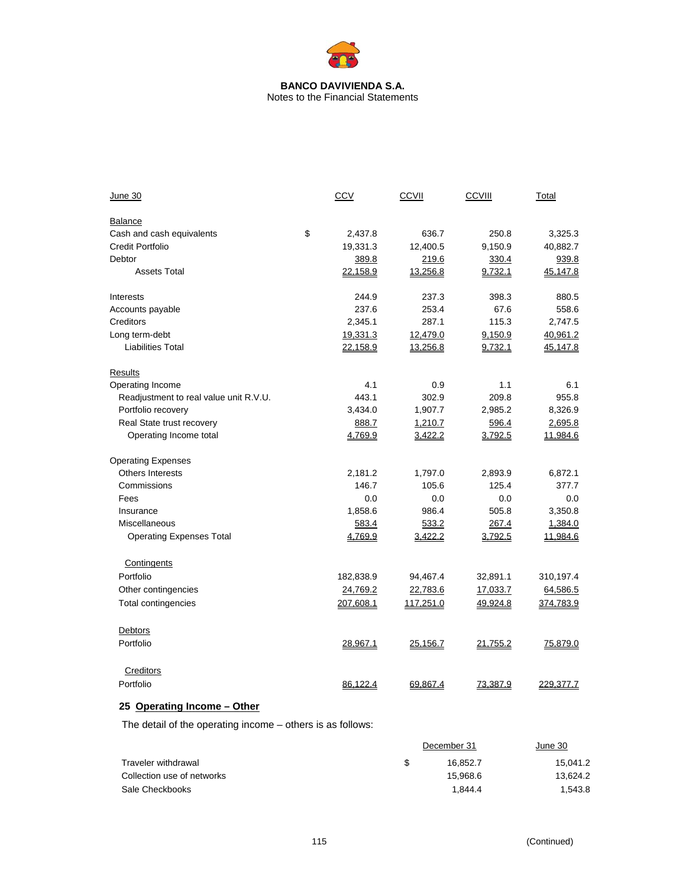Notes to the Financial Statements

| June 30                                | CCV           | CCVII     | CCVIII   | Total     |
|----------------------------------------|---------------|-----------|----------|-----------|
| Balance                                |               |           |          |           |
| Cash and cash equivalents              | \$<br>2,437.8 | 636.7     | 250.8    | 3,325.3   |
| <b>Credit Portfolio</b>                | 19,331.3      | 12,400.5  | 9,150.9  | 40,882.7  |
| Debtor                                 | 389.8         | 219.6     | 330.4    | 939.8     |
| <b>Assets Total</b>                    | 22,158.9      | 13,256.8  | 9,732.1  | 45,147.8  |
| Interests                              | 244.9         | 237.3     | 398.3    | 880.5     |
| Accounts payable                       | 237.6         | 253.4     | 67.6     | 558.6     |
| Creditors                              | 2,345.1       | 287.1     | 115.3    | 2,747.5   |
| Long term-debt                         | 19,331.3      | 12,479.0  | 9,150.9  | 40,961.2  |
| <b>Liabilities Total</b>               | 22,158.9      | 13,256.8  | 9,732.1  | 45,147.8  |
| Results                                |               |           |          |           |
| Operating Income                       | 4.1           | 0.9       | 1.1      | 6.1       |
| Readjustment to real value unit R.V.U. | 443.1         | 302.9     | 209.8    | 955.8     |
| Portfolio recovery                     | 3,434.0       | 1,907.7   | 2,985.2  | 8,326.9   |
| Real State trust recovery              | 888.7         | 1,210.7   | 596.4    | 2,695.8   |
| Operating Income total                 | 4,769.9       | 3,422.2   | 3,792.5  | 11,984.6  |
| <b>Operating Expenses</b>              |               |           |          |           |
| <b>Others Interests</b>                | 2,181.2       | 1,797.0   | 2,893.9  | 6,872.1   |
| Commissions                            | 146.7         | 105.6     | 125.4    | 377.7     |
| Fees                                   | 0.0           | 0.0       | 0.0      | 0.0       |
| Insurance                              | 1,858.6       | 986.4     | 505.8    | 3,350.8   |
| Miscellaneous                          | 583.4         | 533.2     | 267.4    | 1,384.0   |
| <b>Operating Expenses Total</b>        | 4,769.9       | 3,422.2   | 3,792.5  | 11,984.6  |
| Contingents                            |               |           |          |           |
| Portfolio                              | 182,838.9     | 94,467.4  | 32,891.1 | 310,197.4 |
| Other contingencies                    | 24,769.2      | 22,783.6  | 17,033.7 | 64,586.5  |
| <b>Total contingencies</b>             | 207,608.1     | 117,251.0 | 49,924.8 | 374,783.9 |
| Debtors                                |               |           |          |           |
| Portfolio                              | 28,967.1      | 25,156.7  | 21,755.2 | 75,879.0  |
| Creditors                              |               |           |          |           |
| Portfolio                              | 86,122.4      | 69,867.4  | 73,387.9 | 229,377.7 |
|                                        |               |           |          |           |

# **25 Operating Income – Other**

The detail of the operating income – others is as follows:

|                            |     | December 31 | June 30  |
|----------------------------|-----|-------------|----------|
| Traveler withdrawal        | \$. | 16.852.7    | 15.041.2 |
| Collection use of networks |     | 15.968.6    | 13.624.2 |
| Sale Checkbooks            |     | 1.844.4     | 1.543.8  |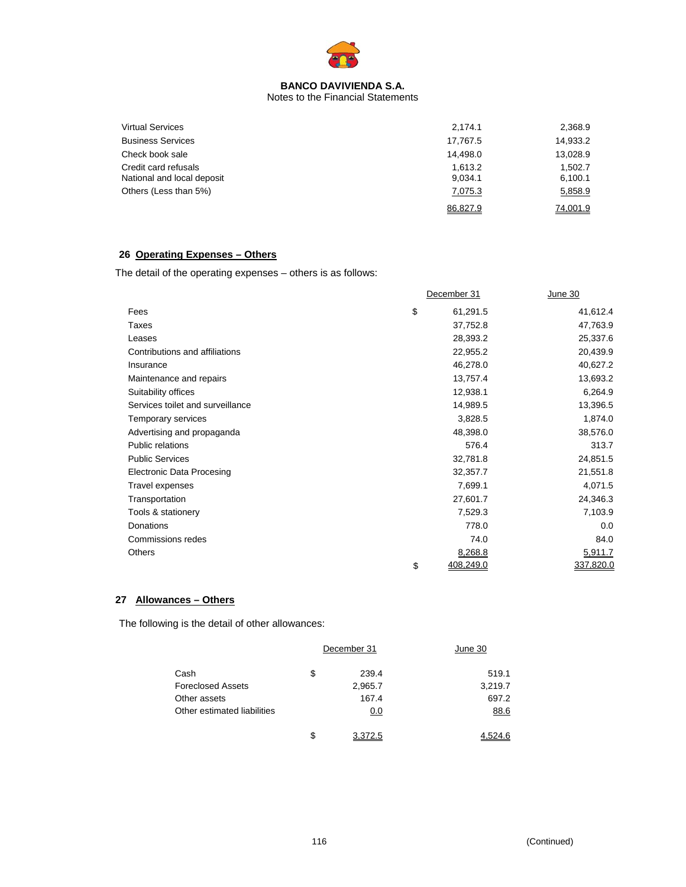

Notes to the Financial Statements

| <b>Virtual Services</b>                            | 2,174.1            | 2,368.9            |
|----------------------------------------------------|--------------------|--------------------|
| <b>Business Services</b>                           | 17.767.5           | 14,933.2           |
| Check book sale                                    | 14.498.0           | 13,028.9           |
| Credit card refusals<br>National and local deposit | 1.613.2<br>9,034.1 | 1.502.7<br>6,100.1 |
| Others (Less than 5%)                              | 7,075.3            | 5,858.9            |
|                                                    | 86.827.9           | 74.001.9           |

# **26 Operating Expenses – Others**

The detail of the operating expenses – others is as follows:

|                                  | December 31     | June 30   |
|----------------------------------|-----------------|-----------|
| Fees                             | \$<br>61,291.5  | 41,612.4  |
| Taxes                            | 37,752.8        | 47,763.9  |
| Leases                           | 28,393.2        | 25,337.6  |
| Contributions and affiliations   | 22,955.2        | 20,439.9  |
| Insurance                        | 46,278.0        | 40,627.2  |
| Maintenance and repairs          | 13,757.4        | 13,693.2  |
| Suitability offices              | 12,938.1        | 6,264.9   |
| Services toilet and surveillance | 14,989.5        | 13,396.5  |
| Temporary services               | 3,828.5         | 1,874.0   |
| Advertising and propaganda       | 48,398.0        | 38,576.0  |
| Public relations                 | 576.4           | 313.7     |
| <b>Public Services</b>           | 32,781.8        | 24,851.5  |
| <b>Electronic Data Procesing</b> | 32,357.7        | 21,551.8  |
| Travel expenses                  | 7,699.1         | 4,071.5   |
| Transportation                   | 27,601.7        | 24,346.3  |
| Tools & stationery               | 7,529.3         | 7,103.9   |
| Donations                        | 778.0           | 0.0       |
| Commissions redes                | 74.0            | 84.0      |
| <b>Others</b>                    | 8,268.8         | 5,911.7   |
|                                  | \$<br>408,249.0 | 337,820.0 |

# **27 Allowances – Others**

The following is the detail of other allowances:

|                             | December 31   | June 30 |  |
|-----------------------------|---------------|---------|--|
| Cash                        | \$<br>239.4   | 519.1   |  |
| <b>Foreclosed Assets</b>    | 2,965.7       | 3,219.7 |  |
| Other assets                | 167.4         | 697.2   |  |
| Other estimated liabilities | 0.0           | 88.6    |  |
|                             | \$<br>3.372.5 | 4.524.6 |  |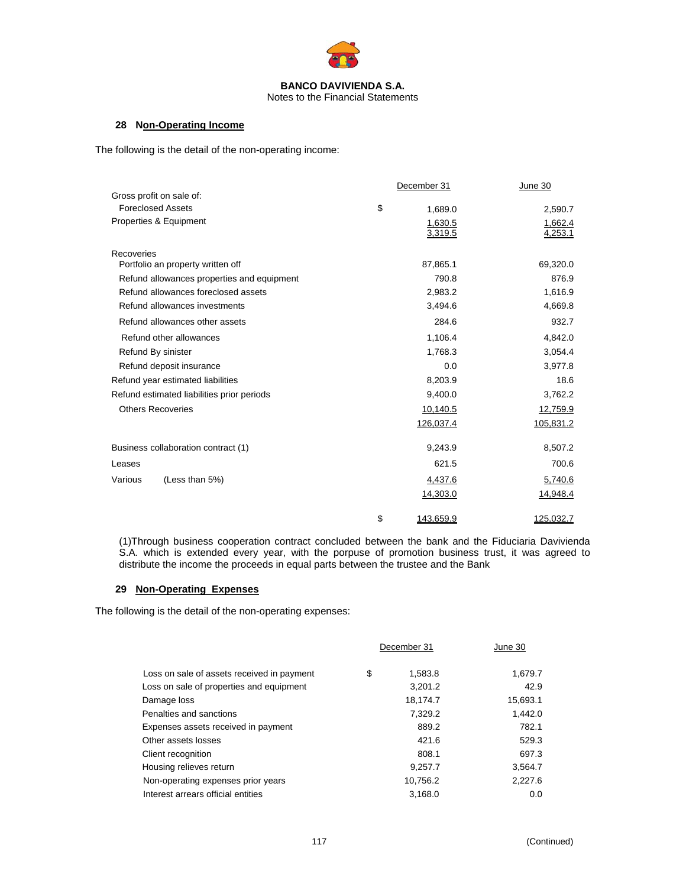

### **28 Non-Operating Income**

The following is the detail of the non-operating income:

|                                            | December 31     | June 30   |
|--------------------------------------------|-----------------|-----------|
| Gross profit on sale of:                   |                 |           |
| <b>Foreclosed Assets</b>                   | \$<br>1,689.0   | 2,590.7   |
| Properties & Equipment                     | 1,630.5         | 1,662.4   |
|                                            | 3,319.5         | 4,253.1   |
| Recoveries                                 |                 |           |
| Portfolio an property written off          | 87,865.1        | 69,320.0  |
| Refund allowances properties and equipment | 790.8           | 876.9     |
| Refund allowances foreclosed assets        | 2,983.2         | 1,616.9   |
| Refund allowances investments              | 3,494.6         | 4,669.8   |
| Refund allowances other assets             | 284.6           | 932.7     |
| Refund other allowances                    | 1,106.4         | 4,842.0   |
| Refund By sinister                         | 1,768.3         | 3,054.4   |
| Refund deposit insurance                   | 0.0             | 3,977.8   |
| Refund year estimated liabilities          | 8,203.9         | 18.6      |
| Refund estimated liabilities prior periods | 9,400.0         | 3,762.2   |
| <b>Others Recoveries</b>                   | 10,140.5        | 12,759.9  |
|                                            | 126,037.4       | 105,831.2 |
| Business collaboration contract (1)        | 9,243.9         | 8,507.2   |
| Leases                                     | 621.5           | 700.6     |
| Various<br>(Less than 5%)                  | 4,437.6         | 5,740.6   |
|                                            | 14,303.0        | 14,948.4  |
|                                            | \$<br>143,659.9 | 125,032.7 |

(1)Through business cooperation contract concluded between the bank and the Fiduciaria Davivienda S.A. which is extended every year, with the porpuse of promotion business trust, it was agreed to distribute the income the proceeds in equal parts between the trustee and the Bank

# **29 Non-Operating Expenses**

The following is the detail of the non-operating expenses:

|                                            | December 31   | June 30  |  |
|--------------------------------------------|---------------|----------|--|
| Loss on sale of assets received in payment | \$<br>1,583.8 | 1,679.7  |  |
| Loss on sale of properties and equipment   | 3,201.2       | 42.9     |  |
| Damage loss                                | 18,174.7      | 15,693.1 |  |
| Penalties and sanctions                    | 7,329.2       | 1,442.0  |  |
| Expenses assets received in payment        | 889.2         | 782.1    |  |
| Other assets losses                        | 421.6         | 529.3    |  |
| Client recognition                         | 808.1         | 697.3    |  |
| Housing relieves return                    | 9,257.7       | 3,564.7  |  |
| Non-operating expenses prior years         | 10,756.2      | 2,227.6  |  |
| Interest arrears official entities         | 3,168.0       | 0.0      |  |
|                                            |               |          |  |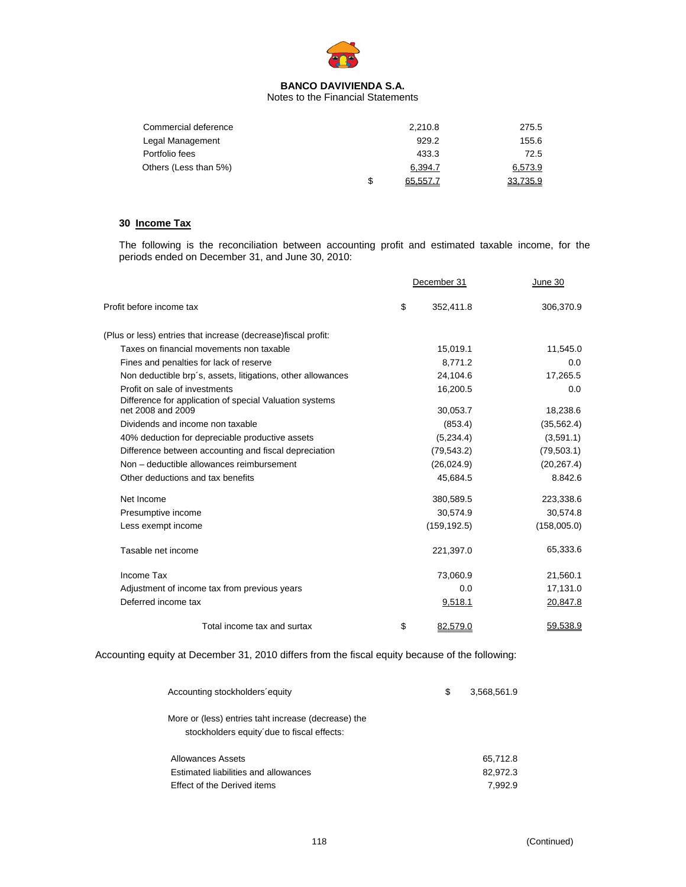

Notes to the Financial Statements

| Commercial deference  |   | 2.210.8  | 275.5    |
|-----------------------|---|----------|----------|
| Legal Management      |   | 929.2    | 155.6    |
| Portfolio fees        |   | 433.3    | 72.5     |
| Others (Less than 5%) |   | 6,394.7  | 6,573.9  |
|                       | S | 65.557.7 | 33.735.9 |

# **30 Income Tax**

The following is the reconciliation between accounting profit and estimated taxable income, for the periods ended on December 31, and June 30, 2010:

|                                                                | December 31     | June 30     |
|----------------------------------------------------------------|-----------------|-------------|
| Profit before income tax                                       | \$<br>352,411.8 | 306,370.9   |
| (Plus or less) entries that increase (decrease) fiscal profit: |                 |             |
| Taxes on financial movements non taxable                       | 15,019.1        | 11,545.0    |
| Fines and penalties for lack of reserve                        | 8,771.2         | 0.0         |
| Non deductible brp's, assets, litigations, other allowances    | 24,104.6        | 17,265.5    |
| Profit on sale of investments                                  | 16,200.5        | 0.0         |
| Difference for application of special Valuation systems        |                 |             |
| net 2008 and 2009                                              | 30,053.7        | 18,238.6    |
| Dividends and income non taxable                               | (853.4)         | (35, 562.4) |
| 40% deduction for depreciable productive assets                | (5,234.4)       | (3,591.1)   |
| Difference between accounting and fiscal depreciation          | (79, 543.2)     | (79, 503.1) |
| Non - deductible allowances reimbursement                      | (26,024.9)      | (20, 267.4) |
| Other deductions and tax benefits                              | 45,684.5        | 8.842.6     |
| Net Income                                                     | 380,589.5       | 223,338.6   |
| Presumptive income                                             | 30,574.9        | 30,574.8    |
| Less exempt income                                             | (159, 192.5)    | (158,005.0) |
| Tasable net income                                             | 221,397.0       | 65,333.6    |
| Income Tax                                                     | 73,060.9        | 21,560.1    |
| Adjustment of income tax from previous years                   | 0.0             | 17,131.0    |
| Deferred income tax                                            | 9,518.1         | 20,847.8    |
| Total income tax and surtax                                    | \$<br>82.579.0  | 59.538.9    |

Accounting equity at December 31, 2010 differs from the fiscal equity because of the following:

| Accounting stockholders equity                                                                    | \$<br>3.568.561.9 |
|---------------------------------------------------------------------------------------------------|-------------------|
| More or (less) entries taht increase (decrease) the<br>stockholders equity due to fiscal effects: |                   |
| Allowances Assets                                                                                 | 65,712.8          |
| Estimated liabilities and allowances                                                              | 82.972.3          |
| Effect of the Derived items                                                                       | 7.992.9           |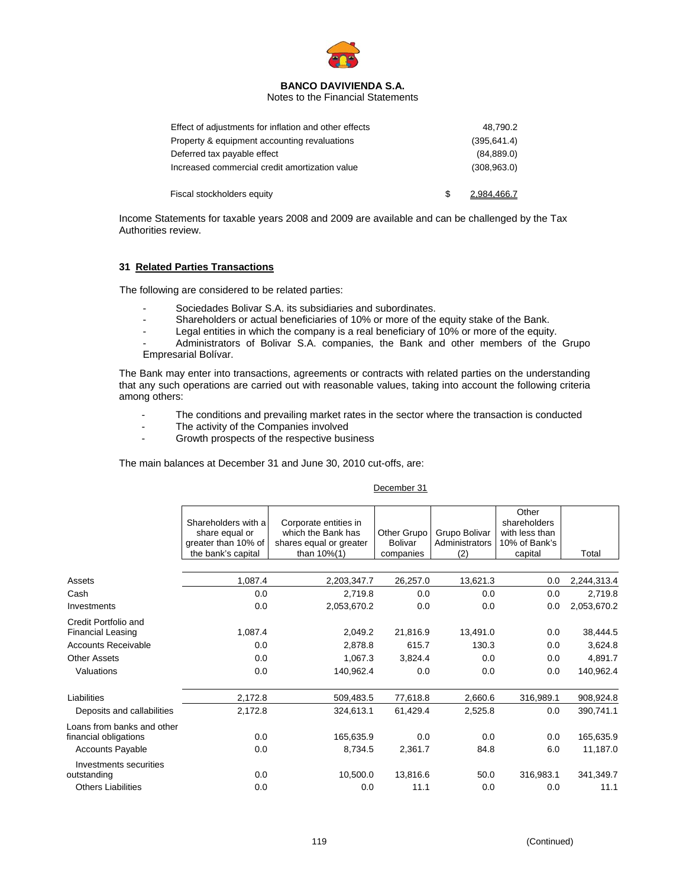

Notes to the Financial Statements

| Effect of adjustments for inflation and other effects | 48.790.2     |
|-------------------------------------------------------|--------------|
| Property & equipment accounting revaluations          | (395, 641.4) |
| Deferred tax payable effect                           | (84, 889.0)  |
| Increased commercial credit amortization value        | (308, 963.0) |
|                                                       |              |
| Fiscal stockholders equity                            | 2.984.466.7  |

Income Statements for taxable years 2008 and 2009 are available and can be challenged by the Tax Authorities review.

#### **31 Related Parties Transactions**

The following are considered to be related parties:

- Sociedades Bolivar S.A. its subsidiaries and subordinates.
- Shareholders or actual beneficiaries of 10% or more of the equity stake of the Bank.
- Legal entities in which the company is a real beneficiary of 10% or more of the equity.

Administrators of Bolivar S.A. companies, the Bank and other members of the Grupo Empresarial Bolívar.

The Bank may enter into transactions, agreements or contracts with related parties on the understanding that any such operations are carried out with reasonable values, taking into account the following criteria among others:

- The conditions and prevailing market rates in the sector where the transaction is conducted
- The activity of the Companies involved
- Growth prospects of the respective business

The main balances at December 31 and June 30, 2010 cut-offs, are:

#### December 31

|                                                  | Shareholders with a<br>share equal or<br>greater than 10% of | Corporate entities in<br>which the Bank has<br>shares equal or greater | Other Grupo<br>Bolivar | Grupo Bolivar<br>Administrators | Other<br>shareholders<br>with less than<br>10% of Bank's |             |
|--------------------------------------------------|--------------------------------------------------------------|------------------------------------------------------------------------|------------------------|---------------------------------|----------------------------------------------------------|-------------|
|                                                  | the bank's capital                                           | than $10\%$ (1)                                                        | companies              | (2)                             | capital                                                  | Total       |
| Assets                                           | 1,087.4                                                      | 2,203,347.7                                                            | 26,257.0               | 13,621.3                        | 0.0                                                      | 2,244,313.4 |
| Cash                                             | 0.0                                                          | 2,719.8                                                                | 0.0                    | 0.0                             | 0.0                                                      | 2,719.8     |
| Investments                                      | 0.0                                                          | 2,053,670.2                                                            | 0.0                    | 0.0                             | 0.0                                                      | 2,053,670.2 |
| Credit Portfolio and<br><b>Financial Leasing</b> | 1,087.4                                                      | 2,049.2                                                                | 21,816.9               | 13,491.0                        | 0.0                                                      | 38,444.5    |
| <b>Accounts Receivable</b>                       | 0.0                                                          | 2,878.8                                                                | 615.7                  | 130.3                           | 0.0                                                      | 3,624.8     |
| <b>Other Assets</b>                              | 0.0                                                          | 1,067.3                                                                | 3,824.4                | 0.0                             | 0.0                                                      | 4,891.7     |
| Valuations                                       | 0.0                                                          | 140,962.4                                                              | 0.0                    | 0.0                             | 0.0                                                      | 140,962.4   |
| Liabilities                                      | 2,172.8                                                      | 509,483.5                                                              | 77,618.8               | 2,660.6                         | 316,989.1                                                | 908,924.8   |
| Deposits and callabilities                       | 2,172.8                                                      | 324,613.1                                                              | 61,429.4               | 2,525.8                         | 0.0                                                      | 390,741.1   |
| Loans from banks and other                       |                                                              |                                                                        |                        |                                 |                                                          |             |
| financial obligations                            | 0.0                                                          | 165,635.9                                                              | 0.0                    | 0.0                             | 0.0                                                      | 165,635.9   |
| <b>Accounts Payable</b>                          | 0.0                                                          | 8,734.5                                                                | 2,361.7                | 84.8                            | 6.0                                                      | 11,187.0    |
| Investments securities                           |                                                              |                                                                        |                        |                                 |                                                          |             |
| outstanding                                      | 0.0                                                          | 10,500.0                                                               | 13,816.6               | 50.0                            | 316,983.1                                                | 341,349.7   |
| <b>Others Liabilities</b>                        | 0.0                                                          | 0.0                                                                    | 11.1                   | 0.0                             | 0.0                                                      | 11.1        |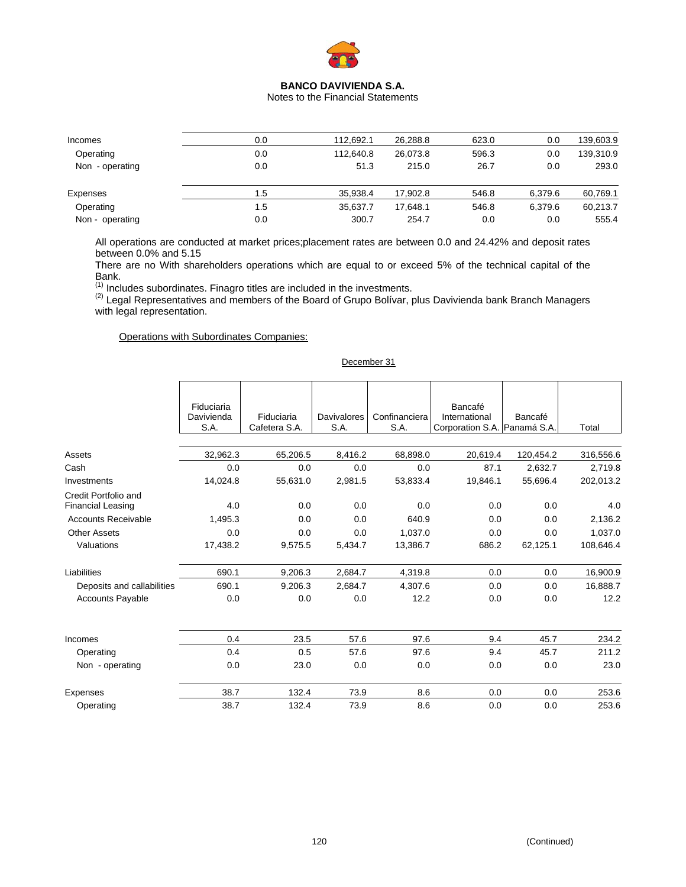

Notes to the Financial Statements

| Incomes         | 0.0 | 112.692.1 | 26.288.8 | 623.0 | 0.0     | 139,603.9 |
|-----------------|-----|-----------|----------|-------|---------|-----------|
| Operating       | 0.0 | 112.640.8 | 26.073.8 | 596.3 | 0.0     | 139,310.9 |
| Non - operating | 0.0 | 51.3      | 215.0    | 26.7  | 0.0     | 293.0     |
| Expenses        | 1.5 | 35.938.4  | 17.902.8 | 546.8 | 6.379.6 | 60,769.1  |
| Operating       | 1.5 | 35.637.7  | 17.648.1 | 546.8 | 6.379.6 | 60,213.7  |
| Non - operating | 0.0 | 300.7     | 254.7    | 0.0   | 0.0     | 555.4     |
|                 |     |           |          |       |         |           |

All operations are conducted at market prices;placement rates are between 0.0 and 24.42% and deposit rates between 0.0% and 5.15

There are no With shareholders operations which are equal to or exceed 5% of the technical capital of the Bank.

<sup>(1)</sup> Includes subordinates. Finagro titles are included in the investments.<br><sup>(2)</sup> Legal Representatives and members of the Board of Grupo Bolívar, plus Davivienda bank Branch Managers with legal representation.

Operations with Subordinates Companies:

|                                                  | Fiduciaria<br>Davivienda<br>S.A. | Fiduciaria<br>Cafetera S.A. | <b>Davivalores</b><br>S.A. | Confinanciera<br>S.A. | Bancafé<br>International<br>Corporation S.A. Panamá S.A. | Bancafé   | Total     |
|--------------------------------------------------|----------------------------------|-----------------------------|----------------------------|-----------------------|----------------------------------------------------------|-----------|-----------|
|                                                  |                                  |                             |                            |                       |                                                          |           |           |
| Assets                                           | 32,962.3                         | 65,206.5                    | 8,416.2                    | 68,898.0              | 20,619.4                                                 | 120,454.2 | 316,556.6 |
| Cash                                             | 0.0                              | 0.0                         | 0.0                        | 0.0                   | 87.1                                                     | 2,632.7   | 2,719.8   |
| Investments                                      | 14,024.8                         | 55,631.0                    | 2,981.5                    | 53,833.4              | 19,846.1                                                 | 55,696.4  | 202,013.2 |
| Credit Portfolio and<br><b>Financial Leasing</b> | 4.0                              | 0.0                         | 0.0                        | 0.0                   | 0.0                                                      | 0.0       | 4.0       |
| <b>Accounts Receivable</b>                       | 1,495.3                          | 0.0                         | 0.0                        | 640.9                 | 0.0                                                      | 0.0       | 2,136.2   |
| <b>Other Assets</b>                              | 0.0                              | 0.0                         | 0.0                        | 1,037.0               | 0.0                                                      | 0.0       | 1,037.0   |
| Valuations                                       | 17,438.2                         | 9,575.5                     | 5,434.7                    | 13,386.7              | 686.2                                                    | 62,125.1  | 108,646.4 |
| Liabilities                                      | 690.1                            | 9,206.3                     | 2,684.7                    | 4,319.8               | 0.0                                                      | 0.0       | 16,900.9  |
| Deposits and callabilities                       | 690.1                            | 9,206.3                     | 2,684.7                    | 4,307.6               | 0.0                                                      | 0.0       | 16,888.7  |
| <b>Accounts Payable</b>                          | 0.0                              | 0.0                         | 0.0                        | 12.2                  | 0.0                                                      | 0.0       | 12.2      |
| Incomes                                          | 0.4                              | 23.5                        | 57.6                       | 97.6                  | 9.4                                                      | 45.7      | 234.2     |
| Operating                                        | 0.4                              | 0.5                         | 57.6                       | 97.6                  | 9.4                                                      | 45.7      | 211.2     |
| Non - operating                                  | 0.0                              | 23.0                        | 0.0                        | 0.0                   | 0.0                                                      | 0.0       | 23.0      |
| Expenses                                         | 38.7                             | 132.4                       | 73.9                       | 8.6                   | 0.0                                                      | 0.0       | 253.6     |
| Operating                                        | 38.7                             | 132.4                       | 73.9                       | 8.6                   | 0.0                                                      | 0.0       | 253.6     |

December 31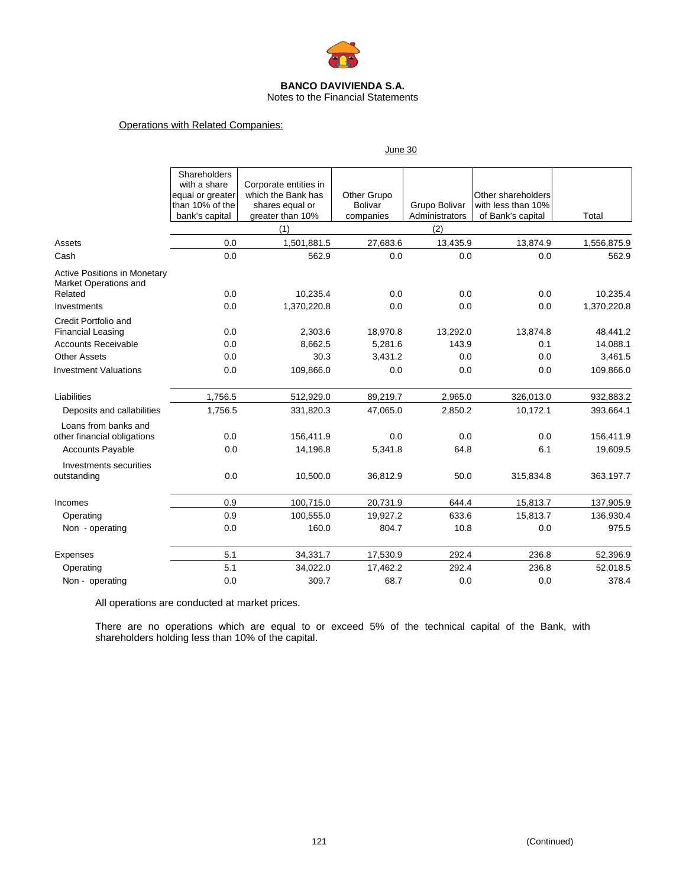

Notes to the Financial Statements

June 30

# Operations with Related Companies:

|                                                                         | Shareholders<br>with a share<br>equal or greater<br>than 10% of the<br>bank's capital | Corporate entities in<br>which the Bank has<br>shares equal or<br>greater than 10% | Other Grupo<br><b>Bolivar</b><br>companies | Grupo Bolivar<br>Administrators | Other shareholders<br>with less than 10%<br>of Bank's capital | Total       |
|-------------------------------------------------------------------------|---------------------------------------------------------------------------------------|------------------------------------------------------------------------------------|--------------------------------------------|---------------------------------|---------------------------------------------------------------|-------------|
|                                                                         |                                                                                       | (1)                                                                                |                                            | (2)                             |                                                               |             |
| Assets                                                                  | 0.0                                                                                   | 1,501,881.5                                                                        | 27,683.6                                   | 13,435.9                        | 13,874.9                                                      | 1,556,875.9 |
| Cash                                                                    | 0.0                                                                                   | 562.9                                                                              | 0.0                                        | 0.0                             | 0.0                                                           | 562.9       |
| <b>Active Positions in Monetary</b><br>Market Operations and<br>Related | 0.0                                                                                   | 10,235.4                                                                           | 0.0                                        | 0.0                             | 0.0                                                           | 10,235.4    |
| Investments                                                             | 0.0                                                                                   | 1,370,220.8                                                                        | 0.0                                        | 0.0                             | 0.0                                                           | 1,370,220.8 |
| Credit Portfolio and<br><b>Financial Leasing</b>                        | 0.0                                                                                   | 2,303.6                                                                            | 18,970.8                                   | 13,292.0                        | 13,874.8                                                      | 48,441.2    |
| <b>Accounts Receivable</b>                                              | 0.0                                                                                   | 8,662.5                                                                            | 5,281.6                                    | 143.9                           | 0.1                                                           | 14,088.1    |
| <b>Other Assets</b>                                                     | 0.0                                                                                   | 30.3                                                                               | 3,431.2                                    | 0.0                             | 0.0                                                           | 3,461.5     |
| <b>Investment Valuations</b>                                            | 0.0                                                                                   | 109,866.0                                                                          | 0.0                                        | 0.0                             | 0.0                                                           | 109,866.0   |
| Liabilities                                                             | 1,756.5                                                                               | 512,929.0                                                                          | 89,219.7                                   | 2,965.0                         | 326,013.0                                                     | 932,883.2   |
| Deposits and callabilities                                              | 1,756.5                                                                               | 331,820.3                                                                          | 47,065.0                                   | 2,850.2                         | 10,172.1                                                      | 393,664.1   |
| Loans from banks and<br>other financial obligations                     | 0.0                                                                                   | 156,411.9                                                                          | 0.0                                        | 0.0                             | 0.0                                                           | 156,411.9   |
| <b>Accounts Payable</b>                                                 | 0.0                                                                                   | 14,196.8                                                                           | 5.341.8                                    | 64.8                            | 6.1                                                           | 19,609.5    |
| Investments securities<br>outstanding                                   | 0.0                                                                                   | 10,500.0                                                                           | 36,812.9                                   | 50.0                            | 315,834.8                                                     | 363,197.7   |
| Incomes                                                                 | 0.9                                                                                   | 100,715.0                                                                          | 20,731.9                                   | 644.4                           | 15,813.7                                                      | 137,905.9   |
| Operating                                                               | 0.9                                                                                   | 100,555.0                                                                          | 19,927.2                                   | 633.6                           | 15,813.7                                                      | 136,930.4   |
| Non - operating                                                         | 0.0                                                                                   | 160.0                                                                              | 804.7                                      | 10.8                            | 0.0                                                           | 975.5       |
| Expenses                                                                | 5.1                                                                                   | 34,331.7                                                                           | 17,530.9                                   | 292.4                           | 236.8                                                         | 52,396.9    |
| Operating                                                               | 5.1                                                                                   | 34,022.0                                                                           | 17,462.2                                   | 292.4                           | 236.8                                                         | 52,018.5    |
| Non - operating                                                         | 0.0                                                                                   | 309.7                                                                              | 68.7                                       | 0.0                             | 0.0                                                           | 378.4       |

All operations are conducted at market prices.

There are no operations which are equal to or exceed 5% of the technical capital of the Bank, with shareholders holding less than 10% of the capital.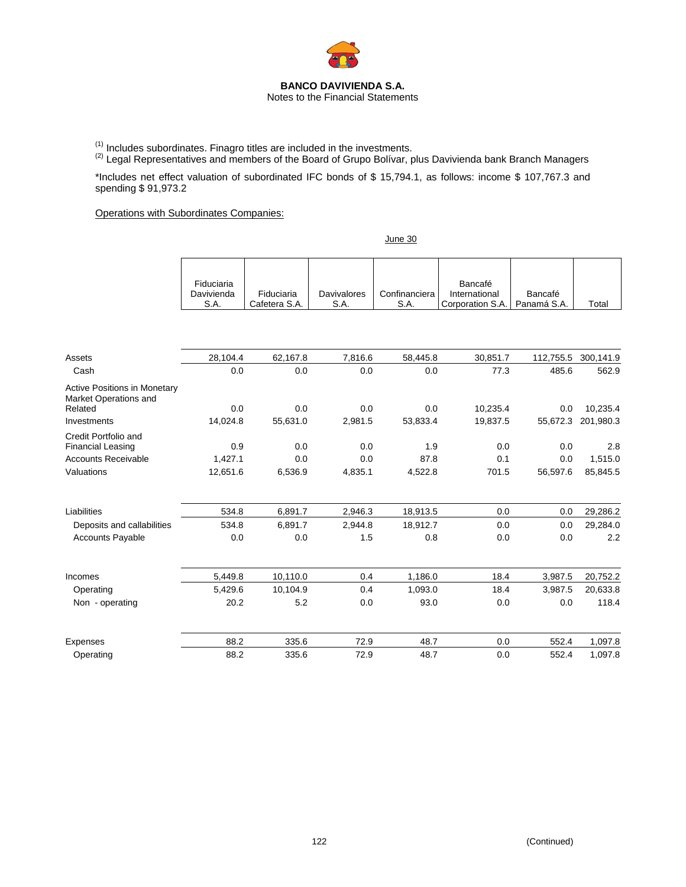

(1) Includes subordinates. Finagro titles are included in the investments.<br>(2) Legal Representatives and members of the Board of Grupo Bolívar, plus Davivienda bank Branch Managers

\*Includes net effect valuation of subordinated IFC bonds of \$ 15,794.1, as follows: income \$ 107,767.3 and spending \$ 91,973.2

June 30

Operations with Subordinates Companies:

|                                                                         | Fiduciaria<br>Davivienda<br>S.A. | Fiduciaria<br>Cafetera S.A. | <b>Davivalores</b><br>S.A. | Confinanciera<br>S.A. | Bancafé<br>International<br>Corporation S.A. | Bancafé<br>Panamá S.A. | Total               |
|-------------------------------------------------------------------------|----------------------------------|-----------------------------|----------------------------|-----------------------|----------------------------------------------|------------------------|---------------------|
|                                                                         |                                  |                             |                            |                       |                                              |                        |                     |
| Assets                                                                  | 28,104.4                         | 62,167.8                    | 7,816.6                    | 58,445.8              | 30,851.7                                     |                        | 112,755.5 300,141.9 |
| Cash                                                                    | 0.0                              | 0.0                         | 0.0                        | 0.0                   | 77.3                                         | 485.6                  | 562.9               |
| <b>Active Positions in Monetary</b><br>Market Operations and<br>Related | 0.0                              | 0.0                         | 0.0                        | 0.0                   | 10,235.4                                     | 0.0                    | 10,235.4            |
| Investments                                                             | 14,024.8                         | 55,631.0                    | 2,981.5                    | 53,833.4              | 19,837.5                                     | 55,672.3               | 201,980.3           |
| Credit Portfolio and                                                    |                                  |                             |                            |                       |                                              |                        |                     |
| <b>Financial Leasing</b>                                                | 0.9                              | 0.0                         | 0.0                        | 1.9                   | 0.0                                          | 0.0                    | 2.8                 |
| <b>Accounts Receivable</b>                                              | 1,427.1                          | 0.0                         | 0.0                        | 87.8                  | 0.1                                          | 0.0                    | 1,515.0             |
| Valuations                                                              | 12,651.6                         | 6,536.9                     | 4,835.1                    | 4,522.8               | 701.5                                        | 56,597.6               | 85,845.5            |
| Liabilities                                                             | 534.8                            | 6,891.7                     | 2,946.3                    | 18,913.5              | 0.0                                          | 0.0                    | 29,286.2            |
| Deposits and callabilities                                              | 534.8                            | 6,891.7                     | 2,944.8                    | 18,912.7              | 0.0                                          | 0.0                    | 29,284.0            |
| <b>Accounts Payable</b>                                                 | 0.0                              | 0.0                         | 1.5                        | 0.8                   | 0.0                                          | 0.0                    | 2.2                 |
| Incomes                                                                 | 5,449.8                          | 10,110.0                    | 0.4                        | 1,186.0               | 18.4                                         | 3,987.5                | 20,752.2            |
| Operating                                                               | 5,429.6                          | 10,104.9                    | 0.4                        | 1,093.0               | 18.4                                         | 3,987.5                | 20,633.8            |
| Non - operating                                                         | 20.2                             | 5.2                         | 0.0                        | 93.0                  | 0.0                                          | 0.0                    | 118.4               |
| Expenses                                                                | 88.2                             | 335.6                       | 72.9                       | 48.7                  | 0.0                                          | 552.4                  | 1,097.8             |
| Operating                                                               | 88.2                             | 335.6                       | 72.9                       | 48.7                  | 0.0                                          | 552.4                  | 1,097.8             |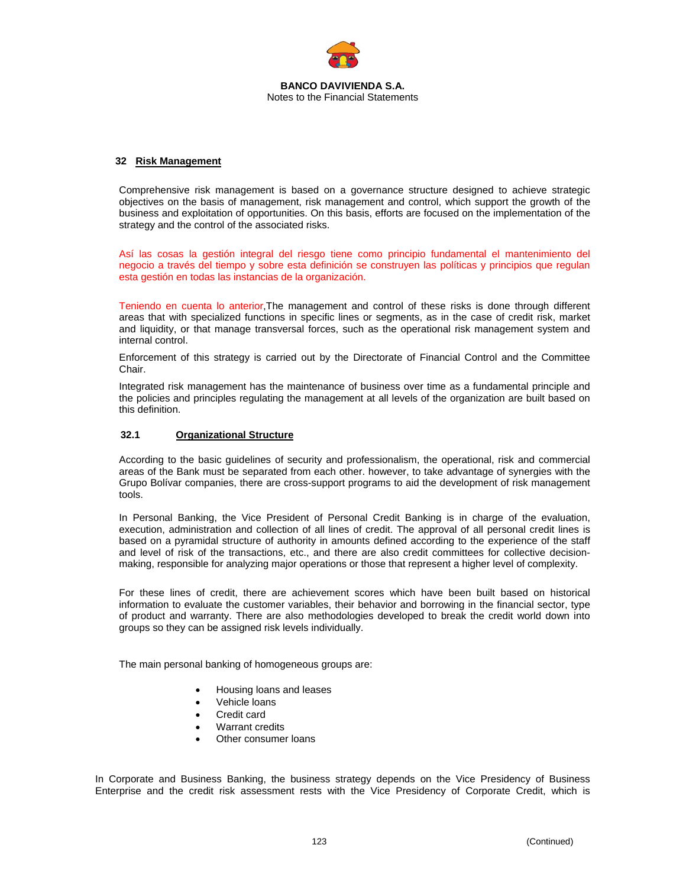

#### **32 Risk Management**

Comprehensive risk management is based on a governance structure designed to achieve strategic objectives on the basis of management, risk management and control, which support the growth of the business and exploitation of opportunities. On this basis, efforts are focused on the implementation of the strategy and the control of the associated risks.

Así las cosas la gestión integral del riesgo tiene como principio fundamental el mantenimiento del negocio a través del tiempo y sobre esta definición se construyen las políticas y principios que regulan esta gestión en todas las instancias de la organización.

Teniendo en cuenta lo anterior,The management and control of these risks is done through different areas that with specialized functions in specific lines or segments, as in the case of credit risk, market and liquidity, or that manage transversal forces, such as the operational risk management system and internal control.

Enforcement of this strategy is carried out by the Directorate of Financial Control and the Committee Chair.

Integrated risk management has the maintenance of business over time as a fundamental principle and the policies and principles regulating the management at all levels of the organization are built based on this definition.

#### **32.1 Organizational Structure**

According to the basic guidelines of security and professionalism, the operational, risk and commercial areas of the Bank must be separated from each other. however, to take advantage of synergies with the Grupo Bolívar companies, there are cross-support programs to aid the development of risk management tools.

In Personal Banking, the Vice President of Personal Credit Banking is in charge of the evaluation, execution, administration and collection of all lines of credit. The approval of all personal credit lines is based on a pyramidal structure of authority in amounts defined according to the experience of the staff and level of risk of the transactions, etc., and there are also credit committees for collective decisionmaking, responsible for analyzing major operations or those that represent a higher level of complexity.

For these lines of credit, there are achievement scores which have been built based on historical information to evaluate the customer variables, their behavior and borrowing in the financial sector, type of product and warranty. There are also methodologies developed to break the credit world down into groups so they can be assigned risk levels individually.

The main personal banking of homogeneous groups are:

- Housing loans and leases
- Vehicle loans
- Credit card
- Warrant credits
- Other consumer loans

In Corporate and Business Banking, the business strategy depends on the Vice Presidency of Business Enterprise and the credit risk assessment rests with the Vice Presidency of Corporate Credit, which is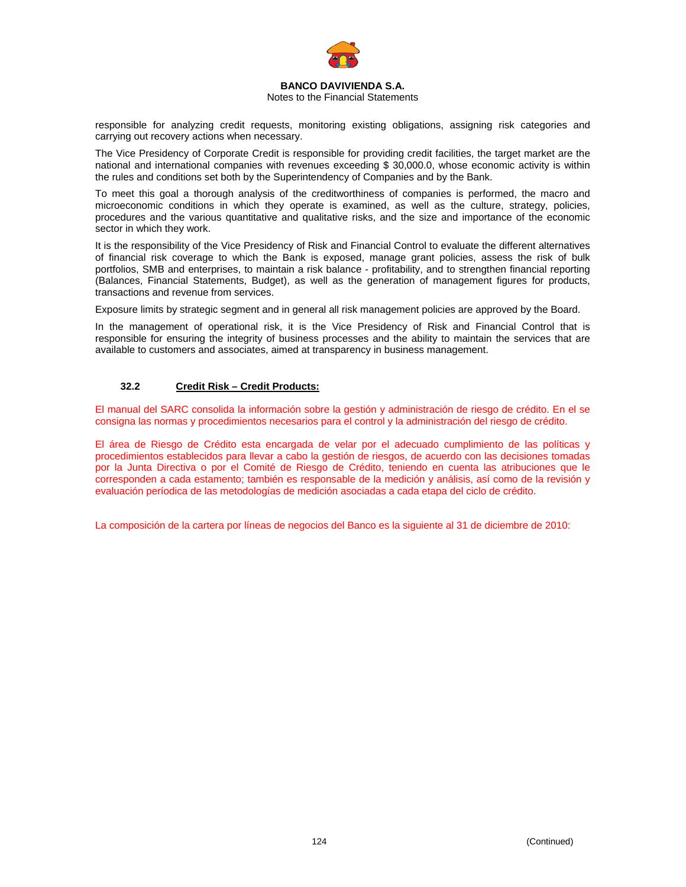

#### Notes to the Financial Statements

responsible for analyzing credit requests, monitoring existing obligations, assigning risk categories and carrying out recovery actions when necessary.

The Vice Presidency of Corporate Credit is responsible for providing credit facilities, the target market are the national and international companies with revenues exceeding \$ 30,000.0, whose economic activity is within the rules and conditions set both by the Superintendency of Companies and by the Bank.

To meet this goal a thorough analysis of the creditworthiness of companies is performed, the macro and microeconomic conditions in which they operate is examined, as well as the culture, strategy, policies, procedures and the various quantitative and qualitative risks, and the size and importance of the economic sector in which they work.

It is the responsibility of the Vice Presidency of Risk and Financial Control to evaluate the different alternatives of financial risk coverage to which the Bank is exposed, manage grant policies, assess the risk of bulk portfolios, SMB and enterprises, to maintain a risk balance - profitability, and to strengthen financial reporting (Balances, Financial Statements, Budget), as well as the generation of management figures for products, transactions and revenue from services.

Exposure limits by strategic segment and in general all risk management policies are approved by the Board.

In the management of operational risk, it is the Vice Presidency of Risk and Financial Control that is responsible for ensuring the integrity of business processes and the ability to maintain the services that are available to customers and associates, aimed at transparency in business management.

# **32.2 Credit Risk – Credit Products:**

El manual del SARC consolida la información sobre la gestión y administración de riesgo de crédito. En el se consigna las normas y procedimientos necesarios para el control y la administración del riesgo de crédito.

El área de Riesgo de Crédito esta encargada de velar por el adecuado cumplimiento de las políticas y procedimientos establecidos para llevar a cabo la gestión de riesgos, de acuerdo con las decisiones tomadas por la Junta Directiva o por el Comité de Riesgo de Crédito, teniendo en cuenta las atribuciones que le corresponden a cada estamento; también es responsable de la medición y análisis, así como de la revisión y evaluación períodica de las metodologías de medición asociadas a cada etapa del ciclo de crédito.

La composición de la cartera por líneas de negocios del Banco es la siguiente al 31 de diciembre de 2010: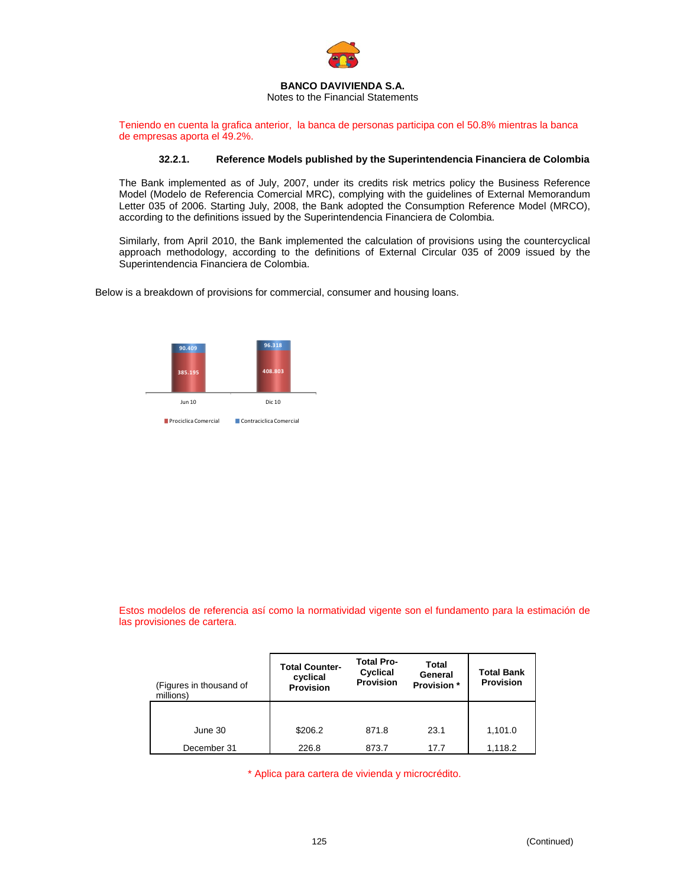

Notes to the Financial Statements

Teniendo en cuenta la grafica anterior, la banca de personas participa con el 50.8% mientras la banca de empresas aporta el 49.2%.

#### **32.2.1. Reference Models published by the Superintendencia Financiera de Colombia**

The Bank implemented as of July, 2007, under its credits risk metrics policy the Business Reference Model (Modelo de Referencia Comercial MRC), complying with the guidelines of External Memorandum Letter 035 of 2006. Starting July, 2008, the Bank adopted the Consumption Reference Model (MRCO), according to the definitions issued by the Superintendencia Financiera de Colombia.

Similarly, from April 2010, the Bank implemented the calculation of provisions using the countercyclical approach methodology, according to the definitions of External Circular 035 of 2009 issued by the Superintendencia Financiera de Colombia.

Below is a breakdown of provisions for commercial, consumer and housing loans.



Estos modelos de referencia así como la normatividad vigente son el fundamento para la estimación de las provisiones de cartera.

| (Figures in thousand of<br>millions) | <b>Total Counter-</b><br>cyclical<br><b>Provision</b> | <b>Total Pro-</b><br>Cyclical<br><b>Provision</b> | Total<br>General<br><b>Provision</b> * | <b>Total Bank</b><br><b>Provision</b> |
|--------------------------------------|-------------------------------------------------------|---------------------------------------------------|----------------------------------------|---------------------------------------|
|                                      |                                                       |                                                   |                                        |                                       |
| June 30                              | \$206.2                                               | 871.8                                             | 23.1                                   | 1,101.0                               |
| December 31                          | 226.8                                                 | 873.7                                             | 17.7                                   | 1,118.2                               |

\* Aplica para cartera de vivienda y microcrédito.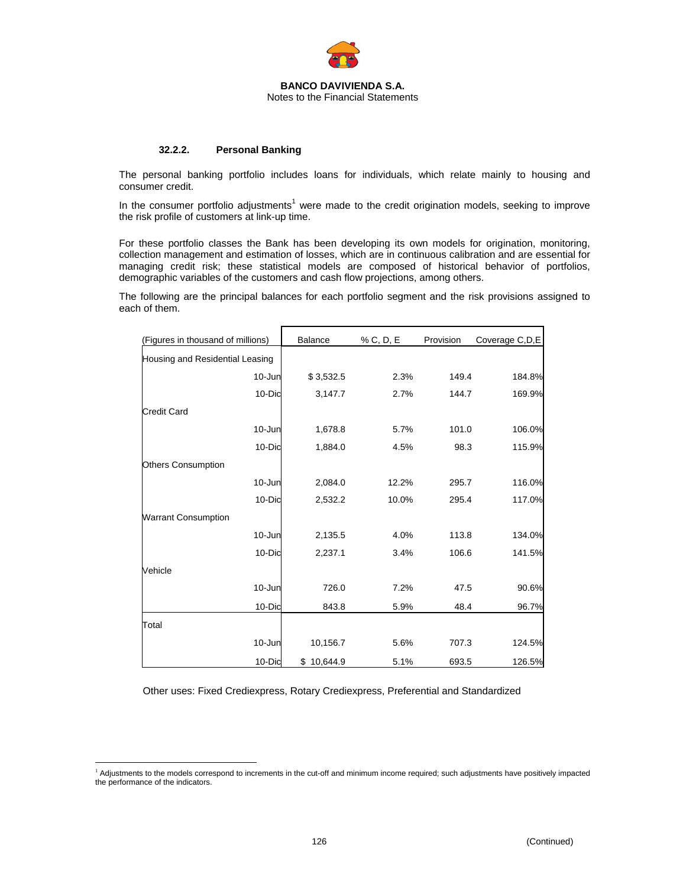

#### **32.2.2. Personal Banking**

The personal banking portfolio includes loans for individuals, which relate mainly to housing and consumer credit.

In the consumer portfolio adjustments<sup>1</sup> were made to the credit origination models, seeking to improve the risk profile of customers at link-up time.

For these portfolio classes the Bank has been developing its own models for origination, monitoring, collection management and estimation of losses, which are in continuous calibration and are essential for managing credit risk; these statistical models are composed of historical behavior of portfolios, demographic variables of the customers and cash flow projections, among others.

The following are the principal balances for each portfolio segment and the risk provisions assigned to each of them.

| (Figures in thousand of millions) | Balance    | % C, D, E | Provision | Coverage C, D, E |
|-----------------------------------|------------|-----------|-----------|------------------|
| Housing and Residential Leasing   |            |           |           |                  |
| 10-Jun                            | \$3,532.5  | 2.3%      | 149.4     | 184.8%           |
| 10-Dic                            | 3,147.7    | 2.7%      | 144.7     | 169.9%           |
| <b>Credit Card</b>                |            |           |           |                  |
| 10-Jun                            | 1,678.8    | 5.7%      | 101.0     | 106.0%           |
| 10-Dic                            | 1,884.0    | 4.5%      | 98.3      | 115.9%           |
| <b>Others Consumption</b>         |            |           |           |                  |
| 10-Jun                            | 2,084.0    | 12.2%     | 295.7     | 116.0%           |
| 10-Dic                            | 2,532.2    | 10.0%     | 295.4     | 117.0%           |
| <b>Warrant Consumption</b>        |            |           |           |                  |
| 10-Jun                            | 2,135.5    | 4.0%      | 113.8     | 134.0%           |
| 10-Dic                            | 2,237.1    | 3.4%      | 106.6     | 141.5%           |
| Vehicle                           |            |           |           |                  |
| 10-Jun                            | 726.0      | 7.2%      | 47.5      | 90.6%            |
| 10-Dic                            | 843.8      | 5.9%      | 48.4      | 96.7%            |
| Total                             |            |           |           |                  |
| 10-Jun                            | 10,156.7   | 5.6%      | 707.3     | 124.5%           |
| 10-Dic                            | \$10,644.9 | 5.1%      | 693.5     | 126.5%           |

Other uses: Fixed Crediexpress, Rotary Crediexpress, Preferential and Standardized

1

<sup>1</sup> Adjustments to the models correspond to increments in the cut-off and minimum income required; such adjustments have positively impacted the performance of the indicators.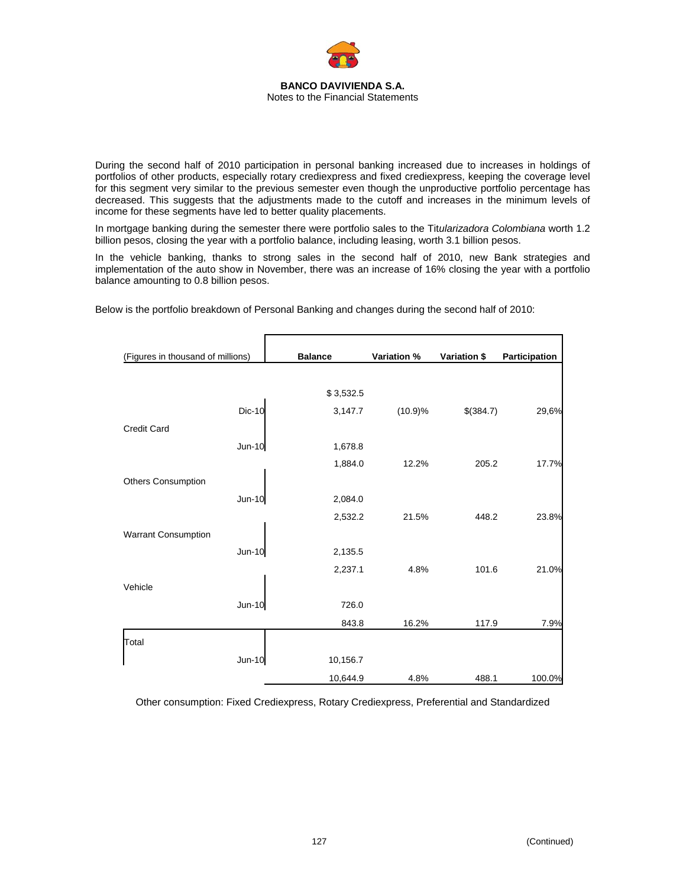

During the second half of 2010 participation in personal banking increased due to increases in holdings of portfolios of other products, especially rotary crediexpress and fixed crediexpress, keeping the coverage level for this segment very similar to the previous semester even though the unproductive portfolio percentage has decreased. This suggests that the adjustments made to the cutoff and increases in the minimum levels of income for these segments have led to better quality placements.

In mortgage banking during the semester there were portfolio sales to the Tit*ularizadora Colombiana* worth 1.2 billion pesos, closing the year with a portfolio balance, including leasing, worth 3.1 billion pesos.

In the vehicle banking, thanks to strong sales in the second half of 2010, new Bank strategies and implementation of the auto show in November, there was an increase of 16% closing the year with a portfolio balance amounting to 0.8 billion pesos.

| (Figures in thousand of millions) |               | <b>Balance</b> | Variation % | Variation \$ | Participation |
|-----------------------------------|---------------|----------------|-------------|--------------|---------------|
|                                   |               |                |             |              |               |
|                                   |               | \$3,532.5      |             |              |               |
|                                   | <b>Dic-10</b> | 3,147.7        | (10.9)%     | \$(384.7)    | 29,6%         |
| <b>Credit Card</b>                |               |                |             |              |               |
|                                   | <b>Jun-10</b> | 1,678.8        |             |              |               |
|                                   |               | 1,884.0        | 12.2%       | 205.2        | 17.7%         |
| <b>Others Consumption</b>         |               |                |             |              |               |
|                                   | Jun-10        | 2,084.0        |             |              |               |
|                                   |               | 2,532.2        | 21.5%       | 448.2        | 23.8%         |
| Warrant Consumption               |               |                |             |              |               |
|                                   | $Jun-10$      | 2,135.5        |             |              |               |
|                                   |               | 2,237.1        | 4.8%        | 101.6        | 21.0%         |
| Vehicle                           |               |                |             |              |               |
|                                   | Jun-10        | 726.0          |             |              |               |
|                                   |               | 843.8          | 16.2%       | 117.9        | 7.9%          |
| Total                             |               |                |             |              |               |
|                                   | Jun-10        | 10,156.7       |             |              |               |
|                                   |               | 10,644.9       | 4.8%        | 488.1        | 100.0%        |

Below is the portfolio breakdown of Personal Banking and changes during the second half of 2010:

Other consumption: Fixed Crediexpress, Rotary Crediexpress, Preferential and Standardized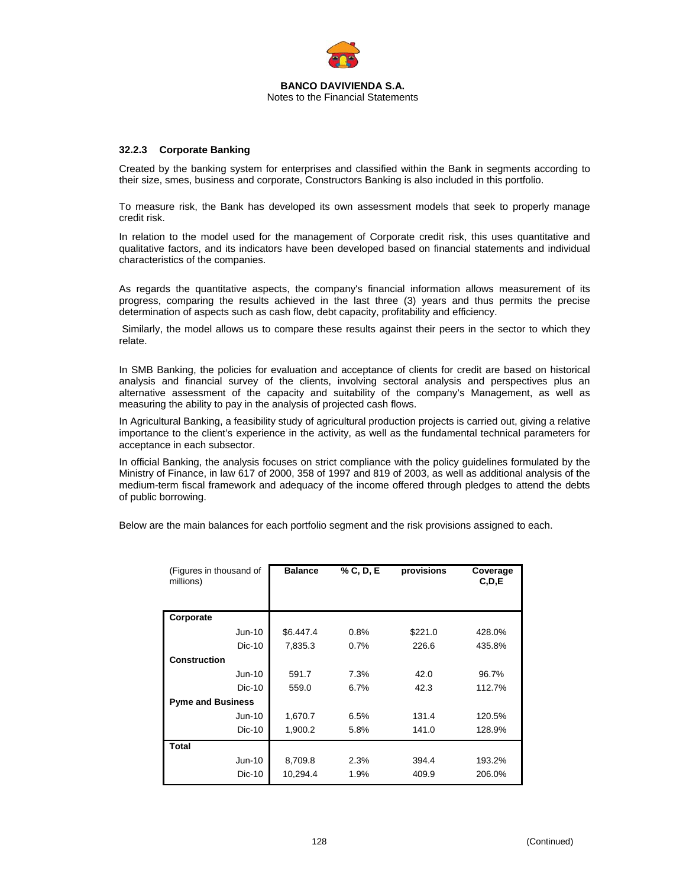

#### **32.2.3 Corporate Banking**

Created by the banking system for enterprises and classified within the Bank in segments according to their size, smes, business and corporate, Constructors Banking is also included in this portfolio.

To measure risk, the Bank has developed its own assessment models that seek to properly manage credit risk.

In relation to the model used for the management of Corporate credit risk, this uses quantitative and qualitative factors, and its indicators have been developed based on financial statements and individual characteristics of the companies.

As regards the quantitative aspects, the company's financial information allows measurement of its progress, comparing the results achieved in the last three (3) years and thus permits the precise determination of aspects such as cash flow, debt capacity, profitability and efficiency.

 Similarly, the model allows us to compare these results against their peers in the sector to which they relate.

In SMB Banking, the policies for evaluation and acceptance of clients for credit are based on historical analysis and financial survey of the clients, involving sectoral analysis and perspectives plus an alternative assessment of the capacity and suitability of the company's Management, as well as measuring the ability to pay in the analysis of projected cash flows.

In Agricultural Banking, a feasibility study of agricultural production projects is carried out, giving a relative importance to the client's experience in the activity, as well as the fundamental technical parameters for acceptance in each subsector.

In official Banking, the analysis focuses on strict compliance with the policy guidelines formulated by the Ministry of Finance, in law 617 of 2000, 358 of 1997 and 819 of 2003, as well as additional analysis of the medium-term fiscal framework and adequacy of the income offered through pledges to attend the debts of public borrowing.

Below are the main balances for each portfolio segment and the risk provisions assigned to each.

| (Figures in thousand of<br>millions) | <b>Balance</b> | % C, D, E | provisions | Coverage<br>C, D, E |
|--------------------------------------|----------------|-----------|------------|---------------------|
| Corporate                            |                |           |            |                     |
| Jun-10                               | \$6.447.4      | 0.8%      | \$221.0    | 428.0%              |
| $Dic-10$                             | 7,835.3        | 0.7%      | 226.6      | 435.8%              |
| <b>Construction</b>                  |                |           |            |                     |
| $Jun-10$                             | 591.7          | 7.3%      | 42.0       | 96.7%               |
| $Dic-10$                             | 559.0          | 6.7%      | 42.3       | 112.7%              |
| <b>Pyme and Business</b>             |                |           |            |                     |
| Jun-10                               | 1,670.7        | 6.5%      | 131.4      | 120.5%              |
| Dic-10                               | 1,900.2        | 5.8%      | 141.0      | 128.9%              |
| <b>Total</b>                         |                |           |            |                     |
| Jun-10                               | 8,709.8        | 2.3%      | 394.4      | 193.2%              |
| Dic-10                               | 10,294.4       | 1.9%      | 409.9      | 206.0%              |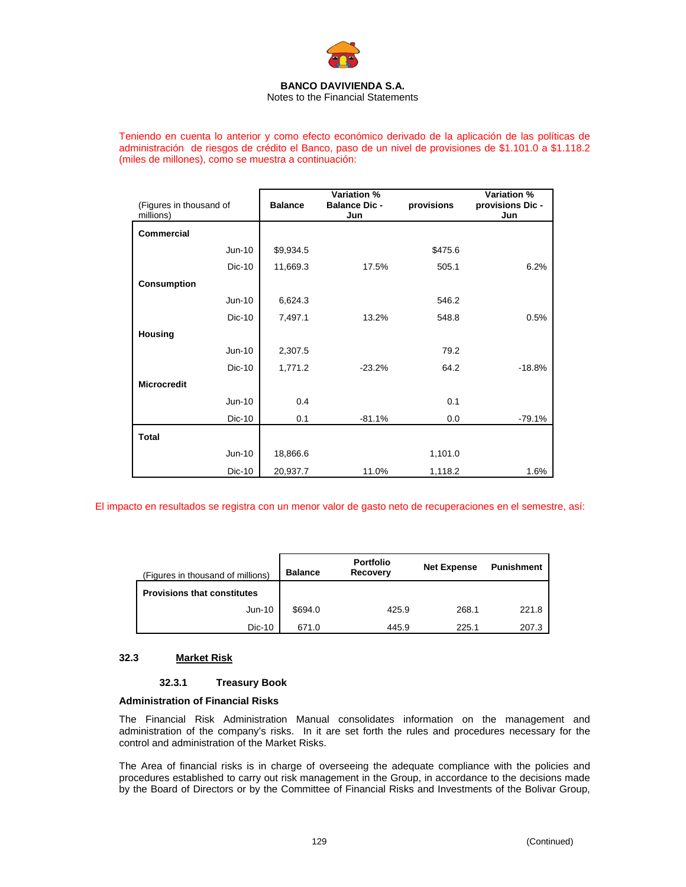

Notes to the Financial Statements

Teniendo en cuenta lo anterior y como efecto económico derivado de la aplicación de las políticas de administración de riesgos de crédito el Banco, paso de un nivel de provisiones de \$1.101.0 a \$1.118.2 (miles de millones), como se muestra a continuación:

|                                      |                | Variation %                 |            | Variation %             |
|--------------------------------------|----------------|-----------------------------|------------|-------------------------|
| (Figures in thousand of<br>millions) | <b>Balance</b> | <b>Balance Dic -</b><br>Jun | provisions | provisions Dic -<br>Jun |
| <b>Commercial</b>                    |                |                             |            |                         |
| Jun-10                               | \$9,934.5      |                             | \$475.6    |                         |
| Dic-10                               | 11,669.3       | 17.5%                       | 505.1      | 6.2%                    |
| <b>Consumption</b>                   |                |                             |            |                         |
| $Jun-10$                             | 6,624.3        |                             | 546.2      |                         |
| Dic-10                               | 7,497.1        | 13.2%                       | 548.8      | 0.5%                    |
| <b>Housing</b>                       |                |                             |            |                         |
| Jun-10                               | 2,307.5        |                             | 79.2       |                         |
| Dic-10                               | 1,771.2        | $-23.2%$                    | 64.2       | $-18.8%$                |
| <b>Microcredit</b>                   |                |                             |            |                         |
| Jun-10                               | 0.4            |                             | 0.1        |                         |
| Dic-10                               | 0.1            | $-81.1%$                    | 0.0        | $-79.1%$                |
| <b>Total</b>                         |                |                             |            |                         |
| Jun-10                               | 18,866.6       |                             | 1,101.0    |                         |
| Dic-10                               | 20,937.7       | 11.0%                       | 1,118.2    | 1.6%                    |

El impacto en resultados se registra con un menor valor de gasto neto de recuperaciones en el semestre, así:

| (Figures in thousand of millions)  | <b>Balance</b> | <b>Portfolio</b><br>Recovery | <b>Net Expense</b> | <b>Punishment</b> |
|------------------------------------|----------------|------------------------------|--------------------|-------------------|
| <b>Provisions that constitutes</b> |                |                              |                    |                   |
| Jun-10                             | \$694.0        | 425.9                        | 268.1              | 221.8             |
| Dic-10                             | 671.0          | 445.9                        | 225.1              | 207.3             |

# **32.3 Market Risk**

# **32.3.1 Treasury Book**

# **Administration of Financial Risks**

The Financial Risk Administration Manual consolidates information on the management and administration of the company's risks. In it are set forth the rules and procedures necessary for the control and administration of the Market Risks.

The Area of financial risks is in charge of overseeing the adequate compliance with the policies and procedures established to carry out risk management in the Group, in accordance to the decisions made by the Board of Directors or by the Committee of Financial Risks and Investments of the Bolivar Group,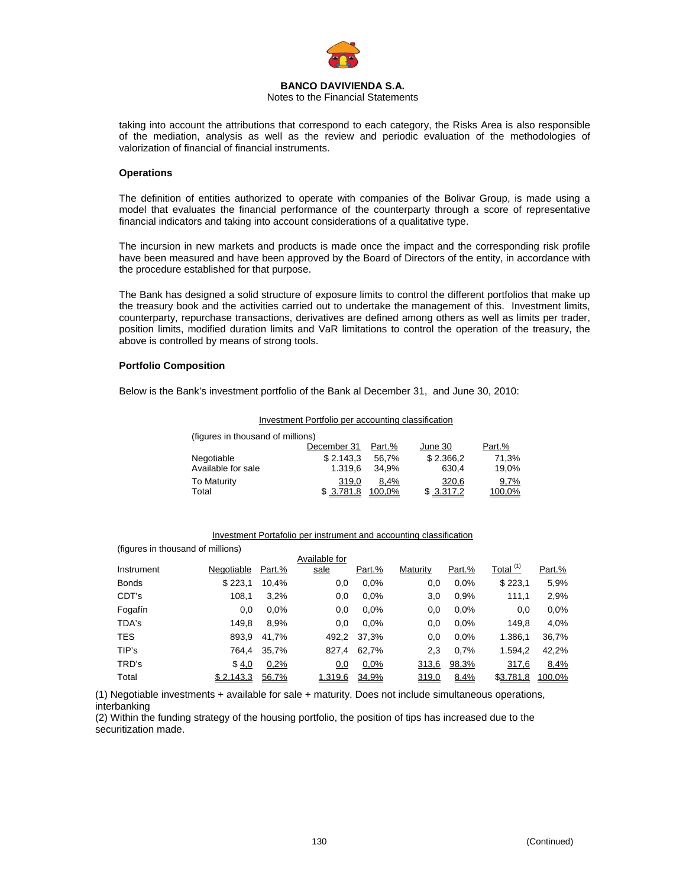

Notes to the Financial Statements

taking into account the attributions that correspond to each category, the Risks Area is also responsible of the mediation, analysis as well as the review and periodic evaluation of the methodologies of valorization of financial of financial instruments.

#### **Operations**

The definition of entities authorized to operate with companies of the Bolivar Group, is made using a model that evaluates the financial performance of the counterparty through a score of representative financial indicators and taking into account considerations of a qualitative type.

The incursion in new markets and products is made once the impact and the corresponding risk profile have been measured and have been approved by the Board of Directors of the entity, in accordance with the procedure established for that purpose.

The Bank has designed a solid structure of exposure limits to control the different portfolios that make up the treasury book and the activities carried out to undertake the management of this. Investment limits, counterparty, repurchase transactions, derivatives are defined among others as well as limits per trader, position limits, modified duration limits and VaR limitations to control the operation of the treasury, the above is controlled by means of strong tools.

#### **Portfolio Composition**

Below is the Bank's investment portfolio of the Bank al December 31, and June 30, 2010:

#### Investment Portfolio per accounting classification

| (figures in thousand of millions) |             |         |           |        |
|-----------------------------------|-------------|---------|-----------|--------|
|                                   | December 31 | Part.%  | June 30   | Part.% |
| Negotiable                        | \$2.143.3   | 56.7%   | \$2.366.2 | 71.3%  |
| Available for sale                | 1.319.6     | 34.9%   | 630.4     | 19,0%  |
| <b>To Maturity</b>                | 319,0       | $8.4\%$ | 320,6     | 9,7%   |
| Total                             | \$ 3.781.8  | 100.0%  | \$3.317.2 | 100,0% |

#### Investment Portafolio per instrument and accounting classification

| (figures in thousand of millions) |            |        |               |        |          |        |                      |        |
|-----------------------------------|------------|--------|---------------|--------|----------|--------|----------------------|--------|
|                                   |            |        | Available for |        |          |        |                      |        |
| Instrument                        | Negotiable | Part.% | sale          | Part.% | Maturity | Part.% | Total <sup>(1)</sup> | Part.% |
| <b>Bonds</b>                      | \$223,1    | 10,4%  | 0,0           | 0.0%   | 0,0      | 0.0%   | \$223,1              | 5,9%   |
| CDT's                             | 108,1      | 3,2%   | 0,0           | 0.0%   | 3,0      | 0.9%   | 111,1                | 2,9%   |
| Fogafín                           | 0,0        | 0.0%   | 0,0           | 0.0%   | 0,0      | 0.0%   | 0,0                  | 0.0%   |
| TDA's                             | 149,8      | 8,9%   | 0,0           | 0.0%   | 0,0      | 0.0%   | 149.8                | 4,0%   |
| <b>TES</b>                        | 893,9      | 41,7%  | 492,2         | 37,3%  | 0,0      | 0.0%   | 1.386,1              | 36,7%  |
| TIP's                             | 764,4      | 35,7%  | 827,4         | 62,7%  | 2,3      | 0,7%   | 1.594.2              | 42,2%  |
| TRD's                             | \$4,0      | 0,2%   | 0,0           | 0,0%   | 313,6    | 98,3%  | 317,6                | 8,4%   |
| Total                             | \$2.143.3  | 56,7%  | 1.319,6       | 34,9%  | 319,0    | 8,4%   | \$3.781,8            | 100,0% |

(1) Negotiable investments + available for sale + maturity. Does not include simultaneous operations, interbanking

(2) Within the funding strategy of the housing portfolio, the position of tips has increased due to the securitization made.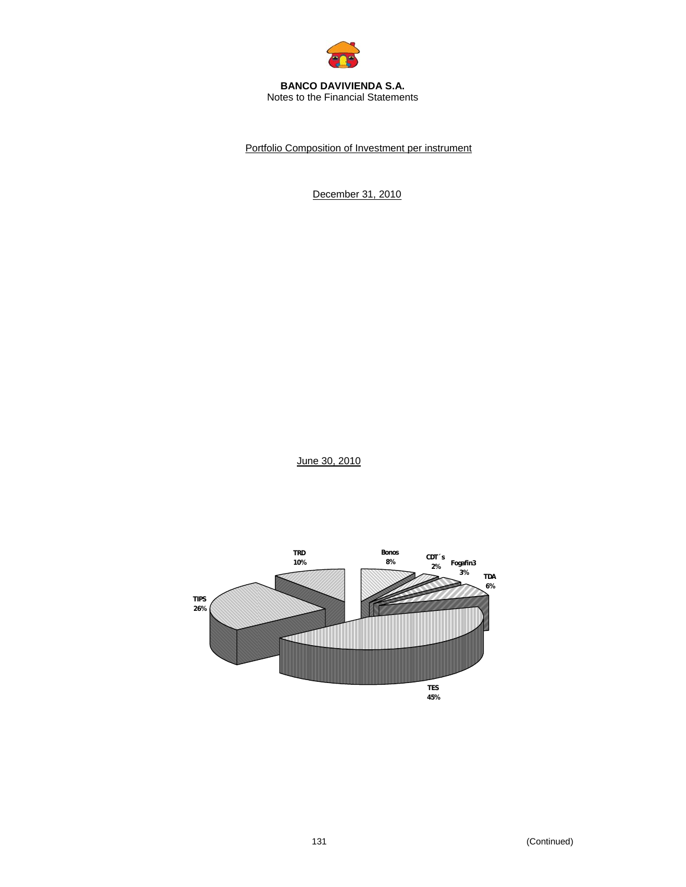

#### **BANCO DAVIVIENDA S.A.**  Notes to the Financial Statements

Portfolio Composition of Investment per instrument

December 31, 2010

June 30, 2010

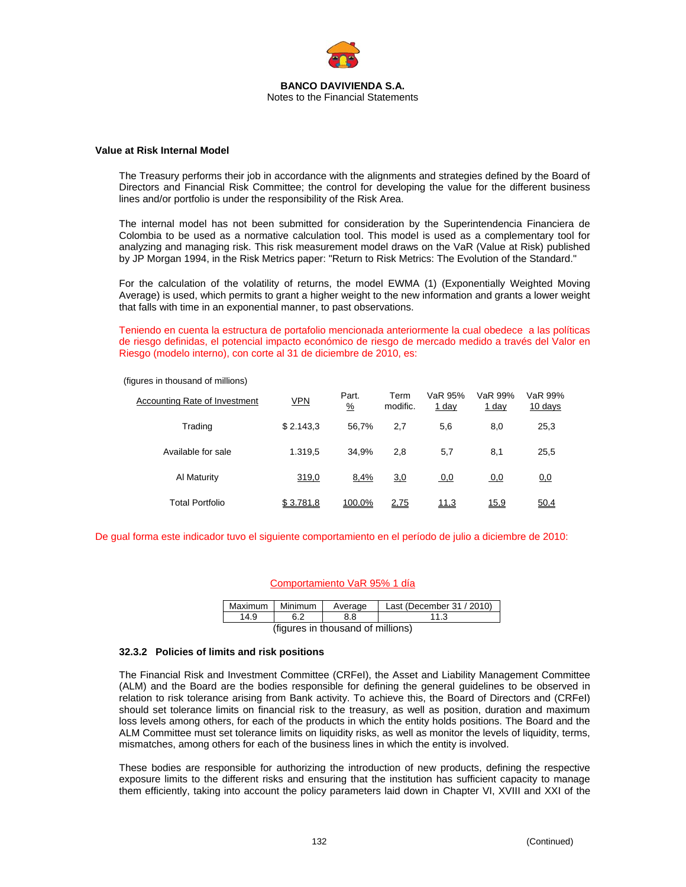

#### **Value at Risk Internal Model**

The Treasury performs their job in accordance with the alignments and strategies defined by the Board of Directors and Financial Risk Committee; the control for developing the value for the different business lines and/or portfolio is under the responsibility of the Risk Area.

The internal model has not been submitted for consideration by the Superintendencia Financiera de Colombia to be used as a normative calculation tool. This model is used as a complementary tool for analyzing and managing risk. This risk measurement model draws on the VaR (Value at Risk) published by JP Morgan 1994, in the Risk Metrics paper: "Return to Risk Metrics: The Evolution of the Standard."

For the calculation of the volatility of returns, the model EWMA (1) (Exponentially Weighted Moving Average) is used, which permits to grant a higher weight to the new information and grants a lower weight that falls with time in an exponential manner, to past observations.

Teniendo en cuenta la estructura de portafolio mencionada anteriormente la cual obedece a las políticas de riesgo definidas, el potencial impacto económico de riesgo de mercado medido a través del Valor en Riesgo (modelo interno), con corte al 31 de diciembre de 2010, es:

| Accounting Rate of Investment | <u>VPN</u> | Part.<br>$\frac{9}{6}$ | Term<br>modific. | VaR 95%<br><u>1 day</u> | VaR 99%<br><u>1 day</u> | VaR 99%<br>10 days |
|-------------------------------|------------|------------------------|------------------|-------------------------|-------------------------|--------------------|
| Trading                       | \$2.143.3  | 56.7%                  | 2.7              | 5,6                     | 8,0                     | 25,3               |
| Available for sale            | 1.319.5    | 34.9%                  | 2.8              | 5.7                     | 8,1                     | 25,5               |
| Al Maturity                   | 319,0      | 8,4%                   | 3,0              | 0,0                     | 0,0                     | <u>0,0</u>         |
| Total Portfolio               | \$3.781,8  | 100,0%                 | 2,75             | 11,3                    | <u>15,9</u>             | 50,4               |

(figures in thousand of millions)

De gual forma este indicador tuvo el siguiente comportamiento en el período de julio a diciembre de 2010:

#### Comportamiento VaR 95% 1 día

| Maximum   Minimum                 |  | Average | Last (December 31 / 2010) |  |  |  |
|-----------------------------------|--|---------|---------------------------|--|--|--|
|                                   |  |         |                           |  |  |  |
| (figures in thousend of millions) |  |         |                           |  |  |  |

(figures in thousand of millions)

#### **32.3.2 Policies of limits and risk positions**

The Financial Risk and Investment Committee (CRFeI), the Asset and Liability Management Committee (ALM) and the Board are the bodies responsible for defining the general guidelines to be observed in relation to risk tolerance arising from Bank activity. To achieve this, the Board of Directors and (CRFeI) should set tolerance limits on financial risk to the treasury, as well as position, duration and maximum loss levels among others, for each of the products in which the entity holds positions. The Board and the ALM Committee must set tolerance limits on liquidity risks, as well as monitor the levels of liquidity, terms, mismatches, among others for each of the business lines in which the entity is involved.

These bodies are responsible for authorizing the introduction of new products, defining the respective exposure limits to the different risks and ensuring that the institution has sufficient capacity to manage them efficiently, taking into account the policy parameters laid down in Chapter VI, XVIII and XXI of the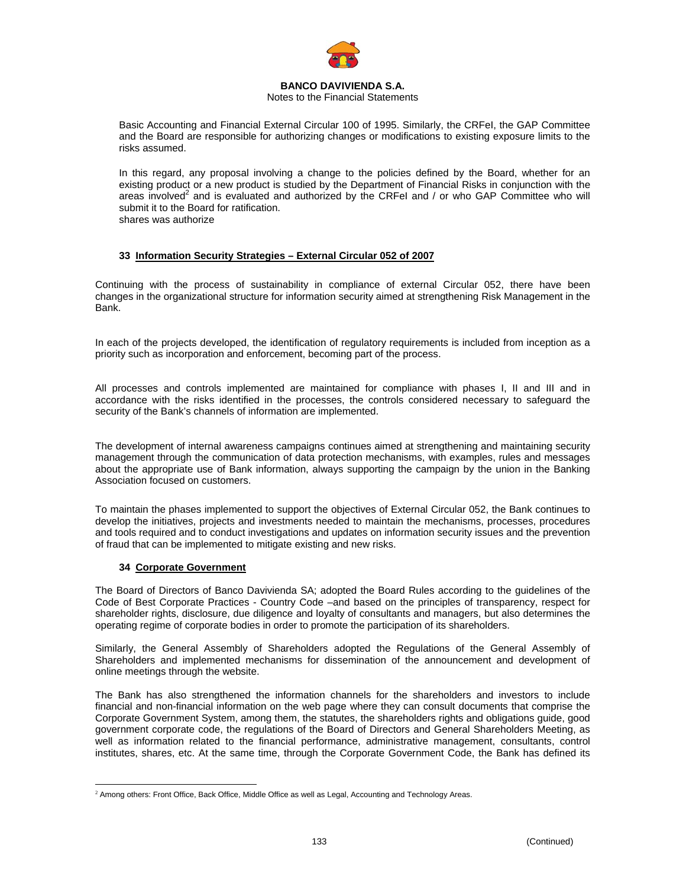

#### Notes to the Financial Statements

Basic Accounting and Financial External Circular 100 of 1995. Similarly, the CRFeI, the GAP Committee and the Board are responsible for authorizing changes or modifications to existing exposure limits to the risks assumed.

In this regard, any proposal involving a change to the policies defined by the Board, whether for an existing product or a new product is studied by the Department of Financial Risks in conjunction with the areas involved<sup>2</sup> and is evaluated and authorized by the CRFeI and / or who GAP Committee who will submit it to the Board for ratification. shares was authorize

# **33 Information Security Strategies – External Circular 052 of 2007**

Continuing with the process of sustainability in compliance of external Circular 052, there have been changes in the organizational structure for information security aimed at strengthening Risk Management in the Bank.

In each of the projects developed, the identification of regulatory requirements is included from inception as a priority such as incorporation and enforcement, becoming part of the process.

All processes and controls implemented are maintained for compliance with phases I, II and III and in accordance with the risks identified in the processes, the controls considered necessary to safeguard the security of the Bank's channels of information are implemented.

The development of internal awareness campaigns continues aimed at strengthening and maintaining security management through the communication of data protection mechanisms, with examples, rules and messages about the appropriate use of Bank information, always supporting the campaign by the union in the Banking Association focused on customers.

To maintain the phases implemented to support the objectives of External Circular 052, the Bank continues to develop the initiatives, projects and investments needed to maintain the mechanisms, processes, procedures and tools required and to conduct investigations and updates on information security issues and the prevention of fraud that can be implemented to mitigate existing and new risks.

# **34 Corporate Government**

The Board of Directors of Banco Davivienda SA; adopted the Board Rules according to the guidelines of the Code of Best Corporate Practices - Country Code –and based on the principles of transparency, respect for shareholder rights, disclosure, due diligence and loyalty of consultants and managers, but also determines the operating regime of corporate bodies in order to promote the participation of its shareholders.

Similarly, the General Assembly of Shareholders adopted the Regulations of the General Assembly of Shareholders and implemented mechanisms for dissemination of the announcement and development of online meetings through the website.

The Bank has also strengthened the information channels for the shareholders and investors to include financial and non-financial information on the web page where they can consult documents that comprise the Corporate Government System, among them, the statutes, the shareholders rights and obligations guide, good government corporate code, the regulations of the Board of Directors and General Shareholders Meeting, as well as information related to the financial performance, administrative management, consultants, control institutes, shares, etc. At the same time, through the Corporate Government Code, the Bank has defined its

<sup>1</sup> <sup>2</sup> Among others: Front Office, Back Office, Middle Office as well as Legal, Accounting and Technology Areas.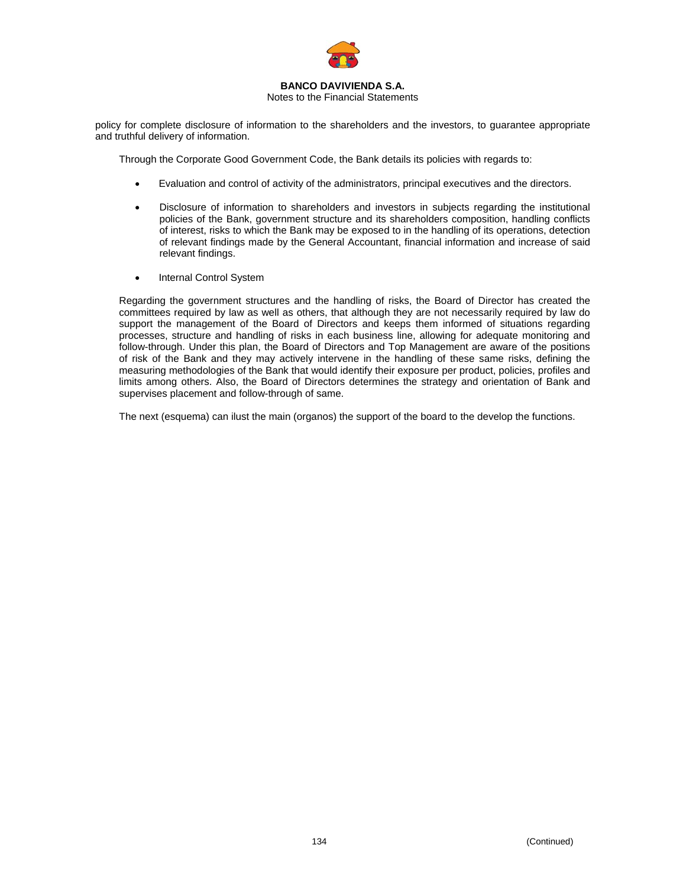

#### Notes to the Financial Statements

policy for complete disclosure of information to the shareholders and the investors, to guarantee appropriate and truthful delivery of information.

Through the Corporate Good Government Code, the Bank details its policies with regards to:

- Evaluation and control of activity of the administrators, principal executives and the directors.
- Disclosure of information to shareholders and investors in subjects regarding the institutional policies of the Bank, government structure and its shareholders composition, handling conflicts of interest, risks to which the Bank may be exposed to in the handling of its operations, detection of relevant findings made by the General Accountant, financial information and increase of said relevant findings.
- Internal Control System

Regarding the government structures and the handling of risks, the Board of Director has created the committees required by law as well as others, that although they are not necessarily required by law do support the management of the Board of Directors and keeps them informed of situations regarding processes, structure and handling of risks in each business line, allowing for adequate monitoring and follow-through. Under this plan, the Board of Directors and Top Management are aware of the positions of risk of the Bank and they may actively intervene in the handling of these same risks, defining the measuring methodologies of the Bank that would identify their exposure per product, policies, profiles and limits among others. Also, the Board of Directors determines the strategy and orientation of Bank and supervises placement and follow-through of same.

The next (esquema) can ilust the main (organos) the support of the board to the develop the functions.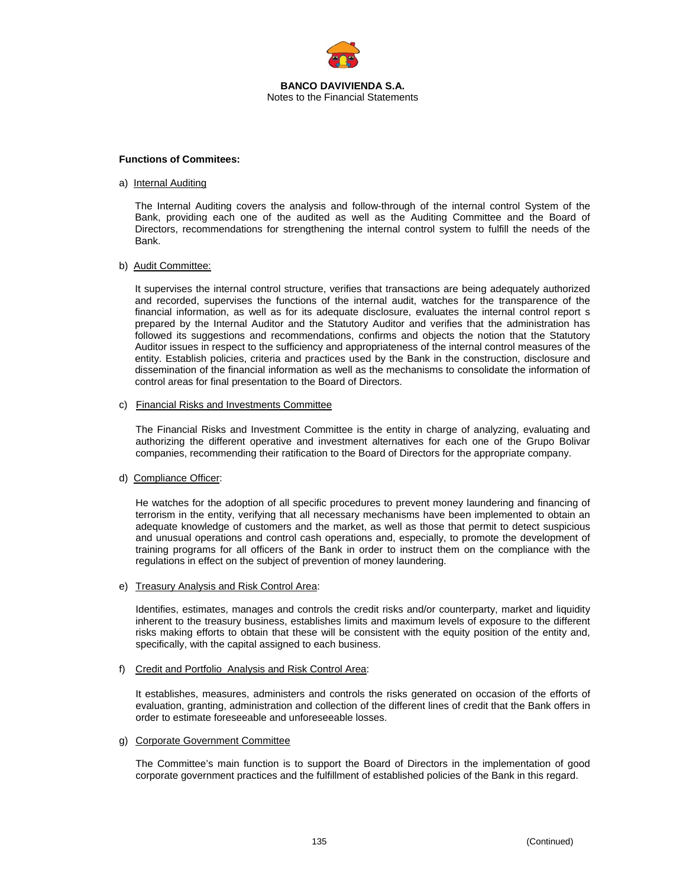

#### **Functions of Commitees:**

#### a) Internal Auditing

The Internal Auditing covers the analysis and follow-through of the internal control System of the Bank, providing each one of the audited as well as the Auditing Committee and the Board of Directors, recommendations for strengthening the internal control system to fulfill the needs of the Bank.

#### b) Audit Committee:

It supervises the internal control structure, verifies that transactions are being adequately authorized and recorded, supervises the functions of the internal audit, watches for the transparence of the financial information, as well as for its adequate disclosure, evaluates the internal control report s prepared by the Internal Auditor and the Statutory Auditor and verifies that the administration has followed its suggestions and recommendations, confirms and objects the notion that the Statutory Auditor issues in respect to the sufficiency and appropriateness of the internal control measures of the entity. Establish policies, criteria and practices used by the Bank in the construction, disclosure and dissemination of the financial information as well as the mechanisms to consolidate the information of control areas for final presentation to the Board of Directors.

#### c) Financial Risks and Investments Committee

The Financial Risks and Investment Committee is the entity in charge of analyzing, evaluating and authorizing the different operative and investment alternatives for each one of the Grupo Bolivar companies, recommending their ratification to the Board of Directors for the appropriate company.

#### d) Compliance Officer:

He watches for the adoption of all specific procedures to prevent money laundering and financing of terrorism in the entity, verifying that all necessary mechanisms have been implemented to obtain an adequate knowledge of customers and the market, as well as those that permit to detect suspicious and unusual operations and control cash operations and, especially, to promote the development of training programs for all officers of the Bank in order to instruct them on the compliance with the regulations in effect on the subject of prevention of money laundering.

#### e) Treasury Analysis and Risk Control Area:

Identifies, estimates, manages and controls the credit risks and/or counterparty, market and liquidity inherent to the treasury business, establishes limits and maximum levels of exposure to the different risks making efforts to obtain that these will be consistent with the equity position of the entity and, specifically, with the capital assigned to each business.

#### f) Credit and Portfolio Analysis and Risk Control Area:

It establishes, measures, administers and controls the risks generated on occasion of the efforts of evaluation, granting, administration and collection of the different lines of credit that the Bank offers in order to estimate foreseeable and unforeseeable losses.

#### g) Corporate Government Committee

The Committee's main function is to support the Board of Directors in the implementation of good corporate government practices and the fulfillment of established policies of the Bank in this regard.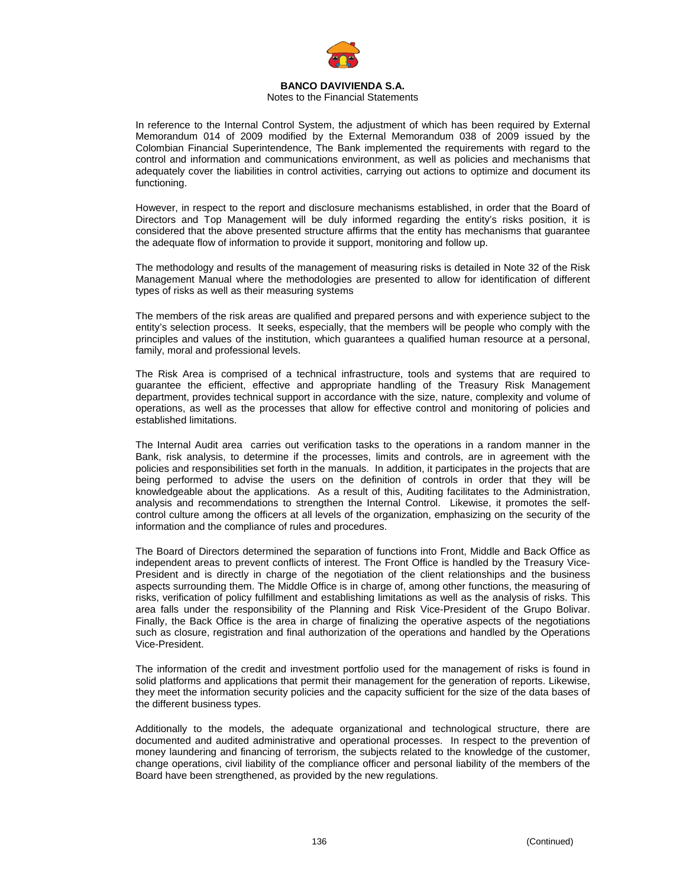

Notes to the Financial Statements

In reference to the Internal Control System, the adjustment of which has been required by External Memorandum 014 of 2009 modified by the External Memorandum 038 of 2009 issued by the Colombian Financial Superintendence, The Bank implemented the requirements with regard to the control and information and communications environment, as well as policies and mechanisms that adequately cover the liabilities in control activities, carrying out actions to optimize and document its functioning.

However, in respect to the report and disclosure mechanisms established, in order that the Board of Directors and Top Management will be duly informed regarding the entity's risks position, it is considered that the above presented structure affirms that the entity has mechanisms that guarantee the adequate flow of information to provide it support, monitoring and follow up.

The methodology and results of the management of measuring risks is detailed in Note 32 of the Risk Management Manual where the methodologies are presented to allow for identification of different types of risks as well as their measuring systems

The members of the risk areas are qualified and prepared persons and with experience subject to the entity's selection process. It seeks, especially, that the members will be people who comply with the principles and values of the institution, which guarantees a qualified human resource at a personal, family, moral and professional levels.

The Risk Area is comprised of a technical infrastructure, tools and systems that are required to guarantee the efficient, effective and appropriate handling of the Treasury Risk Management department, provides technical support in accordance with the size, nature, complexity and volume of operations, as well as the processes that allow for effective control and monitoring of policies and established limitations.

The Internal Audit area carries out verification tasks to the operations in a random manner in the Bank, risk analysis, to determine if the processes, limits and controls, are in agreement with the policies and responsibilities set forth in the manuals. In addition, it participates in the projects that are being performed to advise the users on the definition of controls in order that they will be knowledgeable about the applications. As a result of this, Auditing facilitates to the Administration, analysis and recommendations to strengthen the Internal Control. Likewise, it promotes the selfcontrol culture among the officers at all levels of the organization, emphasizing on the security of the information and the compliance of rules and procedures.

The Board of Directors determined the separation of functions into Front, Middle and Back Office as independent areas to prevent conflicts of interest. The Front Office is handled by the Treasury Vice-President and is directly in charge of the negotiation of the client relationships and the business aspects surrounding them. The Middle Office is in charge of, among other functions, the measuring of risks, verification of policy fulfillment and establishing limitations as well as the analysis of risks. This area falls under the responsibility of the Planning and Risk Vice-President of the Grupo Bolivar. Finally, the Back Office is the area in charge of finalizing the operative aspects of the negotiations such as closure, registration and final authorization of the operations and handled by the Operations Vice-President.

The information of the credit and investment portfolio used for the management of risks is found in solid platforms and applications that permit their management for the generation of reports. Likewise, they meet the information security policies and the capacity sufficient for the size of the data bases of the different business types.

Additionally to the models, the adequate organizational and technological structure, there are documented and audited administrative and operational processes. In respect to the prevention of money laundering and financing of terrorism, the subjects related to the knowledge of the customer, change operations, civil liability of the compliance officer and personal liability of the members of the Board have been strengthened, as provided by the new regulations.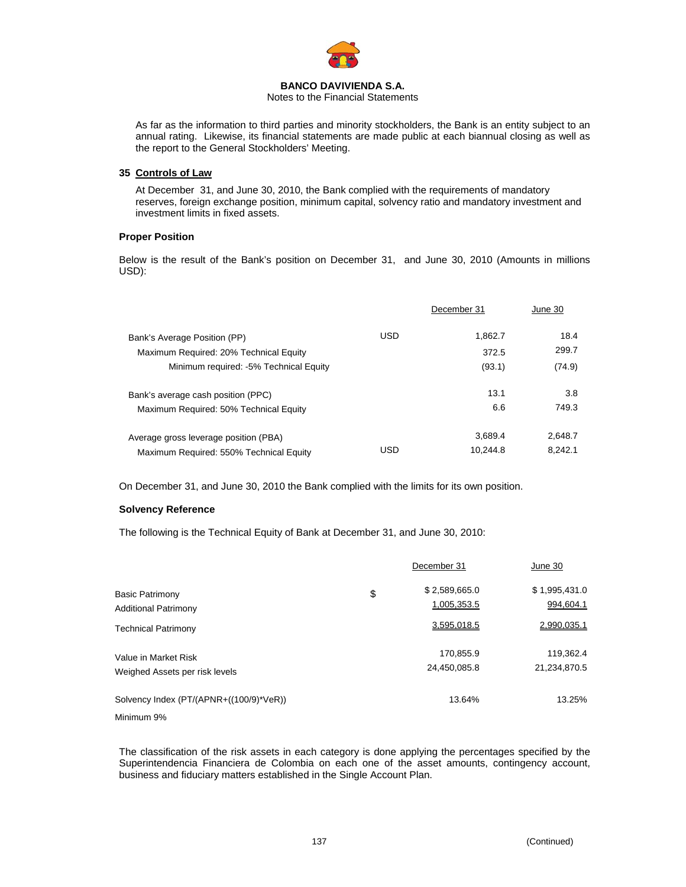

Notes to the Financial Statements

As far as the information to third parties and minority stockholders, the Bank is an entity subject to an annual rating. Likewise, its financial statements are made public at each biannual closing as well as the report to the General Stockholders' Meeting.

# **35 Controls of Law**

At December 31, and June 30, 2010, the Bank complied with the requirements of mandatory reserves, foreign exchange position, minimum capital, solvency ratio and mandatory investment and investment limits in fixed assets.

# **Proper Position**

Below is the result of the Bank's position on December 31, and June 30, 2010 (Amounts in millions USD):

|                                         |            | December 31 | June 30 |
|-----------------------------------------|------------|-------------|---------|
| Bank's Average Position (PP)            | <b>USD</b> | 1.862.7     | 18.4    |
| Maximum Required: 20% Technical Equity  |            | 372.5       | 299.7   |
| Minimum required: -5% Technical Equity  |            | (93.1)      | (74.9)  |
| Bank's average cash position (PPC)      |            | 13.1        | 3.8     |
| Maximum Required: 50% Technical Equity  |            | 6.6         | 749.3   |
| Average gross leverage position (PBA)   |            | 3.689.4     | 2,648.7 |
| Maximum Required: 550% Technical Equity | USD        | 10.244.8    | 8.242.1 |

On December 31, and June 30, 2010 the Bank complied with the limits for its own position.

#### **Solvency Reference**

The following is the Technical Equity of Bank at December 31, and June 30, 2010:

|                                         | December 31         | June 30       |
|-----------------------------------------|---------------------|---------------|
| <b>Basic Patrimony</b>                  | \$<br>\$2,589,665.0 | \$1,995,431.0 |
| <b>Additional Patrimony</b>             | 1,005,353.5         | 994,604.1     |
| <b>Technical Patrimony</b>              | 3.595.018.5         | 2.990.035.1   |
| Value in Market Risk                    | 170,855.9           | 119,362.4     |
| Weighed Assets per risk levels          | 24,450,085.8        | 21,234,870.5  |
| Solvency Index (PT/(APNR+((100/9)*VeR)) | 13.64%              | 13.25%        |
| Minimum 9%                              |                     |               |

The classification of the risk assets in each category is done applying the percentages specified by the Superintendencia Financiera de Colombia on each one of the asset amounts, contingency account, business and fiduciary matters established in the Single Account Plan.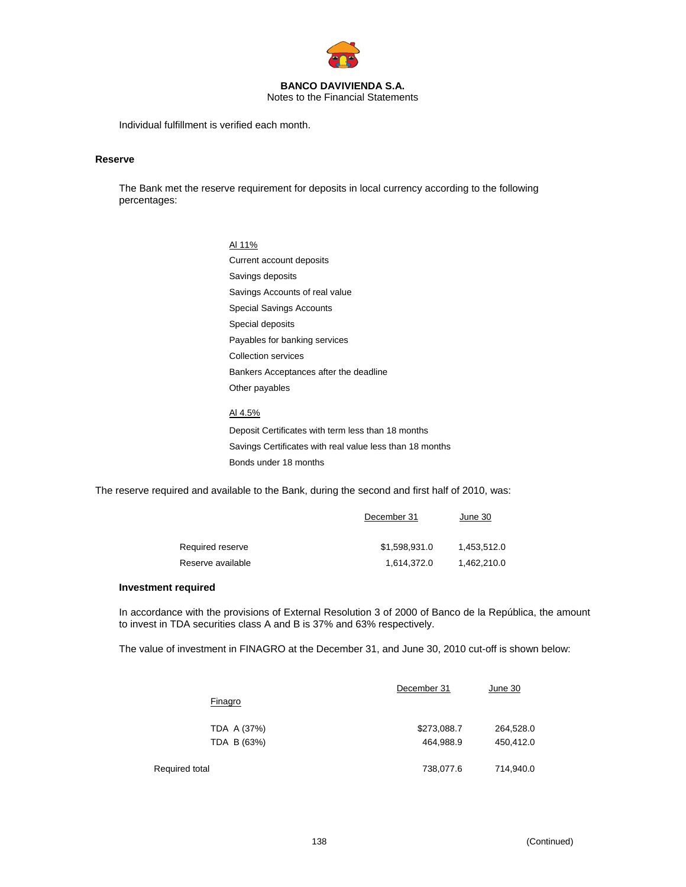

Notes to the Financial Statements

Individual fulfillment is verified each month.

#### **Reserve**

The Bank met the reserve requirement for deposits in local currency according to the following percentages:

#### Al 11%

Current account deposits Savings deposits Savings Accounts of real value Special Savings Accounts Special deposits Payables for banking services Collection services Bankers Acceptances after the deadline Other payables

# Al 4.5% Deposit Certificates with term less than 18 months

Savings Certificates with real value less than 18 months Bonds under 18 months

The reserve required and available to the Bank, during the second and first half of 2010, was:

|                   | December 31   | June 30     |  |
|-------------------|---------------|-------------|--|
| Required reserve  | \$1,598,931.0 | 1.453.512.0 |  |
| Reserve available | 1.614.372.0   | 1.462.210.0 |  |

#### **Investment required**

In accordance with the provisions of External Resolution 3 of 2000 of Banco de la República, the amount to invest in TDA securities class A and B is 37% and 63% respectively.

The value of investment in FINAGRO at the December 31, and June 30, 2010 cut-off is shown below:

|                | December 31 | June 30   |
|----------------|-------------|-----------|
| Finagro        |             |           |
| TDA A (37%)    | \$273,088.7 | 264,528.0 |
| TDA B (63%)    | 464,988.9   | 450,412.0 |
| Required total | 738,077.6   | 714,940.0 |